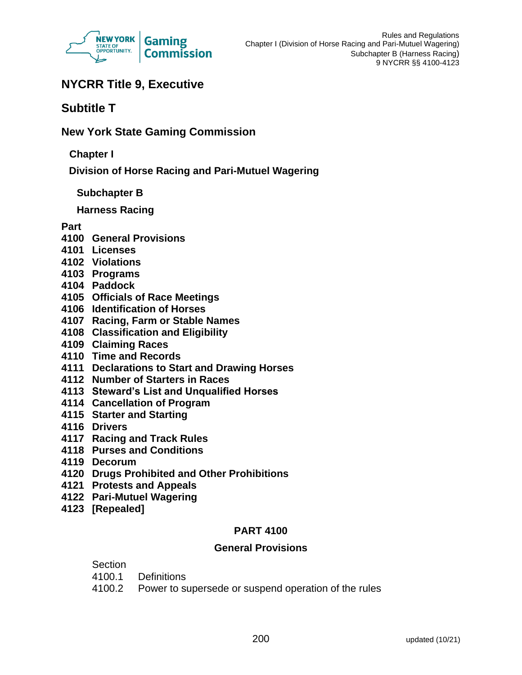

# **NYCRR Title 9, Executive**

# **Subtitle T**

**New York State Gaming Commission**

**Chapter I**

**Division of Horse Racing and Pari-Mutuel Wagering**

**Subchapter B**

**Harness Racing** 

# **Part**

- **4100 General Provisions**
- **4101 Licenses**
- **4102 Violations**
- **4103 Programs**
- **4104 Paddock**
- **4105 Officials of Race Meetings**
- **4106 Identification of Horses**
- **4107 Racing, Farm or Stable Names**
- **4108 Classification and Eligibility**
- **4109 Claiming Races**
- **4110 Time and Records**
- **4111 Declarations to Start and Drawing Horses**
- **4112 Number of Starters in Races**
- **4113 Steward's List and Unqualified Horses**
- **4114 Cancellation of Program**
- **4115 Starter and Starting**
- **4116 Drivers**
- **4117 Racing and Track Rules**
- **4118 Purses and Conditions**
- **4119 Decorum**
- **4120 Drugs Prohibited and Other Prohibitions**
- **4121 Protests and Appeals**
- **4122 Pari-Mutuel Wagering**
- **4123 [Repealed]**

## **PART 4100**

## **General Provisions**

## Section

- 4100.1 Definitions
- 4100.2 Power to supersede or suspend operation of the rules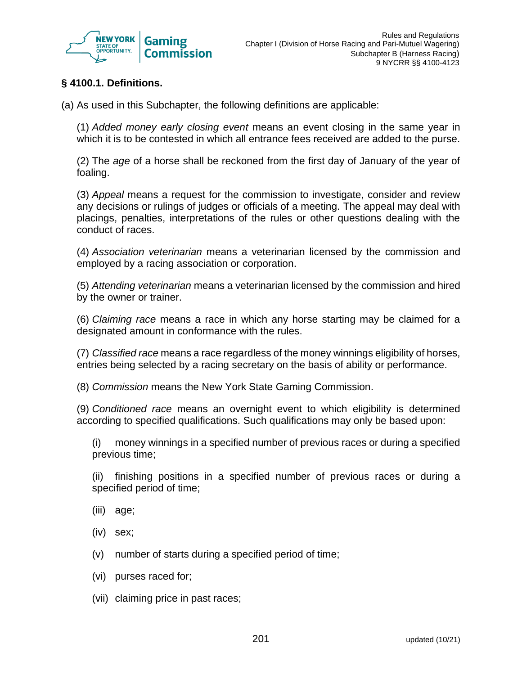

# **§ 4100.1. Definitions.**

(a) As used in this Subchapter, the following definitions are applicable:

(1) *Added money early closing event* means an event closing in the same year in which it is to be contested in which all entrance fees received are added to the purse.

(2) The *age* of a horse shall be reckoned from the first day of January of the year of foaling.

(3) *Appeal* means a request for the commission to investigate, consider and review any decisions or rulings of judges or officials of a meeting. The appeal may deal with placings, penalties, interpretations of the rules or other questions dealing with the conduct of races.

(4) *Association veterinarian* means a veterinarian licensed by the commission and employed by a racing association or corporation.

(5) *Attending veterinarian* means a veterinarian licensed by the commission and hired by the owner or trainer.

(6) *Claiming race* means a race in which any horse starting may be claimed for a designated amount in conformance with the rules.

(7) *Classified race* means a race regardless of the money winnings eligibility of horses, entries being selected by a racing secretary on the basis of ability or performance.

(8) *Commission* means the New York State Gaming Commission.

(9) *Conditioned race* means an overnight event to which eligibility is determined according to specified qualifications. Such qualifications may only be based upon:

(i) money winnings in a specified number of previous races or during a specified previous time;

(ii) finishing positions in a specified number of previous races or during a specified period of time;

- (iii) age;
- (iv) sex;
- (v) number of starts during a specified period of time;
- (vi) purses raced for;
- (vii) claiming price in past races;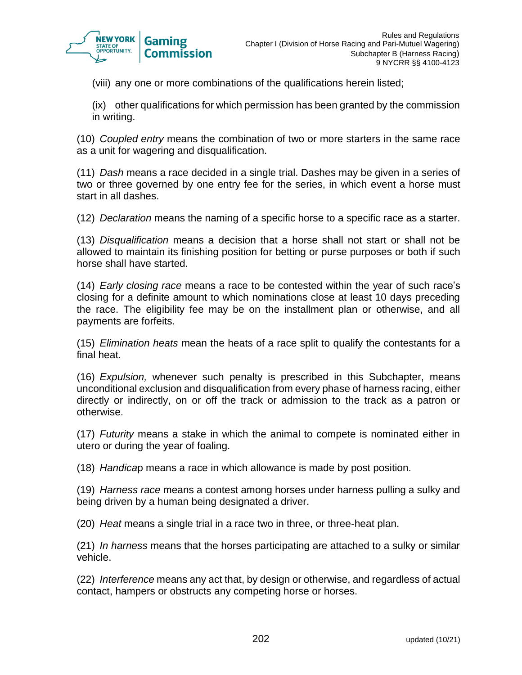

(viii) any one or more combinations of the qualifications herein listed;

(ix) other qualifications for which permission has been granted by the commission in writing.

(10) *Coupled entry* means the combination of two or more starters in the same race as a unit for wagering and disqualification.

(11) *Dash* means a race decided in a single trial. Dashes may be given in a series of two or three governed by one entry fee for the series, in which event a horse must start in all dashes.

(12) *Declaration* means the naming of a specific horse to a specific race as a starter.

(13) *Disqualification* means a decision that a horse shall not start or shall not be allowed to maintain its finishing position for betting or purse purposes or both if such horse shall have started.

(14) *Early closing race* means a race to be contested within the year of such race's closing for a definite amount to which nominations close at least 10 days preceding the race. The eligibility fee may be on the installment plan or otherwise, and all payments are forfeits.

(15) *Elimination heats* mean the heats of a race split to qualify the contestants for a final heat.

(16) *Expulsion,* whenever such penalty is prescribed in this Subchapter, means unconditional exclusion and disqualification from every phase of harness racing, either directly or indirectly, on or off the track or admission to the track as a patron or otherwise.

(17) *Futurity* means a stake in which the animal to compete is nominated either in utero or during the year of foaling.

(18) *Handica*p means a race in which allowance is made by post position.

(19) *Harness race* means a contest among horses under harness pulling a sulky and being driven by a human being designated a driver.

(20) *Heat* means a single trial in a race two in three, or three-heat plan.

(21) *In harness* means that the horses participating are attached to a sulky or similar vehicle.

(22) *Interference* means any act that, by design or otherwise, and regardless of actual contact, hampers or obstructs any competing horse or horses.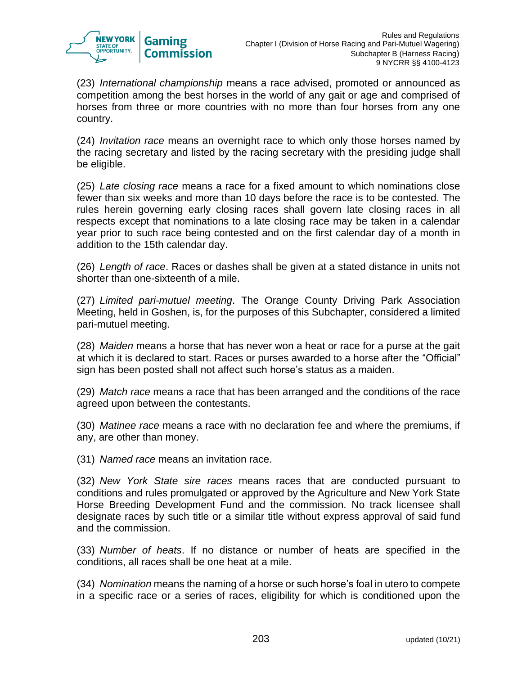

(23) *International championship* means a race advised, promoted or announced as competition among the best horses in the world of any gait or age and comprised of horses from three or more countries with no more than four horses from any one country.

(24) *Invitation race* means an overnight race to which only those horses named by the racing secretary and listed by the racing secretary with the presiding judge shall be eligible.

(25) *Late closing race* means a race for a fixed amount to which nominations close fewer than six weeks and more than 10 days before the race is to be contested. The rules herein governing early closing races shall govern late closing races in all respects except that nominations to a late closing race may be taken in a calendar year prior to such race being contested and on the first calendar day of a month in addition to the 15th calendar day.

(26) *Length of race*. Races or dashes shall be given at a stated distance in units not shorter than one-sixteenth of a mile.

(27) *Limited pari-mutuel meeting*. The Orange County Driving Park Association Meeting, held in Goshen, is, for the purposes of this Subchapter, considered a limited pari-mutuel meeting.

(28) *Maiden* means a horse that has never won a heat or race for a purse at the gait at which it is declared to start. Races or purses awarded to a horse after the "Official" sign has been posted shall not affect such horse's status as a maiden.

(29) *Match race* means a race that has been arranged and the conditions of the race agreed upon between the contestants.

(30) *Matinee race* means a race with no declaration fee and where the premiums, if any, are other than money.

(31) *Named race* means an invitation race.

(32) *New York State sire races* means races that are conducted pursuant to conditions and rules promulgated or approved by the Agriculture and New York State Horse Breeding Development Fund and the commission. No track licensee shall designate races by such title or a similar title without express approval of said fund and the commission.

(33) *Number of heats*. If no distance or number of heats are specified in the conditions, all races shall be one heat at a mile.

(34) *Nomination* means the naming of a horse or such horse's foal in utero to compete in a specific race or a series of races, eligibility for which is conditioned upon the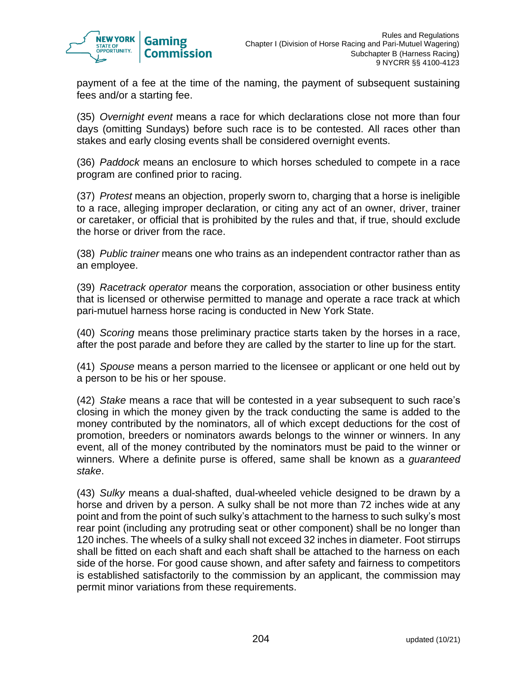

payment of a fee at the time of the naming, the payment of subsequent sustaining fees and/or a starting fee.

(35) *Overnight event* means a race for which declarations close not more than four days (omitting Sundays) before such race is to be contested. All races other than stakes and early closing events shall be considered overnight events.

(36) *Paddock* means an enclosure to which horses scheduled to compete in a race program are confined prior to racing.

(37) *Protest* means an objection, properly sworn to, charging that a horse is ineligible to a race, alleging improper declaration, or citing any act of an owner, driver, trainer or caretaker, or official that is prohibited by the rules and that, if true, should exclude the horse or driver from the race.

(38) *Public trainer* means one who trains as an independent contractor rather than as an employee.

(39) *Racetrack operator* means the corporation, association or other business entity that is licensed or otherwise permitted to manage and operate a race track at which pari-mutuel harness horse racing is conducted in New York State.

(40) *Scoring* means those preliminary practice starts taken by the horses in a race, after the post parade and before they are called by the starter to line up for the start.

(41) *Spouse* means a person married to the licensee or applicant or one held out by a person to be his or her spouse.

(42) *Stake* means a race that will be contested in a year subsequent to such race's closing in which the money given by the track conducting the same is added to the money contributed by the nominators, all of which except deductions for the cost of promotion, breeders or nominators awards belongs to the winner or winners. In any event, all of the money contributed by the nominators must be paid to the winner or winners. Where a definite purse is offered, same shall be known as a *guaranteed stake*.

(43) *Sulky* means a dual-shafted, dual-wheeled vehicle designed to be drawn by a horse and driven by a person. A sulky shall be not more than 72 inches wide at any point and from the point of such sulky's attachment to the harness to such sulky's most rear point (including any protruding seat or other component) shall be no longer than 120 inches. The wheels of a sulky shall not exceed 32 inches in diameter. Foot stirrups shall be fitted on each shaft and each shaft shall be attached to the harness on each side of the horse. For good cause shown, and after safety and fairness to competitors is established satisfactorily to the commission by an applicant, the commission may permit minor variations from these requirements.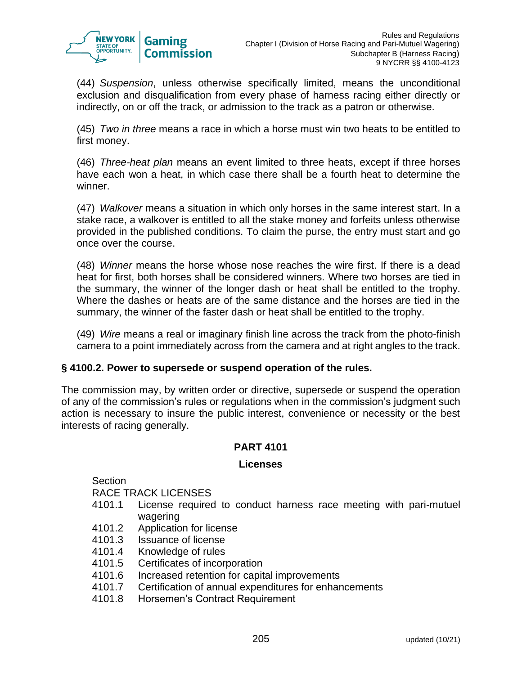

(44) *Suspension*, unless otherwise specifically limited, means the unconditional exclusion and disqualification from every phase of harness racing either directly or indirectly, on or off the track, or admission to the track as a patron or otherwise.

(45) *Two in three* means a race in which a horse must win two heats to be entitled to first money.

(46) *Three-heat plan* means an event limited to three heats, except if three horses have each won a heat, in which case there shall be a fourth heat to determine the winner.

(47) *Walkover* means a situation in which only horses in the same interest start. In a stake race, a walkover is entitled to all the stake money and forfeits unless otherwise provided in the published conditions. To claim the purse, the entry must start and go once over the course.

(48) *Winner* means the horse whose nose reaches the wire first. If there is a dead heat for first, both horses shall be considered winners. Where two horses are tied in the summary, the winner of the longer dash or heat shall be entitled to the trophy. Where the dashes or heats are of the same distance and the horses are tied in the summary, the winner of the faster dash or heat shall be entitled to the trophy.

(49) *Wire* means a real or imaginary finish line across the track from the photo-finish camera to a point immediately across from the camera and at right angles to the track.

## **§ 4100.2. Power to supersede or suspend operation of the rules.**

The commission may, by written order or directive, supersede or suspend the operation of any of the commission's rules or regulations when in the commission's judgment such action is necessary to insure the public interest, convenience or necessity or the best interests of racing generally.

## **PART 4101**

## **License[s](http://www.racing.ny.gov/Sec4100.1-4104.13.php#top)**

Section RACE TRACK LICENSES

- 4101.1 License required to conduct harness race meeting with pari-mutuel wagering
- 4101.2 Application for license
- 4101.3 Issuance of license
- 4101.4 Knowledge of rules
- 4101.5 Certificates of incorporation
- 4101.6 Increased retention for capital improvements
- 4101.7 Certification of annual expenditures for enhancements
- 4101.8 Horsemen's Contract Requirement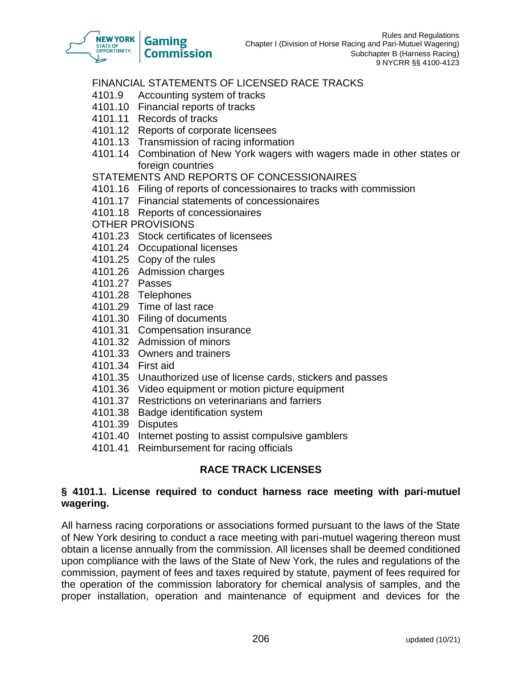

# FINANCIAL STATEMENTS OF LICENSED RACE TRACKS

- 4101.9 Accounting system of tracks
- 4101.10 Financial reports of tracks
- 4101.11 Records of tracks
- 4101.12 Reports of corporate licensees
- 4101.13 Transmission of racing information
- 4101.14 Combination of New York wagers with wagers made in other states or foreign countries

#### STATEMENTS AND REPORTS OF CONCESSIONAIRES

- 4101.16 Filing of reports of concessionaires to tracks with commission
- 4101.17 Financial statements of concessionaires
- 4101.18 Reports of concessionaires
- OTHER PROVISIONS
- 4101.23 Stock certificates of licensees
- 4101.24 Occupational licenses
- 4101.25 Copy of the rules
- 4101.26 Admission charges
- 4101.27 Passes
- 4101.28 Telephones
- 4101.29 Time of last race
- 4101.30 Filing of documents
- 4101.31 Compensation insurance
- 4101.32 Admission of minors
- 4101.33 Owners and trainers
- 4101.34 First aid
- 4101.35 Unauthorized use of license cards, stickers and passes
- 4101.36 Video equipment or motion picture equipment
- 4101.37 Restrictions on veterinarians and farriers
- 4101.38 Badge identification system
- 4101.39 Disputes
- 4101.40 Internet posting to assist compulsive gamblers
- 4101.41 Reimbursement for racing officials

# **RACE TRACK LICENSES**

#### **§ 4101.1. License required to conduct harness race meeting with pari-mutuel wagering.**

All harness racing corporations or associations formed pursuant to the laws of the State of New York desiring to conduct a race meeting with pari-mutuel wagering thereon must obtain a license annually from the commission. All licenses shall be deemed conditioned upon compliance with the laws of the State of New York, the rules and regulations of the commission, payment of fees and taxes required by statute, payment of fees required for the operation of the commission laboratory for chemical analysis of samples, and the proper installation, operation and maintenance of equipment and devices for the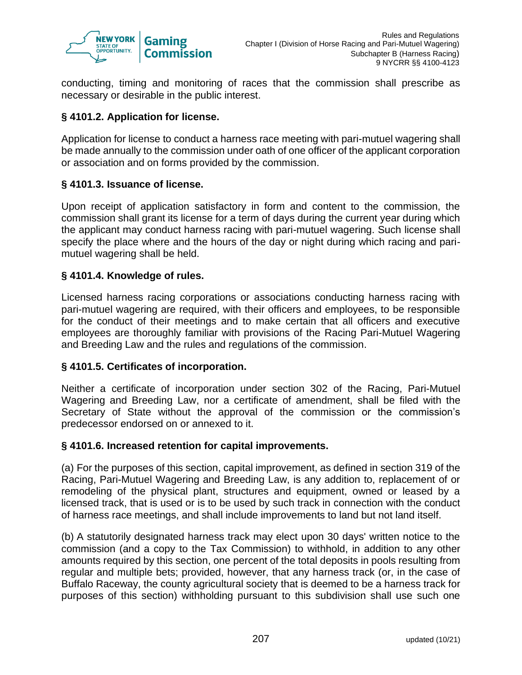

conducting, timing and monitoring of races that the commission shall prescribe as necessary or desirable in the public interest.

# **§ 4101.2. Application for license.**

Application for license to conduct a harness race meeting with pari-mutuel wagering shall be made annually to the commission under oath of one officer of the applicant corporation or association and on forms provided by the commission.

#### **§ 4101.3. Issuance of license.**

Upon receipt of application satisfactory in form and content to the commission, the commission shall grant its license for a term of days during the current year during which the applicant may conduct harness racing with pari-mutuel wagering. Such license shall specify the place where and the hours of the day or night during which racing and parimutuel wagering shall be held.

## **§ 4101.4. Knowledge of rules.**

Licensed harness racing corporations or associations conducting harness racing with pari-mutuel wagering are required, with their officers and employees, to be responsible for the conduct of their meetings and to make certain that all officers and executive employees are thoroughly familiar with provisions of the Racing Pari-Mutuel Wagering and Breeding Law and the rules and regulations of the commission.

#### **§ 4101.5. Certificates of incorporation.**

Neither a certificate of incorporation under section 302 of the Racing, Pari-Mutuel Wagering and Breeding Law, nor a certificate of amendment, shall be filed with the Secretary of State without the approval of the commission or the commission's predecessor endorsed on or annexed to it.

#### **§ 4101.6. Increased retention for capital improvements.**

(a) For the purposes of this section, capital improvement, as defined in section 319 of the Racing, Pari-Mutuel Wagering and Breeding Law, is any addition to, replacement of or remodeling of the physical plant, structures and equipment, owned or leased by a licensed track, that is used or is to be used by such track in connection with the conduct of harness race meetings, and shall include improvements to land but not land itself.

(b) A statutorily designated harness track may elect upon 30 days' written notice to the commission (and a copy to the Tax Commission) to withhold, in addition to any other amounts required by this section, one percent of the total deposits in pools resulting from regular and multiple bets; provided, however, that any harness track (or, in the case of Buffalo Raceway, the county agricultural society that is deemed to be a harness track for purposes of this section) withholding pursuant to this subdivision shall use such one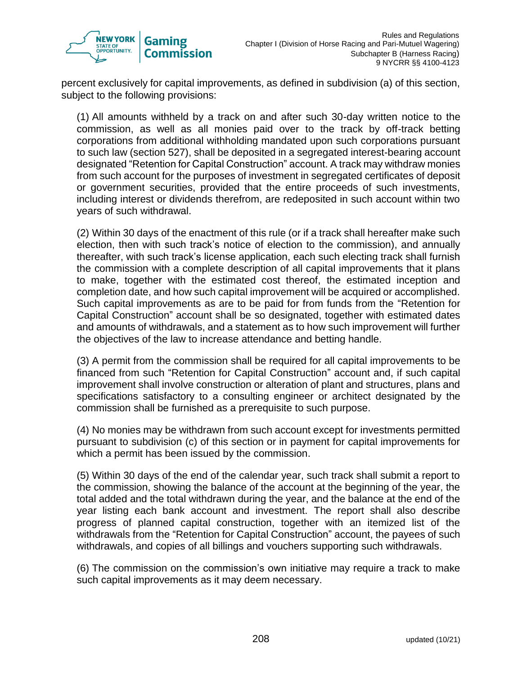

percent exclusively for capital improvements, as defined in subdivision (a) of this section, subject to the following provisions:

(1) All amounts withheld by a track on and after such 30-day written notice to the commission, as well as all monies paid over to the track by off-track betting corporations from additional withholding mandated upon such corporations pursuant to such law (section 527), shall be deposited in a segregated interest-bearing account designated "Retention for Capital Construction" account. A track may withdraw monies from such account for the purposes of investment in segregated certificates of deposit or government securities, provided that the entire proceeds of such investments, including interest or dividends therefrom, are redeposited in such account within two years of such withdrawal.

(2) Within 30 days of the enactment of this rule (or if a track shall hereafter make such election, then with such track's notice of election to the commission), and annually thereafter, with such track's license application, each such electing track shall furnish the commission with a complete description of all capital improvements that it plans to make, together with the estimated cost thereof, the estimated inception and completion date, and how such capital improvement will be acquired or accomplished. Such capital improvements as are to be paid for from funds from the "Retention for Capital Construction" account shall be so designated, together with estimated dates and amounts of withdrawals, and a statement as to how such improvement will further the objectives of the law to increase attendance and betting handle.

(3) A permit from the commission shall be required for all capital improvements to be financed from such "Retention for Capital Construction" account and, if such capital improvement shall involve construction or alteration of plant and structures, plans and specifications satisfactory to a consulting engineer or architect designated by the commission shall be furnished as a prerequisite to such purpose.

(4) No monies may be withdrawn from such account except for investments permitted pursuant to subdivision (c) of this section or in payment for capital improvements for which a permit has been issued by the commission.

(5) Within 30 days of the end of the calendar year, such track shall submit a report to the commission, showing the balance of the account at the beginning of the year, the total added and the total withdrawn during the year, and the balance at the end of the year listing each bank account and investment. The report shall also describe progress of planned capital construction, together with an itemized list of the withdrawals from the "Retention for Capital Construction" account, the payees of such withdrawals, and copies of all billings and vouchers supporting such withdrawals.

(6) The commission on the commission's own initiative may require a track to make such capital improvements as it may deem necessary.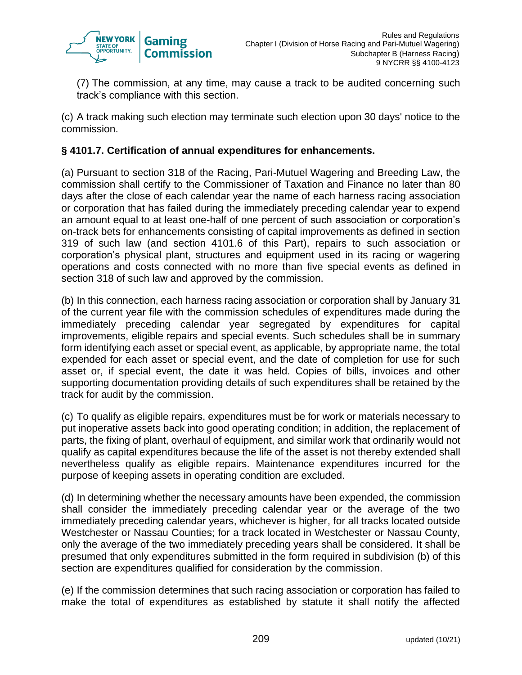

(7) The commission, at any time, may cause a track to be audited concerning such track's compliance with this section.

(c) A track making such election may terminate such election upon 30 days' notice to the commission.

## **§ 4101.7. Certification of annual expenditures for enhancements.**

(a) Pursuant to section 318 of the Racing, Pari-Mutuel Wagering and Breeding Law, the commission shall certify to the Commissioner of Taxation and Finance no later than 80 days after the close of each calendar year the name of each harness racing association or corporation that has failed during the immediately preceding calendar year to expend an amount equal to at least one-half of one percent of such association or corporation's on-track bets for enhancements consisting of capital improvements as defined in section 319 of such law (and section 4101.6 of this Part), repairs to such association or corporation's physical plant, structures and equipment used in its racing or wagering operations and costs connected with no more than five special events as defined in section 318 of such law and approved by the commission.

(b) In this connection, each harness racing association or corporation shall by January 31 of the current year file with the commission schedules of expenditures made during the immediately preceding calendar year segregated by expenditures for capital improvements, eligible repairs and special events. Such schedules shall be in summary form identifying each asset or special event, as applicable, by appropriate name, the total expended for each asset or special event, and the date of completion for use for such asset or, if special event, the date it was held. Copies of bills, invoices and other supporting documentation providing details of such expenditures shall be retained by the track for audit by the commission.

(c) To qualify as eligible repairs, expenditures must be for work or materials necessary to put inoperative assets back into good operating condition; in addition, the replacement of parts, the fixing of plant, overhaul of equipment, and similar work that ordinarily would not qualify as capital expenditures because the life of the asset is not thereby extended shall nevertheless qualify as eligible repairs. Maintenance expenditures incurred for the purpose of keeping assets in operating condition are excluded.

(d) In determining whether the necessary amounts have been expended, the commission shall consider the immediately preceding calendar year or the average of the two immediately preceding calendar years, whichever is higher, for all tracks located outside Westchester or Nassau Counties; for a track located in Westchester or Nassau County, only the average of the two immediately preceding years shall be considered. It shall be presumed that only expenditures submitted in the form required in subdivision (b) of this section are expenditures qualified for consideration by the commission.

(e) If the commission determines that such racing association or corporation has failed to make the total of expenditures as established by statute it shall notify the affected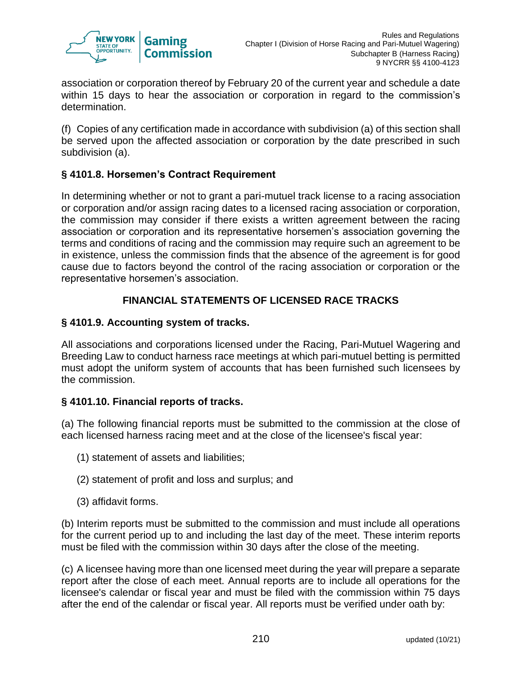

association or corporation thereof by February 20 of the current year and schedule a date within 15 days to hear the association or corporation in regard to the commission's determination.

(f) Copies of any certification made in accordance with subdivision (a) of this section shall be served upon the affected association or corporation by the date prescribed in such subdivision (a).

# **§ 4101.8. Horsemen's Contract Requirement**

In determining whether or not to grant a pari-mutuel track license to a racing association or corporation and/or assign racing dates to a licensed racing association or corporation, the commission may consider if there exists a written agreement between the racing association or corporation and its representative horsemen's association governing the terms and conditions of racing and the commission may require such an agreement to be in existence, unless the commission finds that the absence of the agreement is for good cause due to factors beyond the control of the racing association or corporation or the representative horsemen's association.

# **FINANCIAL STATEMENTS OF LICENSED RACE TRACKS**

## **§ 4101.9. Accounting system of tracks.**

All associations and corporations licensed under the Racing, Pari-Mutuel Wagering and Breeding Law to conduct harness race meetings at which pari-mutuel betting is permitted must adopt the uniform system of accounts that has been furnished such licensees by the commission.

## **§ 4101.10. Financial reports of tracks.**

(a) The following financial reports must be submitted to the commission at the close of each licensed harness racing meet and at the close of the licensee's fiscal year:

- (1) statement of assets and liabilities;
- (2) statement of profit and loss and surplus; and
- (3) affidavit forms.

(b) Interim reports must be submitted to the commission and must include all operations for the current period up to and including the last day of the meet. These interim reports must be filed with the commission within 30 days after the close of the meeting.

(c) A licensee having more than one licensed meet during the year will prepare a separate report after the close of each meet. Annual reports are to include all operations for the licensee's calendar or fiscal year and must be filed with the commission within 75 days after the end of the calendar or fiscal year. All reports must be verified under oath by: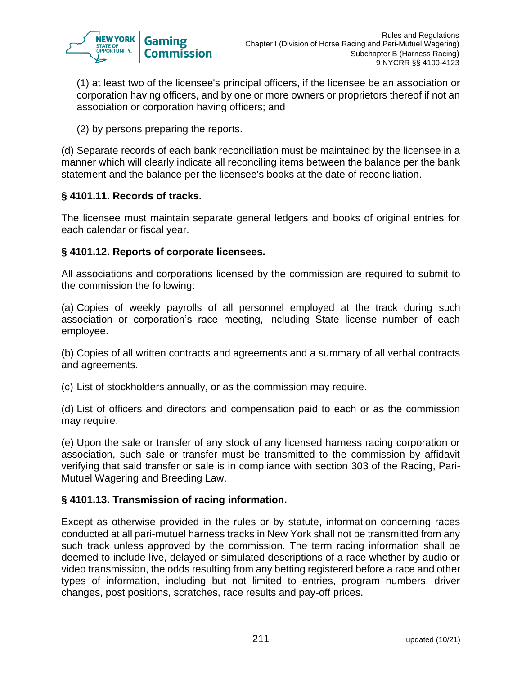

(1) at least two of the licensee's principal officers, if the licensee be an association or corporation having officers, and by one or more owners or proprietors thereof if not an association or corporation having officers; and

(2) by persons preparing the reports.

(d) Separate records of each bank reconciliation must be maintained by the licensee in a manner which will clearly indicate all reconciling items between the balance per the bank statement and the balance per the licensee's books at the date of reconciliation.

# **§ 4101.11. Records of tracks.**

The licensee must maintain separate general ledgers and books of original entries for each calendar or fiscal year.

## **§ 4101.12. Reports of corporate licensees.**

All associations and corporations licensed by the commission are required to submit to the commission the following:

(a) Copies of weekly payrolls of all personnel employed at the track during such association or corporation's race meeting, including State license number of each employee.

(b) Copies of all written contracts and agreements and a summary of all verbal contracts and agreements.

(c) List of stockholders annually, or as the commission may require.

(d) List of officers and directors and compensation paid to each or as the commission may require.

(e) Upon the sale or transfer of any stock of any licensed harness racing corporation or association, such sale or transfer must be transmitted to the commission by affidavit verifying that said transfer or sale is in compliance with section 303 of the Racing, Pari-Mutuel Wagering and Breeding Law.

## **§ 4101.13. Transmission of racing information.**

Except as otherwise provided in the rules or by statute, information concerning races conducted at all pari-mutuel harness tracks in New York shall not be transmitted from any such track unless approved by the commission. The term racing information shall be deemed to include live, delayed or simulated descriptions of a race whether by audio or video transmission, the odds resulting from any betting registered before a race and other types of information, including but not limited to entries, program numbers, driver changes, post positions, scratches, race results and pay-off prices.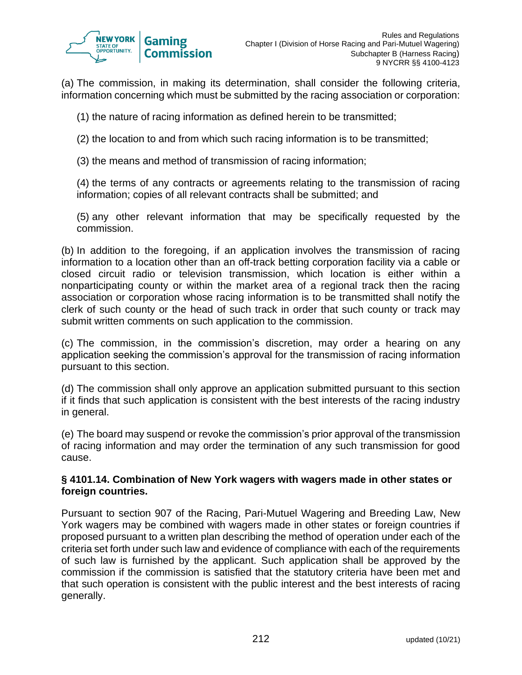

(a) The commission, in making its determination, shall consider the following criteria, information concerning which must be submitted by the racing association or corporation:

- (1) the nature of racing information as defined herein to be transmitted;
- (2) the location to and from which such racing information is to be transmitted;
- (3) the means and method of transmission of racing information;

(4) the terms of any contracts or agreements relating to the transmission of racing information; copies of all relevant contracts shall be submitted; and

(5) any other relevant information that may be specifically requested by the commission.

(b) In addition to the foregoing, if an application involves the transmission of racing information to a location other than an off-track betting corporation facility via a cable or closed circuit radio or television transmission, which location is either within a nonparticipating county or within the market area of a regional track then the racing association or corporation whose racing information is to be transmitted shall notify the clerk of such county or the head of such track in order that such county or track may submit written comments on such application to the commission.

(c) The commission, in the commission's discretion, may order a hearing on any application seeking the commission's approval for the transmission of racing information pursuant to this section.

(d) The commission shall only approve an application submitted pursuant to this section if it finds that such application is consistent with the best interests of the racing industry in general.

(e) The board may suspend or revoke the commission's prior approval of the transmission of racing information and may order the termination of any such transmission for good cause.

#### **§ 4101.14. Combination of New York wagers with wagers made in other states or foreign countries.**

Pursuant to section 907 of the Racing, Pari-Mutuel Wagering and Breeding Law, New York wagers may be combined with wagers made in other states or foreign countries if proposed pursuant to a written plan describing the method of operation under each of the criteria set forth under such law and evidence of compliance with each of the requirements of such law is furnished by the applicant. Such application shall be approved by the commission if the commission is satisfied that the statutory criteria have been met and that such operation is consistent with the public interest and the best interests of racing generally.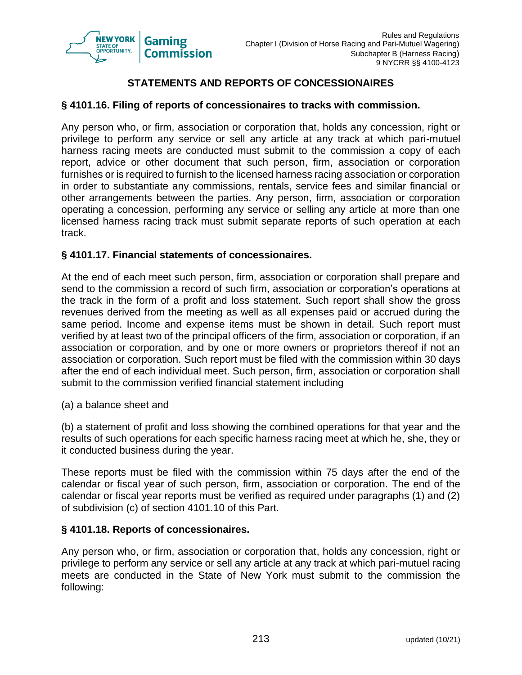

# **STATEMENTS AND REPORTS OF CONCESSIONAIRES**

## **§ 4101.16. Filing of reports of concessionaires to tracks with commission.**

Any person who, or firm, association or corporation that, holds any concession, right or privilege to perform any service or sell any article at any track at which pari-mutuel harness racing meets are conducted must submit to the commission a copy of each report, advice or other document that such person, firm, association or corporation furnishes or is required to furnish to the licensed harness racing association or corporation in order to substantiate any commissions, rentals, service fees and similar financial or other arrangements between the parties. Any person, firm, association or corporation operating a concession, performing any service or selling any article at more than one licensed harness racing track must submit separate reports of such operation at each track.

## **§ 4101.17. Financial statements of concessionaires.**

At the end of each meet such person, firm, association or corporation shall prepare and send to the commission a record of such firm, association or corporation's operations at the track in the form of a profit and loss statement. Such report shall show the gross revenues derived from the meeting as well as all expenses paid or accrued during the same period. Income and expense items must be shown in detail. Such report must verified by at least two of the principal officers of the firm, association or corporation, if an association or corporation, and by one or more owners or proprietors thereof if not an association or corporation. Such report must be filed with the commission within 30 days after the end of each individual meet. Such person, firm, association or corporation shall submit to the commission verified financial statement including

(a) a balance sheet and

(b) a statement of profit and loss showing the combined operations for that year and the results of such operations for each specific harness racing meet at which he, she, they or it conducted business during the year.

These reports must be filed with the commission within 75 days after the end of the calendar or fiscal year of such person, firm, association or corporation. The end of the calendar or fiscal year reports must be verified as required under paragraphs (1) and (2) of subdivision (c) of section 4101.10 of this Part.

#### **§ 4101.18. Reports of concessionaires.**

Any person who, or firm, association or corporation that, holds any concession, right or privilege to perform any service or sell any article at any track at which pari-mutuel racing meets are conducted in the State of New York must submit to the commission the following: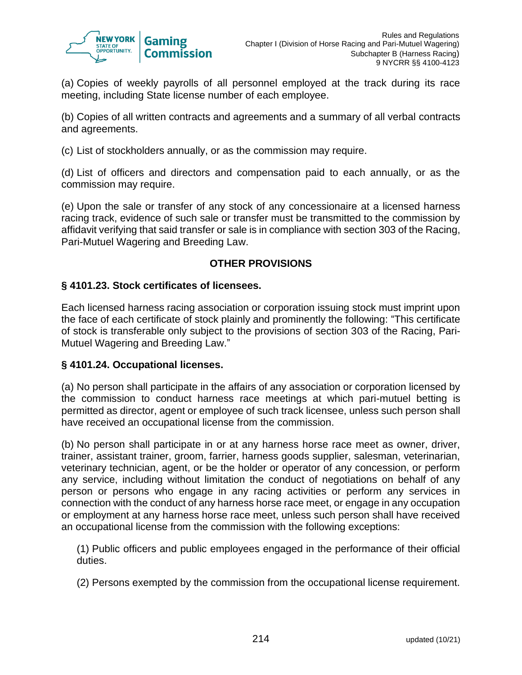

(a) Copies of weekly payrolls of all personnel employed at the track during its race meeting, including State license number of each employee.

(b) Copies of all written contracts and agreements and a summary of all verbal contracts and agreements.

(c) List of stockholders annually, or as the commission may require.

(d) List of officers and directors and compensation paid to each annually, or as the commission may require.

(e) Upon the sale or transfer of any stock of any concessionaire at a licensed harness racing track, evidence of such sale or transfer must be transmitted to the commission by affidavit verifying that said transfer or sale is in compliance with section 303 of the Racing, Pari-Mutuel Wagering and Breeding Law.

# **OTHER PROVISIONS**

#### **§ 4101.23. Stock certificates of licensees.**

Each licensed harness racing association or corporation issuing stock must imprint upon the face of each certificate of stock plainly and prominently the following: "This certificate of stock is transferable only subject to the provisions of section 303 of the Racing, Pari-Mutuel Wagering and Breeding Law."

#### **§ 4101.24. Occupational licenses.**

(a) No person shall participate in the affairs of any association or corporation licensed by the commission to conduct harness race meetings at which pari-mutuel betting is permitted as director, agent or employee of such track licensee, unless such person shall have received an occupational license from the commission.

(b) No person shall participate in or at any harness horse race meet as owner, driver, trainer, assistant trainer, groom, farrier, harness goods supplier, salesman, veterinarian, veterinary technician, agent, or be the holder or operator of any concession, or perform any service, including without limitation the conduct of negotiations on behalf of any person or persons who engage in any racing activities or perform any services in connection with the conduct of any harness horse race meet, or engage in any occupation or employment at any harness horse race meet, unless such person shall have received an occupational license from the commission with the following exceptions:

(1) Public officers and public employees engaged in the performance of their official duties.

(2) Persons exempted by the commission from the occupational license requirement.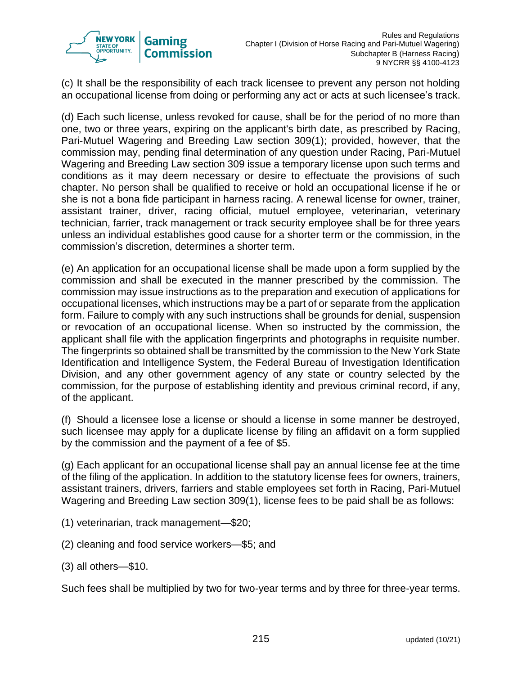

(c) It shall be the responsibility of each track licensee to prevent any person not holding an occupational license from doing or performing any act or acts at such licensee's track.

(d) Each such license, unless revoked for cause, shall be for the period of no more than one, two or three years, expiring on the applicant's birth date, as prescribed by Racing, Pari-Mutuel Wagering and Breeding Law section 309(1); provided, however, that the commission may, pending final determination of any question under Racing, Pari-Mutuel Wagering and Breeding Law section 309 issue a temporary license upon such terms and conditions as it may deem necessary or desire to effectuate the provisions of such chapter. No person shall be qualified to receive or hold an occupational license if he or she is not a bona fide participant in harness racing. A renewal license for owner, trainer, assistant trainer, driver, racing official, mutuel employee, veterinarian, veterinary technician, farrier, track management or track security employee shall be for three years unless an individual establishes good cause for a shorter term or the commission, in the commission's discretion, determines a shorter term.

(e) An application for an occupational license shall be made upon a form supplied by the commission and shall be executed in the manner prescribed by the commission. The commission may issue instructions as to the preparation and execution of applications for occupational licenses, which instructions may be a part of or separate from the application form. Failure to comply with any such instructions shall be grounds for denial, suspension or revocation of an occupational license. When so instructed by the commission, the applicant shall file with the application fingerprints and photographs in requisite number. The fingerprints so obtained shall be transmitted by the commission to the New York State Identification and Intelligence System, the Federal Bureau of Investigation Identification Division, and any other government agency of any state or country selected by the commission, for the purpose of establishing identity and previous criminal record, if any, of the applicant.

(f) Should a licensee lose a license or should a license in some manner be destroyed, such licensee may apply for a duplicate license by filing an affidavit on a form supplied by the commission and the payment of a fee of \$5.

(g) Each applicant for an occupational license shall pay an annual license fee at the time of the filing of the application. In addition to the statutory license fees for owners, trainers, assistant trainers, drivers, farriers and stable employees set forth in Racing, Pari-Mutuel Wagering and Breeding Law section 309(1), license fees to be paid shall be as follows:

- (1) veterinarian, track management—\$20;
- (2) cleaning and food service workers—\$5; and
- (3) all others—\$10.

Such fees shall be multiplied by two for two-year terms and by three for three-year terms.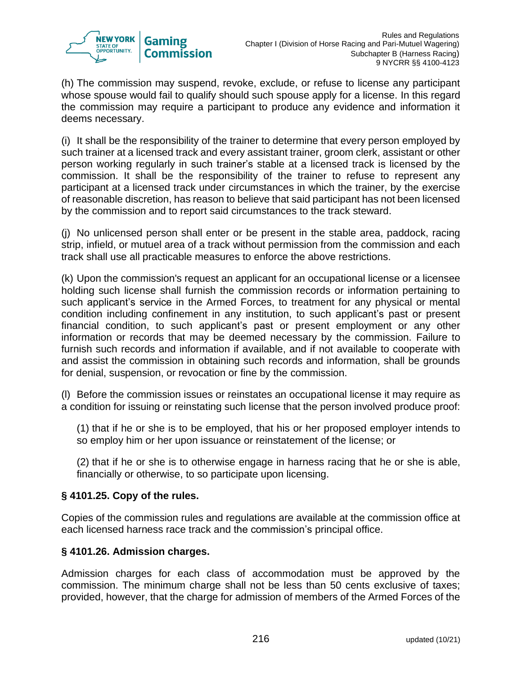

(h) The commission may suspend, revoke, exclude, or refuse to license any participant whose spouse would fail to qualify should such spouse apply for a license. In this regard the commission may require a participant to produce any evidence and information it deems necessary.

(i) It shall be the responsibility of the trainer to determine that every person employed by such trainer at a licensed track and every assistant trainer, groom clerk, assistant or other person working regularly in such trainer's stable at a licensed track is licensed by the commission. It shall be the responsibility of the trainer to refuse to represent any participant at a licensed track under circumstances in which the trainer, by the exercise of reasonable discretion, has reason to believe that said participant has not been licensed by the commission and to report said circumstances to the track steward.

(j) No unlicensed person shall enter or be present in the stable area, paddock, racing strip, infield, or mutuel area of a track without permission from the commission and each track shall use all practicable measures to enforce the above restrictions.

(k) Upon the commission's request an applicant for an occupational license or a licensee holding such license shall furnish the commission records or information pertaining to such applicant's service in the Armed Forces, to treatment for any physical or mental condition including confinement in any institution, to such applicant's past or present financial condition, to such applicant's past or present employment or any other information or records that may be deemed necessary by the commission. Failure to furnish such records and information if available, and if not available to cooperate with and assist the commission in obtaining such records and information, shall be grounds for denial, suspension, or revocation or fine by the commission.

(l) Before the commission issues or reinstates an occupational license it may require as a condition for issuing or reinstating such license that the person involved produce proof:

(1) that if he or she is to be employed, that his or her proposed employer intends to so employ him or her upon issuance or reinstatement of the license; or

(2) that if he or she is to otherwise engage in harness racing that he or she is able, financially or otherwise, to so participate upon licensing.

# **§ 4101.25. Copy of the rules.**

Copies of the commission rules and regulations are available at the commission office at each licensed harness race track and the commission's principal office.

## **§ 4101.26. Admission charges.**

Admission charges for each class of accommodation must be approved by the commission. The minimum charge shall not be less than 50 cents exclusive of taxes; provided, however, that the charge for admission of members of the Armed Forces of the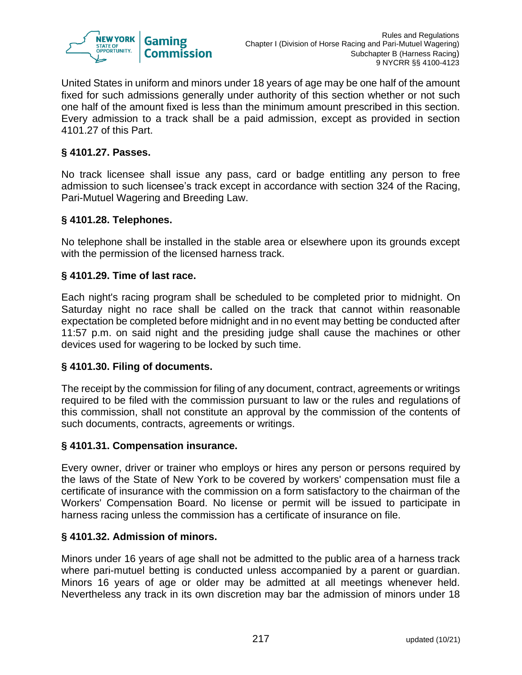

United States in uniform and minors under 18 years of age may be one half of the amount fixed for such admissions generally under authority of this section whether or not such one half of the amount fixed is less than the minimum amount prescribed in this section. Every admission to a track shall be a paid admission, except as provided in section 4101.27 of this Part.

## **§ 4101.27. Passes.**

No track licensee shall issue any pass, card or badge entitling any person to free admission to such licensee's track except in accordance with section 324 of the Racing, Pari-Mutuel Wagering and Breeding Law.

# **§ 4101.28. Telephones.**

No telephone shall be installed in the stable area or elsewhere upon its grounds except with the permission of the licensed harness track.

# **§ 4101.29. Time of last race.**

Each night's racing program shall be scheduled to be completed prior to midnight. On Saturday night no race shall be called on the track that cannot within reasonable expectation be completed before midnight and in no event may betting be conducted after 11:57 p.m. on said night and the presiding judge shall cause the machines or other devices used for wagering to be locked by such time.

## **§ 4101.30. Filing of documents.**

The receipt by the commission for filing of any document, contract, agreements or writings required to be filed with the commission pursuant to law or the rules and regulations of this commission, shall not constitute an approval by the commission of the contents of such documents, contracts, agreements or writings.

## **§ 4101.31. Compensation insurance.**

Every owner, driver or trainer who employs or hires any person or persons required by the laws of the State of New York to be covered by workers' compensation must file a certificate of insurance with the commission on a form satisfactory to the chairman of the Workers' Compensation Board. No license or permit will be issued to participate in harness racing unless the commission has a certificate of insurance on file.

## **§ 4101.32. Admission of minors.**

Minors under 16 years of age shall not be admitted to the public area of a harness track where pari-mutuel betting is conducted unless accompanied by a parent or guardian. Minors 16 years of age or older may be admitted at all meetings whenever held. Nevertheless any track in its own discretion may bar the admission of minors under 18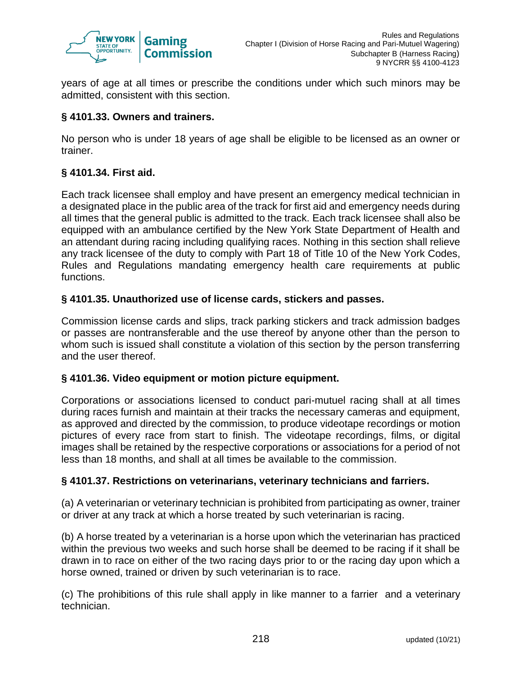

years of age at all times or prescribe the conditions under which such minors may be admitted, consistent with this section.

## **§ 4101.33. Owners and trainers.**

No person who is under 18 years of age shall be eligible to be licensed as an owner or trainer.

# **§ 4101.34. First aid.**

Each track licensee shall employ and have present an emergency medical technician in a designated place in the public area of the track for first aid and emergency needs during all times that the general public is admitted to the track. Each track licensee shall also be equipped with an ambulance certified by the New York State Department of Health and an attendant during racing including qualifying races. Nothing in this section shall relieve any track licensee of the duty to comply with Part 18 of Title 10 of the New York Codes, Rules and Regulations mandating emergency health care requirements at public functions.

## **§ 4101.35. Unauthorized use of license cards, stickers and passes.**

Commission license cards and slips, track parking stickers and track admission badges or passes are nontransferable and the use thereof by anyone other than the person to whom such is issued shall constitute a violation of this section by the person transferring and the user thereof.

## **§ 4101.36. Video equipment or motion picture equipment.**

Corporations or associations licensed to conduct pari-mutuel racing shall at all times during races furnish and maintain at their tracks the necessary cameras and equipment, as approved and directed by the commission, to produce videotape recordings or motion pictures of every race from start to finish. The videotape recordings, films, or digital images shall be retained by the respective corporations or associations for a period of not less than 18 months, and shall at all times be available to the commission.

## **§ 4101.37. Restrictions on veterinarians, veterinary technicians and farriers.**

(a) A veterinarian or veterinary technician is prohibited from participating as owner, trainer or driver at any track at which a horse treated by such veterinarian is racing.

(b) A horse treated by a veterinarian is a horse upon which the veterinarian has practiced within the previous two weeks and such horse shall be deemed to be racing if it shall be drawn in to race on either of the two racing days prior to or the racing day upon which a horse owned, trained or driven by such veterinarian is to race.

(c) The prohibitions of this rule shall apply in like manner to a farrier and a veterinary technician.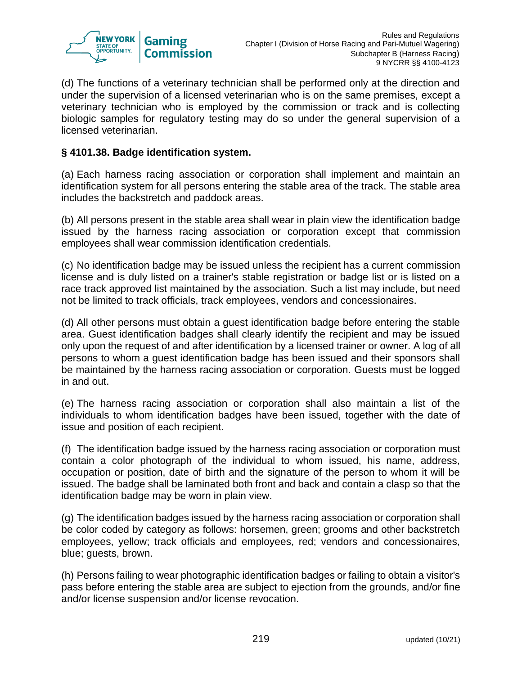

(d) The functions of a veterinary technician shall be performed only at the direction and under the supervision of a licensed veterinarian who is on the same premises, except a veterinary technician who is employed by the commission or track and is collecting biologic samples for regulatory testing may do so under the general supervision of a licensed veterinarian.

#### **§ 4101.38. Badge identification system.**

(a) Each harness racing association or corporation shall implement and maintain an identification system for all persons entering the stable area of the track. The stable area includes the backstretch and paddock areas.

(b) All persons present in the stable area shall wear in plain view the identification badge issued by the harness racing association or corporation except that commission employees shall wear commission identification credentials.

(c) No identification badge may be issued unless the recipient has a current commission license and is duly listed on a trainer's stable registration or badge list or is listed on a race track approved list maintained by the association. Such a list may include, but need not be limited to track officials, track employees, vendors and concessionaires.

(d) All other persons must obtain a guest identification badge before entering the stable area. Guest identification badges shall clearly identify the recipient and may be issued only upon the request of and after identification by a licensed trainer or owner. A log of all persons to whom a guest identification badge has been issued and their sponsors shall be maintained by the harness racing association or corporation. Guests must be logged in and out.

(e) The harness racing association or corporation shall also maintain a list of the individuals to whom identification badges have been issued, together with the date of issue and position of each recipient.

(f) The identification badge issued by the harness racing association or corporation must contain a color photograph of the individual to whom issued, his name, address, occupation or position, date of birth and the signature of the person to whom it will be issued. The badge shall be laminated both front and back and contain a clasp so that the identification badge may be worn in plain view.

(g) The identification badges issued by the harness racing association or corporation shall be color coded by category as follows: horsemen, green; grooms and other backstretch employees, yellow; track officials and employees, red; vendors and concessionaires, blue; guests, brown.

(h) Persons failing to wear photographic identification badges or failing to obtain a visitor's pass before entering the stable area are subject to ejection from the grounds, and/or fine and/or license suspension and/or license revocation.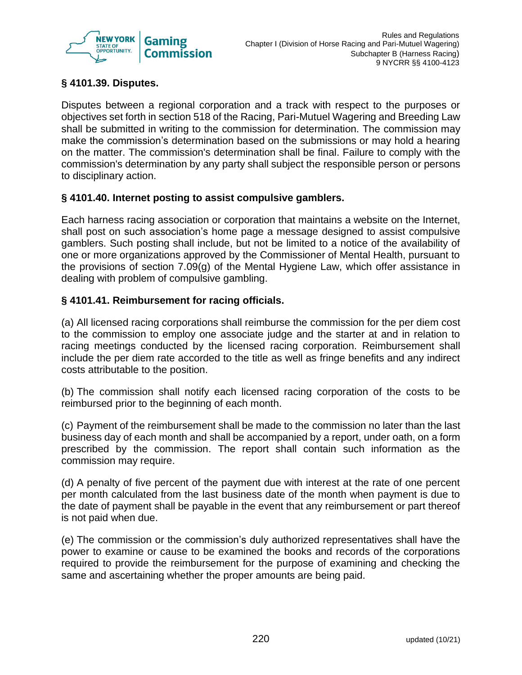

# **§ 4101.39. Disputes.**

Disputes between a regional corporation and a track with respect to the purposes or objectives set forth in section 518 of the Racing, Pari-Mutuel Wagering and Breeding Law shall be submitted in writing to the commission for determination. The commission may make the commission's determination based on the submissions or may hold a hearing on the matter. The commission's determination shall be final. Failure to comply with the commission's determination by any party shall subject the responsible person or persons to disciplinary action.

## **§ 4101.40. Internet posting to assist compulsive gamblers.**

Each harness racing association or corporation that maintains a website on the Internet, shall post on such association's home page a message designed to assist compulsive gamblers. Such posting shall include, but not be limited to a notice of the availability of one or more organizations approved by the Commissioner of Mental Health, pursuant to the provisions of section 7.09(g) of the Mental Hygiene Law, which offer assistance in dealing with problem of compulsive gambling.

# **§ 4101.41. Reimbursement for racing officials.**

(a) All licensed racing corporations shall reimburse the commission for the per diem cost to the commission to employ one associate judge and the starter at and in relation to racing meetings conducted by the licensed racing corporation. Reimbursement shall include the per diem rate accorded to the title as well as fringe benefits and any indirect costs attributable to the position.

(b) The commission shall notify each licensed racing corporation of the costs to be reimbursed prior to the beginning of each month.

(c) Payment of the reimbursement shall be made to the commission no later than the last business day of each month and shall be accompanied by a report, under oath, on a form prescribed by the commission. The report shall contain such information as the commission may require.

(d) A penalty of five percent of the payment due with interest at the rate of one percent per month calculated from the last business date of the month when payment is due to the date of payment shall be payable in the event that any reimbursement or part thereof is not paid when due.

(e) The commission or the commission's duly authorized representatives shall have the power to examine or cause to be examined the books and records of the corporations required to provide the reimbursement for the purpose of examining and checking the same and ascertaining whether the proper amounts are being paid.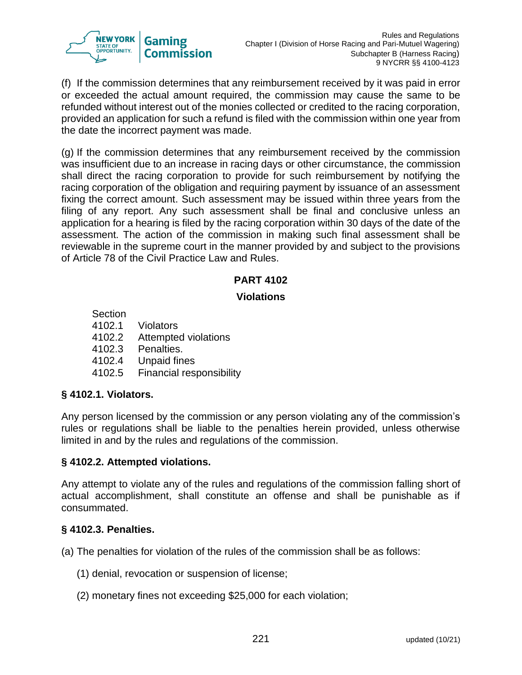

(f) If the commission determines that any reimbursement received by it was paid in error or exceeded the actual amount required, the commission may cause the same to be refunded without interest out of the monies collected or credited to the racing corporation, provided an application for such a refund is filed with the commission within one year from the date the incorrect payment was made.

(g) If the commission determines that any reimbursement received by the commission was insufficient due to an increase in racing days or other circumstance, the commission shall direct the racing corporation to provide for such reimbursement by notifying the racing corporation of the obligation and requiring payment by issuance of an assessment fixing the correct amount. Such assessment may be issued within three years from the filing of any report. Any such assessment shall be final and conclusive unless an application for a hearing is filed by the racing corporation within 30 days of the date of the assessment. The action of the commission in making such final assessment shall be reviewable in the supreme court in the manner provided by and subject to the provisions of Article 78 of the Civil Practice Law and Rules.

# **PART 4102**

# **Violations**

**Section** 4102.1 Violators 4102.2 Attempted violations 4102.3 Penalties. 4102.4 Unpaid fines 4102.5 Financial responsibility

## **§ 4102.1. Violators.**

Any person licensed by the commission or any person violating any of the commission's rules or regulations shall be liable to the penalties herein provided, unless otherwise limited in and by the rules and regulations of the commission.

## **§ 4102.2. Attempted violations.**

Any attempt to violate any of the rules and regulations of the commission falling short of actual accomplishment, shall constitute an offense and shall be punishable as if consummated.

## **§ 4102.3. Penalties.**

(a) The penalties for violation of the rules of the commission shall be as follows:

- (1) denial, revocation or suspension of license;
- (2) monetary fines not exceeding \$25,000 for each violation;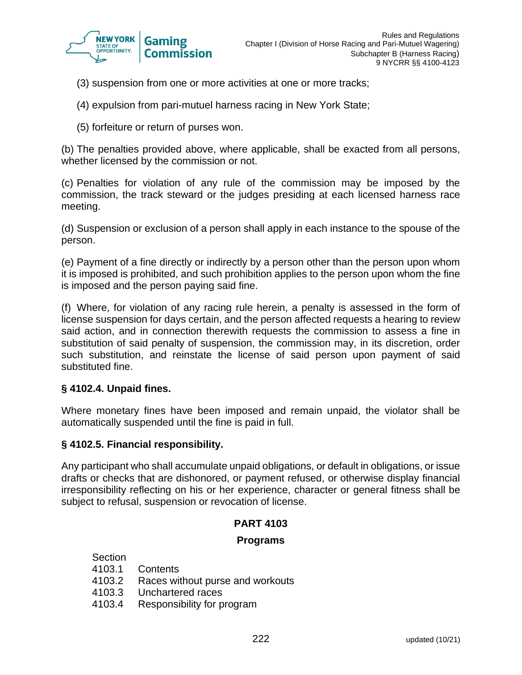

- (3) suspension from one or more activities at one or more tracks;
- (4) expulsion from pari-mutuel harness racing in New York State;
- (5) forfeiture or return of purses won.

(b) The penalties provided above, where applicable, shall be exacted from all persons, whether licensed by the commission or not.

(c) Penalties for violation of any rule of the commission may be imposed by the commission, the track steward or the judges presiding at each licensed harness race meeting.

(d) Suspension or exclusion of a person shall apply in each instance to the spouse of the person.

(e) Payment of a fine directly or indirectly by a person other than the person upon whom it is imposed is prohibited, and such prohibition applies to the person upon whom the fine is imposed and the person paying said fine.

(f) Where, for violation of any racing rule herein, a penalty is assessed in the form of license suspension for days certain, and the person affected requests a hearing to review said action, and in connection therewith requests the commission to assess a fine in substitution of said penalty of suspension, the commission may, in its discretion, order such substitution, and reinstate the license of said person upon payment of said substituted fine.

## **§ 4102.4. Unpaid fines.**

Where monetary fines have been imposed and remain unpaid, the violator shall be automatically suspended until the fine is paid in full.

#### **§ 4102.5. Financial responsibility.**

Any participant who shall accumulate unpaid obligations, or default in obligations, or issue drafts or checks that are dishonored, or payment refused, or otherwise display financial irresponsibility reflecting on his or her experience, character or general fitness shall be subject to refusal, suspension or revocation of license.

## **PART 4103**

#### **Programs**

| 4103.1 Contents                         |
|-----------------------------------------|
| 4103.2 Races without purse and workouts |
| 4103.3 Unchartered races                |
| 4103.4 Responsibility for program       |
|                                         |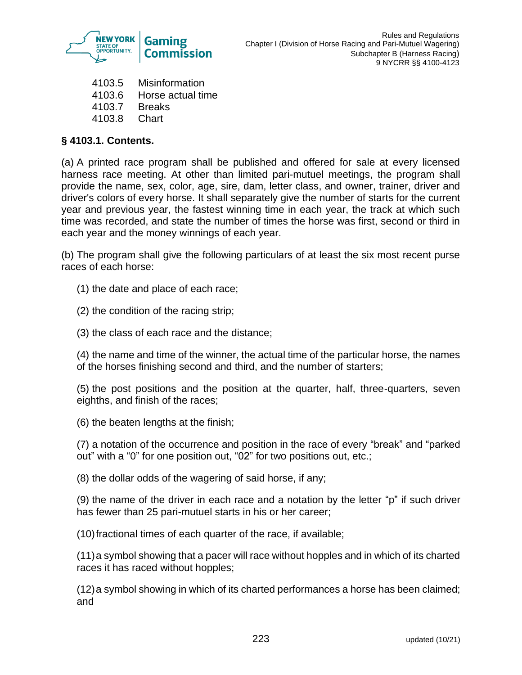

- 4103.5 Misinformation 4103.6 Horse actual time
- 4103.7 Breaks
- 4103.8 Chart

# **§ 4103.1. Contents.**

(a) A printed race program shall be published and offered for sale at every licensed harness race meeting. At other than limited pari-mutuel meetings, the program shall provide the name, sex, color, age, sire, dam, letter class, and owner, trainer, driver and driver's colors of every horse. It shall separately give the number of starts for the current year and previous year, the fastest winning time in each year, the track at which such time was recorded, and state the number of times the horse was first, second or third in each year and the money winnings of each year.

(b) The program shall give the following particulars of at least the six most recent purse races of each horse:

- (1) the date and place of each race;
- (2) the condition of the racing strip;
- (3) the class of each race and the distance;

(4) the name and time of the winner, the actual time of the particular horse, the names of the horses finishing second and third, and the number of starters;

(5) the post positions and the position at the quarter, half, three-quarters, seven eighths, and finish of the races;

(6) the beaten lengths at the finish;

(7) a notation of the occurrence and position in the race of every "break" and "parked out" with a "0" for one position out, "02" for two positions out, etc.;

(8) the dollar odds of the wagering of said horse, if any;

(9) the name of the driver in each race and a notation by the letter "p" if such driver has fewer than 25 pari-mutuel starts in his or her career;

(10)fractional times of each quarter of the race, if available;

(11)a symbol showing that a pacer will race without hopples and in which of its charted races it has raced without hopples;

(12)a symbol showing in which of its charted performances a horse has been claimed; and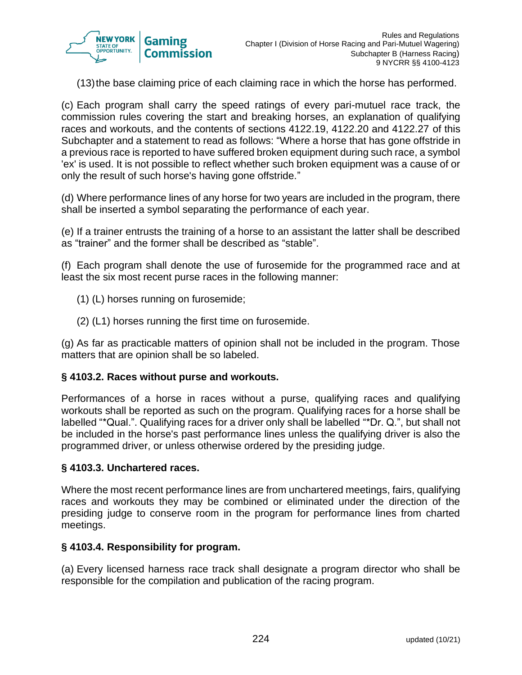

(13)the base claiming price of each claiming race in which the horse has performed.

(c) Each program shall carry the speed ratings of every pari-mutuel race track, the commission rules covering the start and breaking horses, an explanation of qualifying races and workouts, and the contents of sections 4122.19, 4122.20 and 4122.27 of this Subchapter and a statement to read as follows: "Where a horse that has gone offstride in a previous race is reported to have suffered broken equipment during such race, a symbol 'ex' is used. It is not possible to reflect whether such broken equipment was a cause of or only the result of such horse's having gone offstride."

(d) Where performance lines of any horse for two years are included in the program, there shall be inserted a symbol separating the performance of each year.

(e) If a trainer entrusts the training of a horse to an assistant the latter shall be described as "trainer" and the former shall be described as "stable".

(f) Each program shall denote the use of furosemide for the programmed race and at least the six most recent purse races in the following manner:

- (1) (L) horses running on furosemide;
- (2) (L1) horses running the first time on furosemide.

(g) As far as practicable matters of opinion shall not be included in the program. Those matters that are opinion shall be so labeled.

## **§ 4103.2. Races without purse and workouts.**

Performances of a horse in races without a purse, qualifying races and qualifying workouts shall be reported as such on the program. Qualifying races for a horse shall be labelled "\*Qual.". Qualifying races for a driver only shall be labelled "\*Dr. Q.", but shall not be included in the horse's past performance lines unless the qualifying driver is also the programmed driver, or unless otherwise ordered by the presiding judge.

#### **§ 4103.3. Unchartered races.**

Where the most recent performance lines are from unchartered meetings, fairs, qualifying races and workouts they may be combined or eliminated under the direction of the presiding judge to conserve room in the program for performance lines from charted meetings.

#### **§ 4103.4. Responsibility for program.**

(a) Every licensed harness race track shall designate a program director who shall be responsible for the compilation and publication of the racing program.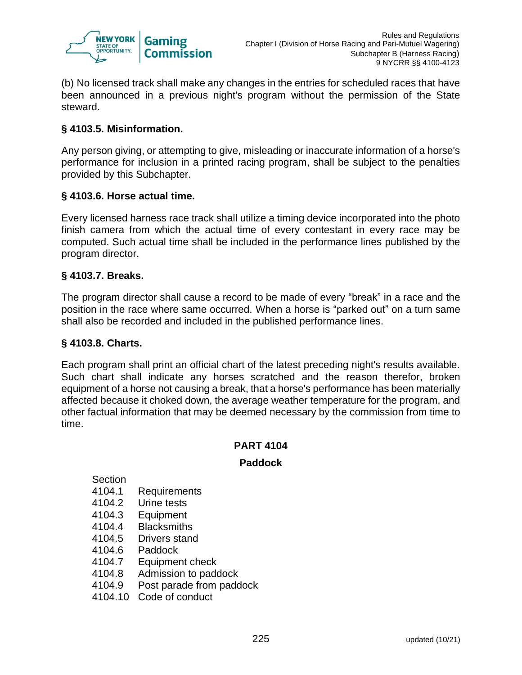

(b) No licensed track shall make any changes in the entries for scheduled races that have been announced in a previous night's program without the permission of the State steward.

# **§ 4103.5. Misinformation.**

Any person giving, or attempting to give, misleading or inaccurate information of a horse's performance for inclusion in a printed racing program, shall be subject to the penalties provided by this Subchapter.

## **§ 4103.6. Horse actual time.**

Every licensed harness race track shall utilize a timing device incorporated into the photo finish camera from which the actual time of every contestant in every race may be computed. Such actual time shall be included in the performance lines published by the program director.

#### **§ 4103.7. Breaks.**

The program director shall cause a record to be made of every "break" in a race and the position in the race where same occurred. When a horse is "parked out" on a turn same shall also be recorded and included in the published performance lines.

#### **§ 4103.8. Charts.**

Each program shall print an official chart of the latest preceding night's results available. Such chart shall indicate any horses scratched and the reason therefor, broken equipment of a horse not causing a break, that a horse's performance has been materially affected because it choked down, the average weather temperature for the program, and other factual information that may be deemed necessary by the commission from time to time.

#### **PART 4104**

#### **Paddock**

Section

- 4104.1 Requirements
- 4104.2 Urine tests
- 4104.3 Equipment
- 4104.4 Blacksmiths
- 4104.5 Drivers stand
- 4104.6 Paddock
- 4104.7 Equipment check
- 4104.8 Admission to paddock
- 4104.9 Post parade from paddock
- 4104.10 Code of conduct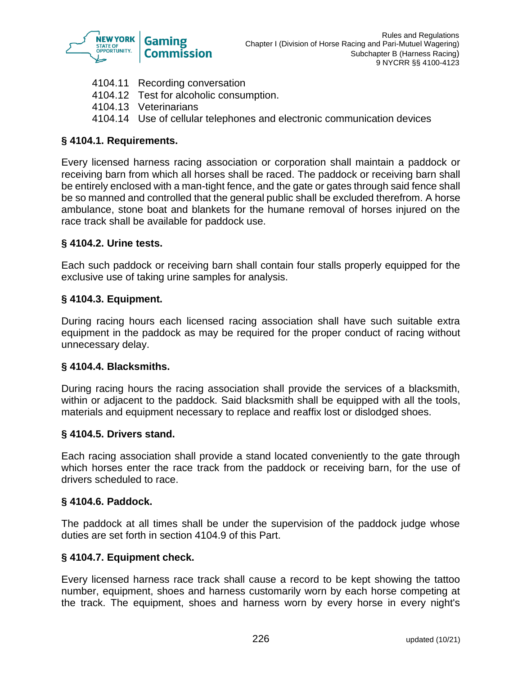

- 4104.11 Recording conversation 4104.12 Test for alcoholic consumption.
- 4104.13 Veterinarians
- 4104.14 Use of cellular telephones and electronic communication devices

# **§ 4104.1. Requirements.**

Every licensed harness racing association or corporation shall maintain a paddock or receiving barn from which all horses shall be raced. The paddock or receiving barn shall be entirely enclosed with a man-tight fence, and the gate or gates through said fence shall be so manned and controlled that the general public shall be excluded therefrom. A horse ambulance, stone boat and blankets for the humane removal of horses injured on the race track shall be available for paddock use.

## **§ 4104.2. Urine tests.**

Each such paddock or receiving barn shall contain four stalls properly equipped for the exclusive use of taking urine samples for analysis.

## **§ 4104.3. Equipment.**

During racing hours each licensed racing association shall have such suitable extra equipment in the paddock as may be required for the proper conduct of racing without unnecessary delay.

## **§ 4104.4. Blacksmiths.**

During racing hours the racing association shall provide the services of a blacksmith, within or adjacent to the paddock. Said blacksmith shall be equipped with all the tools, materials and equipment necessary to replace and reaffix lost or dislodged shoes.

#### **§ 4104.5. Drivers stand.**

Each racing association shall provide a stand located conveniently to the gate through which horses enter the race track from the paddock or receiving barn, for the use of drivers scheduled to race.

#### **§ 4104.6. Paddock.**

The paddock at all times shall be under the supervision of the paddock judge whose duties are set forth in section 4104.9 of this Part.

#### **§ 4104.7. Equipment check.**

Every licensed harness race track shall cause a record to be kept showing the tattoo number, equipment, shoes and harness customarily worn by each horse competing at the track. The equipment, shoes and harness worn by every horse in every night's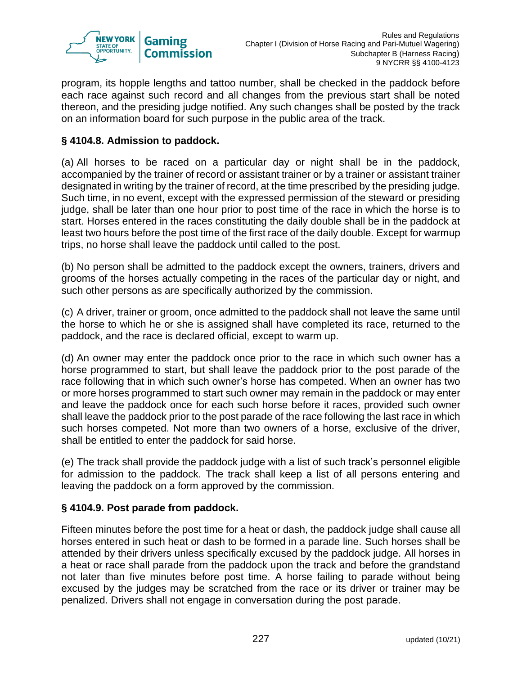

program, its hopple lengths and tattoo number, shall be checked in the paddock before each race against such record and all changes from the previous start shall be noted thereon, and the presiding judge notified. Any such changes shall be posted by the track on an information board for such purpose in the public area of the track.

# **§ 4104.8. Admission to paddock.**

(a) All horses to be raced on a particular day or night shall be in the paddock, accompanied by the trainer of record or assistant trainer or by a trainer or assistant trainer designated in writing by the trainer of record, at the time prescribed by the presiding judge. Such time, in no event, except with the expressed permission of the steward or presiding judge, shall be later than one hour prior to post time of the race in which the horse is to start. Horses entered in the races constituting the daily double shall be in the paddock at least two hours before the post time of the first race of the daily double. Except for warmup trips, no horse shall leave the paddock until called to the post.

(b) No person shall be admitted to the paddock except the owners, trainers, drivers and grooms of the horses actually competing in the races of the particular day or night, and such other persons as are specifically authorized by the commission.

(c) A driver, trainer or groom, once admitted to the paddock shall not leave the same until the horse to which he or she is assigned shall have completed its race, returned to the paddock, and the race is declared official, except to warm up.

(d) An owner may enter the paddock once prior to the race in which such owner has a horse programmed to start, but shall leave the paddock prior to the post parade of the race following that in which such owner's horse has competed. When an owner has two or more horses programmed to start such owner may remain in the paddock or may enter and leave the paddock once for each such horse before it races, provided such owner shall leave the paddock prior to the post parade of the race following the last race in which such horses competed. Not more than two owners of a horse, exclusive of the driver, shall be entitled to enter the paddock for said horse.

(e) The track shall provide the paddock judge with a list of such track's personnel eligible for admission to the paddock. The track shall keep a list of all persons entering and leaving the paddock on a form approved by the commission.

## **§ 4104.9. Post parade from paddock.**

Fifteen minutes before the post time for a heat or dash, the paddock judge shall cause all horses entered in such heat or dash to be formed in a parade line. Such horses shall be attended by their drivers unless specifically excused by the paddock judge. All horses in a heat or race shall parade from the paddock upon the track and before the grandstand not later than five minutes before post time. A horse failing to parade without being excused by the judges may be scratched from the race or its driver or trainer may be penalized. Drivers shall not engage in conversation during the post parade.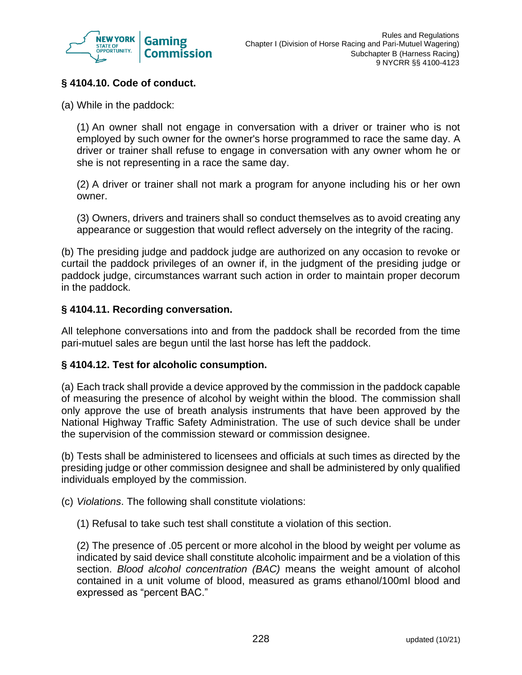

# **§ 4104.10. Code of conduct.**

(a) While in the paddock:

(1) An owner shall not engage in conversation with a driver or trainer who is not employed by such owner for the owner's horse programmed to race the same day. A driver or trainer shall refuse to engage in conversation with any owner whom he or she is not representing in a race the same day.

(2) A driver or trainer shall not mark a program for anyone including his or her own owner.

(3) Owners, drivers and trainers shall so conduct themselves as to avoid creating any appearance or suggestion that would reflect adversely on the integrity of the racing.

(b) The presiding judge and paddock judge are authorized on any occasion to revoke or curtail the paddock privileges of an owner if, in the judgment of the presiding judge or paddock judge, circumstances warrant such action in order to maintain proper decorum in the paddock.

#### **§ 4104.11. Recording conversation.**

All telephone conversations into and from the paddock shall be recorded from the time pari-mutuel sales are begun until the last horse has left the paddock.

#### **§ 4104.12. Test for alcoholic consumption.**

(a) Each track shall provide a device approved by the commission in the paddock capable of measuring the presence of alcohol by weight within the blood. The commission shall only approve the use of breath analysis instruments that have been approved by the National Highway Traffic Safety Administration. The use of such device shall be under the supervision of the commission steward or commission designee.

(b) Tests shall be administered to licensees and officials at such times as directed by the presiding judge or other commission designee and shall be administered by only qualified individuals employed by the commission.

- (c) *Violations*. The following shall constitute violations:
	- (1) Refusal to take such test shall constitute a violation of this section.

(2) The presence of .05 percent or more alcohol in the blood by weight per volume as indicated by said device shall constitute alcoholic impairment and be a violation of this section. *Blood alcohol concentration (BAC)* means the weight amount of alcohol contained in a unit volume of blood, measured as grams ethanol/100ml blood and expressed as "percent BAC."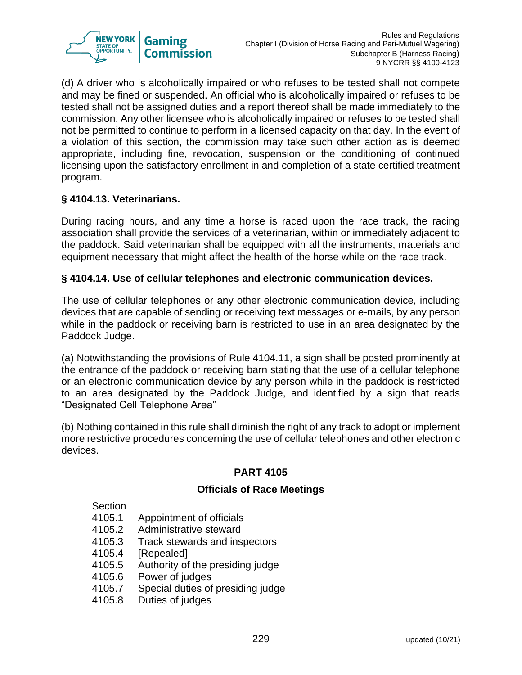

(d) A driver who is alcoholically impaired or who refuses to be tested shall not compete and may be fined or suspended. An official who is alcoholically impaired or refuses to be tested shall not be assigned duties and a report thereof shall be made immediately to the commission. Any other licensee who is alcoholically impaired or refuses to be tested shall not be permitted to continue to perform in a licensed capacity on that day. In the event of a violation of this section, the commission may take such other action as is deemed appropriate, including fine, revocation, suspension or the conditioning of continued licensing upon the satisfactory enrollment in and completion of a state certified treatment program.

# **§ 4104.13. Veterinarians.**

During racing hours, and any time a horse is raced upon the race track, the racing association shall provide the services of a veterinarian, within or immediately adjacent to the paddock. Said veterinarian shall be equipped with all the instruments, materials and equipment necessary that might affect the health of the horse while on the race track.

## **§ 4104.14. Use of cellular telephones and electronic communication devices.**

The use of cellular telephones or any other electronic communication device, including devices that are capable of sending or receiving text messages or e-mails, by any person while in the paddock or receiving barn is restricted to use in an area designated by the Paddock Judge.

(a) Notwithstanding the provisions of Rule 4104.11, a sign shall be posted prominently at the entrance of the paddock or receiving barn stating that the use of a cellular telephone or an electronic communication device by any person while in the paddock is restricted to an area designated by the Paddock Judge, and identified by a sign that reads "Designated Cell Telephone Area"

(b) Nothing contained in this rule shall diminish the right of any track to adopt or implement more restrictive procedures concerning the use of cellular telephones and other electronic devices.

# **PART 4105**

## **Officials of Race Meetings**

Section

- 4105.1 Appointment of officials
- 4105.2 Administrative steward
- 4105.3 Track stewards and inspectors
- 4105.4 [Repealed]
- 4105.5 Authority of the presiding judge
- 4105.6 Power of judges
- 4105.7 Special duties of presiding judge
- 4105.8 Duties of judges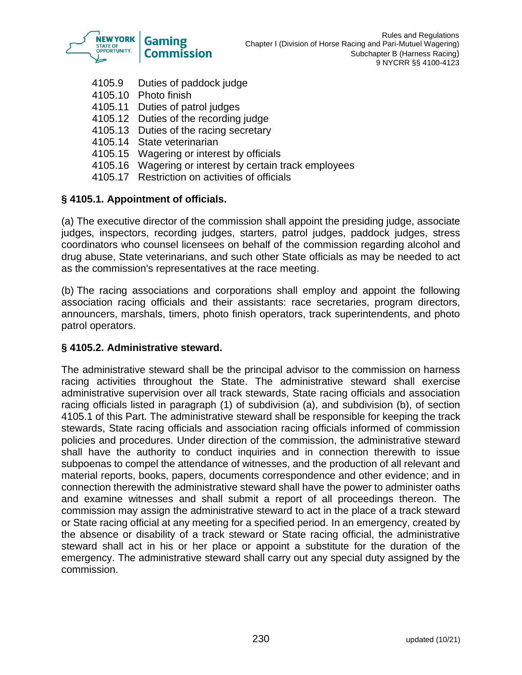

- 4105.9 Duties of paddock judge
- 4105.10 Photo finish
- 4105.11 Duties of patrol judges
- 4105.12 Duties of the recording judge
- 4105.13 Duties of the racing secretary
- 4105.14 State veterinarian
- 4105.15 Wagering or interest by officials
- 4105.16 Wagering or interest by certain track employees
- 4105.17 Restriction on activities of officials

# **§ 4105.1. Appointment of officials.**

(a) The executive director of the commission shall appoint the presiding judge, associate judges, inspectors, recording judges, starters, patrol judges, paddock judges, stress coordinators who counsel licensees on behalf of the commission regarding alcohol and drug abuse, State veterinarians, and such other State officials as may be needed to act as the commission's representatives at the race meeting.

(b) The racing associations and corporations shall employ and appoint the following association racing officials and their assistants: race secretaries, program directors, announcers, marshals, timers, photo finish operators, track superintendents, and photo patrol operators.

## **§ 4105.2. Administrative steward.**

The administrative steward shall be the principal advisor to the commission on harness racing activities throughout the State. The administrative steward shall exercise administrative supervision over all track stewards, State racing officials and association racing officials listed in paragraph (1) of subdivision (a), and subdivision (b), of section 4105.1 of this Part. The administrative steward shall be responsible for keeping the track stewards, State racing officials and association racing officials informed of commission policies and procedures. Under direction of the commission, the administrative steward shall have the authority to conduct inquiries and in connection therewith to issue subpoenas to compel the attendance of witnesses, and the production of all relevant and material reports, books, papers, documents correspondence and other evidence; and in connection therewith the administrative steward shall have the power to administer oaths and examine witnesses and shall submit a report of all proceedings thereon. The commission may assign the administrative steward to act in the place of a track steward or State racing official at any meeting for a specified period. In an emergency, created by the absence or disability of a track steward or State racing official, the administrative steward shall act in his or her place or appoint a substitute for the duration of the emergency. The administrative steward shall carry out any special duty assigned by the commission.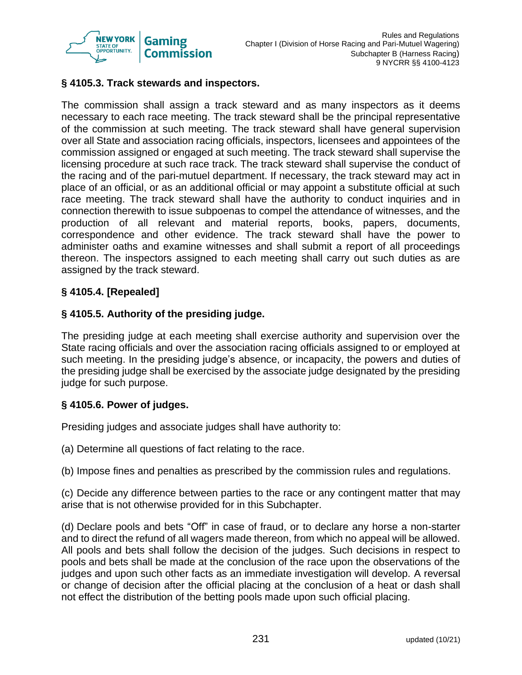

# **§ 4105.3. Track stewards and inspectors.**

The commission shall assign a track steward and as many inspectors as it deems necessary to each race meeting. The track steward shall be the principal representative of the commission at such meeting. The track steward shall have general supervision over all State and association racing officials, inspectors, licensees and appointees of the commission assigned or engaged at such meeting. The track steward shall supervise the licensing procedure at such race track. The track steward shall supervise the conduct of the racing and of the pari-mutuel department. If necessary, the track steward may act in place of an official, or as an additional official or may appoint a substitute official at such race meeting. The track steward shall have the authority to conduct inquiries and in connection therewith to issue subpoenas to compel the attendance of witnesses, and the production of all relevant and material reports, books, papers, documents, correspondence and other evidence. The track steward shall have the power to administer oaths and examine witnesses and shall submit a report of all proceedings thereon. The inspectors assigned to each meeting shall carry out such duties as are assigned by the track steward.

# **§ 4105.4. [Repealed]**

## **§ 4105.5. Authority of the presiding judge.**

The presiding judge at each meeting shall exercise authority and supervision over the State racing officials and over the association racing officials assigned to or employed at such meeting. In the presiding judge's absence, or incapacity, the powers and duties of the presiding judge shall be exercised by the associate judge designated by the presiding judge for such purpose.

## **§ 4105.6. Power of judges.**

Presiding judges and associate judges shall have authority to:

(a) Determine all questions of fact relating to the race.

(b) Impose fines and penalties as prescribed by the commission rules and regulations.

(c) Decide any difference between parties to the race or any contingent matter that may arise that is not otherwise provided for in this Subchapter.

(d) Declare pools and bets "Off" in case of fraud, or to declare any horse a non-starter and to direct the refund of all wagers made thereon, from which no appeal will be allowed. All pools and bets shall follow the decision of the judges. Such decisions in respect to pools and bets shall be made at the conclusion of the race upon the observations of the judges and upon such other facts as an immediate investigation will develop. A reversal or change of decision after the official placing at the conclusion of a heat or dash shall not effect the distribution of the betting pools made upon such official placing.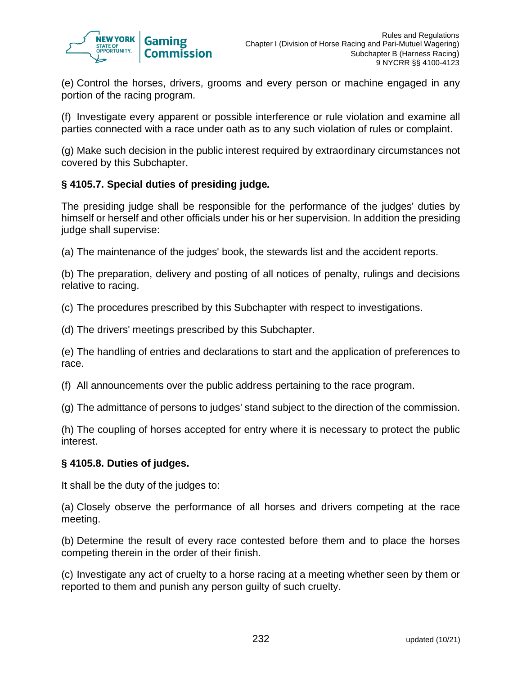

(e) Control the horses, drivers, grooms and every person or machine engaged in any portion of the racing program.

(f) Investigate every apparent or possible interference or rule violation and examine all parties connected with a race under oath as to any such violation of rules or complaint.

(g) Make such decision in the public interest required by extraordinary circumstances not covered by this Subchapter.

# **§ 4105.7. Special duties of presiding judge***.*

The presiding judge shall be responsible for the performance of the judges' duties by himself or herself and other officials under his or her supervision. In addition the presiding judge shall supervise:

(a) The maintenance of the judges' book, the stewards list and the accident reports.

(b) The preparation, delivery and posting of all notices of penalty, rulings and decisions relative to racing.

(c) The procedures prescribed by this Subchapter with respect to investigations.

(d) The drivers' meetings prescribed by this Subchapter.

(e) The handling of entries and declarations to start and the application of preferences to race.

(f) All announcements over the public address pertaining to the race program.

(g) The admittance of persons to judges' stand subject to the direction of the commission.

(h) The coupling of horses accepted for entry where it is necessary to protect the public interest.

## **§ 4105.8. Duties of judges.**

It shall be the duty of the judges to:

(a) Closely observe the performance of all horses and drivers competing at the race meeting.

(b) Determine the result of every race contested before them and to place the horses competing therein in the order of their finish.

(c) Investigate any act of cruelty to a horse racing at a meeting whether seen by them or reported to them and punish any person guilty of such cruelty.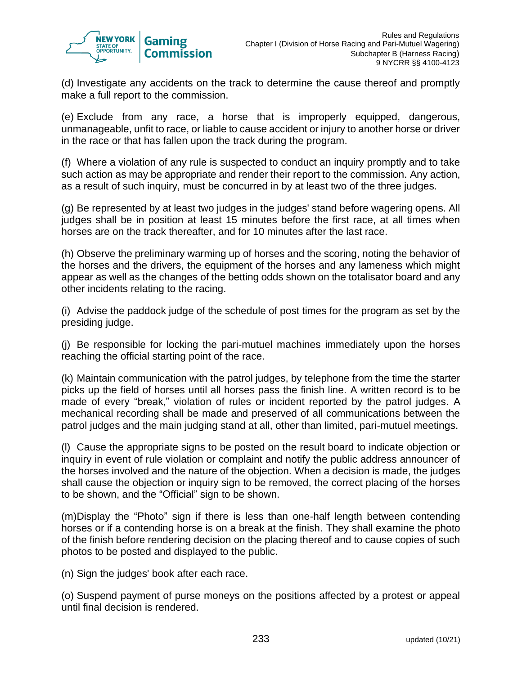

(d) Investigate any accidents on the track to determine the cause thereof and promptly make a full report to the commission.

(e) Exclude from any race, a horse that is improperly equipped, dangerous, unmanageable, unfit to race, or liable to cause accident or injury to another horse or driver in the race or that has fallen upon the track during the program.

(f) Where a violation of any rule is suspected to conduct an inquiry promptly and to take such action as may be appropriate and render their report to the commission. Any action, as a result of such inquiry, must be concurred in by at least two of the three judges.

(g) Be represented by at least two judges in the judges' stand before wagering opens. All judges shall be in position at least 15 minutes before the first race, at all times when horses are on the track thereafter, and for 10 minutes after the last race.

(h) Observe the preliminary warming up of horses and the scoring, noting the behavior of the horses and the drivers, the equipment of the horses and any lameness which might appear as well as the changes of the betting odds shown on the totalisator board and any other incidents relating to the racing.

(i) Advise the paddock judge of the schedule of post times for the program as set by the presiding judge.

(j) Be responsible for locking the pari-mutuel machines immediately upon the horses reaching the official starting point of the race.

(k) Maintain communication with the patrol judges, by telephone from the time the starter picks up the field of horses until all horses pass the finish line. A written record is to be made of every "break," violation of rules or incident reported by the patrol judges. A mechanical recording shall be made and preserved of all communications between the patrol judges and the main judging stand at all, other than limited, pari-mutuel meetings.

(l) Cause the appropriate signs to be posted on the result board to indicate objection or inquiry in event of rule violation or complaint and notify the public address announcer of the horses involved and the nature of the objection. When a decision is made, the judges shall cause the objection or inquiry sign to be removed, the correct placing of the horses to be shown, and the "Official" sign to be shown.

(m)Display the "Photo" sign if there is less than one-half length between contending horses or if a contending horse is on a break at the finish. They shall examine the photo of the finish before rendering decision on the placing thereof and to cause copies of such photos to be posted and displayed to the public.

(n) Sign the judges' book after each race.

(o) Suspend payment of purse moneys on the positions affected by a protest or appeal until final decision is rendered.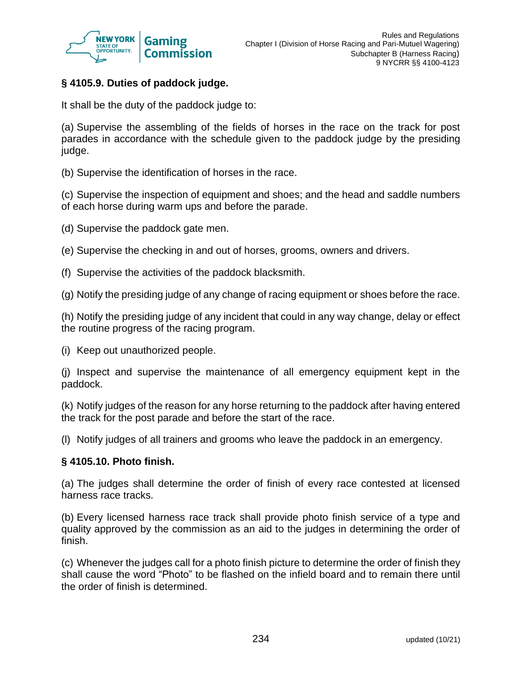

# **§ 4105.9. Duties of paddock judge.**

It shall be the duty of the paddock judge to:

(a) Supervise the assembling of the fields of horses in the race on the track for post parades in accordance with the schedule given to the paddock judge by the presiding judge.

(b) Supervise the identification of horses in the race.

(c) Supervise the inspection of equipment and shoes; and the head and saddle numbers of each horse during warm ups and before the parade.

(d) Supervise the paddock gate men.

(e) Supervise the checking in and out of horses, grooms, owners and drivers.

(f) Supervise the activities of the paddock blacksmith.

(g) Notify the presiding judge of any change of racing equipment or shoes before the race.

(h) Notify the presiding judge of any incident that could in any way change, delay or effect the routine progress of the racing program.

(i) Keep out unauthorized people.

(j) Inspect and supervise the maintenance of all emergency equipment kept in the paddock.

(k) Notify judges of the reason for any horse returning to the paddock after having entered the track for the post parade and before the start of the race.

(l) Notify judges of all trainers and grooms who leave the paddock in an emergency.

#### **§ 4105.10. Photo finish.**

(a) The judges shall determine the order of finish of every race contested at licensed harness race tracks.

(b) Every licensed harness race track shall provide photo finish service of a type and quality approved by the commission as an aid to the judges in determining the order of finish.

(c) Whenever the judges call for a photo finish picture to determine the order of finish they shall cause the word "Photo" to be flashed on the infield board and to remain there until the order of finish is determined.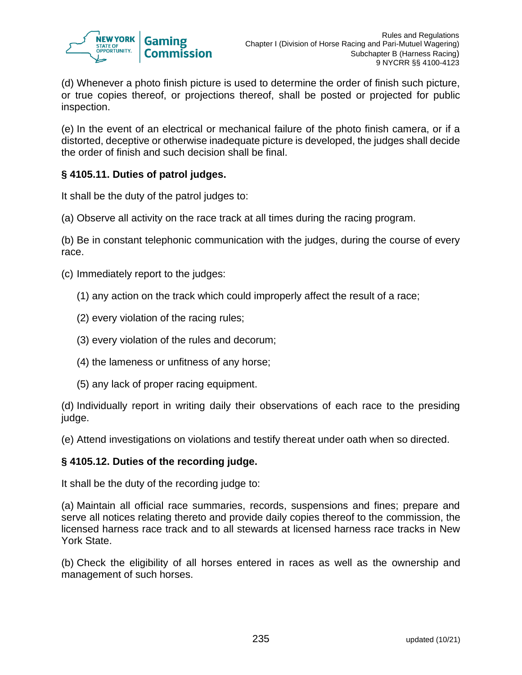

(d) Whenever a photo finish picture is used to determine the order of finish such picture, or true copies thereof, or projections thereof, shall be posted or projected for public inspection.

(e) In the event of an electrical or mechanical failure of the photo finish camera, or if a distorted, deceptive or otherwise inadequate picture is developed, the judges shall decide the order of finish and such decision shall be final.

# **§ 4105.11. Duties of patrol judges.**

It shall be the duty of the patrol judges to:

(a) Observe all activity on the race track at all times during the racing program.

(b) Be in constant telephonic communication with the judges, during the course of every race.

(c) Immediately report to the judges:

- (1) any action on the track which could improperly affect the result of a race;
- (2) every violation of the racing rules;
- (3) every violation of the rules and decorum;
- (4) the lameness or unfitness of any horse;
- (5) any lack of proper racing equipment.

(d) Individually report in writing daily their observations of each race to the presiding judge.

(e) Attend investigations on violations and testify thereat under oath when so directed.

## **§ 4105.12. Duties of the recording judge.**

It shall be the duty of the recording judge to:

(a) Maintain all official race summaries, records, suspensions and fines; prepare and serve all notices relating thereto and provide daily copies thereof to the commission, the licensed harness race track and to all stewards at licensed harness race tracks in New York State.

(b) Check the eligibility of all horses entered in races as well as the ownership and management of such horses.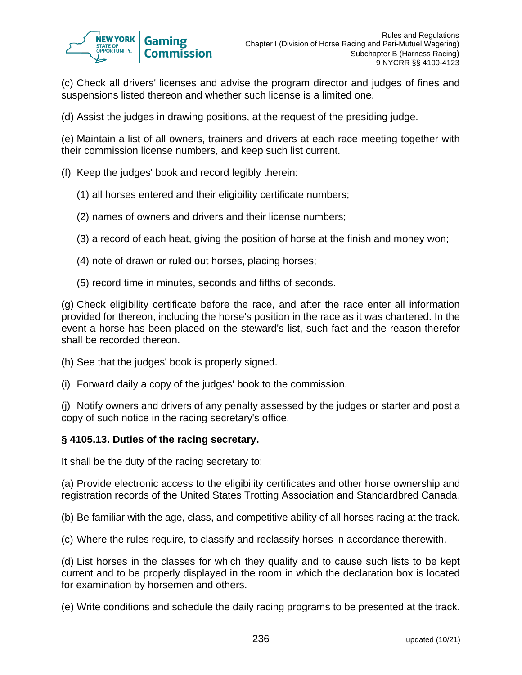

(c) Check all drivers' licenses and advise the program director and judges of fines and suspensions listed thereon and whether such license is a limited one.

(d) Assist the judges in drawing positions, at the request of the presiding judge.

(e) Maintain a list of all owners, trainers and drivers at each race meeting together with their commission license numbers, and keep such list current.

- (f) Keep the judges' book and record legibly therein:
	- (1) all horses entered and their eligibility certificate numbers;
	- (2) names of owners and drivers and their license numbers;
	- (3) a record of each heat, giving the position of horse at the finish and money won;
	- (4) note of drawn or ruled out horses, placing horses;
	- (5) record time in minutes, seconds and fifths of seconds.

(g) Check eligibility certificate before the race, and after the race enter all information provided for thereon, including the horse's position in the race as it was chartered. In the event a horse has been placed on the steward's list, such fact and the reason therefor shall be recorded thereon.

- (h) See that the judges' book is properly signed.
- (i) Forward daily a copy of the judges' book to the commission.

(j) Notify owners and drivers of any penalty assessed by the judges or starter and post a copy of such notice in the racing secretary's office.

#### **§ 4105.13. Duties of the racing secretary.**

It shall be the duty of the racing secretary to:

(a) Provide electronic access to the eligibility certificates and other horse ownership and registration records of the United States Trotting Association and Standardbred Canada.

(b) Be familiar with the age, class, and competitive ability of all horses racing at the track.

(c) Where the rules require, to classify and reclassify horses in accordance therewith.

(d) List horses in the classes for which they qualify and to cause such lists to be kept current and to be properly displayed in the room in which the declaration box is located for examination by horsemen and others.

(e) Write conditions and schedule the daily racing programs to be presented at the track.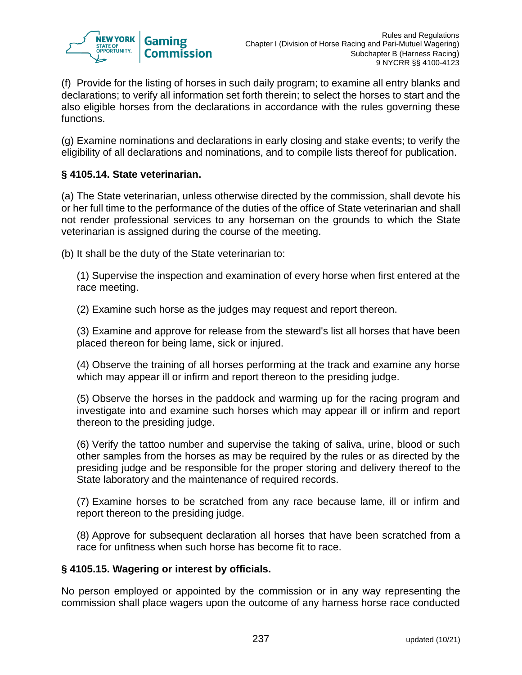

(f) Provide for the listing of horses in such daily program; to examine all entry blanks and declarations; to verify all information set forth therein; to select the horses to start and the also eligible horses from the declarations in accordance with the rules governing these functions.

(g) Examine nominations and declarations in early closing and stake events; to verify the eligibility of all declarations and nominations, and to compile lists thereof for publication.

# **§ 4105.14. State veterinarian.**

(a) The State veterinarian, unless otherwise directed by the commission, shall devote his or her full time to the performance of the duties of the office of State veterinarian and shall not render professional services to any horseman on the grounds to which the State veterinarian is assigned during the course of the meeting.

(b) It shall be the duty of the State veterinarian to:

(1) Supervise the inspection and examination of every horse when first entered at the race meeting.

(2) Examine such horse as the judges may request and report thereon.

(3) Examine and approve for release from the steward's list all horses that have been placed thereon for being lame, sick or injured.

(4) Observe the training of all horses performing at the track and examine any horse which may appear ill or infirm and report thereon to the presiding judge.

(5) Observe the horses in the paddock and warming up for the racing program and investigate into and examine such horses which may appear ill or infirm and report thereon to the presiding judge.

(6) Verify the tattoo number and supervise the taking of saliva, urine, blood or such other samples from the horses as may be required by the rules or as directed by the presiding judge and be responsible for the proper storing and delivery thereof to the State laboratory and the maintenance of required records.

(7) Examine horses to be scratched from any race because lame, ill or infirm and report thereon to the presiding judge.

(8) Approve for subsequent declaration all horses that have been scratched from a race for unfitness when such horse has become fit to race.

## **§ 4105.15. Wagering or interest by officials.**

No person employed or appointed by the commission or in any way representing the commission shall place wagers upon the outcome of any harness horse race conducted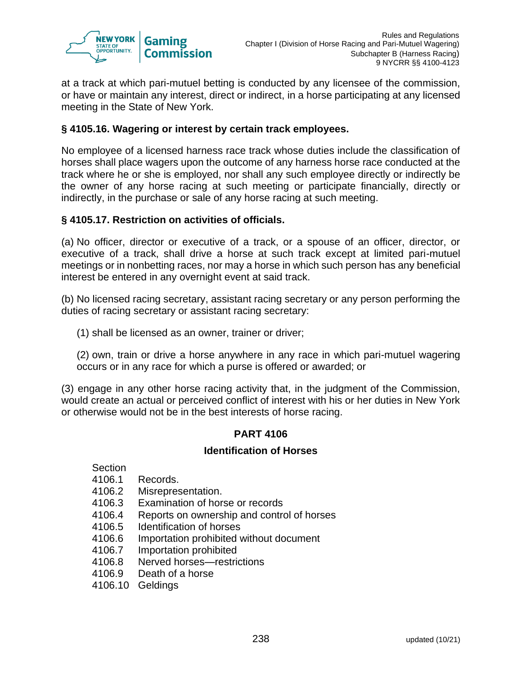

at a track at which pari-mutuel betting is conducted by any licensee of the commission, or have or maintain any interest, direct or indirect, in a horse participating at any licensed meeting in the State of New York.

## **§ 4105.16. Wagering or interest by certain track employees.**

No employee of a licensed harness race track whose duties include the classification of horses shall place wagers upon the outcome of any harness horse race conducted at the track where he or she is employed, nor shall any such employee directly or indirectly be the owner of any horse racing at such meeting or participate financially, directly or indirectly, in the purchase or sale of any horse racing at such meeting.

## **§ 4105.17. Restriction on activities of officials.**

(a) No officer, director or executive of a track, or a spouse of an officer, director, or executive of a track, shall drive a horse at such track except at limited pari-mutuel meetings or in nonbetting races, nor may a horse in which such person has any beneficial interest be entered in any overnight event at said track.

(b) No licensed racing secretary, assistant racing secretary or any person performing the duties of racing secretary or assistant racing secretary:

(1) shall be licensed as an owner, trainer or driver;

(2) own, train or drive a horse anywhere in any race in which pari-mutuel wagering occurs or in any race for which a purse is offered or awarded; or

(3) engage in any other horse racing activity that, in the judgment of the Commission, would create an actual or perceived conflict of interest with his or her duties in New York or otherwise would not be in the best interests of horse racing.

#### **PART 4106**

#### **Identification of Horses**

Section

- 4106.1 Records.
- 4106.2 Misrepresentation.
- 4106.3 Examination of horse or records
- 4106.4 Reports on ownership and control of horses
- 4106.5 Identification of horses
- 4106.6 Importation prohibited without document
- 4106.7 Importation prohibited
- 4106.8 Nerved horses—restrictions
- 4106.9 Death of a horse
- 4106.10 Geldings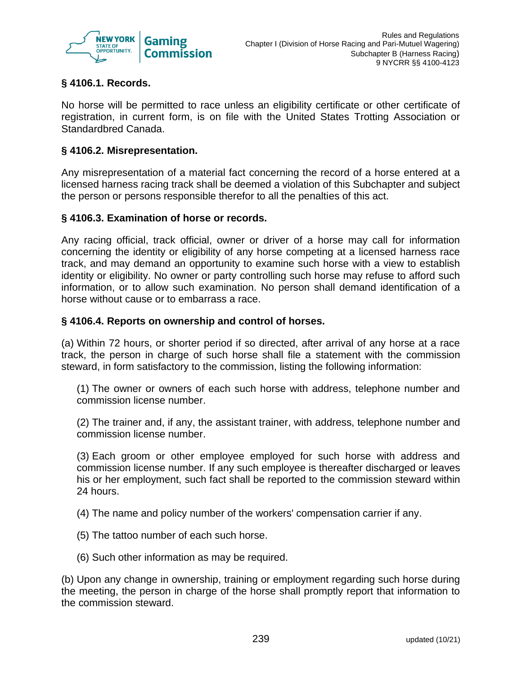

# **§ 4106.1. Records.**

No horse will be permitted to race unless an eligibility certificate or other certificate of registration, in current form, is on file with the United States Trotting Association or Standardbred Canada.

## **§ 4106.2. Misrepresentation.**

Any misrepresentation of a material fact concerning the record of a horse entered at a licensed harness racing track shall be deemed a violation of this Subchapter and subject the person or persons responsible therefor to all the penalties of this act.

## **§ 4106.3. Examination of horse or records.**

Any racing official, track official, owner or driver of a horse may call for information concerning the identity or eligibility of any horse competing at a licensed harness race track, and may demand an opportunity to examine such horse with a view to establish identity or eligibility. No owner or party controlling such horse may refuse to afford such information, or to allow such examination. No person shall demand identification of a horse without cause or to embarrass a race.

## **§ 4106.4. Reports on ownership and control of horses.**

(a) Within 72 hours, or shorter period if so directed, after arrival of any horse at a race track, the person in charge of such horse shall file a statement with the commission steward, in form satisfactory to the commission, listing the following information:

(1) The owner or owners of each such horse with address, telephone number and commission license number.

(2) The trainer and, if any, the assistant trainer, with address, telephone number and commission license number.

(3) Each groom or other employee employed for such horse with address and commission license number. If any such employee is thereafter discharged or leaves his or her employment, such fact shall be reported to the commission steward within 24 hours.

(4) The name and policy number of the workers' compensation carrier if any.

- (5) The tattoo number of each such horse.
- (6) Such other information as may be required.

(b) Upon any change in ownership, training or employment regarding such horse during the meeting, the person in charge of the horse shall promptly report that information to the commission steward.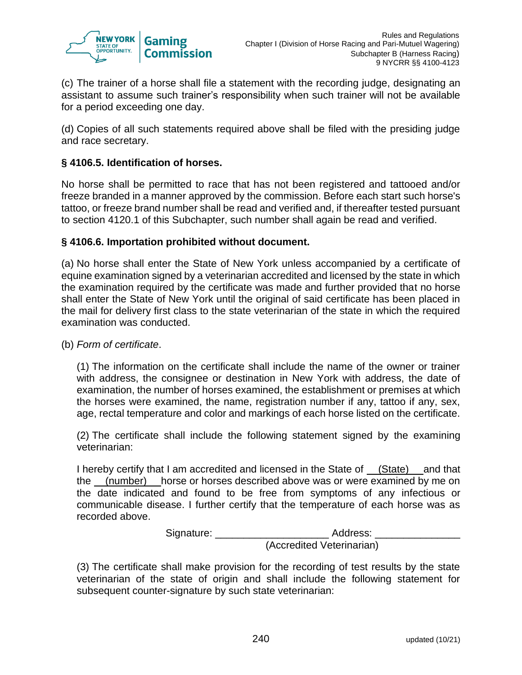

(c) The trainer of a horse shall file a statement with the recording judge, designating an assistant to assume such trainer's responsibility when such trainer will not be available for a period exceeding one day.

(d) Copies of all such statements required above shall be filed with the presiding judge and race secretary.

## **§ 4106.5. Identification of horses.**

No horse shall be permitted to race that has not been registered and tattooed and/or freeze branded in a manner approved by the commission. Before each start such horse's tattoo, or freeze brand number shall be read and verified and, if thereafter tested pursuant to section 4120.1 of this Subchapter, such number shall again be read and verified.

#### **§ 4106.6. Importation prohibited without document.**

(a) No horse shall enter the State of New York unless accompanied by a certificate of equine examination signed by a veterinarian accredited and licensed by the state in which the examination required by the certificate was made and further provided that no horse shall enter the State of New York until the original of said certificate has been placed in the mail for delivery first class to the state veterinarian of the state in which the required examination was conducted.

(b) *Form of certificate*.

(1) The information on the certificate shall include the name of the owner or trainer with address, the consignee or destination in New York with address, the date of examination, the number of horses examined, the establishment or premises at which the horses were examined, the name, registration number if any, tattoo if any, sex, age, rectal temperature and color and markings of each horse listed on the certificate.

(2) The certificate shall include the following statement signed by the examining veterinarian:

I hereby certify that I am accredited and licensed in the State of (State) and that the (number) horse or horses described above was or were examined by me on the date indicated and found to be free from symptoms of any infectious or communicable disease. I further certify that the temperature of each horse was as recorded above.

> Signature: \_\_\_\_\_\_\_\_\_\_\_\_\_\_\_\_\_\_\_\_\_\_\_\_\_\_\_\_\_ Address: \_ (Accredited Veterinarian)

(3) The certificate shall make provision for the recording of test results by the state veterinarian of the state of origin and shall include the following statement for subsequent counter-signature by such state veterinarian: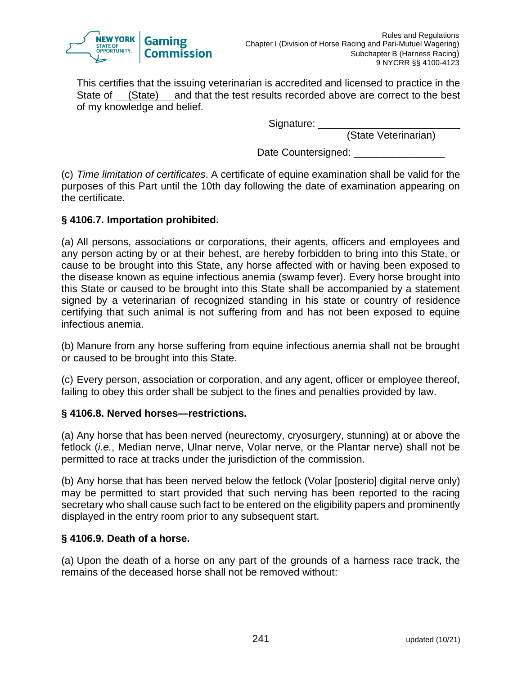

This certifies that the issuing veterinarian is accredited and licensed to practice in the State of (State) and that the test results recorded above are correct to the best of my knowledge and belief.

Signature:

(State Veterinarian)

Date Countersigned:

(c) *Time limitation of certificates*. A certificate of equine examination shall be valid for the purposes of this Part until the 10th day following the date of examination appearing on the certificate.

## **§ 4106.7. Importation prohibited.**

(a) All persons, associations or corporations, their agents, officers and employees and any person acting by or at their behest, are hereby forbidden to bring into this State, or cause to be brought into this State, any horse affected with or having been exposed to the disease known as equine infectious anemia (swamp fever). Every horse brought into this State or caused to be brought into this State shall be accompanied by a statement signed by a veterinarian of recognized standing in his state or country of residence certifying that such animal is not suffering from and has not been exposed to equine infectious anemia.

(b) Manure from any horse suffering from equine infectious anemia shall not be brought or caused to be brought into this State.

(c) Every person, association or corporation, and any agent, officer or employee thereof, failing to obey this order shall be subject to the fines and penalties provided by law.

## **§ 4106.8. Nerved horses—restrictions.**

(a) Any horse that has been nerved (neurectomy, cryosurgery, stunning) at or above the fetlock (*i.e.*, Median nerve, Ulnar nerve, Volar nerve, or the Plantar nerve) shall not be permitted to race at tracks under the jurisdiction of the commission.

(b) Any horse that has been nerved below the fetlock (Volar [posterio] digital nerve only) may be permitted to start provided that such nerving has been reported to the racing secretary who shall cause such fact to be entered on the eligibility papers and prominently displayed in the entry room prior to any subsequent start.

## **§ 4106.9. Death of a horse.**

(a) Upon the death of a horse on any part of the grounds of a harness race track, the remains of the deceased horse shall not be removed without: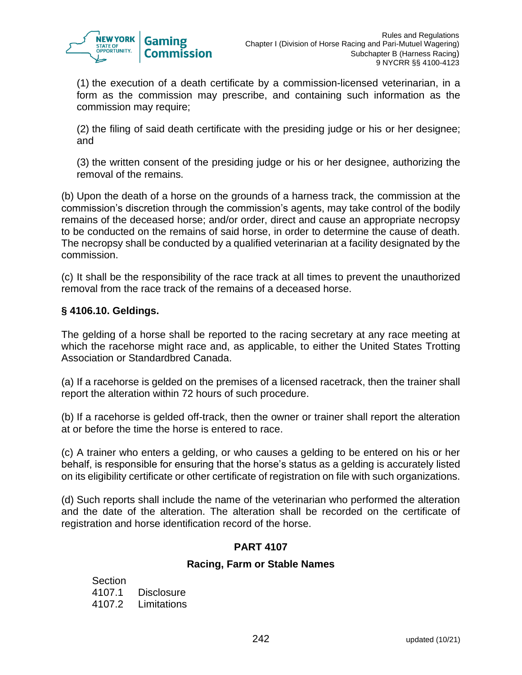

(1) the execution of a death certificate by a commission-licensed veterinarian, in a form as the commission may prescribe, and containing such information as the commission may require;

(2) the filing of said death certificate with the presiding judge or his or her designee; and

(3) the written consent of the presiding judge or his or her designee, authorizing the removal of the remains.

(b) Upon the death of a horse on the grounds of a harness track, the commission at the commission's discretion through the commission's agents, may take control of the bodily remains of the deceased horse; and/or order, direct and cause an appropriate necropsy to be conducted on the remains of said horse, in order to determine the cause of death. The necropsy shall be conducted by a qualified veterinarian at a facility designated by the commission.

(c) It shall be the responsibility of the race track at all times to prevent the unauthorized removal from the race track of the remains of a deceased horse.

# **§ 4106.10. Geldings.**

The gelding of a horse shall be reported to the racing secretary at any race meeting at which the racehorse might race and, as applicable, to either the United States Trotting Association or Standardbred Canada.

(a) If a racehorse is gelded on the premises of a licensed racetrack, then the trainer shall report the alteration within 72 hours of such procedure.

(b) If a racehorse is gelded off-track, then the owner or trainer shall report the alteration at or before the time the horse is entered to race.

(c) A trainer who enters a gelding, or who causes a gelding to be entered on his or her behalf, is responsible for ensuring that the horse's status as a gelding is accurately listed on its eligibility certificate or other certificate of registration on file with such organizations.

(d) Such reports shall include the name of the veterinarian who performed the alteration and the date of the alteration. The alteration shall be recorded on the certificate of registration and horse identification record of the horse.

## **PART 4107**

## **Racing, Farm or Stable Names**

Section 4107.1 Disclosure 4107.2 Limitations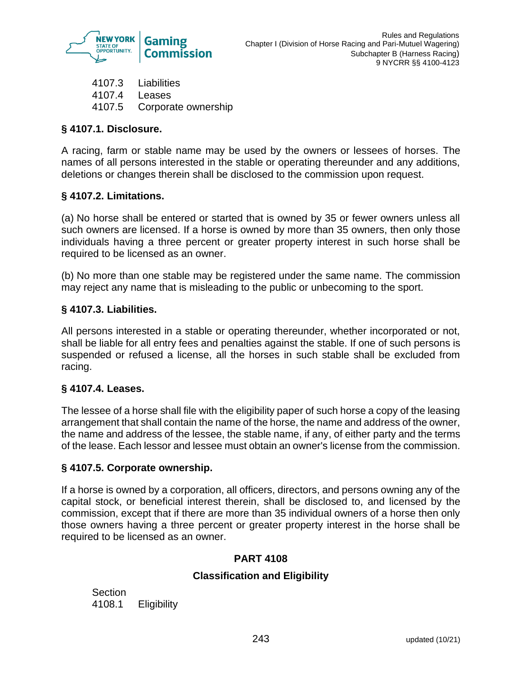

4107.3 Liabilities 4107.4 Leases 4107.5 Corporate ownership

# **§ 4107.1. Disclosure.**

A racing, farm or stable name may be used by the owners or lessees of horses. The names of all persons interested in the stable or operating thereunder and any additions, deletions or changes therein shall be disclosed to the commission upon request.

# **§ 4107.2. Limitations.**

(a) No horse shall be entered or started that is owned by 35 or fewer owners unless all such owners are licensed. If a horse is owned by more than 35 owners, then only those individuals having a three percent or greater property interest in such horse shall be required to be licensed as an owner.

(b) No more than one stable may be registered under the same name. The commission may reject any name that is misleading to the public or unbecoming to the sport.

# **§ 4107.3. Liabilities.**

All persons interested in a stable or operating thereunder, whether incorporated or not, shall be liable for all entry fees and penalties against the stable. If one of such persons is suspended or refused a license, all the horses in such stable shall be excluded from racing.

## **§ 4107.4. Leases.**

The lessee of a horse shall file with the eligibility paper of such horse a copy of the leasing arrangement that shall contain the name of the horse, the name and address of the owner, the name and address of the lessee, the stable name, if any, of either party and the terms of the lease. Each lessor and lessee must obtain an owner's license from the commission.

## **§ 4107.5. Corporate ownership.**

If a horse is owned by a corporation, all officers, directors, and persons owning any of the capital stock, or beneficial interest therein, shall be disclosed to, and licensed by the commission, except that if there are more than 35 individual owners of a horse then only those owners having a three percent or greater property interest in the horse shall be required to be licensed as an owner.

## **PART 4108**

## **Classification and Eligibility**

**Section** 4108.1 Eligibility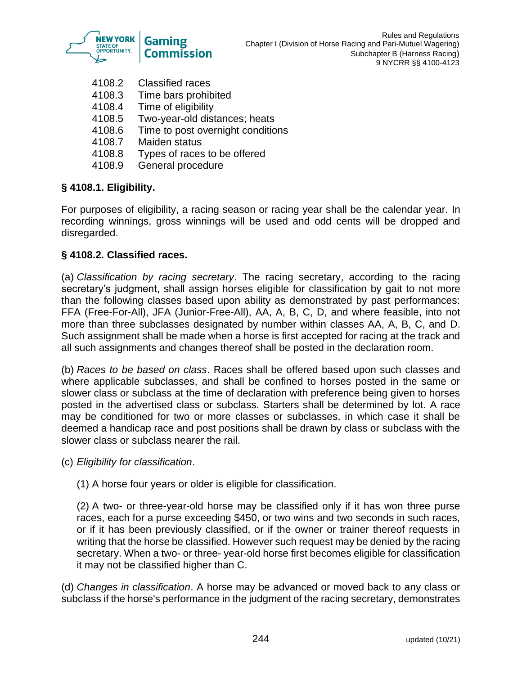

- 4108.2 Classified races
- 4108.3 Time bars prohibited
- 4108.4 Time of eligibility
- 4108.5 Two-year-old distances; heats
- 4108.6 Time to post overnight conditions
- 4108.7 Maiden status
- 4108.8 Types of races to be offered
- 4108.9 General procedure

# **§ 4108.1. Eligibility.**

For purposes of eligibility, a racing season or racing year shall be the calendar year. In recording winnings, gross winnings will be used and odd cents will be dropped and disregarded.

# **§ 4108.2. Classified races.**

(a) *Classification by racing secretary*. The racing secretary, according to the racing secretary's judgment, shall assign horses eligible for classification by gait to not more than the following classes based upon ability as demonstrated by past performances: FFA (Free-For-All), JFA (Junior-Free-All), AA, A, B, C, D, and where feasible, into not more than three subclasses designated by number within classes AA, A, B, C, and D. Such assignment shall be made when a horse is first accepted for racing at the track and all such assignments and changes thereof shall be posted in the declaration room.

(b) *Races to be based on class*. Races shall be offered based upon such classes and where applicable subclasses, and shall be confined to horses posted in the same or slower class or subclass at the time of declaration with preference being given to horses posted in the advertised class or subclass. Starters shall be determined by lot. A race may be conditioned for two or more classes or subclasses, in which case it shall be deemed a handicap race and post positions shall be drawn by class or subclass with the slower class or subclass nearer the rail.

- (c) *Eligibility for classification*.
	- (1) A horse four years or older is eligible for classification.

(2) A two- or three-year-old horse may be classified only if it has won three purse races, each for a purse exceeding \$450, or two wins and two seconds in such races, or if it has been previously classified, or if the owner or trainer thereof requests in writing that the horse be classified. However such request may be denied by the racing secretary. When a two- or three- year-old horse first becomes eligible for classification it may not be classified higher than C.

(d) *Changes in classification*. A horse may be advanced or moved back to any class or subclass if the horse's performance in the judgment of the racing secretary, demonstrates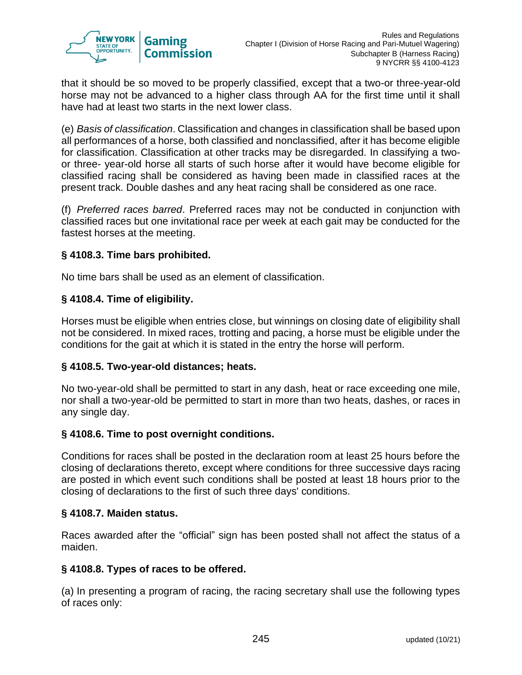

that it should be so moved to be properly classified, except that a two-or three-year-old horse may not be advanced to a higher class through AA for the first time until it shall have had at least two starts in the next lower class.

(e) *Basis of classification*. Classification and changes in classification shall be based upon all performances of a horse, both classified and nonclassified, after it has become eligible for classification. Classification at other tracks may be disregarded. In classifying a twoor three- year-old horse all starts of such horse after it would have become eligible for classified racing shall be considered as having been made in classified races at the present track. Double dashes and any heat racing shall be considered as one race.

(f) *Preferred races barred*. Preferred races may not be conducted in conjunction with classified races but one invitational race per week at each gait may be conducted for the fastest horses at the meeting.

# **§ 4108.3. Time bars prohibited.**

No time bars shall be used as an element of classification.

## **§ 4108.4. Time of eligibility.**

Horses must be eligible when entries close, but winnings on closing date of eligibility shall not be considered. In mixed races, trotting and pacing, a horse must be eligible under the conditions for the gait at which it is stated in the entry the horse will perform.

## **§ 4108.5. Two-year-old distances; heats.**

No two-year-old shall be permitted to start in any dash, heat or race exceeding one mile, nor shall a two-year-old be permitted to start in more than two heats, dashes, or races in any single day.

## **§ 4108.6. Time to post overnight conditions.**

Conditions for races shall be posted in the declaration room at least 25 hours before the closing of declarations thereto, except where conditions for three successive days racing are posted in which event such conditions shall be posted at least 18 hours prior to the closing of declarations to the first of such three days' conditions.

#### **§ 4108.7. Maiden status.**

Races awarded after the "official" sign has been posted shall not affect the status of a maiden.

## **§ 4108.8. Types of races to be offered.**

(a) In presenting a program of racing, the racing secretary shall use the following types of races only: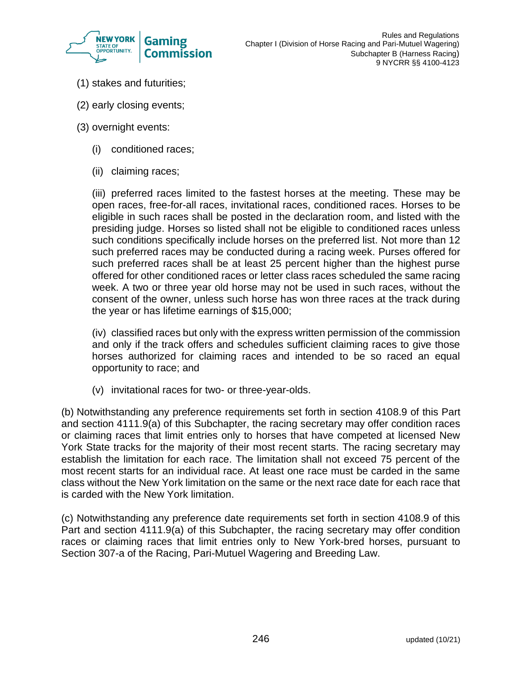

- (1) stakes and futurities;
- (2) early closing events;
- (3) overnight events:
	- (i) conditioned races;
	- (ii) claiming races;

(iii) preferred races limited to the fastest horses at the meeting. These may be open races, free-for-all races, invitational races, conditioned races. Horses to be eligible in such races shall be posted in the declaration room, and listed with the presiding judge. Horses so listed shall not be eligible to conditioned races unless such conditions specifically include horses on the preferred list. Not more than 12 such preferred races may be conducted during a racing week. Purses offered for such preferred races shall be at least 25 percent higher than the highest purse offered for other conditioned races or letter class races scheduled the same racing week. A two or three year old horse may not be used in such races, without the consent of the owner, unless such horse has won three races at the track during the year or has lifetime earnings of \$15,000;

(iv) classified races but only with the express written permission of the commission and only if the track offers and schedules sufficient claiming races to give those horses authorized for claiming races and intended to be so raced an equal opportunity to race; and

(v) invitational races for two- or three-year-olds.

(b) Notwithstanding any preference requirements set forth in section 4108.9 of this Part and section 4111.9(a) of this Subchapter, the racing secretary may offer condition races or claiming races that limit entries only to horses that have competed at licensed New York State tracks for the majority of their most recent starts. The racing secretary may establish the limitation for each race. The limitation shall not exceed 75 percent of the most recent starts for an individual race. At least one race must be carded in the same class without the New York limitation on the same or the next race date for each race that is carded with the New York limitation.

(c) Notwithstanding any preference date requirements set forth in section 4108.9 of this Part and section 4111.9(a) of this Subchapter, the racing secretary may offer condition races or claiming races that limit entries only to New York-bred horses, pursuant to Section 307-a of the Racing, Pari-Mutuel Wagering and Breeding Law.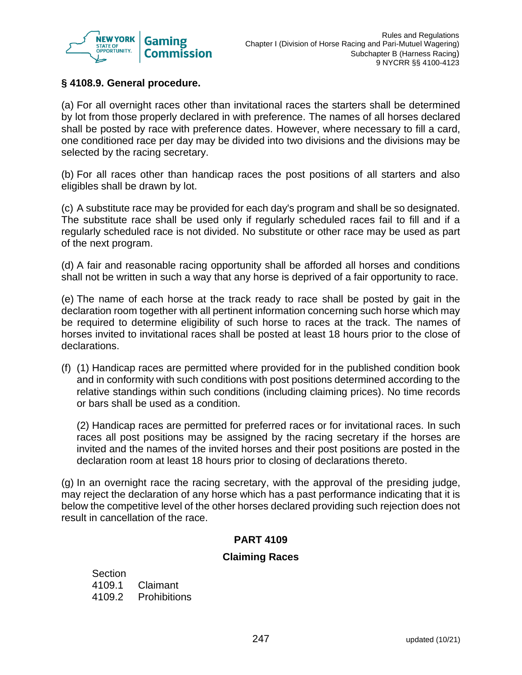

# **§ 4108.9. General procedure.**

(a) For all overnight races other than invitational races the starters shall be determined by lot from those properly declared in with preference. The names of all horses declared shall be posted by race with preference dates. However, where necessary to fill a card, one conditioned race per day may be divided into two divisions and the divisions may be selected by the racing secretary.

(b) For all races other than handicap races the post positions of all starters and also eligibles shall be drawn by lot.

(c) A substitute race may be provided for each day's program and shall be so designated. The substitute race shall be used only if regularly scheduled races fail to fill and if a regularly scheduled race is not divided. No substitute or other race may be used as part of the next program.

(d) A fair and reasonable racing opportunity shall be afforded all horses and conditions shall not be written in such a way that any horse is deprived of a fair opportunity to race.

(e) The name of each horse at the track ready to race shall be posted by gait in the declaration room together with all pertinent information concerning such horse which may be required to determine eligibility of such horse to races at the track. The names of horses invited to invitational races shall be posted at least 18 hours prior to the close of declarations.

(f) (1) Handicap races are permitted where provided for in the published condition book and in conformity with such conditions with post positions determined according to the relative standings within such conditions (including claiming prices). No time records or bars shall be used as a condition.

(2) Handicap races are permitted for preferred races or for invitational races. In such races all post positions may be assigned by the racing secretary if the horses are invited and the names of the invited horses and their post positions are posted in the declaration room at least 18 hours prior to closing of declarations thereto.

(g) In an overnight race the racing secretary, with the approval of the presiding judge, may reject the declaration of any horse which has a past performance indicating that it is below the competitive level of the other horses declared providing such rejection does not result in cancellation of the race.

## **PART 4109**

## **Claiming Races**

Section 4109.1 Claimant 4109.2 Prohibitions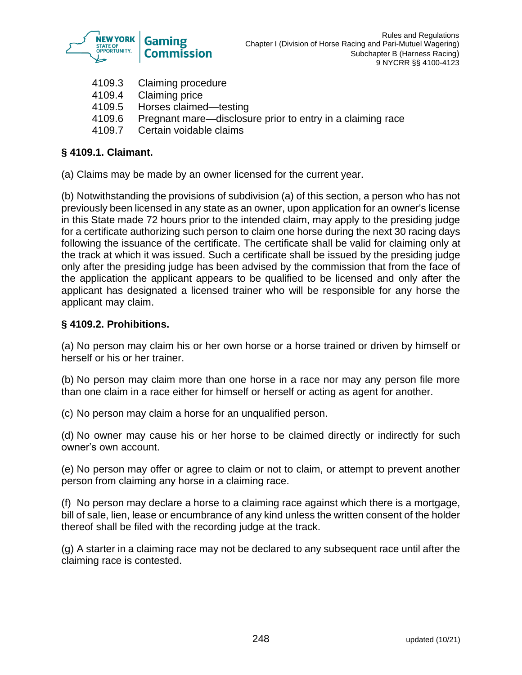

- 4109.3 Claiming procedure
- 4109.4 Claiming price
- 4109.5 Horses claimed—testing
- 4109.6 Pregnant mare—disclosure prior to entry in a claiming race
- 4109.7 Certain voidable claims

# **§ 4109.1. Claimant.**

(a) Claims may be made by an owner licensed for the current year.

(b) Notwithstanding the provisions of subdivision (a) of this section, a person who has not previously been licensed in any state as an owner, upon application for an owner's license in this State made 72 hours prior to the intended claim, may apply to the presiding judge for a certificate authorizing such person to claim one horse during the next 30 racing days following the issuance of the certificate. The certificate shall be valid for claiming only at the track at which it was issued. Such a certificate shall be issued by the presiding judge only after the presiding judge has been advised by the commission that from the face of the application the applicant appears to be qualified to be licensed and only after the applicant has designated a licensed trainer who will be responsible for any horse the applicant may claim.

# **§ 4109.2. Prohibitions.**

(a) No person may claim his or her own horse or a horse trained or driven by himself or herself or his or her trainer.

(b) No person may claim more than one horse in a race nor may any person file more than one claim in a race either for himself or herself or acting as agent for another.

(c) No person may claim a horse for an unqualified person.

(d) No owner may cause his or her horse to be claimed directly or indirectly for such owner's own account.

(e) No person may offer or agree to claim or not to claim, or attempt to prevent another person from claiming any horse in a claiming race.

(f) No person may declare a horse to a claiming race against which there is a mortgage, bill of sale, lien, lease or encumbrance of any kind unless the written consent of the holder thereof shall be filed with the recording judge at the track.

(g) A starter in a claiming race may not be declared to any subsequent race until after the claiming race is contested.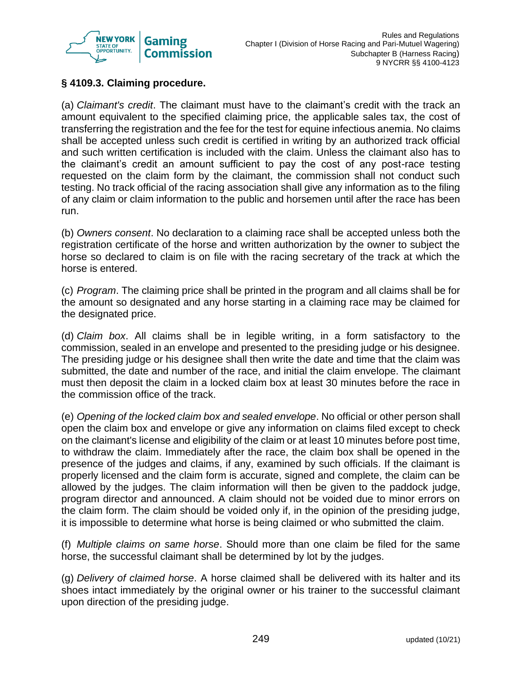

# **§ 4109.3. Claiming procedure.**

(a) *Claimant's credit*. The claimant must have to the claimant's credit with the track an amount equivalent to the specified claiming price, the applicable sales tax, the cost of transferring the registration and the fee for the test for equine infectious anemia. No claims shall be accepted unless such credit is certified in writing by an authorized track official and such written certification is included with the claim. Unless the claimant also has to the claimant's credit an amount sufficient to pay the cost of any post-race testing requested on the claim form by the claimant, the commission shall not conduct such testing. No track official of the racing association shall give any information as to the filing of any claim or claim information to the public and horsemen until after the race has been run.

(b) *Owners consent*. No declaration to a claiming race shall be accepted unless both the registration certificate of the horse and written authorization by the owner to subject the horse so declared to claim is on file with the racing secretary of the track at which the horse is entered.

(c) *Program*. The claiming price shall be printed in the program and all claims shall be for the amount so designated and any horse starting in a claiming race may be claimed for the designated price.

(d) *Claim box*. All claims shall be in legible writing, in a form satisfactory to the commission, sealed in an envelope and presented to the presiding judge or his designee. The presiding judge or his designee shall then write the date and time that the claim was submitted, the date and number of the race, and initial the claim envelope. The claimant must then deposit the claim in a locked claim box at least 30 minutes before the race in the commission office of the track.

(e) *Opening of the locked claim box and sealed envelope*. No official or other person shall open the claim box and envelope or give any information on claims filed except to check on the claimant's license and eligibility of the claim or at least 10 minutes before post time, to withdraw the claim. Immediately after the race, the claim box shall be opened in the presence of the judges and claims, if any, examined by such officials. If the claimant is properly licensed and the claim form is accurate, signed and complete, the claim can be allowed by the judges. The claim information will then be given to the paddock judge, program director and announced. A claim should not be voided due to minor errors on the claim form. The claim should be voided only if, in the opinion of the presiding judge, it is impossible to determine what horse is being claimed or who submitted the claim.

(f) *Multiple claims on same horse*. Should more than one claim be filed for the same horse, the successful claimant shall be determined by lot by the judges.

(g) *Delivery of claimed horse*. A horse claimed shall be delivered with its halter and its shoes intact immediately by the original owner or his trainer to the successful claimant upon direction of the presiding judge.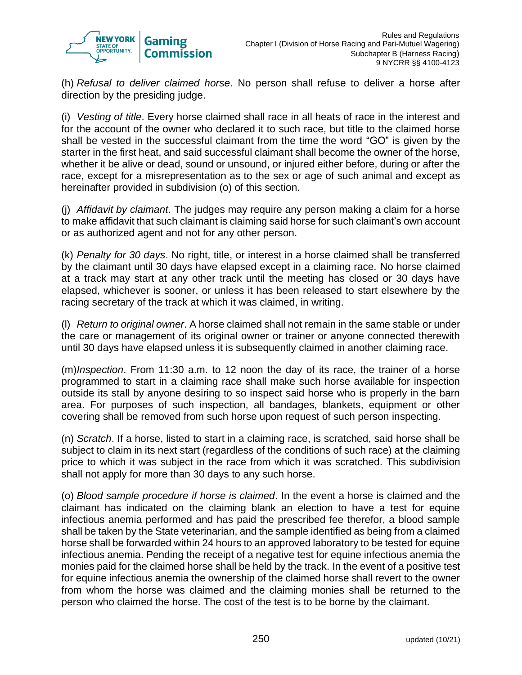

(h) *Refusal to deliver claimed horse*. No person shall refuse to deliver a horse after direction by the presiding judge.

(i) *Vesting of title*. Every horse claimed shall race in all heats of race in the interest and for the account of the owner who declared it to such race, but title to the claimed horse shall be vested in the successful claimant from the time the word "GO" is given by the starter in the first heat, and said successful claimant shall become the owner of the horse, whether it be alive or dead, sound or unsound, or injured either before, during or after the race, except for a misrepresentation as to the sex or age of such animal and except as hereinafter provided in subdivision (o) of this section.

(j) *Affidavit by claimant*. The judges may require any person making a claim for a horse to make affidavit that such claimant is claiming said horse for such claimant's own account or as authorized agent and not for any other person.

(k) *Penalty for 30 days*. No right, title, or interest in a horse claimed shall be transferred by the claimant until 30 days have elapsed except in a claiming race. No horse claimed at a track may start at any other track until the meeting has closed or 30 days have elapsed, whichever is sooner, or unless it has been released to start elsewhere by the racing secretary of the track at which it was claimed, in writing.

(l) *Return to original owner*. A horse claimed shall not remain in the same stable or under the care or management of its original owner or trainer or anyone connected therewith until 30 days have elapsed unless it is subsequently claimed in another claiming race.

(m)*Inspection*. From 11:30 a.m. to 12 noon the day of its race, the trainer of a horse programmed to start in a claiming race shall make such horse available for inspection outside its stall by anyone desiring to so inspect said horse who is properly in the barn area. For purposes of such inspection, all bandages, blankets, equipment or other covering shall be removed from such horse upon request of such person inspecting.

(n) *Scratch*. If a horse, listed to start in a claiming race, is scratched, said horse shall be subject to claim in its next start (regardless of the conditions of such race) at the claiming price to which it was subject in the race from which it was scratched. This subdivision shall not apply for more than 30 days to any such horse.

(o) *Blood sample procedure if horse is claimed*. In the event a horse is claimed and the claimant has indicated on the claiming blank an election to have a test for equine infectious anemia performed and has paid the prescribed fee therefor, a blood sample shall be taken by the State veterinarian, and the sample identified as being from a claimed horse shall be forwarded within 24 hours to an approved laboratory to be tested for equine infectious anemia. Pending the receipt of a negative test for equine infectious anemia the monies paid for the claimed horse shall be held by the track. In the event of a positive test for equine infectious anemia the ownership of the claimed horse shall revert to the owner from whom the horse was claimed and the claiming monies shall be returned to the person who claimed the horse. The cost of the test is to be borne by the claimant.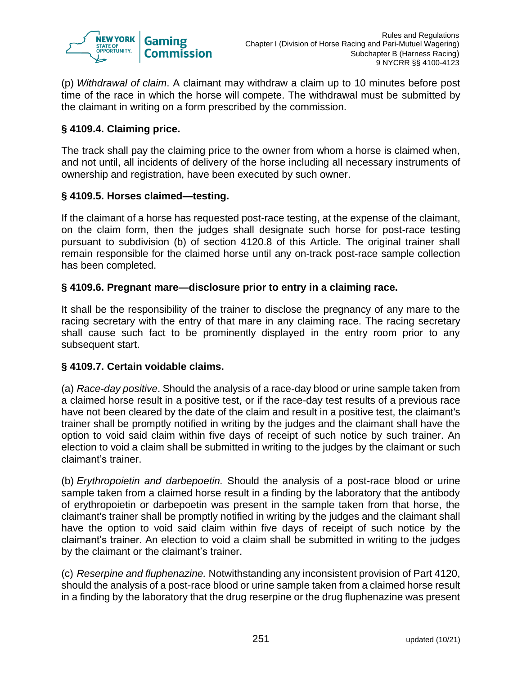

(p) *Withdrawal of claim*. A claimant may withdraw a claim up to 10 minutes before post time of the race in which the horse will compete. The withdrawal must be submitted by the claimant in writing on a form prescribed by the commission.

# **§ 4109.4. Claiming price.**

The track shall pay the claiming price to the owner from whom a horse is claimed when, and not until, all incidents of delivery of the horse including all necessary instruments of ownership and registration, have been executed by such owner.

# **§ 4109.5. Horses claimed—testing.**

If the claimant of a horse has requested post-race testing, at the expense of the claimant, on the claim form, then the judges shall designate such horse for post-race testing pursuant to subdivision (b) of section 4120.8 of this Article. The original trainer shall remain responsible for the claimed horse until any on-track post-race sample collection has been completed.

## **§ 4109.6. Pregnant mare—disclosure prior to entry in a claiming race.**

It shall be the responsibility of the trainer to disclose the pregnancy of any mare to the racing secretary with the entry of that mare in any claiming race. The racing secretary shall cause such fact to be prominently displayed in the entry room prior to any subsequent start.

## **§ 4109.7. Certain voidable claims.**

(a) *Race-day positive*. Should the analysis of a race-day blood or urine sample taken from a claimed horse result in a positive test, or if the race-day test results of a previous race have not been cleared by the date of the claim and result in a positive test, the claimant's trainer shall be promptly notified in writing by the judges and the claimant shall have the option to void said claim within five days of receipt of such notice by such trainer. An election to void a claim shall be submitted in writing to the judges by the claimant or such claimant's trainer.

(b) *Erythropoietin and darbepoetin.* Should the analysis of a post-race blood or urine sample taken from a claimed horse result in a finding by the laboratory that the antibody of erythropoietin or darbepoetin was present in the sample taken from that horse, the claimant's trainer shall be promptly notified in writing by the judges and the claimant shall have the option to void said claim within five days of receipt of such notice by the claimant's trainer. An election to void a claim shall be submitted in writing to the judges by the claimant or the claimant's trainer.

(c) *Reserpine and fluphenazine.* Notwithstanding any inconsistent provision of Part 4120, should the analysis of a post-race blood or urine sample taken from a claimed horse result in a finding by the laboratory that the drug reserpine or the drug fluphenazine was present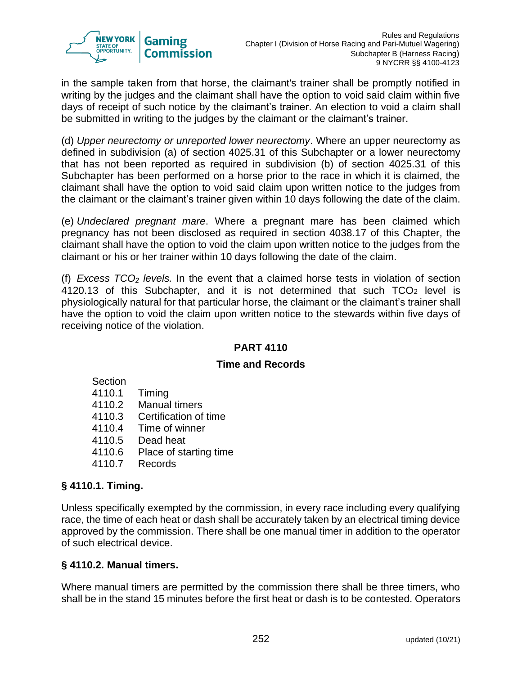

in the sample taken from that horse, the claimant's trainer shall be promptly notified in writing by the judges and the claimant shall have the option to void said claim within five days of receipt of such notice by the claimant's trainer. An election to void a claim shall be submitted in writing to the judges by the claimant or the claimant's trainer.

(d) *Upper neurectomy or unreported lower neurectomy*. Where an upper neurectomy as defined in subdivision (a) of section 4025.31 of this Subchapter or a lower neurectomy that has not been reported as required in subdivision (b) of section 4025.31 of this Subchapter has been performed on a horse prior to the race in which it is claimed, the claimant shall have the option to void said claim upon written notice to the judges from the claimant or the claimant's trainer given within 10 days following the date of the claim.

(e) *Undeclared pregnant mare*. Where a pregnant mare has been claimed which pregnancy has not been disclosed as required in section 4038.17 of this Chapter, the claimant shall have the option to void the claim upon written notice to the judges from the claimant or his or her trainer within 10 days following the date of the claim.

(f) *Excess TCO<sup>2</sup> levels.* In the event that a claimed horse tests in violation of section 4120.13 of this Subchapter, and it is not determined that such  $TCO<sub>2</sub>$  level is physiologically natural for that particular horse, the claimant or the claimant's trainer shall have the option to void the claim upon written notice to the stewards within five days of receiving notice of the violation.

# **PART 4110**

## **Time and Records**

| Section |                        |
|---------|------------------------|
| 4110.1  | Timing                 |
| 4110.2  | <b>Manual timers</b>   |
| 4110.3  | Certification of time  |
| 4110.4  | Time of winner         |
| 4110.5  | Dead heat              |
| 4110.6  | Place of starting time |
|         |                        |

4110.7 Records

## **§ 4110.1. Timing.**

Unless specifically exempted by the commission, in every race including every qualifying race, the time of each heat or dash shall be accurately taken by an electrical timing device approved by the commission. There shall be one manual timer in addition to the operator of such electrical device.

## **§ 4110.2. Manual timers.**

Where manual timers are permitted by the commission there shall be three timers, who shall be in the stand 15 minutes before the first heat or dash is to be contested. Operators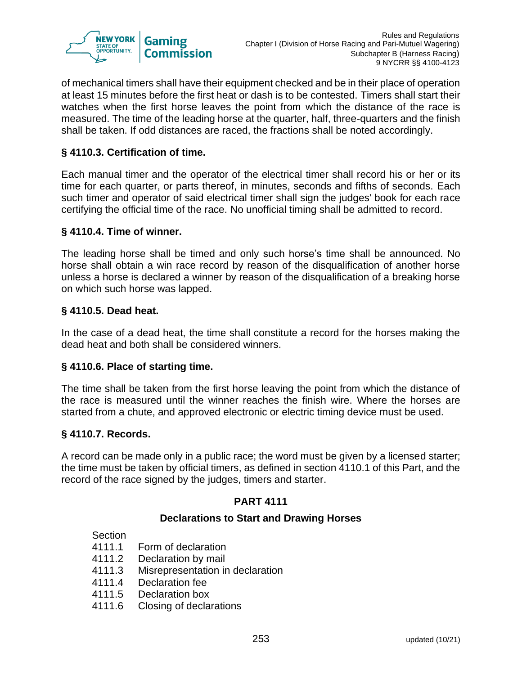

of mechanical timers shall have their equipment checked and be in their place of operation at least 15 minutes before the first heat or dash is to be contested. Timers shall start their watches when the first horse leaves the point from which the distance of the race is measured. The time of the leading horse at the quarter, half, three-quarters and the finish shall be taken. If odd distances are raced, the fractions shall be noted accordingly.

## **§ 4110.3. Certification of time.**

Each manual timer and the operator of the electrical timer shall record his or her or its time for each quarter, or parts thereof, in minutes, seconds and fifths of seconds. Each such timer and operator of said electrical timer shall sign the judges' book for each race certifying the official time of the race. No unofficial timing shall be admitted to record.

## **§ 4110.4. Time of winner.**

The leading horse shall be timed and only such horse's time shall be announced. No horse shall obtain a win race record by reason of the disqualification of another horse unless a horse is declared a winner by reason of the disqualification of a breaking horse on which such horse was lapped.

## **§ 4110.5. Dead heat.**

In the case of a dead heat, the time shall constitute a record for the horses making the dead heat and both shall be considered winners.

## **§ 4110.6. Place of starting time.**

The time shall be taken from the first horse leaving the point from which the distance of the race is measured until the winner reaches the finish wire. Where the horses are started from a chute, and approved electronic or electric timing device must be used.

## **§ 4110.7. Records.**

A record can be made only in a public race; the word must be given by a licensed starter; the time must be taken by official timers, as defined in section 4110.1 of this Part, and the record of the race signed by the judges, timers and starter.

## **PART 4111**

## **Declarations to Start and Drawing Horses**

#### **Section**

- 4111.1 Form of declaration
- 4111.2 Declaration by mail
- 4111.3 Misrepresentation in declaration
- 4111.4 Declaration fee
- 4111.5 Declaration box
- 4111.6 Closing of declarations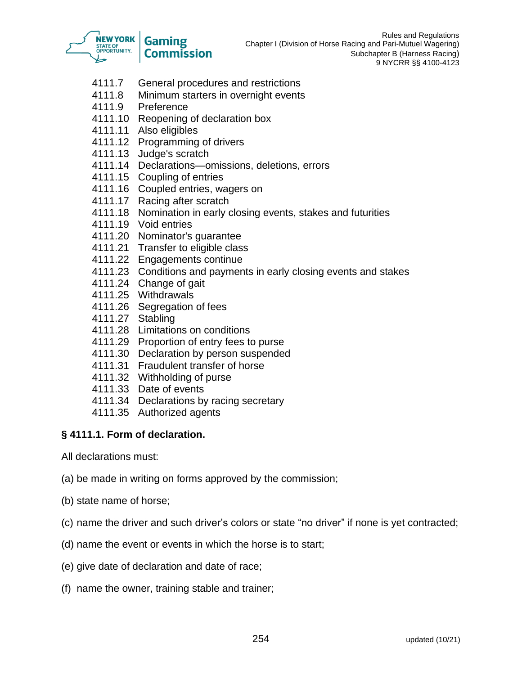

- 4111.7 General procedures and restrictions
- 4111.8 Minimum starters in overnight events
- 4111.9 Preference
- 4111.10 Reopening of declaration box
- 4111.11 Also eligibles
- 4111.12 Programming of drivers
- 4111.13 Judge's scratch
- 4111.14 Declarations—omissions, deletions, errors
- 4111.15 Coupling of entries
- 4111.16 Coupled entries, wagers on
- 4111.17 Racing after scratch
- 4111.18 Nomination in early closing events, stakes and futurities
- 4111.19 Void entries
- 4111.20 Nominator's guarantee
- 4111.21 Transfer to eligible class
- 4111.22 Engagements continue
- 4111.23 Conditions and payments in early closing events and stakes
- 4111.24 Change of gait
- 4111.25 Withdrawals
- 4111.26 Segregation of fees
- 4111.27 Stabling
- 4111.28 Limitations on conditions
- 4111.29 Proportion of entry fees to purse
- 4111.30 Declaration by person suspended
- 4111.31 Fraudulent transfer of horse
- 4111.32 Withholding of purse
- 4111.33 Date of events
- 4111.34 Declarations by racing secretary
- 4111.35 Authorized agents

## **§ 4111.1. Form of declaration.**

- All declarations must:
- (a) be made in writing on forms approved by the commission;
- (b) state name of horse;
- (c) name the driver and such driver's colors or state "no driver" if none is yet contracted;
- (d) name the event or events in which the horse is to start;
- (e) give date of declaration and date of race;
- (f) name the owner, training stable and trainer;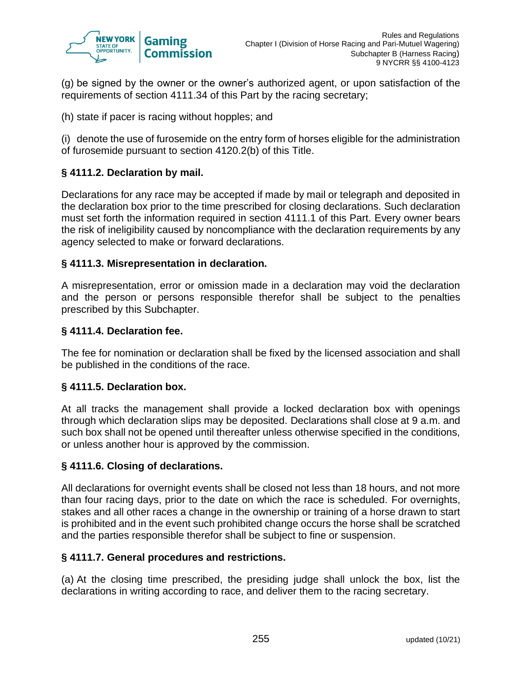

(g) be signed by the owner or the owner's authorized agent, or upon satisfaction of the requirements of section 4111.34 of this Part by the racing secretary;

(h) state if pacer is racing without hopples; and

(i) denote the use of furosemide on the entry form of horses eligible for the administration of furosemide pursuant to section 4120.2(b) of this Title.

# **§ 4111.2. Declaration by mail.**

Declarations for any race may be accepted if made by mail or telegraph and deposited in the declaration box prior to the time prescribed for closing declarations. Such declaration must set forth the information required in section 4111.1 of this Part. Every owner bears the risk of ineligibility caused by noncompliance with the declaration requirements by any agency selected to make or forward declarations.

## **§ 4111.3. Misrepresentation in declaration.**

A misrepresentation, error or omission made in a declaration may void the declaration and the person or persons responsible therefor shall be subject to the penalties prescribed by this Subchapter.

#### **§ 4111.4. Declaration fee.**

The fee for nomination or declaration shall be fixed by the licensed association and shall be published in the conditions of the race.

#### **§ 4111.5. Declaration box.**

At all tracks the management shall provide a locked declaration box with openings through which declaration slips may be deposited. Declarations shall close at 9 a.m. and such box shall not be opened until thereafter unless otherwise specified in the conditions, or unless another hour is approved by the commission.

#### **§ 4111.6. Closing of declarations.**

All declarations for overnight events shall be closed not less than 18 hours, and not more than four racing days, prior to the date on which the race is scheduled. For overnights, stakes and all other races a change in the ownership or training of a horse drawn to start is prohibited and in the event such prohibited change occurs the horse shall be scratched and the parties responsible therefor shall be subject to fine or suspension.

#### **§ 4111.7. General procedures and restrictions.**

(a) At the closing time prescribed, the presiding judge shall unlock the box, list the declarations in writing according to race, and deliver them to the racing secretary.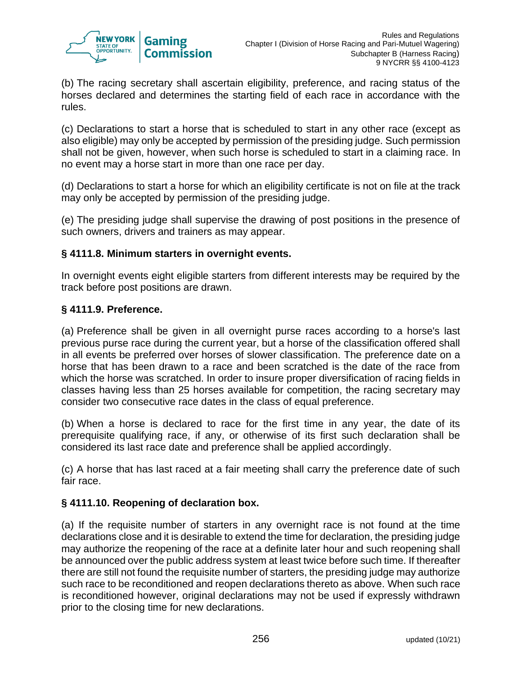

(b) The racing secretary shall ascertain eligibility, preference, and racing status of the horses declared and determines the starting field of each race in accordance with the rules.

(c) Declarations to start a horse that is scheduled to start in any other race (except as also eligible) may only be accepted by permission of the presiding judge. Such permission shall not be given, however, when such horse is scheduled to start in a claiming race. In no event may a horse start in more than one race per day.

(d) Declarations to start a horse for which an eligibility certificate is not on file at the track may only be accepted by permission of the presiding judge.

(e) The presiding judge shall supervise the drawing of post positions in the presence of such owners, drivers and trainers as may appear.

# **§ 4111.8. Minimum starters in overnight events.**

In overnight events eight eligible starters from different interests may be required by the track before post positions are drawn.

# **§ 4111.9. Preference.**

(a) Preference shall be given in all overnight purse races according to a horse's last previous purse race during the current year, but a horse of the classification offered shall in all events be preferred over horses of slower classification. The preference date on a horse that has been drawn to a race and been scratched is the date of the race from which the horse was scratched. In order to insure proper diversification of racing fields in classes having less than 25 horses available for competition, the racing secretary may consider two consecutive race dates in the class of equal preference.

(b) When a horse is declared to race for the first time in any year, the date of its prerequisite qualifying race, if any, or otherwise of its first such declaration shall be considered its last race date and preference shall be applied accordingly.

(c) A horse that has last raced at a fair meeting shall carry the preference date of such fair race.

## **§ 4111.10. Reopening of declaration box.**

(a) If the requisite number of starters in any overnight race is not found at the time declarations close and it is desirable to extend the time for declaration, the presiding judge may authorize the reopening of the race at a definite later hour and such reopening shall be announced over the public address system at least twice before such time. If thereafter there are still not found the requisite number of starters, the presiding judge may authorize such race to be reconditioned and reopen declarations thereto as above. When such race is reconditioned however, original declarations may not be used if expressly withdrawn prior to the closing time for new declarations.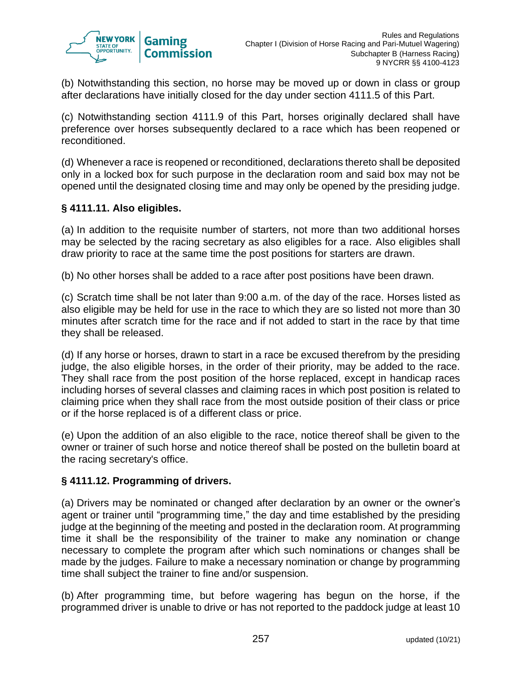

(b) Notwithstanding this section, no horse may be moved up or down in class or group after declarations have initially closed for the day under section 4111.5 of this Part.

(c) Notwithstanding section 4111.9 of this Part, horses originally declared shall have preference over horses subsequently declared to a race which has been reopened or reconditioned.

(d) Whenever a race is reopened or reconditioned, declarations thereto shall be deposited only in a locked box for such purpose in the declaration room and said box may not be opened until the designated closing time and may only be opened by the presiding judge.

# **§ 4111.11. Also eligibles.**

(a) In addition to the requisite number of starters, not more than two additional horses may be selected by the racing secretary as also eligibles for a race. Also eligibles shall draw priority to race at the same time the post positions for starters are drawn.

(b) No other horses shall be added to a race after post positions have been drawn.

(c) Scratch time shall be not later than 9:00 a.m. of the day of the race. Horses listed as also eligible may be held for use in the race to which they are so listed not more than 30 minutes after scratch time for the race and if not added to start in the race by that time they shall be released.

(d) If any horse or horses, drawn to start in a race be excused therefrom by the presiding judge, the also eligible horses, in the order of their priority, may be added to the race. They shall race from the post position of the horse replaced, except in handicap races including horses of several classes and claiming races in which post position is related to claiming price when they shall race from the most outside position of their class or price or if the horse replaced is of a different class or price.

(e) Upon the addition of an also eligible to the race, notice thereof shall be given to the owner or trainer of such horse and notice thereof shall be posted on the bulletin board at the racing secretary's office.

## **§ 4111.12. Programming of drivers.**

(a) Drivers may be nominated or changed after declaration by an owner or the owner's agent or trainer until "programming time," the day and time established by the presiding judge at the beginning of the meeting and posted in the declaration room. At programming time it shall be the responsibility of the trainer to make any nomination or change necessary to complete the program after which such nominations or changes shall be made by the judges. Failure to make a necessary nomination or change by programming time shall subject the trainer to fine and/or suspension.

(b) After programming time, but before wagering has begun on the horse, if the programmed driver is unable to drive or has not reported to the paddock judge at least 10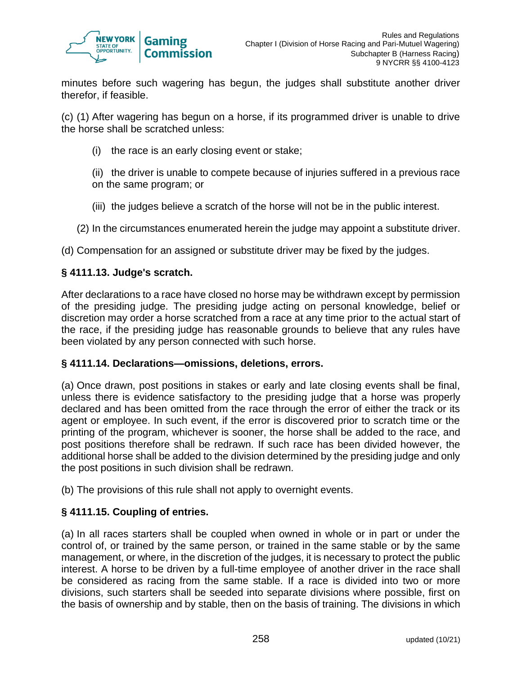

minutes before such wagering has begun, the judges shall substitute another driver therefor, if feasible.

(c) (1) After wagering has begun on a horse, if its programmed driver is unable to drive the horse shall be scratched unless:

- (i) the race is an early closing event or stake;
- (ii) the driver is unable to compete because of injuries suffered in a previous race on the same program; or
- (iii) the judges believe a scratch of the horse will not be in the public interest.
- (2) In the circumstances enumerated herein the judge may appoint a substitute driver.

(d) Compensation for an assigned or substitute driver may be fixed by the judges.

#### **§ 4111.13. Judge's scratch.**

After declarations to a race have closed no horse may be withdrawn except by permission of the presiding judge. The presiding judge acting on personal knowledge, belief or discretion may order a horse scratched from a race at any time prior to the actual start of the race, if the presiding judge has reasonable grounds to believe that any rules have been violated by any person connected with such horse.

#### **§ 4111.14. Declarations—omissions, deletions, errors.**

(a) Once drawn, post positions in stakes or early and late closing events shall be final, unless there is evidence satisfactory to the presiding judge that a horse was properly declared and has been omitted from the race through the error of either the track or its agent or employee. In such event, if the error is discovered prior to scratch time or the printing of the program, whichever is sooner, the horse shall be added to the race, and post positions therefore shall be redrawn. If such race has been divided however, the additional horse shall be added to the division determined by the presiding judge and only the post positions in such division shall be redrawn.

(b) The provisions of this rule shall not apply to overnight events.

## **§ 4111.15. Coupling of entries.**

(a) In all races starters shall be coupled when owned in whole or in part or under the control of, or trained by the same person, or trained in the same stable or by the same management, or where, in the discretion of the judges, it is necessary to protect the public interest. A horse to be driven by a full-time employee of another driver in the race shall be considered as racing from the same stable. If a race is divided into two or more divisions, such starters shall be seeded into separate divisions where possible, first on the basis of ownership and by stable, then on the basis of training. The divisions in which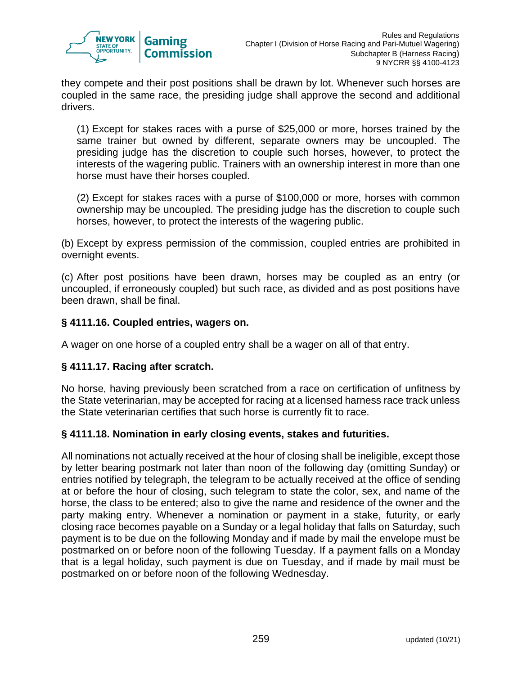

they compete and their post positions shall be drawn by lot. Whenever such horses are coupled in the same race, the presiding judge shall approve the second and additional drivers.

(1) Except for stakes races with a purse of \$25,000 or more, horses trained by the same trainer but owned by different, separate owners may be uncoupled. The presiding judge has the discretion to couple such horses, however, to protect the interests of the wagering public. Trainers with an ownership interest in more than one horse must have their horses coupled.

(2) Except for stakes races with a purse of \$100,000 or more, horses with common ownership may be uncoupled. The presiding judge has the discretion to couple such horses, however, to protect the interests of the wagering public.

(b) Except by express permission of the commission, coupled entries are prohibited in overnight events.

(c) After post positions have been drawn, horses may be coupled as an entry (or uncoupled, if erroneously coupled) but such race, as divided and as post positions have been drawn, shall be final.

# **§ 4111.16. Coupled entries, wagers on.**

A wager on one horse of a coupled entry shall be a wager on all of that entry.

## **§ 4111.17. Racing after scratch.**

No horse, having previously been scratched from a race on certification of unfitness by the State veterinarian, may be accepted for racing at a licensed harness race track unless the State veterinarian certifies that such horse is currently fit to race.

## **§ 4111.18. Nomination in early closing events, stakes and futurities.**

All nominations not actually received at the hour of closing shall be ineligible, except those by letter bearing postmark not later than noon of the following day (omitting Sunday) or entries notified by telegraph, the telegram to be actually received at the office of sending at or before the hour of closing, such telegram to state the color, sex, and name of the horse, the class to be entered; also to give the name and residence of the owner and the party making entry. Whenever a nomination or payment in a stake, futurity, or early closing race becomes payable on a Sunday or a legal holiday that falls on Saturday, such payment is to be due on the following Monday and if made by mail the envelope must be postmarked on or before noon of the following Tuesday. If a payment falls on a Monday that is a legal holiday, such payment is due on Tuesday, and if made by mail must be postmarked on or before noon of the following Wednesday.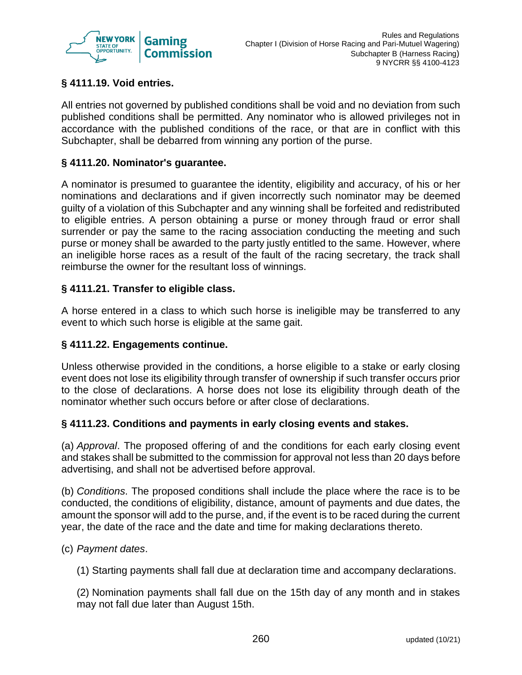

# **§ 4111.19. Void entries.**

All entries not governed by published conditions shall be void and no deviation from such published conditions shall be permitted. Any nominator who is allowed privileges not in accordance with the published conditions of the race, or that are in conflict with this Subchapter, shall be debarred from winning any portion of the purse.

#### **§ 4111.20. Nominator's guarantee.**

A nominator is presumed to guarantee the identity, eligibility and accuracy, of his or her nominations and declarations and if given incorrectly such nominator may be deemed guilty of a violation of this Subchapter and any winning shall be forfeited and redistributed to eligible entries. A person obtaining a purse or money through fraud or error shall surrender or pay the same to the racing association conducting the meeting and such purse or money shall be awarded to the party justly entitled to the same. However, where an ineligible horse races as a result of the fault of the racing secretary, the track shall reimburse the owner for the resultant loss of winnings.

#### **§ 4111.21. Transfer to eligible class.**

A horse entered in a class to which such horse is ineligible may be transferred to any event to which such horse is eligible at the same gait.

#### **§ 4111.22. Engagements continue.**

Unless otherwise provided in the conditions, a horse eligible to a stake or early closing event does not lose its eligibility through transfer of ownership if such transfer occurs prior to the close of declarations. A horse does not lose its eligibility through death of the nominator whether such occurs before or after close of declarations.

#### **§ 4111.23. Conditions and payments in early closing events and stakes.**

(a) *Approval*. The proposed offering of and the conditions for each early closing event and stakes shall be submitted to the commission for approval not less than 20 days before advertising, and shall not be advertised before approval.

(b) *Conditions*. The proposed conditions shall include the place where the race is to be conducted, the conditions of eligibility, distance, amount of payments and due dates, the amount the sponsor will add to the purse, and, if the event is to be raced during the current year, the date of the race and the date and time for making declarations thereto.

#### (c) *Payment dates*.

(1) Starting payments shall fall due at declaration time and accompany declarations.

(2) Nomination payments shall fall due on the 15th day of any month and in stakes may not fall due later than August 15th.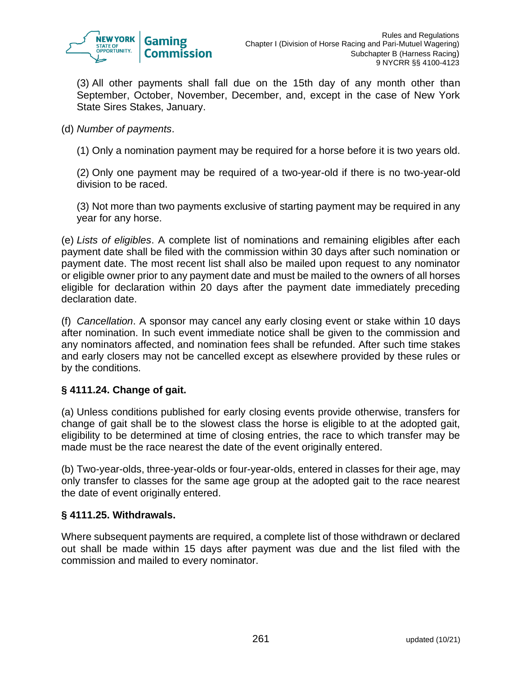

(3) All other payments shall fall due on the 15th day of any month other than September, October, November, December, and, except in the case of New York State Sires Stakes, January.

## (d) *Number of payments*.

(1) Only a nomination payment may be required for a horse before it is two years old.

(2) Only one payment may be required of a two-year-old if there is no two-year-old division to be raced.

(3) Not more than two payments exclusive of starting payment may be required in any year for any horse.

(e) *Lists of eligibles*. A complete list of nominations and remaining eligibles after each payment date shall be filed with the commission within 30 days after such nomination or payment date. The most recent list shall also be mailed upon request to any nominator or eligible owner prior to any payment date and must be mailed to the owners of all horses eligible for declaration within 20 days after the payment date immediately preceding declaration date.

(f) *Cancellation*. A sponsor may cancel any early closing event or stake within 10 days after nomination. In such event immediate notice shall be given to the commission and any nominators affected, and nomination fees shall be refunded. After such time stakes and early closers may not be cancelled except as elsewhere provided by these rules or by the conditions.

## **§ 4111.24. Change of gait.**

(a) Unless conditions published for early closing events provide otherwise, transfers for change of gait shall be to the slowest class the horse is eligible to at the adopted gait, eligibility to be determined at time of closing entries, the race to which transfer may be made must be the race nearest the date of the event originally entered.

(b) Two-year-olds, three-year-olds or four-year-olds, entered in classes for their age, may only transfer to classes for the same age group at the adopted gait to the race nearest the date of event originally entered.

## **§ 4111.25. Withdrawals.**

Where subsequent payments are required, a complete list of those withdrawn or declared out shall be made within 15 days after payment was due and the list filed with the commission and mailed to every nominator.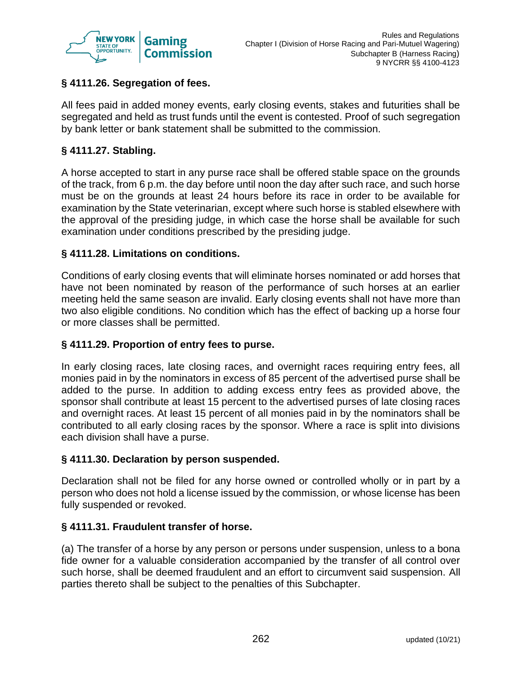

# **§ 4111.26. Segregation of fees.**

All fees paid in added money events, early closing events, stakes and futurities shall be segregated and held as trust funds until the event is contested. Proof of such segregation by bank letter or bank statement shall be submitted to the commission.

# **§ 4111.27. Stabling.**

A horse accepted to start in any purse race shall be offered stable space on the grounds of the track, from 6 p.m. the day before until noon the day after such race, and such horse must be on the grounds at least 24 hours before its race in order to be available for examination by the State veterinarian, except where such horse is stabled elsewhere with the approval of the presiding judge, in which case the horse shall be available for such examination under conditions prescribed by the presiding judge.

# **§ 4111.28. Limitations on conditions.**

Conditions of early closing events that will eliminate horses nominated or add horses that have not been nominated by reason of the performance of such horses at an earlier meeting held the same season are invalid. Early closing events shall not have more than two also eligible conditions. No condition which has the effect of backing up a horse four or more classes shall be permitted.

## **§ 4111.29. Proportion of entry fees to purse.**

In early closing races, late closing races, and overnight races requiring entry fees, all monies paid in by the nominators in excess of 85 percent of the advertised purse shall be added to the purse. In addition to adding excess entry fees as provided above, the sponsor shall contribute at least 15 percent to the advertised purses of late closing races and overnight races. At least 15 percent of all monies paid in by the nominators shall be contributed to all early closing races by the sponsor. Where a race is split into divisions each division shall have a purse.

## **§ 4111.30. Declaration by person suspended.**

Declaration shall not be filed for any horse owned or controlled wholly or in part by a person who does not hold a license issued by the commission, or whose license has been fully suspended or revoked.

## **§ 4111.31. Fraudulent transfer of horse.**

(a) The transfer of a horse by any person or persons under suspension, unless to a bona fide owner for a valuable consideration accompanied by the transfer of all control over such horse, shall be deemed fraudulent and an effort to circumvent said suspension. All parties thereto shall be subject to the penalties of this Subchapter.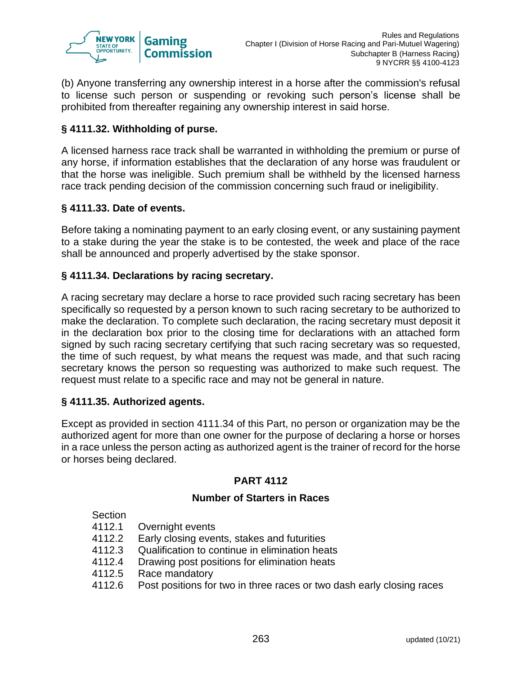

(b) Anyone transferring any ownership interest in a horse after the commission's refusal to license such person or suspending or revoking such person's license shall be prohibited from thereafter regaining any ownership interest in said horse.

# **§ 4111.32. Withholding of purse.**

A licensed harness race track shall be warranted in withholding the premium or purse of any horse, if information establishes that the declaration of any horse was fraudulent or that the horse was ineligible. Such premium shall be withheld by the licensed harness race track pending decision of the commission concerning such fraud or ineligibility.

## **§ 4111.33. Date of events.**

Before taking a nominating payment to an early closing event, or any sustaining payment to a stake during the year the stake is to be contested, the week and place of the race shall be announced and properly advertised by the stake sponsor.

## **§ 4111.34. Declarations by racing secretary.**

A racing secretary may declare a horse to race provided such racing secretary has been specifically so requested by a person known to such racing secretary to be authorized to make the declaration. To complete such declaration, the racing secretary must deposit it in the declaration box prior to the closing time for declarations with an attached form signed by such racing secretary certifying that such racing secretary was so requested, the time of such request, by what means the request was made, and that such racing secretary knows the person so requesting was authorized to make such request. The request must relate to a specific race and may not be general in nature.

#### **§ 4111.35. Authorized agents.**

Except as provided in section 4111.34 of this Part, no person or organization may be the authorized agent for more than one owner for the purpose of declaring a horse or horses in a race unless the person acting as authorized agent is the trainer of record for the horse or horses being declared.

## **PART 4112**

## **Number of Starters in Races**

Section

- 4112.1 Overnight events
- 4112.2 Early closing events, stakes and futurities
- 4112.3 Qualification to continue in elimination heats
- 4112.4 Drawing post positions for elimination heats
- 4112.5 Race mandatory
- 4112.6 Post positions for two in three races or two dash early closing races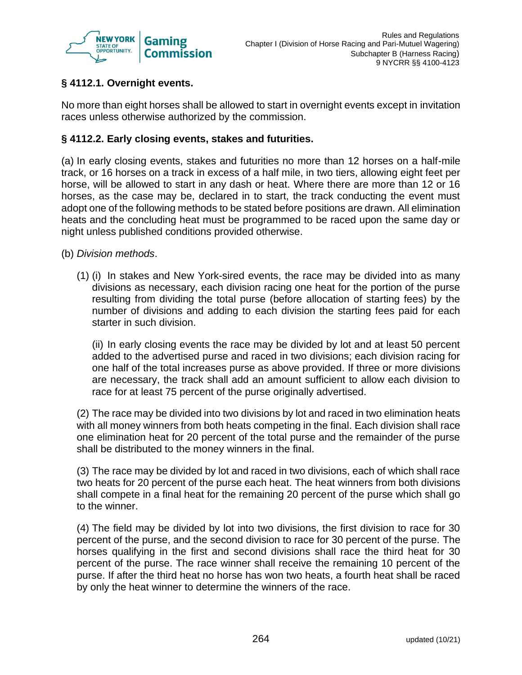

# **§ 4112.1. Overnight events.**

No more than eight horses shall be allowed to start in overnight events except in invitation races unless otherwise authorized by the commission.

## **§ 4112.2. Early closing events, stakes and futurities.**

(a) In early closing events, stakes and futurities no more than 12 horses on a half-mile track, or 16 horses on a track in excess of a half mile, in two tiers, allowing eight feet per horse, will be allowed to start in any dash or heat. Where there are more than 12 or 16 horses, as the case may be, declared in to start, the track conducting the event must adopt one of the following methods to be stated before positions are drawn. All elimination heats and the concluding heat must be programmed to be raced upon the same day or night unless published conditions provided otherwise.

- (b) *Division methods*.
	- (1) (i) In stakes and New York-sired events, the race may be divided into as many divisions as necessary, each division racing one heat for the portion of the purse resulting from dividing the total purse (before allocation of starting fees) by the number of divisions and adding to each division the starting fees paid for each starter in such division.

(ii) In early closing events the race may be divided by lot and at least 50 percent added to the advertised purse and raced in two divisions; each division racing for one half of the total increases purse as above provided. If three or more divisions are necessary, the track shall add an amount sufficient to allow each division to race for at least 75 percent of the purse originally advertised.

(2) The race may be divided into two divisions by lot and raced in two elimination heats with all money winners from both heats competing in the final. Each division shall race one elimination heat for 20 percent of the total purse and the remainder of the purse shall be distributed to the money winners in the final.

(3) The race may be divided by lot and raced in two divisions, each of which shall race two heats for 20 percent of the purse each heat. The heat winners from both divisions shall compete in a final heat for the remaining 20 percent of the purse which shall go to the winner.

(4) The field may be divided by lot into two divisions, the first division to race for 30 percent of the purse, and the second division to race for 30 percent of the purse. The horses qualifying in the first and second divisions shall race the third heat for 30 percent of the purse. The race winner shall receive the remaining 10 percent of the purse. If after the third heat no horse has won two heats, a fourth heat shall be raced by only the heat winner to determine the winners of the race.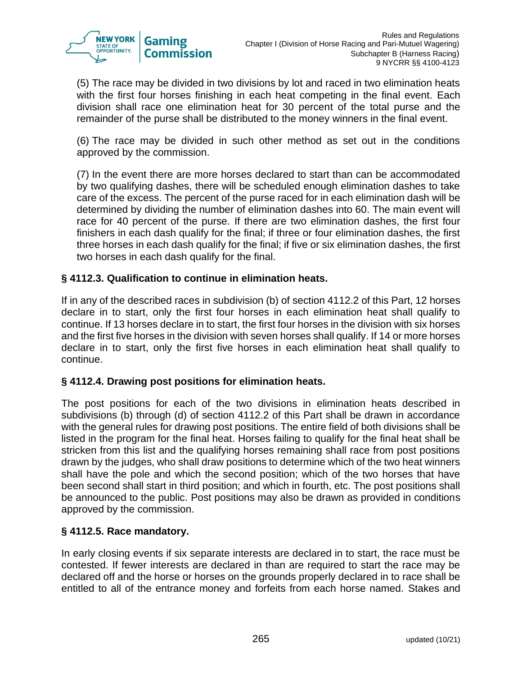

(5) The race may be divided in two divisions by lot and raced in two elimination heats with the first four horses finishing in each heat competing in the final event. Each division shall race one elimination heat for 30 percent of the total purse and the remainder of the purse shall be distributed to the money winners in the final event.

(6) The race may be divided in such other method as set out in the conditions approved by the commission.

(7) In the event there are more horses declared to start than can be accommodated by two qualifying dashes, there will be scheduled enough elimination dashes to take care of the excess. The percent of the purse raced for in each elimination dash will be determined by dividing the number of elimination dashes into 60. The main event will race for 40 percent of the purse. If there are two elimination dashes, the first four finishers in each dash qualify for the final; if three or four elimination dashes, the first three horses in each dash qualify for the final; if five or six elimination dashes, the first two horses in each dash qualify for the final.

# **§ 4112.3. Qualification to continue in elimination heats.**

If in any of the described races in subdivision (b) of section 4112.2 of this Part, 12 horses declare in to start, only the first four horses in each elimination heat shall qualify to continue. If 13 horses declare in to start, the first four horses in the division with six horses and the first five horses in the division with seven horses shall qualify. If 14 or more horses declare in to start, only the first five horses in each elimination heat shall qualify to continue.

## **§ 4112.4. Drawing post positions for elimination heats.**

The post positions for each of the two divisions in elimination heats described in subdivisions (b) through (d) of section 4112.2 of this Part shall be drawn in accordance with the general rules for drawing post positions. The entire field of both divisions shall be listed in the program for the final heat. Horses failing to qualify for the final heat shall be stricken from this list and the qualifying horses remaining shall race from post positions drawn by the judges, who shall draw positions to determine which of the two heat winners shall have the pole and which the second position; which of the two horses that have been second shall start in third position; and which in fourth, etc. The post positions shall be announced to the public. Post positions may also be drawn as provided in conditions approved by the commission.

## **§ 4112.5. Race mandatory.**

In early closing events if six separate interests are declared in to start, the race must be contested. If fewer interests are declared in than are required to start the race may be declared off and the horse or horses on the grounds properly declared in to race shall be entitled to all of the entrance money and forfeits from each horse named. Stakes and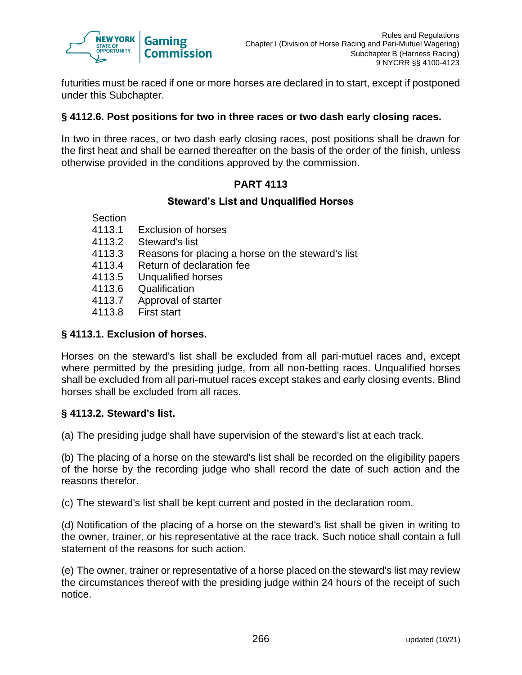

futurities must be raced if one or more horses are declared in to start, except if postponed under this Subchapter.

#### **§ 4112.6. Post positions for two in three races or two dash early closing races.**

In two in three races, or two dash early closing races, post positions shall be drawn for the first heat and shall be earned thereafter on the basis of the order of the finish, unless otherwise provided in the conditions approved by the commission.

# **PART 4113**

#### **Steward's List and Unqualified Horses**

- Section
- 4113.1 Exclusion of horses
- 4113.2 Steward's list
- 4113.3 Reasons for placing a horse on the steward's list
- 4113.4 Return of declaration fee
- 4113.5 Unqualified horses
- 4113.6 Qualification
- 4113.7 Approval of starter
- 4113.8 First start

## **§ 4113.1. Exclusion of horses.**

Horses on the steward's list shall be excluded from all pari-mutuel races and, except where permitted by the presiding judge, from all non-betting races. Unqualified horses shall be excluded from all pari-mutuel races except stakes and early closing events. Blind horses shall be excluded from all races.

## **§ 4113.2. Steward's list.**

(a) The presiding judge shall have supervision of the steward's list at each track.

(b) The placing of a horse on the steward's list shall be recorded on the eligibility papers of the horse by the recording judge who shall record the date of such action and the reasons therefor.

(c) The steward's list shall be kept current and posted in the declaration room.

(d) Notification of the placing of a horse on the steward's list shall be given in writing to the owner, trainer, or his representative at the race track. Such notice shall contain a full statement of the reasons for such action.

(e) The owner, trainer or representative of a horse placed on the steward's list may review the circumstances thereof with the presiding judge within 24 hours of the receipt of such notice.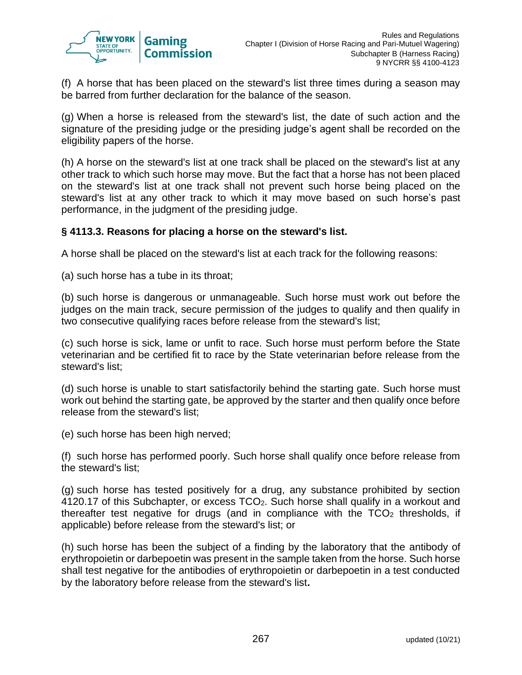

(f) A horse that has been placed on the steward's list three times during a season may be barred from further declaration for the balance of the season.

(g) When a horse is released from the steward's list, the date of such action and the signature of the presiding judge or the presiding judge's agent shall be recorded on the eligibility papers of the horse.

(h) A horse on the steward's list at one track shall be placed on the steward's list at any other track to which such horse may move. But the fact that a horse has not been placed on the steward's list at one track shall not prevent such horse being placed on the steward's list at any other track to which it may move based on such horse's past performance, in the judgment of the presiding judge.

#### **§ 4113.3. Reasons for placing a horse on the steward's list.**

A horse shall be placed on the steward's list at each track for the following reasons:

(a) such horse has a tube in its throat;

(b) such horse is dangerous or unmanageable. Such horse must work out before the judges on the main track, secure permission of the judges to qualify and then qualify in two consecutive qualifying races before release from the steward's list;

(c) such horse is sick, lame or unfit to race. Such horse must perform before the State veterinarian and be certified fit to race by the State veterinarian before release from the steward's list;

(d) such horse is unable to start satisfactorily behind the starting gate. Such horse must work out behind the starting gate, be approved by the starter and then qualify once before release from the steward's list;

(e) such horse has been high nerved;

(f) such horse has performed poorly. Such horse shall qualify once before release from the steward's list;

(g) such horse has tested positively for a drug, any substance prohibited by section 4120.17 of this Subchapter, or excess TCO2. Such horse shall qualify in a workout and thereafter test negative for drugs (and in compliance with the  $TCO<sub>2</sub>$  thresholds, if applicable) before release from the steward's list; or

(h) such horse has been the subject of a finding by the laboratory that the antibody of erythropoietin or darbepoetin was present in the sample taken from the horse. Such horse shall test negative for the antibodies of erythropoietin or darbepoetin in a test conducted by the laboratory before release from the steward's list**.**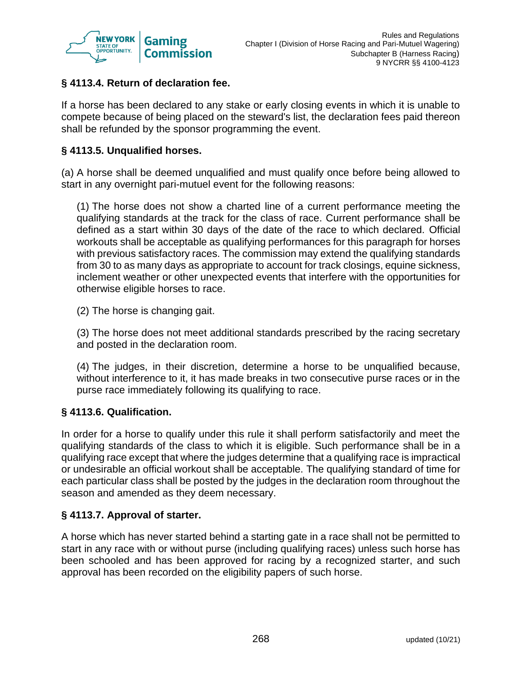

# **§ 4113.4. Return of declaration fee.**

If a horse has been declared to any stake or early closing events in which it is unable to compete because of being placed on the steward's list, the declaration fees paid thereon shall be refunded by the sponsor programming the event.

#### **§ 4113.5. Unqualified horses.**

(a) A horse shall be deemed unqualified and must qualify once before being allowed to start in any overnight pari-mutuel event for the following reasons:

(1) The horse does not show a charted line of a current performance meeting the qualifying standards at the track for the class of race. Current performance shall be defined as a start within 30 days of the date of the race to which declared. Official workouts shall be acceptable as qualifying performances for this paragraph for horses with previous satisfactory races. The commission may extend the qualifying standards from 30 to as many days as appropriate to account for track closings, equine sickness, inclement weather or other unexpected events that interfere with the opportunities for otherwise eligible horses to race.

(2) The horse is changing gait.

(3) The horse does not meet additional standards prescribed by the racing secretary and posted in the declaration room.

(4) The judges, in their discretion, determine a horse to be unqualified because, without interference to it, it has made breaks in two consecutive purse races or in the purse race immediately following its qualifying to race.

## **§ 4113.6. Qualification.**

In order for a horse to qualify under this rule it shall perform satisfactorily and meet the qualifying standards of the class to which it is eligible. Such performance shall be in a qualifying race except that where the judges determine that a qualifying race is impractical or undesirable an official workout shall be acceptable. The qualifying standard of time for each particular class shall be posted by the judges in the declaration room throughout the season and amended as they deem necessary.

#### **§ 4113.7. Approval of starter.**

A horse which has never started behind a starting gate in a race shall not be permitted to start in any race with or without purse (including qualifying races) unless such horse has been schooled and has been approved for racing by a recognized starter, and such approval has been recorded on the eligibility papers of such horse.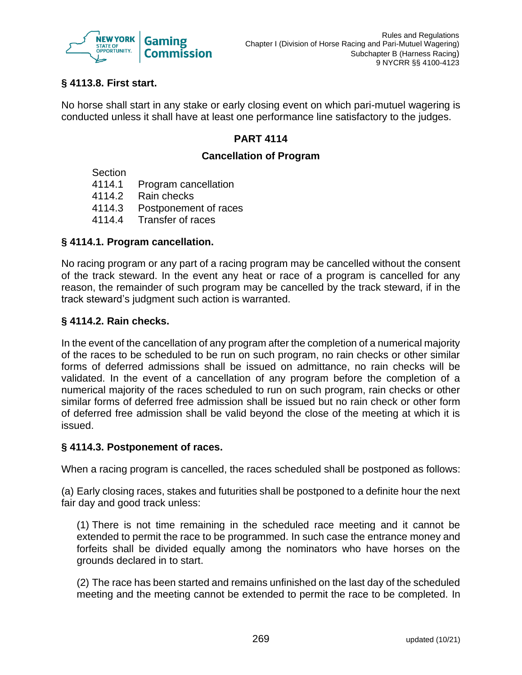

# **§ 4113.8. First start.**

No horse shall start in any stake or early closing event on which pari-mutuel wagering is conducted unless it shall have at least one performance line satisfactory to the judges.

# **PART 4114**

## **Cancellation of Program**

**Section** 

- 4114.1 Program cancellation
- 4114.2 Rain checks
- 4114.3 Postponement of races
- 4114.4 Transfer of races

# **§ 4114.1. Program cancellation.**

No racing program or any part of a racing program may be cancelled without the consent of the track steward. In the event any heat or race of a program is cancelled for any reason, the remainder of such program may be cancelled by the track steward, if in the track steward's judgment such action is warranted.

# **§ 4114.2. Rain checks.**

In the event of the cancellation of any program after the completion of a numerical majority of the races to be scheduled to be run on such program, no rain checks or other similar forms of deferred admissions shall be issued on admittance, no rain checks will be validated. In the event of a cancellation of any program before the completion of a numerical majority of the races scheduled to run on such program, rain checks or other similar forms of deferred free admission shall be issued but no rain check or other form of deferred free admission shall be valid beyond the close of the meeting at which it is issued.

## **§ 4114.3. Postponement of races.**

When a racing program is cancelled, the races scheduled shall be postponed as follows:

(a) Early closing races, stakes and futurities shall be postponed to a definite hour the next fair day and good track unless:

(1) There is not time remaining in the scheduled race meeting and it cannot be extended to permit the race to be programmed. In such case the entrance money and forfeits shall be divided equally among the nominators who have horses on the grounds declared in to start.

(2) The race has been started and remains unfinished on the last day of the scheduled meeting and the meeting cannot be extended to permit the race to be completed. In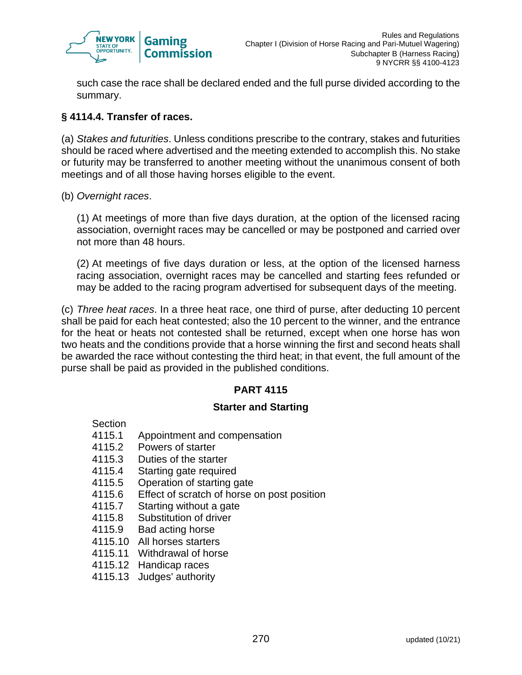

such case the race shall be declared ended and the full purse divided according to the summary.

# **§ 4114.4. Transfer of races.**

(a) *Stakes and futurities*. Unless conditions prescribe to the contrary, stakes and futurities should be raced where advertised and the meeting extended to accomplish this. No stake or futurity may be transferred to another meeting without the unanimous consent of both meetings and of all those having horses eligible to the event.

(b) *Overnight races*.

(1) At meetings of more than five days duration, at the option of the licensed racing association, overnight races may be cancelled or may be postponed and carried over not more than 48 hours.

(2) At meetings of five days duration or less, at the option of the licensed harness racing association, overnight races may be cancelled and starting fees refunded or may be added to the racing program advertised for subsequent days of the meeting.

(c) *Three heat races*. In a three heat race, one third of purse, after deducting 10 percent shall be paid for each heat contested; also the 10 percent to the winner, and the entrance for the heat or heats not contested shall be returned, except when one horse has won two heats and the conditions provide that a horse winning the first and second heats shall be awarded the race without contesting the third heat; in that event, the full amount of the purse shall be paid as provided in the published conditions.

# **PART 4115**

## **Starter and Starting**

- **Section**
- 4115.1 Appointment and compensation
- 4115.2 Powers of starter
- 4115.3 Duties of the starter
- 4115.4 Starting gate required
- 4115.5 Operation of starting gate
- 4115.6 Effect of scratch of horse on post position
- 4115.7 Starting without a gate
- 4115.8 Substitution of driver
- 4115.9 Bad acting horse
- 4115.10 All horses starters
- 4115.11 Withdrawal of horse
- 4115.12 Handicap races
- 4115.13 Judges' authority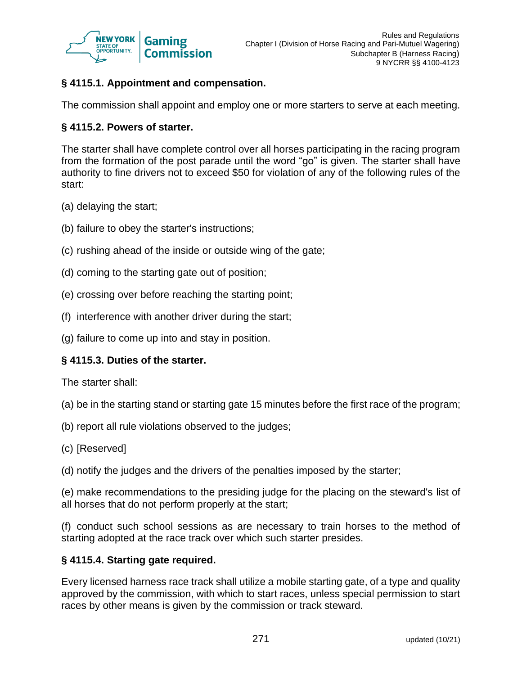

# **§ 4115.1. Appointment and compensation.**

The commission shall appoint and employ one or more starters to serve at each meeting.

#### **§ 4115.2. Powers of starter.**

The starter shall have complete control over all horses participating in the racing program from the formation of the post parade until the word "go" is given. The starter shall have authority to fine drivers not to exceed \$50 for violation of any of the following rules of the start:

- (a) delaying the start;
- (b) failure to obey the starter's instructions;
- (c) rushing ahead of the inside or outside wing of the gate;
- (d) coming to the starting gate out of position;
- (e) crossing over before reaching the starting point;
- (f) interference with another driver during the start;
- (g) failure to come up into and stay in position.

## **§ 4115.3. Duties of the starter.**

The starter shall:

- (a) be in the starting stand or starting gate 15 minutes before the first race of the program;
- (b) report all rule violations observed to the judges;
- (c) [Reserved]
- (d) notify the judges and the drivers of the penalties imposed by the starter;

(e) make recommendations to the presiding judge for the placing on the steward's list of all horses that do not perform properly at the start;

(f) conduct such school sessions as are necessary to train horses to the method of starting adopted at the race track over which such starter presides.

#### **§ 4115.4. Starting gate required.**

Every licensed harness race track shall utilize a mobile starting gate, of a type and quality approved by the commission, with which to start races, unless special permission to start races by other means is given by the commission or track steward.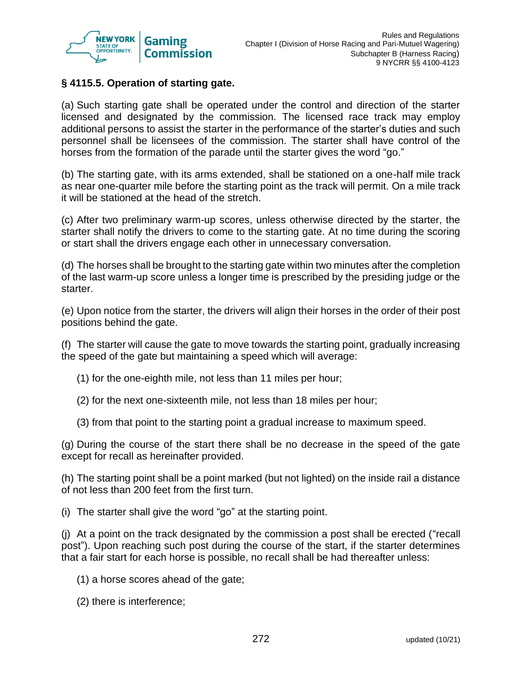

## **§ 4115.5. Operation of starting gate.**

(a) Such starting gate shall be operated under the control and direction of the starter licensed and designated by the commission. The licensed race track may employ additional persons to assist the starter in the performance of the starter's duties and such personnel shall be licensees of the commission. The starter shall have control of the horses from the formation of the parade until the starter gives the word "go."

(b) The starting gate, with its arms extended, shall be stationed on a one-half mile track as near one-quarter mile before the starting point as the track will permit. On a mile track it will be stationed at the head of the stretch.

(c) After two preliminary warm-up scores, unless otherwise directed by the starter, the starter shall notify the drivers to come to the starting gate. At no time during the scoring or start shall the drivers engage each other in unnecessary conversation.

(d) The horses shall be brought to the starting gate within two minutes after the completion of the last warm-up score unless a longer time is prescribed by the presiding judge or the starter.

(e) Upon notice from the starter, the drivers will align their horses in the order of their post positions behind the gate.

(f) The starter will cause the gate to move towards the starting point, gradually increasing the speed of the gate but maintaining a speed which will average:

- (1) for the one-eighth mile, not less than 11 miles per hour;
- (2) for the next one-sixteenth mile, not less than 18 miles per hour;
- (3) from that point to the starting point a gradual increase to maximum speed.

(g) During the course of the start there shall be no decrease in the speed of the gate except for recall as hereinafter provided.

(h) The starting point shall be a point marked (but not lighted) on the inside rail a distance of not less than 200 feet from the first turn.

(i) The starter shall give the word "go" at the starting point.

(j) At a point on the track designated by the commission a post shall be erected ("recall post"). Upon reaching such post during the course of the start, if the starter determines that a fair start for each horse is possible, no recall shall be had thereafter unless:

(1) a horse scores ahead of the gate;

(2) there is interference;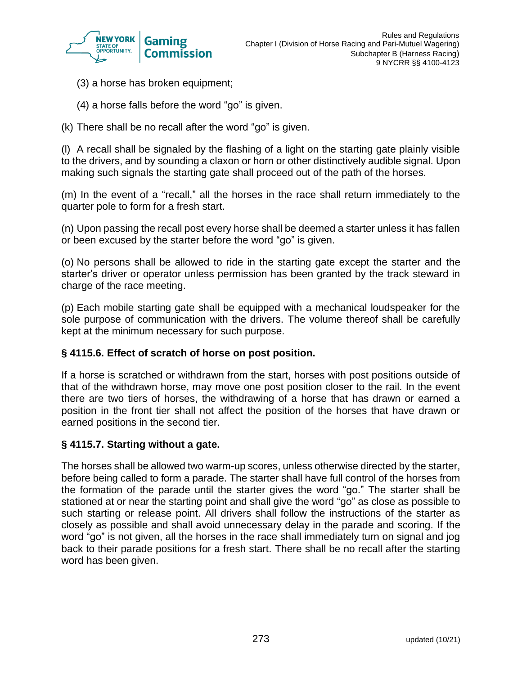

- (3) a horse has broken equipment;
- (4) a horse falls before the word "go" is given.
- (k) There shall be no recall after the word "go" is given.

(l) A recall shall be signaled by the flashing of a light on the starting gate plainly visible to the drivers, and by sounding a claxon or horn or other distinctively audible signal. Upon making such signals the starting gate shall proceed out of the path of the horses.

(m) In the event of a "recall," all the horses in the race shall return immediately to the quarter pole to form for a fresh start.

(n) Upon passing the recall post every horse shall be deemed a starter unless it has fallen or been excused by the starter before the word "go" is given.

(o) No persons shall be allowed to ride in the starting gate except the starter and the starter's driver or operator unless permission has been granted by the track steward in charge of the race meeting.

(p) Each mobile starting gate shall be equipped with a mechanical loudspeaker for the sole purpose of communication with the drivers. The volume thereof shall be carefully kept at the minimum necessary for such purpose.

### **§ 4115.6. Effect of scratch of horse on post position.**

If a horse is scratched or withdrawn from the start, horses with post positions outside of that of the withdrawn horse, may move one post position closer to the rail. In the event there are two tiers of horses, the withdrawing of a horse that has drawn or earned a position in the front tier shall not affect the position of the horses that have drawn or earned positions in the second tier.

#### **§ 4115.7. Starting without a gate.**

The horses shall be allowed two warm-up scores, unless otherwise directed by the starter, before being called to form a parade. The starter shall have full control of the horses from the formation of the parade until the starter gives the word "go." The starter shall be stationed at or near the starting point and shall give the word "go" as close as possible to such starting or release point. All drivers shall follow the instructions of the starter as closely as possible and shall avoid unnecessary delay in the parade and scoring. If the word "go" is not given, all the horses in the race shall immediately turn on signal and jog back to their parade positions for a fresh start. There shall be no recall after the starting word has been given.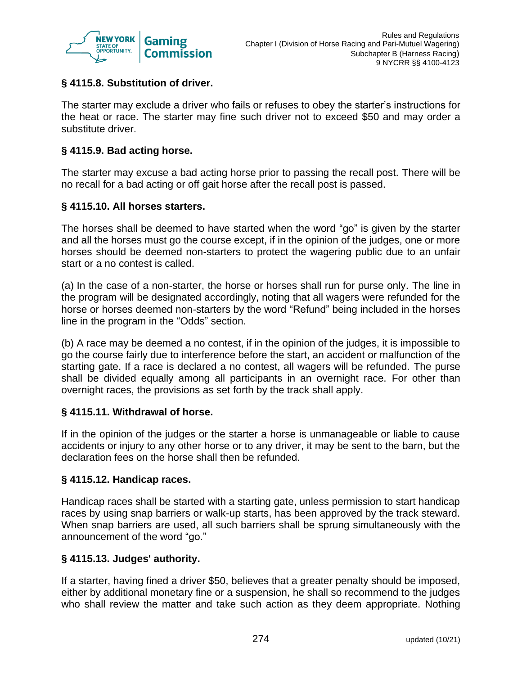

## **§ 4115.8. Substitution of driver.**

The starter may exclude a driver who fails or refuses to obey the starter's instructions for the heat or race. The starter may fine such driver not to exceed \$50 and may order a substitute driver.

### **§ 4115.9. Bad acting horse.**

The starter may excuse a bad acting horse prior to passing the recall post. There will be no recall for a bad acting or off gait horse after the recall post is passed.

### **§ 4115.10. All horses starters.**

The horses shall be deemed to have started when the word "go" is given by the starter and all the horses must go the course except, if in the opinion of the judges, one or more horses should be deemed non-starters to protect the wagering public due to an unfair start or a no contest is called.

(a) In the case of a non-starter, the horse or horses shall run for purse only. The line in the program will be designated accordingly, noting that all wagers were refunded for the horse or horses deemed non-starters by the word "Refund" being included in the horses line in the program in the "Odds" section.

(b) A race may be deemed a no contest, if in the opinion of the judges, it is impossible to go the course fairly due to interference before the start, an accident or malfunction of the starting gate. If a race is declared a no contest, all wagers will be refunded. The purse shall be divided equally among all participants in an overnight race. For other than overnight races, the provisions as set forth by the track shall apply.

#### **§ 4115.11. Withdrawal of horse.**

If in the opinion of the judges or the starter a horse is unmanageable or liable to cause accidents or injury to any other horse or to any driver, it may be sent to the barn, but the declaration fees on the horse shall then be refunded.

#### **§ 4115.12. Handicap races.**

Handicap races shall be started with a starting gate, unless permission to start handicap races by using snap barriers or walk-up starts, has been approved by the track steward. When snap barriers are used, all such barriers shall be sprung simultaneously with the announcement of the word "go."

### **§ 4115.13. Judges' authority.**

If a starter, having fined a driver \$50, believes that a greater penalty should be imposed, either by additional monetary fine or a suspension, he shall so recommend to the judges who shall review the matter and take such action as they deem appropriate. Nothing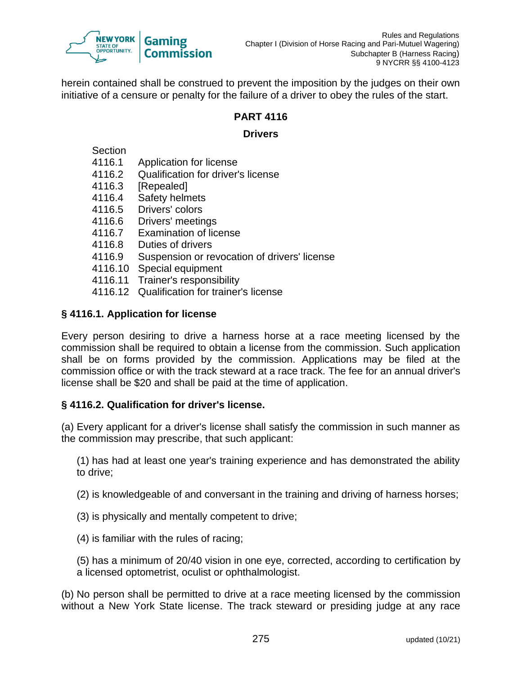

herein contained shall be construed to prevent the imposition by the judges on their own initiative of a censure or penalty for the failure of a driver to obey the rules of the start.

### **PART 4116**

### **Drivers**

**Section** 

- 4116.1 Application for license
- 4116.2 Qualification for driver's license
- 4116.3 [Repealed]
- 4116.4 Safety helmets
- 4116.5 Drivers' colors
- 4116.6 Drivers' meetings
- 4116.7 Examination of license
- 4116.8 Duties of drivers
- 4116.9 Suspension or revocation of drivers' license
- 4116.10 Special equipment
- 4116.11 Trainer's responsibility
- 4116.12 Qualification for trainer's license

# **§ 4116.1. Application for license**

Every person desiring to drive a harness horse at a race meeting licensed by the commission shall be required to obtain a license from the commission. Such application shall be on forms provided by the commission. Applications may be filed at the commission office or with the track steward at a race track. The fee for an annual driver's license shall be \$20 and shall be paid at the time of application.

# **§ 4116.2. Qualification for driver's license.**

(a) Every applicant for a driver's license shall satisfy the commission in such manner as the commission may prescribe, that such applicant:

(1) has had at least one year's training experience and has demonstrated the ability to drive;

(2) is knowledgeable of and conversant in the training and driving of harness horses;

- (3) is physically and mentally competent to drive;
- (4) is familiar with the rules of racing;

(5) has a minimum of 20/40 vision in one eye, corrected, according to certification by a licensed optometrist, oculist or ophthalmologist.

(b) No person shall be permitted to drive at a race meeting licensed by the commission without a New York State license. The track steward or presiding judge at any race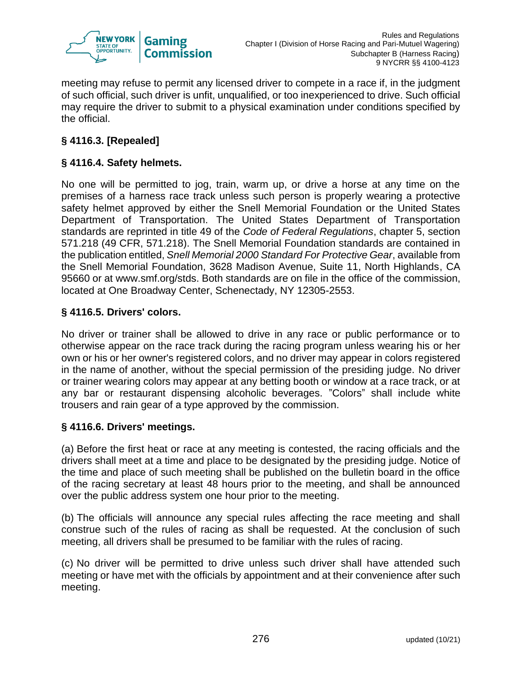

meeting may refuse to permit any licensed driver to compete in a race if, in the judgment of such official, such driver is unfit, unqualified, or too inexperienced to drive. Such official may require the driver to submit to a physical examination under conditions specified by the official.

# **§ 4116.3. [Repealed]**

## **§ 4116.4. Safety helmets.**

No one will be permitted to jog, train, warm up, or drive a horse at any time on the premises of a harness race track unless such person is properly wearing a protective safety helmet approved by either the Snell Memorial Foundation or the United States Department of Transportation. The United States Department of Transportation standards are reprinted in title 49 of the *Code of Federal Regulations*, chapter 5, section 571.218 (49 CFR, 571.218). The Snell Memorial Foundation standards are contained in the publication entitled, *Snell Memorial 2000 Standard For Protective Gear*, available from the Snell Memorial Foundation, 3628 Madison Avenue, Suite 11, North Highlands, CA 95660 or at www.smf.org/stds. Both standards are on file in the office of the commission, located at One Broadway Center, Schenectady, NY 12305-2553.

### **§ 4116.5. Drivers' colors.**

No driver or trainer shall be allowed to drive in any race or public performance or to otherwise appear on the race track during the racing program unless wearing his or her own or his or her owner's registered colors, and no driver may appear in colors registered in the name of another, without the special permission of the presiding judge. No driver or trainer wearing colors may appear at any betting booth or window at a race track, or at any bar or restaurant dispensing alcoholic beverages. "Colors" shall include white trousers and rain gear of a type approved by the commission.

### **§ 4116.6. Drivers' meetings.**

(a) Before the first heat or race at any meeting is contested, the racing officials and the drivers shall meet at a time and place to be designated by the presiding judge. Notice of the time and place of such meeting shall be published on the bulletin board in the office of the racing secretary at least 48 hours prior to the meeting, and shall be announced over the public address system one hour prior to the meeting.

(b) The officials will announce any special rules affecting the race meeting and shall construe such of the rules of racing as shall be requested. At the conclusion of such meeting, all drivers shall be presumed to be familiar with the rules of racing.

(c) No driver will be permitted to drive unless such driver shall have attended such meeting or have met with the officials by appointment and at their convenience after such meeting.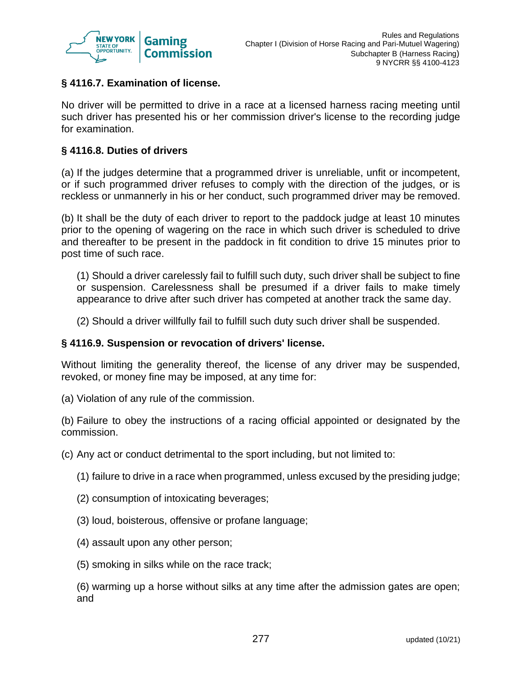

## **§ 4116.7. Examination of license.**

No driver will be permitted to drive in a race at a licensed harness racing meeting until such driver has presented his or her commission driver's license to the recording judge for examination.

#### **§ 4116.8. Duties of drivers**

(a) If the judges determine that a programmed driver is unreliable, unfit or incompetent, or if such programmed driver refuses to comply with the direction of the judges, or is reckless or unmannerly in his or her conduct, such programmed driver may be removed.

(b) It shall be the duty of each driver to report to the paddock judge at least 10 minutes prior to the opening of wagering on the race in which such driver is scheduled to drive and thereafter to be present in the paddock in fit condition to drive 15 minutes prior to post time of such race.

(1) Should a driver carelessly fail to fulfill such duty, such driver shall be subject to fine or suspension. Carelessness shall be presumed if a driver fails to make timely appearance to drive after such driver has competed at another track the same day.

(2) Should a driver willfully fail to fulfill such duty such driver shall be suspended.

#### **§ 4116.9. Suspension or revocation of drivers' license.**

Without limiting the generality thereof, the license of any driver may be suspended, revoked, or money fine may be imposed, at any time for:

(a) Violation of any rule of the commission.

(b) Failure to obey the instructions of a racing official appointed or designated by the commission.

(c) Any act or conduct detrimental to the sport including, but not limited to:

- (1) failure to drive in a race when programmed, unless excused by the presiding judge;
- (2) consumption of intoxicating beverages;
- (3) loud, boisterous, offensive or profane language;
- (4) assault upon any other person;
- (5) smoking in silks while on the race track;

(6) warming up a horse without silks at any time after the admission gates are open; and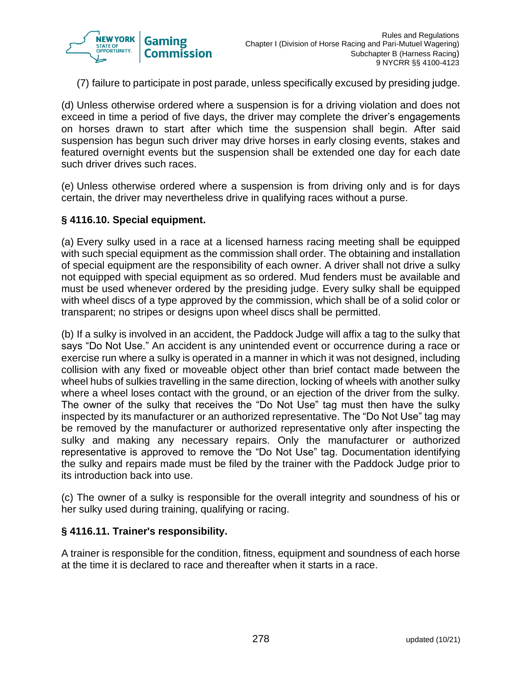

(7) failure to participate in post parade, unless specifically excused by presiding judge.

(d) Unless otherwise ordered where a suspension is for a driving violation and does not exceed in time a period of five days, the driver may complete the driver's engagements on horses drawn to start after which time the suspension shall begin. After said suspension has begun such driver may drive horses in early closing events, stakes and featured overnight events but the suspension shall be extended one day for each date such driver drives such races.

(e) Unless otherwise ordered where a suspension is from driving only and is for days certain, the driver may nevertheless drive in qualifying races without a purse.

#### **§ 4116.10. Special equipment.**

(a) Every sulky used in a race at a licensed harness racing meeting shall be equipped with such special equipment as the commission shall order. The obtaining and installation of special equipment are the responsibility of each owner. A driver shall not drive a sulky not equipped with special equipment as so ordered. Mud fenders must be available and must be used whenever ordered by the presiding judge. Every sulky shall be equipped with wheel discs of a type approved by the commission, which shall be of a solid color or transparent; no stripes or designs upon wheel discs shall be permitted.

(b) If a sulky is involved in an accident, the Paddock Judge will affix a tag to the sulky that says "Do Not Use." An accident is any unintended event or occurrence during a race or exercise run where a sulky is operated in a manner in which it was not designed, including collision with any fixed or moveable object other than brief contact made between the wheel hubs of sulkies travelling in the same direction, locking of wheels with another sulky where a wheel loses contact with the ground, or an ejection of the driver from the sulky. The owner of the sulky that receives the "Do Not Use" tag must then have the sulky inspected by its manufacturer or an authorized representative. The "Do Not Use" tag may be removed by the manufacturer or authorized representative only after inspecting the sulky and making any necessary repairs. Only the manufacturer or authorized representative is approved to remove the "Do Not Use" tag. Documentation identifying the sulky and repairs made must be filed by the trainer with the Paddock Judge prior to its introduction back into use.

(c) The owner of a sulky is responsible for the overall integrity and soundness of his or her sulky used during training, qualifying or racing.

#### **§ 4116.11. Trainer's responsibility.**

A trainer is responsible for the condition, fitness, equipment and soundness of each horse at the time it is declared to race and thereafter when it starts in a race.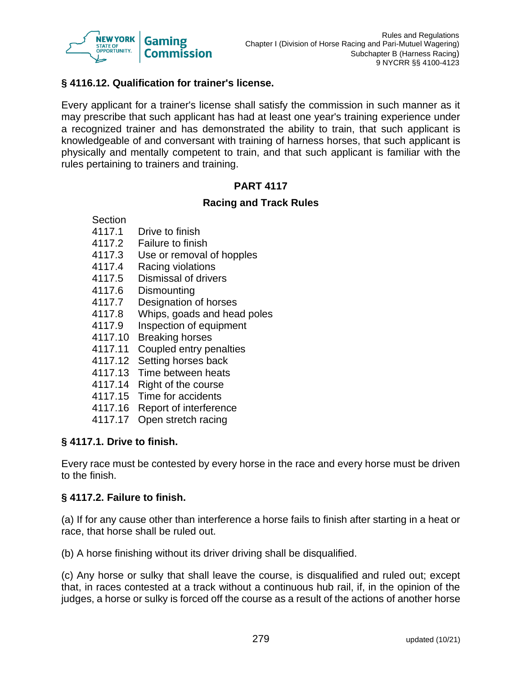

### **§ 4116.12. Qualification for trainer's license.**

Every applicant for a trainer's license shall satisfy the commission in such manner as it may prescribe that such applicant has had at least one year's training experience under a recognized trainer and has demonstrated the ability to train, that such applicant is knowledgeable of and conversant with training of harness horses, that such applicant is physically and mentally competent to train, and that such applicant is familiar with the rules pertaining to trainers and training.

# **PART 4117**

#### **Racing and Track Rules**

- 4117.1 Drive to finish
- 4117.2 Failure to finish
- 4117.3 Use or removal of hopples
- 4117.4 Racing violations
- 4117.5 Dismissal of drivers
- 4117.6 Dismounting
- 4117.7 Designation of horses
- 4117.8 Whips, goads and head poles
- 4117.9 Inspection of equipment
- 4117.10 Breaking horses
- 4117.11 Coupled entry penalties
- 4117.12 Setting horses back
- 4117.13 Time between heats
- 4117.14 Right of the course
- 4117.15 Time for accidents
- 4117.16 Report of interference
- 4117.17 Open stretch racing

### **§ 4117.1. Drive to finish.**

Every race must be contested by every horse in the race and every horse must be driven to the finish.

### **§ 4117.2. Failure to finish.**

(a) If for any cause other than interference a horse fails to finish after starting in a heat or race, that horse shall be ruled out.

(b) A horse finishing without its driver driving shall be disqualified.

(c) Any horse or sulky that shall leave the course, is disqualified and ruled out; except that, in races contested at a track without a continuous hub rail, if, in the opinion of the judges, a horse or sulky is forced off the course as a result of the actions of another horse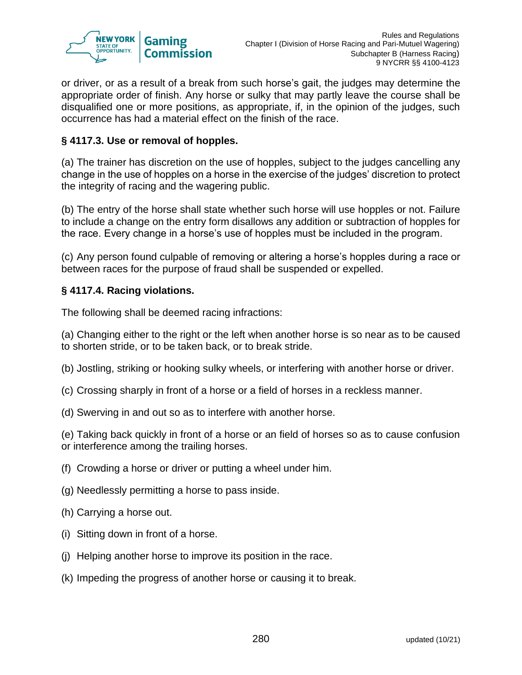

or driver, or as a result of a break from such horse's gait, the judges may determine the appropriate order of finish. Any horse or sulky that may partly leave the course shall be disqualified one or more positions, as appropriate, if, in the opinion of the judges, such occurrence has had a material effect on the finish of the race.

## **§ 4117.3. Use or removal of hopples.**

(a) The trainer has discretion on the use of hopples, subject to the judges cancelling any change in the use of hopples on a horse in the exercise of the judges' discretion to protect the integrity of racing and the wagering public.

(b) The entry of the horse shall state whether such horse will use hopples or not. Failure to include a change on the entry form disallows any addition or subtraction of hopples for the race. Every change in a horse's use of hopples must be included in the program.

(c) Any person found culpable of removing or altering a horse's hopples during a race or between races for the purpose of fraud shall be suspended or expelled.

### **§ 4117.4. Racing violations.**

The following shall be deemed racing infractions:

(a) Changing either to the right or the left when another horse is so near as to be caused to shorten stride, or to be taken back, or to break stride.

- (b) Jostling, striking or hooking sulky wheels, or interfering with another horse or driver.
- (c) Crossing sharply in front of a horse or a field of horses in a reckless manner.
- (d) Swerving in and out so as to interfere with another horse.

(e) Taking back quickly in front of a horse or an field of horses so as to cause confusion or interference among the trailing horses.

- (f) Crowding a horse or driver or putting a wheel under him.
- (g) Needlessly permitting a horse to pass inside.
- (h) Carrying a horse out.
- (i) Sitting down in front of a horse.
- (j) Helping another horse to improve its position in the race.
- (k) Impeding the progress of another horse or causing it to break.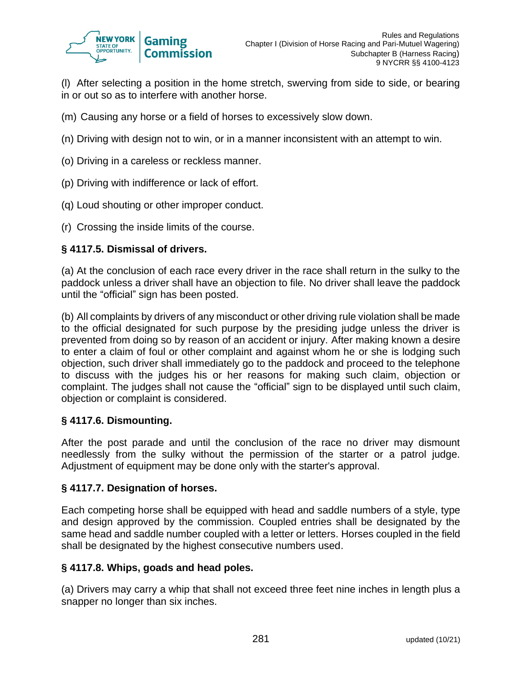

(l) After selecting a position in the home stretch, swerving from side to side, or bearing in or out so as to interfere with another horse.

- (m) Causing any horse or a field of horses to excessively slow down.
- (n) Driving with design not to win, or in a manner inconsistent with an attempt to win.
- (o) Driving in a careless or reckless manner.
- (p) Driving with indifference or lack of effort.
- (q) Loud shouting or other improper conduct.
- (r) Crossing the inside limits of the course.

#### **§ 4117.5. Dismissal of drivers.**

(a) At the conclusion of each race every driver in the race shall return in the sulky to the paddock unless a driver shall have an objection to file. No driver shall leave the paddock until the "official" sign has been posted.

(b) All complaints by drivers of any misconduct or other driving rule violation shall be made to the official designated for such purpose by the presiding judge unless the driver is prevented from doing so by reason of an accident or injury. After making known a desire to enter a claim of foul or other complaint and against whom he or she is lodging such objection, such driver shall immediately go to the paddock and proceed to the telephone to discuss with the judges his or her reasons for making such claim, objection or complaint. The judges shall not cause the "official" sign to be displayed until such claim, objection or complaint is considered.

#### **§ 4117.6. Dismounting.**

After the post parade and until the conclusion of the race no driver may dismount needlessly from the sulky without the permission of the starter or a patrol judge. Adjustment of equipment may be done only with the starter's approval.

#### **§ 4117.7. Designation of horses.**

Each competing horse shall be equipped with head and saddle numbers of a style, type and design approved by the commission. Coupled entries shall be designated by the same head and saddle number coupled with a letter or letters. Horses coupled in the field shall be designated by the highest consecutive numbers used.

#### **§ 4117.8. Whips, goads and head poles.**

(a) Drivers may carry a whip that shall not exceed three feet nine inches in length plus a snapper no longer than six inches.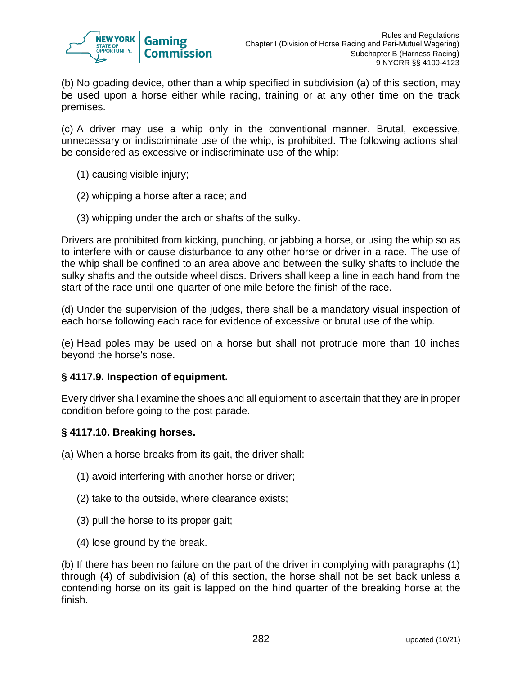

(b) No goading device, other than a whip specified in subdivision (a) of this section, may be used upon a horse either while racing, training or at any other time on the track premises.

(c) A driver may use a whip only in the conventional manner. Brutal, excessive, unnecessary or indiscriminate use of the whip, is prohibited. The following actions shall be considered as excessive or indiscriminate use of the whip:

- (1) causing visible injury;
- (2) whipping a horse after a race; and
- (3) whipping under the arch or shafts of the sulky.

Drivers are prohibited from kicking, punching, or jabbing a horse, or using the whip so as to interfere with or cause disturbance to any other horse or driver in a race. The use of the whip shall be confined to an area above and between the sulky shafts to include the sulky shafts and the outside wheel discs. Drivers shall keep a line in each hand from the start of the race until one-quarter of one mile before the finish of the race.

(d) Under the supervision of the judges, there shall be a mandatory visual inspection of each horse following each race for evidence of excessive or brutal use of the whip.

(e) Head poles may be used on a horse but shall not protrude more than 10 inches beyond the horse's nose.

### **§ 4117.9. Inspection of equipment.**

Every driver shall examine the shoes and all equipment to ascertain that they are in proper condition before going to the post parade.

### **§ 4117.10. Breaking horses.**

(a) When a horse breaks from its gait, the driver shall:

- (1) avoid interfering with another horse or driver;
- (2) take to the outside, where clearance exists;
- (3) pull the horse to its proper gait;
- (4) lose ground by the break.

(b) If there has been no failure on the part of the driver in complying with paragraphs (1) through (4) of subdivision (a) of this section, the horse shall not be set back unless a contending horse on its gait is lapped on the hind quarter of the breaking horse at the finish.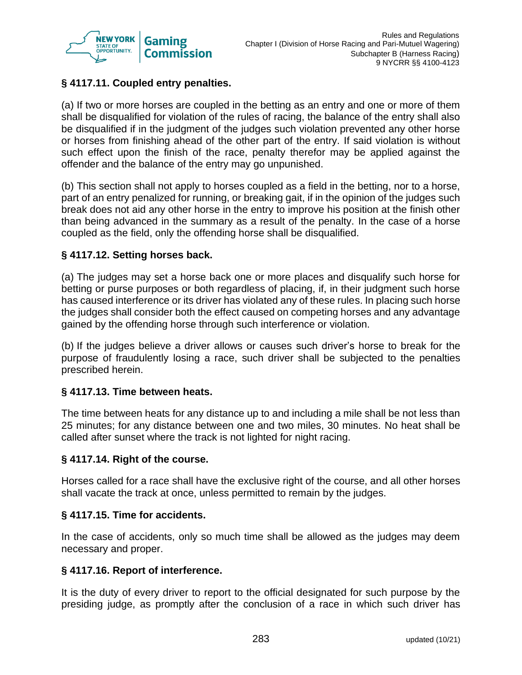

# **§ 4117.11. Coupled entry penalties.**

(a) If two or more horses are coupled in the betting as an entry and one or more of them shall be disqualified for violation of the rules of racing, the balance of the entry shall also be disqualified if in the judgment of the judges such violation prevented any other horse or horses from finishing ahead of the other part of the entry. If said violation is without such effect upon the finish of the race, penalty therefor may be applied against the offender and the balance of the entry may go unpunished.

(b) This section shall not apply to horses coupled as a field in the betting, nor to a horse, part of an entry penalized for running, or breaking gait, if in the opinion of the judges such break does not aid any other horse in the entry to improve his position at the finish other than being advanced in the summary as a result of the penalty. In the case of a horse coupled as the field, only the offending horse shall be disqualified.

## **§ 4117.12. Setting horses back.**

(a) The judges may set a horse back one or more places and disqualify such horse for betting or purse purposes or both regardless of placing, if, in their judgment such horse has caused interference or its driver has violated any of these rules. In placing such horse the judges shall consider both the effect caused on competing horses and any advantage gained by the offending horse through such interference or violation.

(b) If the judges believe a driver allows or causes such driver's horse to break for the purpose of fraudulently losing a race, such driver shall be subjected to the penalties prescribed herein.

### **§ 4117.13. Time between heats.**

The time between heats for any distance up to and including a mile shall be not less than 25 minutes; for any distance between one and two miles, 30 minutes. No heat shall be called after sunset where the track is not lighted for night racing.

### **§ 4117.14. Right of the course.**

Horses called for a race shall have the exclusive right of the course, and all other horses shall vacate the track at once, unless permitted to remain by the judges.

### **§ 4117.15. Time for accidents.**

In the case of accidents, only so much time shall be allowed as the judges may deem necessary and proper.

#### **§ 4117.16. Report of interference.**

It is the duty of every driver to report to the official designated for such purpose by the presiding judge, as promptly after the conclusion of a race in which such driver has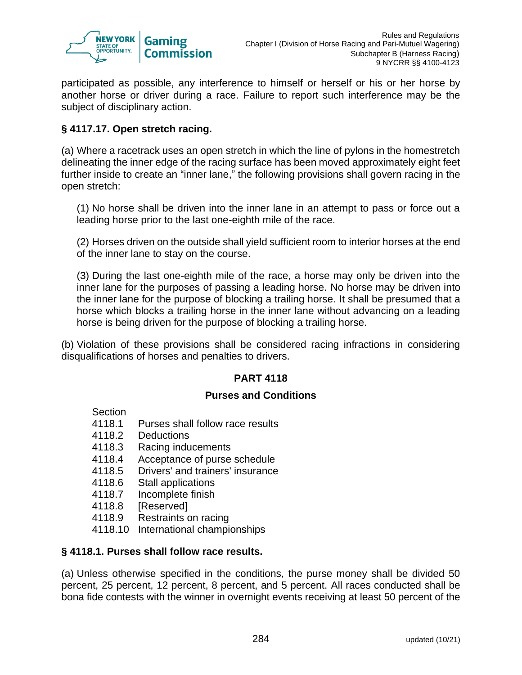

participated as possible, any interference to himself or herself or his or her horse by another horse or driver during a race. Failure to report such interference may be the subject of disciplinary action.

## **§ 4117.17. Open stretch racing.**

(a) Where a racetrack uses an open stretch in which the line of pylons in the homestretch delineating the inner edge of the racing surface has been moved approximately eight feet further inside to create an "inner lane," the following provisions shall govern racing in the open stretch:

(1) No horse shall be driven into the inner lane in an attempt to pass or force out a leading horse prior to the last one-eighth mile of the race.

(2) Horses driven on the outside shall yield sufficient room to interior horses at the end of the inner lane to stay on the course.

(3) During the last one-eighth mile of the race, a horse may only be driven into the inner lane for the purposes of passing a leading horse. No horse may be driven into the inner lane for the purpose of blocking a trailing horse. It shall be presumed that a horse which blocks a trailing horse in the inner lane without advancing on a leading horse is being driven for the purpose of blocking a trailing horse.

(b) Violation of these provisions shall be considered racing infractions in considering disqualifications of horses and penalties to drivers.

### **PART 4118**

### **Purses and Conditions**

### Section

- 4118.1 Purses shall follow race results
- 4118.2 Deductions
- 4118.3 Racing inducements
- 4118.4 Acceptance of purse schedule
- 4118.5 Drivers' and trainers' insurance
- 4118.6 Stall applications
- 4118.7 Incomplete finish
- 4118.8 [Reserved]
- 4118.9 Restraints on racing
- 4118.10 International championships

### **§ 4118.1. Purses shall follow race results.**

(a) Unless otherwise specified in the conditions, the purse money shall be divided 50 percent, 25 percent, 12 percent, 8 percent, and 5 percent. All races conducted shall be bona fide contests with the winner in overnight events receiving at least 50 percent of the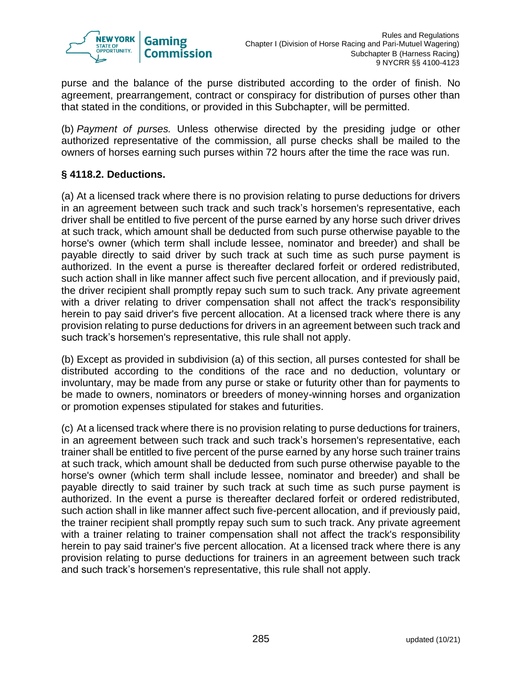

purse and the balance of the purse distributed according to the order of finish. No agreement, prearrangement, contract or conspiracy for distribution of purses other than that stated in the conditions, or provided in this Subchapter, will be permitted.

(b) *Payment of purses.* Unless otherwise directed by the presiding judge or other authorized representative of the commission, all purse checks shall be mailed to the owners of horses earning such purses within 72 hours after the time the race was run.

## **§ 4118.2. Deductions.**

(a) At a licensed track where there is no provision relating to purse deductions for drivers in an agreement between such track and such track's horsemen's representative, each driver shall be entitled to five percent of the purse earned by any horse such driver drives at such track, which amount shall be deducted from such purse otherwise payable to the horse's owner (which term shall include lessee, nominator and breeder) and shall be payable directly to said driver by such track at such time as such purse payment is authorized. In the event a purse is thereafter declared forfeit or ordered redistributed, such action shall in like manner affect such five percent allocation, and if previously paid, the driver recipient shall promptly repay such sum to such track. Any private agreement with a driver relating to driver compensation shall not affect the track's responsibility herein to pay said driver's five percent allocation. At a licensed track where there is any provision relating to purse deductions for drivers in an agreement between such track and such track's horsemen's representative, this rule shall not apply.

(b) Except as provided in subdivision (a) of this section, all purses contested for shall be distributed according to the conditions of the race and no deduction, voluntary or involuntary, may be made from any purse or stake or futurity other than for payments to be made to owners, nominators or breeders of money-winning horses and organization or promotion expenses stipulated for stakes and futurities.

(c) At a licensed track where there is no provision relating to purse deductions for trainers, in an agreement between such track and such track's horsemen's representative, each trainer shall be entitled to five percent of the purse earned by any horse such trainer trains at such track, which amount shall be deducted from such purse otherwise payable to the horse's owner (which term shall include lessee, nominator and breeder) and shall be payable directly to said trainer by such track at such time as such purse payment is authorized. In the event a purse is thereafter declared forfeit or ordered redistributed, such action shall in like manner affect such five-percent allocation, and if previously paid, the trainer recipient shall promptly repay such sum to such track. Any private agreement with a trainer relating to trainer compensation shall not affect the track's responsibility herein to pay said trainer's five percent allocation. At a licensed track where there is any provision relating to purse deductions for trainers in an agreement between such track and such track's horsemen's representative, this rule shall not apply.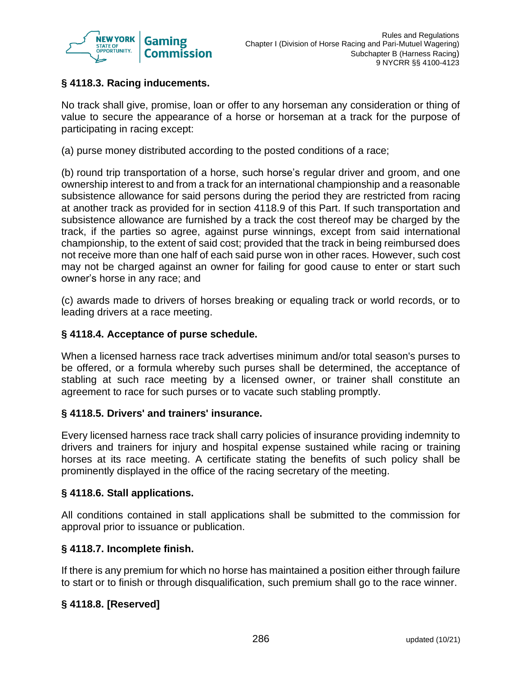

# **§ 4118.3. Racing inducements.**

No track shall give, promise, loan or offer to any horseman any consideration or thing of value to secure the appearance of a horse or horseman at a track for the purpose of participating in racing except:

(a) purse money distributed according to the posted conditions of a race;

(b) round trip transportation of a horse, such horse's regular driver and groom, and one ownership interest to and from a track for an international championship and a reasonable subsistence allowance for said persons during the period they are restricted from racing at another track as provided for in section 4118.9 of this Part. If such transportation and subsistence allowance are furnished by a track the cost thereof may be charged by the track, if the parties so agree, against purse winnings, except from said international championship, to the extent of said cost; provided that the track in being reimbursed does not receive more than one half of each said purse won in other races. However, such cost may not be charged against an owner for failing for good cause to enter or start such owner's horse in any race; and

(c) awards made to drivers of horses breaking or equaling track or world records, or to leading drivers at a race meeting.

### **§ 4118.4. Acceptance of purse schedule.**

When a licensed harness race track advertises minimum and/or total season's purses to be offered, or a formula whereby such purses shall be determined, the acceptance of stabling at such race meeting by a licensed owner, or trainer shall constitute an agreement to race for such purses or to vacate such stabling promptly.

### **§ 4118.5. Drivers' and trainers' insurance.**

Every licensed harness race track shall carry policies of insurance providing indemnity to drivers and trainers for injury and hospital expense sustained while racing or training horses at its race meeting. A certificate stating the benefits of such policy shall be prominently displayed in the office of the racing secretary of the meeting.

### **§ 4118.6. Stall applications.**

All conditions contained in stall applications shall be submitted to the commission for approval prior to issuance or publication.

### **§ 4118.7. Incomplete finish.**

If there is any premium for which no horse has maintained a position either through failure to start or to finish or through disqualification, such premium shall go to the race winner.

# **§ 4118.8. [Reserved]**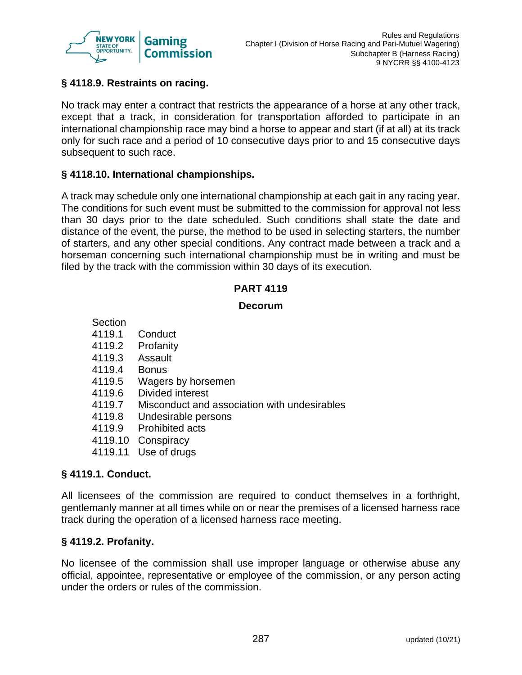

## **§ 4118.9. Restraints on racing.**

No track may enter a contract that restricts the appearance of a horse at any other track, except that a track, in consideration for transportation afforded to participate in an international championship race may bind a horse to appear and start (if at all) at its track only for such race and a period of 10 consecutive days prior to and 15 consecutive days subsequent to such race.

### **§ 4118.10. International championships.**

A track may schedule only one international championship at each gait in any racing year. The conditions for such event must be submitted to the commission for approval not less than 30 days prior to the date scheduled. Such conditions shall state the date and distance of the event, the purse, the method to be used in selecting starters, the number of starters, and any other special conditions. Any contract made between a track and a horseman concerning such international championship must be in writing and must be filed by the track with the commission within 30 days of its execution.

#### **PART 4119**

#### **Decorum**

| Section |                                              |
|---------|----------------------------------------------|
| 4119.1  | Conduct                                      |
| 4119.2  | Profanity                                    |
| 4119.3  | Assault                                      |
| 4119.4  | <b>Bonus</b>                                 |
| 4119.5  | Wagers by horsemen                           |
| 4119.6  | Divided interest                             |
| 4119.7  | Misconduct and association with undesirables |
| 4119.8  | Undesirable persons                          |
| 4119.9  | <b>Prohibited acts</b>                       |
| 4119.10 | Conspiracy                                   |
| 4119.11 | Use of drugs                                 |

# **§ 4119.1. Conduct.**

All licensees of the commission are required to conduct themselves in a forthright, gentlemanly manner at all times while on or near the premises of a licensed harness race track during the operation of a licensed harness race meeting.

#### **§ 4119.2. Profanity.**

No licensee of the commission shall use improper language or otherwise abuse any official, appointee, representative or employee of the commission, or any person acting under the orders or rules of the commission.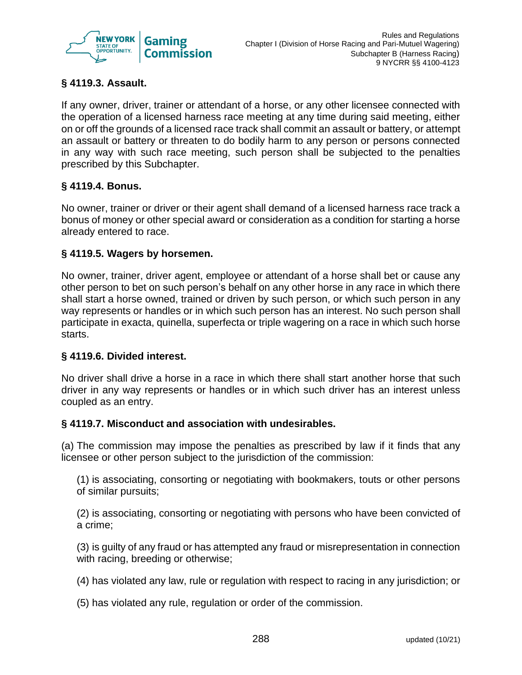

# **§ 4119.3. Assault.**

If any owner, driver, trainer or attendant of a horse, or any other licensee connected with the operation of a licensed harness race meeting at any time during said meeting, either on or off the grounds of a licensed race track shall commit an assault or battery, or attempt an assault or battery or threaten to do bodily harm to any person or persons connected in any way with such race meeting, such person shall be subjected to the penalties prescribed by this Subchapter.

## **§ 4119.4. Bonus.**

No owner, trainer or driver or their agent shall demand of a licensed harness race track a bonus of money or other special award or consideration as a condition for starting a horse already entered to race.

### **§ 4119.5. Wagers by horsemen.**

No owner, trainer, driver agent, employee or attendant of a horse shall bet or cause any other person to bet on such person's behalf on any other horse in any race in which there shall start a horse owned, trained or driven by such person, or which such person in any way represents or handles or in which such person has an interest. No such person shall participate in exacta, quinella, superfecta or triple wagering on a race in which such horse starts.

### **§ 4119.6. Divided interest.**

No driver shall drive a horse in a race in which there shall start another horse that such driver in any way represents or handles or in which such driver has an interest unless coupled as an entry.

### **§ 4119.7. Misconduct and association with undesirables.**

(a) The commission may impose the penalties as prescribed by law if it finds that any licensee or other person subject to the jurisdiction of the commission:

(1) is associating, consorting or negotiating with bookmakers, touts or other persons of similar pursuits;

(2) is associating, consorting or negotiating with persons who have been convicted of a crime;

(3) is guilty of any fraud or has attempted any fraud or misrepresentation in connection with racing, breeding or otherwise;

(4) has violated any law, rule or regulation with respect to racing in any jurisdiction; or

(5) has violated any rule, regulation or order of the commission.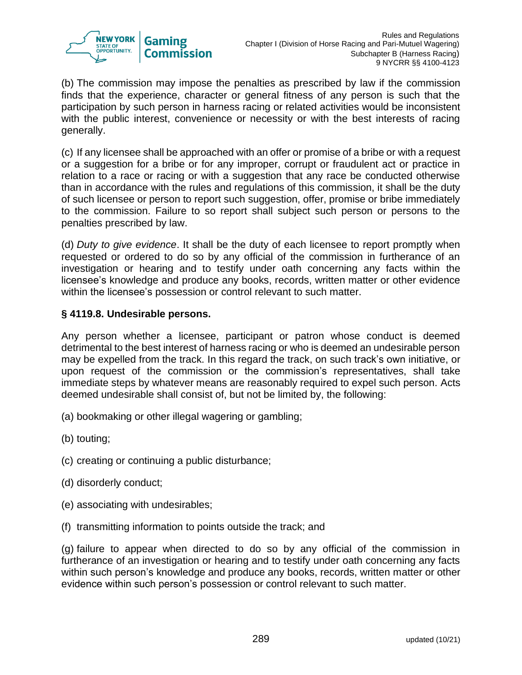

(b) The commission may impose the penalties as prescribed by law if the commission finds that the experience, character or general fitness of any person is such that the participation by such person in harness racing or related activities would be inconsistent with the public interest, convenience or necessity or with the best interests of racing generally.

(c) If any licensee shall be approached with an offer or promise of a bribe or with a request or a suggestion for a bribe or for any improper, corrupt or fraudulent act or practice in relation to a race or racing or with a suggestion that any race be conducted otherwise than in accordance with the rules and regulations of this commission, it shall be the duty of such licensee or person to report such suggestion, offer, promise or bribe immediately to the commission. Failure to so report shall subject such person or persons to the penalties prescribed by law.

(d) *Duty to give evidence*. It shall be the duty of each licensee to report promptly when requested or ordered to do so by any official of the commission in furtherance of an investigation or hearing and to testify under oath concerning any facts within the licensee's knowledge and produce any books, records, written matter or other evidence within the licensee's possession or control relevant to such matter.

### **§ 4119.8. Undesirable persons.**

Any person whether a licensee, participant or patron whose conduct is deemed detrimental to the best interest of harness racing or who is deemed an undesirable person may be expelled from the track. In this regard the track, on such track's own initiative, or upon request of the commission or the commission's representatives, shall take immediate steps by whatever means are reasonably required to expel such person. Acts deemed undesirable shall consist of, but not be limited by, the following:

- (a) bookmaking or other illegal wagering or gambling;
- (b) touting;
- (c) creating or continuing a public disturbance;
- (d) disorderly conduct;
- (e) associating with undesirables;
- (f) transmitting information to points outside the track; and

(g) failure to appear when directed to do so by any official of the commission in furtherance of an investigation or hearing and to testify under oath concerning any facts within such person's knowledge and produce any books, records, written matter or other evidence within such person's possession or control relevant to such matter.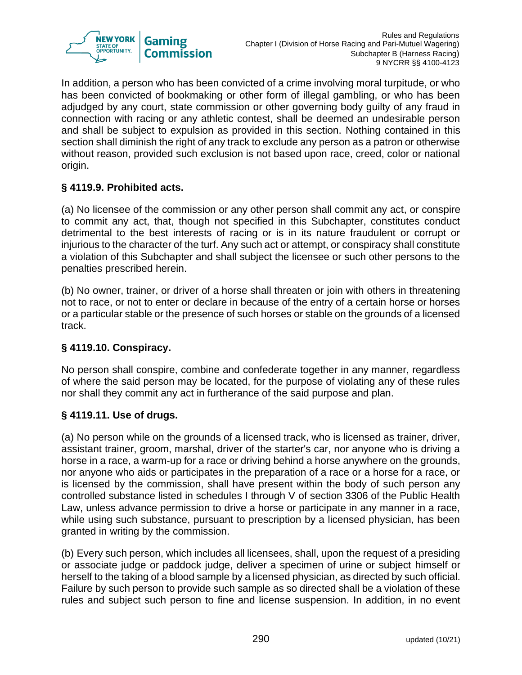

In addition, a person who has been convicted of a crime involving moral turpitude, or who has been convicted of bookmaking or other form of illegal gambling, or who has been adjudged by any court, state commission or other governing body guilty of any fraud in connection with racing or any athletic contest, shall be deemed an undesirable person and shall be subject to expulsion as provided in this section. Nothing contained in this section shall diminish the right of any track to exclude any person as a patron or otherwise without reason, provided such exclusion is not based upon race, creed, color or national origin.

## **§ 4119.9. Prohibited acts.**

(a) No licensee of the commission or any other person shall commit any act, or conspire to commit any act, that, though not specified in this Subchapter, constitutes conduct detrimental to the best interests of racing or is in its nature fraudulent or corrupt or injurious to the character of the turf. Any such act or attempt, or conspiracy shall constitute a violation of this Subchapter and shall subject the licensee or such other persons to the penalties prescribed herein.

(b) No owner, trainer, or driver of a horse shall threaten or join with others in threatening not to race, or not to enter or declare in because of the entry of a certain horse or horses or a particular stable or the presence of such horses or stable on the grounds of a licensed track.

### **§ 4119.10. Conspiracy.**

No person shall conspire, combine and confederate together in any manner, regardless of where the said person may be located, for the purpose of violating any of these rules nor shall they commit any act in furtherance of the said purpose and plan.

### **§ 4119.11. Use of drugs.**

(a) No person while on the grounds of a licensed track, who is licensed as trainer, driver, assistant trainer, groom, marshal, driver of the starter's car, nor anyone who is driving a horse in a race, a warm-up for a race or driving behind a horse anywhere on the grounds, nor anyone who aids or participates in the preparation of a race or a horse for a race, or is licensed by the commission, shall have present within the body of such person any controlled substance listed in schedules I through V of section 3306 of the Public Health Law, unless advance permission to drive a horse or participate in any manner in a race, while using such substance, pursuant to prescription by a licensed physician, has been granted in writing by the commission.

(b) Every such person, which includes all licensees, shall, upon the request of a presiding or associate judge or paddock judge, deliver a specimen of urine or subject himself or herself to the taking of a blood sample by a licensed physician, as directed by such official. Failure by such person to provide such sample as so directed shall be a violation of these rules and subject such person to fine and license suspension. In addition, in no event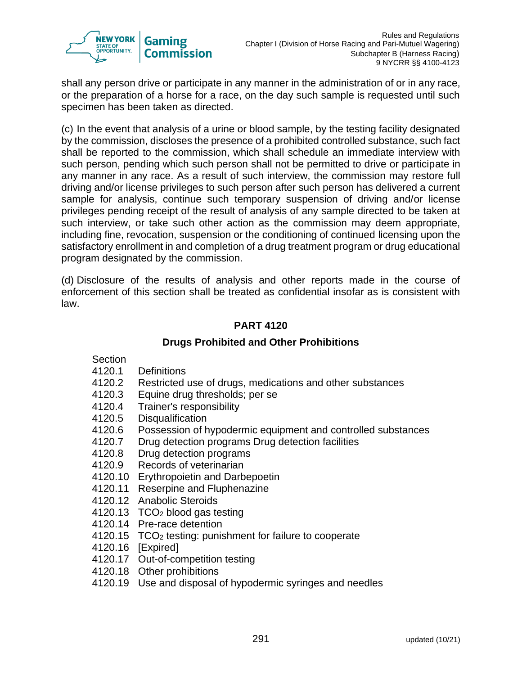

shall any person drive or participate in any manner in the administration of or in any race, or the preparation of a horse for a race, on the day such sample is requested until such specimen has been taken as directed.

(c) In the event that analysis of a urine or blood sample, by the testing facility designated by the commission, discloses the presence of a prohibited controlled substance, such fact shall be reported to the commission, which shall schedule an immediate interview with such person, pending which such person shall not be permitted to drive or participate in any manner in any race. As a result of such interview, the commission may restore full driving and/or license privileges to such person after such person has delivered a current sample for analysis, continue such temporary suspension of driving and/or license privileges pending receipt of the result of analysis of any sample directed to be taken at such interview, or take such other action as the commission may deem appropriate, including fine, revocation, suspension or the conditioning of continued licensing upon the satisfactory enrollment in and completion of a drug treatment program or drug educational program designated by the commission.

(d) Disclosure of the results of analysis and other reports made in the course of enforcement of this section shall be treated as confidential insofar as is consistent with law.

# **PART 4120**

# **Drugs Prohibited and Other Prohibitions**

### **Section**

- 4120.1 Definitions
- 4120.2 Restricted use of drugs, medications and other substances
- 4120.3 Equine drug thresholds; per se
- 4120.4 Trainer's responsibility
- 4120.5 Disqualification
- 4120.6 Possession of hypodermic equipment and controlled substances
- 4120.7 Drug detection programs Drug detection facilities
- 4120.8 Drug detection programs
- 4120.9 Records of veterinarian
- 4120.10 Erythropoietin and Darbepoetin
- 4120.11 Reserpine and Fluphenazine
- 4120.12 Anabolic Steroids
- 4120.13 TCO<sup>2</sup> blood gas testing
- 4120.14 Pre-race detention
- 4120.15 TCO<sup>2</sup> testing: punishment for failure to cooperate
- 4120.16 [Expired]
- 4120.17 Out-of-competition testing
- 4120.18 Other prohibitions
- 4120.19 Use and disposal of hypodermic syringes and needles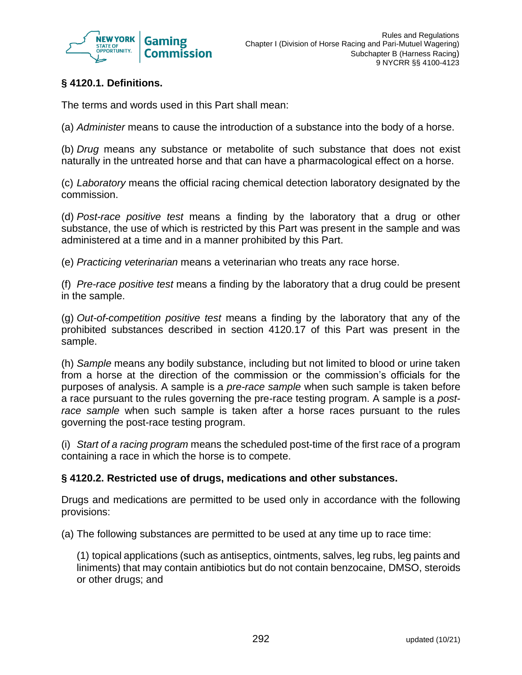

# **§ 4120.1. Definitions.**

The terms and words used in this Part shall mean:

(a) *Administer* means to cause the introduction of a substance into the body of a horse.

(b) *Drug* means any substance or metabolite of such substance that does not exist naturally in the untreated horse and that can have a pharmacological effect on a horse.

(c) *Laboratory* means the official racing chemical detection laboratory designated by the commission.

(d) *Post-race positive test* means a finding by the laboratory that a drug or other substance, the use of which is restricted by this Part was present in the sample and was administered at a time and in a manner prohibited by this Part.

(e) *Practicing veterinarian* means a veterinarian who treats any race horse.

(f) *Pre-race positive test* means a finding by the laboratory that a drug could be present in the sample.

(g) *Out-of-competition positive test* means a finding by the laboratory that any of the prohibited substances described in section 4120.17 of this Part was present in the sample.

(h) *Sample* means any bodily substance, including but not limited to blood or urine taken from a horse at the direction of the commission or the commission's officials for the purposes of analysis. A sample is a *pre-race sample* when such sample is taken before a race pursuant to the rules governing the pre-race testing program. A sample is a *postrace sample* when such sample is taken after a horse races pursuant to the rules governing the post-race testing program.

(i) *Start of a racing program* means the scheduled post-time of the first race of a program containing a race in which the horse is to compete.

### **§ 4120.2. Restricted use of drugs, medications and other substances.**

Drugs and medications are permitted to be used only in accordance with the following provisions:

(a) The following substances are permitted to be used at any time up to race time:

(1) topical applications (such as antiseptics, ointments, salves, leg rubs, leg paints and liniments) that may contain antibiotics but do not contain benzocaine, DMSO, steroids or other drugs; and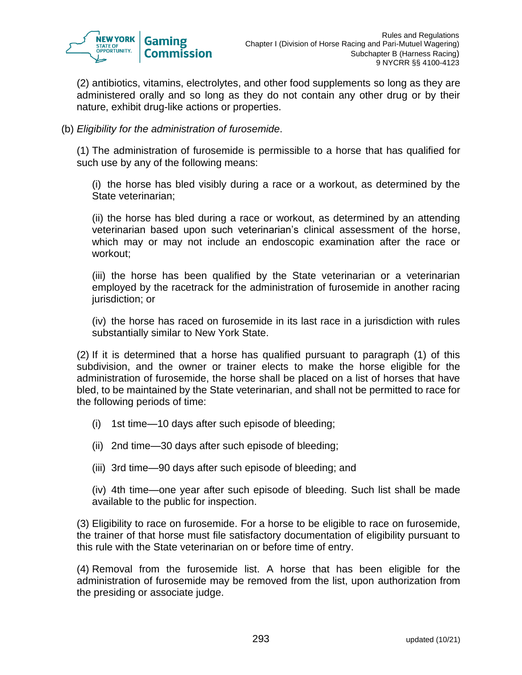

(2) antibiotics, vitamins, electrolytes, and other food supplements so long as they are administered orally and so long as they do not contain any other drug or by their nature, exhibit drug-like actions or properties.

(b) *Eligibility for the administration of furosemide*.

(1) The administration of furosemide is permissible to a horse that has qualified for such use by any of the following means:

(i) the horse has bled visibly during a race or a workout, as determined by the State veterinarian;

(ii) the horse has bled during a race or workout, as determined by an attending veterinarian based upon such veterinarian's clinical assessment of the horse, which may or may not include an endoscopic examination after the race or workout;

(iii) the horse has been qualified by the State veterinarian or a veterinarian employed by the racetrack for the administration of furosemide in another racing jurisdiction; or

(iv) the horse has raced on furosemide in its last race in a jurisdiction with rules substantially similar to New York State.

(2) If it is determined that a horse has qualified pursuant to paragraph (1) of this subdivision, and the owner or trainer elects to make the horse eligible for the administration of furosemide, the horse shall be placed on a list of horses that have bled, to be maintained by the State veterinarian, and shall not be permitted to race for the following periods of time:

- (i) 1st time—10 days after such episode of bleeding;
- (ii) 2nd time—30 days after such episode of bleeding;
- (iii) 3rd time—90 days after such episode of bleeding; and

(iv) 4th time—one year after such episode of bleeding. Such list shall be made available to the public for inspection.

(3) Eligibility to race on furosemide. For a horse to be eligible to race on furosemide, the trainer of that horse must file satisfactory documentation of eligibility pursuant to this rule with the State veterinarian on or before time of entry.

(4) Removal from the furosemide list. A horse that has been eligible for the administration of furosemide may be removed from the list, upon authorization from the presiding or associate judge.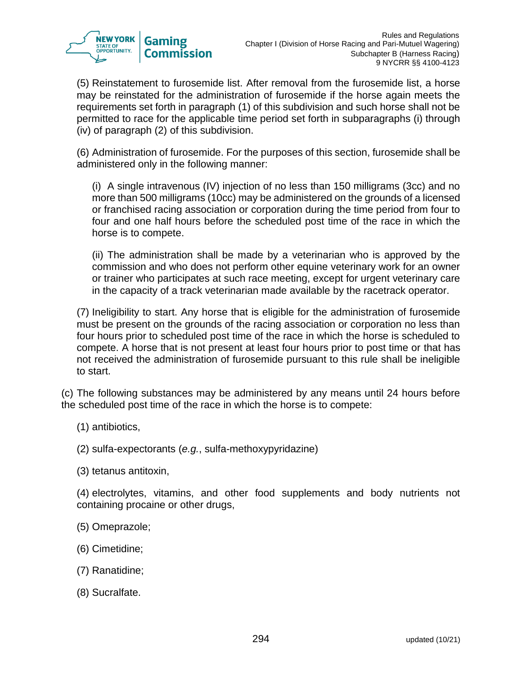

(5) Reinstatement to furosemide list. After removal from the furosemide list, a horse may be reinstated for the administration of furosemide if the horse again meets the requirements set forth in paragraph (1) of this subdivision and such horse shall not be permitted to race for the applicable time period set forth in subparagraphs (i) through (iv) of paragraph (2) of this subdivision.

(6) Administration of furosemide. For the purposes of this section, furosemide shall be administered only in the following manner:

(i) A single intravenous (IV) injection of no less than 150 milligrams (3cc) and no more than 500 milligrams (10cc) may be administered on the grounds of a licensed or franchised racing association or corporation during the time period from four to four and one half hours before the scheduled post time of the race in which the horse is to compete.

(ii) The administration shall be made by a veterinarian who is approved by the commission and who does not perform other equine veterinary work for an owner or trainer who participates at such race meeting, except for urgent veterinary care in the capacity of a track veterinarian made available by the racetrack operator.

(7) Ineligibility to start. Any horse that is eligible for the administration of furosemide must be present on the grounds of the racing association or corporation no less than four hours prior to scheduled post time of the race in which the horse is scheduled to compete. A horse that is not present at least four hours prior to post time or that has not received the administration of furosemide pursuant to this rule shall be ineligible to start.

(c) The following substances may be administered by any means until 24 hours before the scheduled post time of the race in which the horse is to compete:

- (1) antibiotics,
- (2) sulfa-expectorants (*e.g.*, sulfa-methoxypyridazine)
- (3) tetanus antitoxin,

(4) electrolytes, vitamins, and other food supplements and body nutrients not containing procaine or other drugs,

- (5) Omeprazole;
- (6) Cimetidine;
- (7) Ranatidine;
- (8) Sucralfate.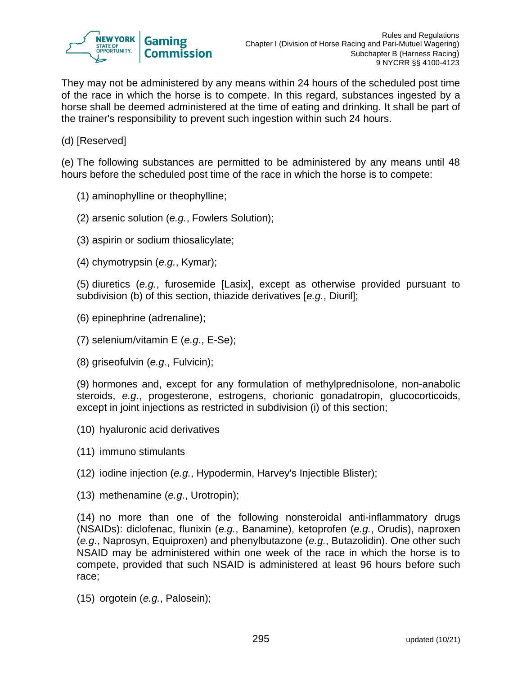

They may not be administered by any means within 24 hours of the scheduled post time of the race in which the horse is to compete. In this regard, substances ingested by a horse shall be deemed administered at the time of eating and drinking. It shall be part of the trainer's responsibility to prevent such ingestion within such 24 hours.

(d) [Reserved]

(e) The following substances are permitted to be administered by any means until 48 hours before the scheduled post time of the race in which the horse is to compete:

- (1) aminophylline or theophylline;
- (2) arsenic solution (*e.g.*, Fowlers Solution);
- (3) aspirin or sodium thiosalicylate;
- (4) chymotrypsin (*e.g.*, Kymar);

(5) diuretics (*e.g.*, furosemide [Lasix], except as otherwise provided pursuant to subdivision (b) of this section, thiazide derivatives [*e.g.*, Diuril];

- (6) epinephrine (adrenaline);
- (7) selenium/vitamin E (*e.g.*, E-Se);
- (8) griseofulvin (*e.g.*, Fulvicin);

(9) hormones and, except for any formulation of methylprednisolone, non-anabolic steroids, *e.g.*, progesterone, estrogens, chorionic gonadatropin, glucocorticoids, except in joint injections as restricted in subdivision (i) of this section;

- (10) hyaluronic acid derivatives
- (11) immuno stimulants
- (12) iodine injection (*e.g.*, Hypodermin, Harvey's Injectible Blister);
- (13) methenamine (*e.g.*, Urotropin);

(14) no more than one of the following nonsteroidal anti-inflammatory drugs (NSAIDs): diclofenac, flunixin (*e.g.*, Banamine), ketoprofen (*e.g.*, Orudis), naproxen (*e.g.*, Naprosyn, Equiproxen) and phenylbutazone (*e.g.*, Butazolidin). One other such NSAID may be administered within one week of the race in which the horse is to compete, provided that such NSAID is administered at least 96 hours before such race;

(15) orgotein (*e.g.*, Palosein);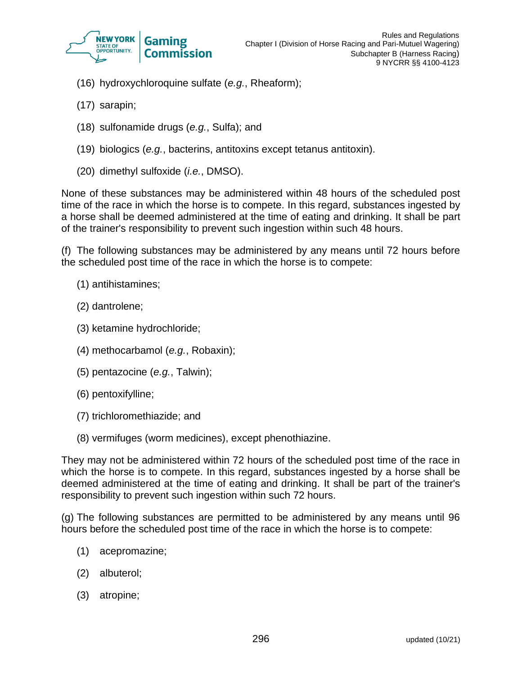

- (16) hydroxychloroquine sulfate (*e.g.*, Rheaform);
- (17) sarapin;
- (18) sulfonamide drugs (*e.g.*, Sulfa); and
- (19) biologics (*e.g.*, bacterins, antitoxins except tetanus antitoxin).
- (20) dimethyl sulfoxide (*i.e.*, DMSO).

None of these substances may be administered within 48 hours of the scheduled post time of the race in which the horse is to compete. In this regard, substances ingested by a horse shall be deemed administered at the time of eating and drinking. It shall be part of the trainer's responsibility to prevent such ingestion within such 48 hours.

(f) The following substances may be administered by any means until 72 hours before the scheduled post time of the race in which the horse is to compete:

- (1) antihistamines;
- (2) dantrolene;
- (3) ketamine hydrochloride;
- (4) methocarbamol (*e.g.*, Robaxin);
- (5) pentazocine (*e.g.*, Talwin);
- (6) pentoxifylline;
- (7) trichloromethiazide; and
- (8) vermifuges (worm medicines), except phenothiazine.

They may not be administered within 72 hours of the scheduled post time of the race in which the horse is to compete. In this regard, substances ingested by a horse shall be deemed administered at the time of eating and drinking. It shall be part of the trainer's responsibility to prevent such ingestion within such 72 hours.

(g) The following substances are permitted to be administered by any means until 96 hours before the scheduled post time of the race in which the horse is to compete:

- (1) acepromazine;
- (2) albuterol;
- (3) atropine;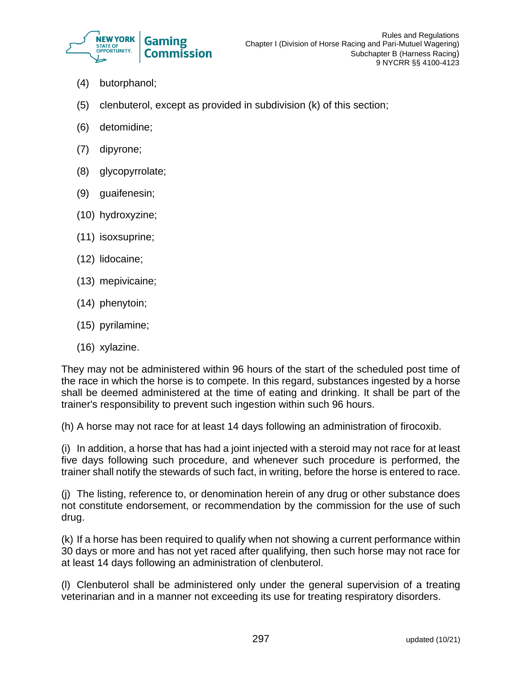

- (4) butorphanol;
- (5) clenbuterol, except as provided in subdivision (k) of this section;
- (6) detomidine;
- (7) dipyrone;
- (8) glycopyrrolate;
- (9) guaifenesin;
- (10) hydroxyzine;
- (11) isoxsuprine;
- (12) lidocaine;
- (13) mepivicaine;
- (14) phenytoin;
- (15) pyrilamine;
- (16) xylazine.

They may not be administered within 96 hours of the start of the scheduled post time of the race in which the horse is to compete. In this regard, substances ingested by a horse shall be deemed administered at the time of eating and drinking. It shall be part of the trainer's responsibility to prevent such ingestion within such 96 hours.

(h) A horse may not race for at least 14 days following an administration of firocoxib.

(i) In addition, a horse that has had a joint injected with a steroid may not race for at least five days following such procedure, and whenever such procedure is performed, the trainer shall notify the stewards of such fact, in writing, before the horse is entered to race.

(j) The listing, reference to, or denomination herein of any drug or other substance does not constitute endorsement, or recommendation by the commission for the use of such drug.

(k) If a horse has been required to qualify when not showing a current performance within 30 days or more and has not yet raced after qualifying, then such horse may not race for at least 14 days following an administration of clenbuterol.

(l) Clenbuterol shall be administered only under the general supervision of a treating veterinarian and in a manner not exceeding its use for treating respiratory disorders.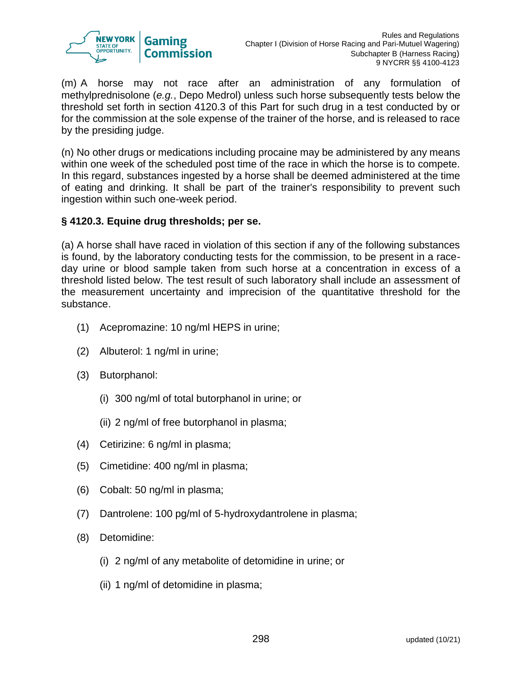

(m) A horse may not race after an administration of any formulation of methylprednisolone (*e.g.*, Depo Medrol) unless such horse subsequently tests below the threshold set forth in section 4120.3 of this Part for such drug in a test conducted by or for the commission at the sole expense of the trainer of the horse, and is released to race by the presiding judge.

(n) No other drugs or medications including procaine may be administered by any means within one week of the scheduled post time of the race in which the horse is to compete. In this regard, substances ingested by a horse shall be deemed administered at the time of eating and drinking. It shall be part of the trainer's responsibility to prevent such ingestion within such one-week period.

### **§ 4120.3. Equine drug thresholds; per se.**

(a) A horse shall have raced in violation of this section if any of the following substances is found, by the laboratory conducting tests for the commission, to be present in a raceday urine or blood sample taken from such horse at a concentration in excess of a threshold listed below. The test result of such laboratory shall include an assessment of the measurement uncertainty and imprecision of the quantitative threshold for the substance.

- (1) Acepromazine: 10 ng/ml HEPS in urine;
- (2) Albuterol: 1 ng/ml in urine;
- (3) Butorphanol:
	- (i) 300 ng/ml of total butorphanol in urine; or
	- (ii) 2 ng/ml of free butorphanol in plasma;
- (4) Cetirizine: 6 ng/ml in plasma;
- (5) Cimetidine: 400 ng/ml in plasma;
- (6) Cobalt: 50 ng/ml in plasma;
- (7) Dantrolene: 100 pg/ml of 5-hydroxydantrolene in plasma;
- (8) Detomidine:
	- (i) 2 ng/ml of any metabolite of detomidine in urine; or
	- (ii) 1 ng/ml of detomidine in plasma;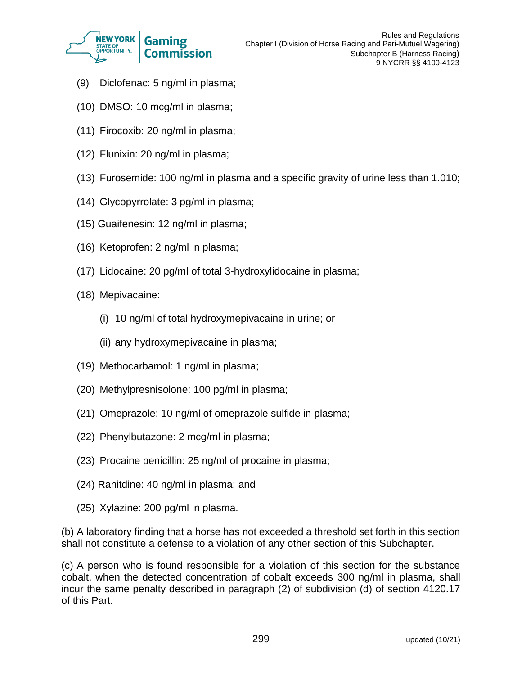

- (9) Diclofenac: 5 ng/ml in plasma;
- (10) DMSO: 10 mcg/ml in plasma;
- (11) Firocoxib: 20 ng/ml in plasma;
- (12) Flunixin: 20 ng/ml in plasma;
- (13) Furosemide: 100 ng/ml in plasma and a specific gravity of urine less than 1.010;
- (14) Glycopyrrolate: 3 pg/ml in plasma;
- (15) Guaifenesin: 12 ng/ml in plasma;
- (16) Ketoprofen: 2 ng/ml in plasma;
- (17) Lidocaine: 20 pg/ml of total 3-hydroxylidocaine in plasma;
- (18) Mepivacaine:
	- (i) 10 ng/ml of total hydroxymepivacaine in urine; or
	- (ii) any hydroxymepivacaine in plasma;
- (19) Methocarbamol: 1 ng/ml in plasma;
- (20) Methylpresnisolone: 100 pg/ml in plasma;
- (21) Omeprazole: 10 ng/ml of omeprazole sulfide in plasma;
- (22) Phenylbutazone: 2 mcg/ml in plasma;
- (23) Procaine penicillin: 25 ng/ml of procaine in plasma;
- (24) Ranitdine: 40 ng/ml in plasma; and
- (25) Xylazine: 200 pg/ml in plasma.

(b) A laboratory finding that a horse has not exceeded a threshold set forth in this section shall not constitute a defense to a violation of any other section of this Subchapter.

(c) A person who is found responsible for a violation of this section for the substance cobalt, when the detected concentration of cobalt exceeds 300 ng/ml in plasma, shall incur the same penalty described in paragraph (2) of subdivision (d) of section 4120.17 of this Part.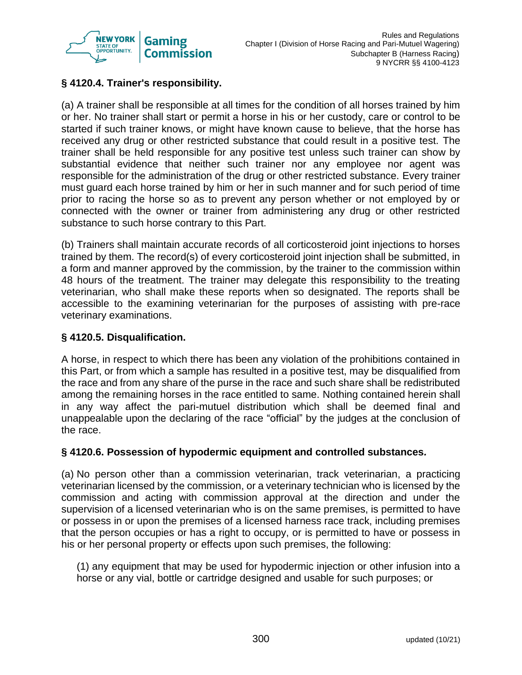

# **§ 4120.4. Trainer's responsibility.**

(a) A trainer shall be responsible at all times for the condition of all horses trained by him or her. No trainer shall start or permit a horse in his or her custody, care or control to be started if such trainer knows, or might have known cause to believe, that the horse has received any drug or other restricted substance that could result in a positive test. The trainer shall be held responsible for any positive test unless such trainer can show by substantial evidence that neither such trainer nor any employee nor agent was responsible for the administration of the drug or other restricted substance. Every trainer must guard each horse trained by him or her in such manner and for such period of time prior to racing the horse so as to prevent any person whether or not employed by or connected with the owner or trainer from administering any drug or other restricted substance to such horse contrary to this Part.

(b) Trainers shall maintain accurate records of all corticosteroid joint injections to horses trained by them. The record(s) of every corticosteroid joint injection shall be submitted, in a form and manner approved by the commission, by the trainer to the commission within 48 hours of the treatment. The trainer may delegate this responsibility to the treating veterinarian, who shall make these reports when so designated. The reports shall be accessible to the examining veterinarian for the purposes of assisting with pre-race veterinary examinations.

## **§ 4120.5. Disqualification.**

A horse, in respect to which there has been any violation of the prohibitions contained in this Part, or from which a sample has resulted in a positive test, may be disqualified from the race and from any share of the purse in the race and such share shall be redistributed among the remaining horses in the race entitled to same. Nothing contained herein shall in any way affect the pari-mutuel distribution which shall be deemed final and unappealable upon the declaring of the race "official" by the judges at the conclusion of the race.

### **§ 4120.6. Possession of hypodermic equipment and controlled substances***.*

(a) No person other than a commission veterinarian, track veterinarian, a practicing veterinarian licensed by the commission, or a veterinary technician who is licensed by the commission and acting with commission approval at the direction and under the supervision of a licensed veterinarian who is on the same premises, is permitted to have or possess in or upon the premises of a licensed harness race track, including premises that the person occupies or has a right to occupy, or is permitted to have or possess in his or her personal property or effects upon such premises, the following:

(1) any equipment that may be used for hypodermic injection or other infusion into a horse or any vial, bottle or cartridge designed and usable for such purposes; or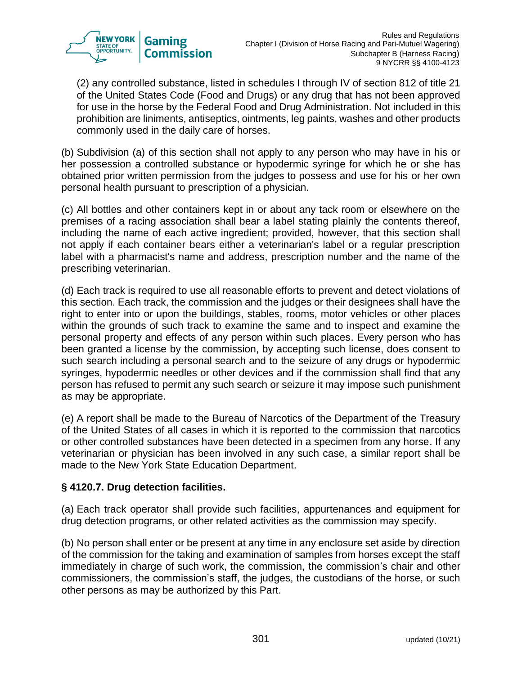

(2) any controlled substance, listed in schedules I through IV of section 812 of title 21 of the United States Code (Food and Drugs) or any drug that has not been approved for use in the horse by the Federal Food and Drug Administration. Not included in this prohibition are liniments, antiseptics, ointments, leg paints, washes and other products commonly used in the daily care of horses.

(b) Subdivision (a) of this section shall not apply to any person who may have in his or her possession a controlled substance or hypodermic syringe for which he or she has obtained prior written permission from the judges to possess and use for his or her own personal health pursuant to prescription of a physician.

(c) All bottles and other containers kept in or about any tack room or elsewhere on the premises of a racing association shall bear a label stating plainly the contents thereof, including the name of each active ingredient; provided, however, that this section shall not apply if each container bears either a veterinarian's label or a regular prescription label with a pharmacist's name and address, prescription number and the name of the prescribing veterinarian.

(d) Each track is required to use all reasonable efforts to prevent and detect violations of this section. Each track, the commission and the judges or their designees shall have the right to enter into or upon the buildings, stables, rooms, motor vehicles or other places within the grounds of such track to examine the same and to inspect and examine the personal property and effects of any person within such places. Every person who has been granted a license by the commission, by accepting such license, does consent to such search including a personal search and to the seizure of any drugs or hypodermic syringes, hypodermic needles or other devices and if the commission shall find that any person has refused to permit any such search or seizure it may impose such punishment as may be appropriate.

(e) A report shall be made to the Bureau of Narcotics of the Department of the Treasury of the United States of all cases in which it is reported to the commission that narcotics or other controlled substances have been detected in a specimen from any horse. If any veterinarian or physician has been involved in any such case, a similar report shall be made to the New York State Education Department.

### **§ 4120.7. Drug detection facilities.**

(a) Each track operator shall provide such facilities, appurtenances and equipment for drug detection programs, or other related activities as the commission may specify.

(b) No person shall enter or be present at any time in any enclosure set aside by direction of the commission for the taking and examination of samples from horses except the staff immediately in charge of such work, the commission, the commission's chair and other commissioners, the commission's staff, the judges, the custodians of the horse, or such other persons as may be authorized by this Part.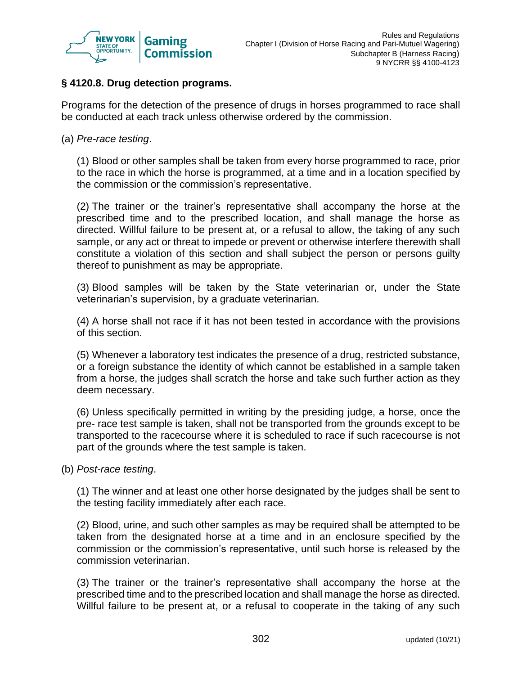

## **§ 4120.8. Drug detection programs.**

Programs for the detection of the presence of drugs in horses programmed to race shall be conducted at each track unless otherwise ordered by the commission.

(a) *Pre-race testing*.

(1) Blood or other samples shall be taken from every horse programmed to race, prior to the race in which the horse is programmed, at a time and in a location specified by the commission or the commission's representative.

(2) The trainer or the trainer's representative shall accompany the horse at the prescribed time and to the prescribed location, and shall manage the horse as directed. Willful failure to be present at, or a refusal to allow, the taking of any such sample, or any act or threat to impede or prevent or otherwise interfere therewith shall constitute a violation of this section and shall subject the person or persons guilty thereof to punishment as may be appropriate.

(3) Blood samples will be taken by the State veterinarian or, under the State veterinarian's supervision, by a graduate veterinarian.

(4) A horse shall not race if it has not been tested in accordance with the provisions of this section.

(5) Whenever a laboratory test indicates the presence of a drug, restricted substance, or a foreign substance the identity of which cannot be established in a sample taken from a horse, the judges shall scratch the horse and take such further action as they deem necessary.

(6) Unless specifically permitted in writing by the presiding judge, a horse, once the pre- race test sample is taken, shall not be transported from the grounds except to be transported to the racecourse where it is scheduled to race if such racecourse is not part of the grounds where the test sample is taken.

(b) *Post-race testing*.

(1) The winner and at least one other horse designated by the judges shall be sent to the testing facility immediately after each race.

(2) Blood, urine, and such other samples as may be required shall be attempted to be taken from the designated horse at a time and in an enclosure specified by the commission or the commission's representative, until such horse is released by the commission veterinarian.

(3) The trainer or the trainer's representative shall accompany the horse at the prescribed time and to the prescribed location and shall manage the horse as directed. Willful failure to be present at, or a refusal to cooperate in the taking of any such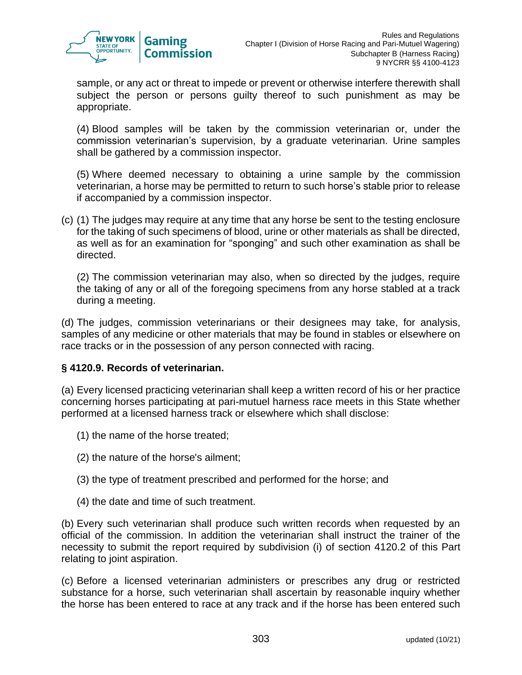

sample, or any act or threat to impede or prevent or otherwise interfere therewith shall subject the person or persons guilty thereof to such punishment as may be appropriate.

(4) Blood samples will be taken by the commission veterinarian or, under the commission veterinarian's supervision, by a graduate veterinarian. Urine samples shall be gathered by a commission inspector.

(5) Where deemed necessary to obtaining a urine sample by the commission veterinarian, a horse may be permitted to return to such horse's stable prior to release if accompanied by a commission inspector.

(c) (1) The judges may require at any time that any horse be sent to the testing enclosure for the taking of such specimens of blood, urine or other materials as shall be directed, as well as for an examination for "sponging" and such other examination as shall be directed.

(2) The commission veterinarian may also, when so directed by the judges, require the taking of any or all of the foregoing specimens from any horse stabled at a track during a meeting.

(d) The judges, commission veterinarians or their designees may take, for analysis, samples of any medicine or other materials that may be found in stables or elsewhere on race tracks or in the possession of any person connected with racing.

### **§ 4120.9. Records of veterinarian.**

(a) Every licensed practicing veterinarian shall keep a written record of his or her practice concerning horses participating at pari-mutuel harness race meets in this State whether performed at a licensed harness track or elsewhere which shall disclose:

- (1) the name of the horse treated;
- (2) the nature of the horse's ailment;
- (3) the type of treatment prescribed and performed for the horse; and
- (4) the date and time of such treatment.

(b) Every such veterinarian shall produce such written records when requested by an official of the commission. In addition the veterinarian shall instruct the trainer of the necessity to submit the report required by subdivision (i) of section 4120.2 of this Part relating to joint aspiration.

(c) Before a licensed veterinarian administers or prescribes any drug or restricted substance for a horse, such veterinarian shall ascertain by reasonable inquiry whether the horse has been entered to race at any track and if the horse has been entered such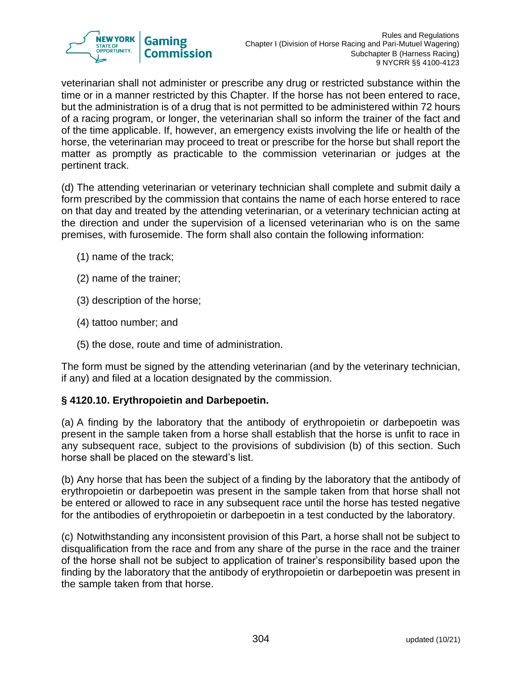

veterinarian shall not administer or prescribe any drug or restricted substance within the time or in a manner restricted by this Chapter. If the horse has not been entered to race, but the administration is of a drug that is not permitted to be administered within 72 hours of a racing program, or longer, the veterinarian shall so inform the trainer of the fact and of the time applicable. If, however, an emergency exists involving the life or health of the horse, the veterinarian may proceed to treat or prescribe for the horse but shall report the matter as promptly as practicable to the commission veterinarian or judges at the pertinent track.

(d) The attending veterinarian or veterinary technician shall complete and submit daily a form prescribed by the commission that contains the name of each horse entered to race on that day and treated by the attending veterinarian, or a veterinary technician acting at the direction and under the supervision of a licensed veterinarian who is on the same premises, with furosemide. The form shall also contain the following information:

- (1) name of the track;
- (2) name of the trainer;
- (3) description of the horse;
- (4) tattoo number; and
- (5) the dose, route and time of administration.

The form must be signed by the attending veterinarian (and by the veterinary technician, if any) and filed at a location designated by the commission.

# **§ 4120.10. Erythropoietin and Darbepoetin.**

(a) A finding by the laboratory that the antibody of erythropoietin or darbepoetin was present in the sample taken from a horse shall establish that the horse is unfit to race in any subsequent race, subject to the provisions of subdivision (b) of this section. Such horse shall be placed on the steward's list.

(b) Any horse that has been the subject of a finding by the laboratory that the antibody of erythropoietin or darbepoetin was present in the sample taken from that horse shall not be entered or allowed to race in any subsequent race until the horse has tested negative for the antibodies of erythropoietin or darbepoetin in a test conducted by the laboratory.

(c) Notwithstanding any inconsistent provision of this Part, a horse shall not be subject to disqualification from the race and from any share of the purse in the race and the trainer of the horse shall not be subject to application of trainer's responsibility based upon the finding by the laboratory that the antibody of erythropoietin or darbepoetin was present in the sample taken from that horse.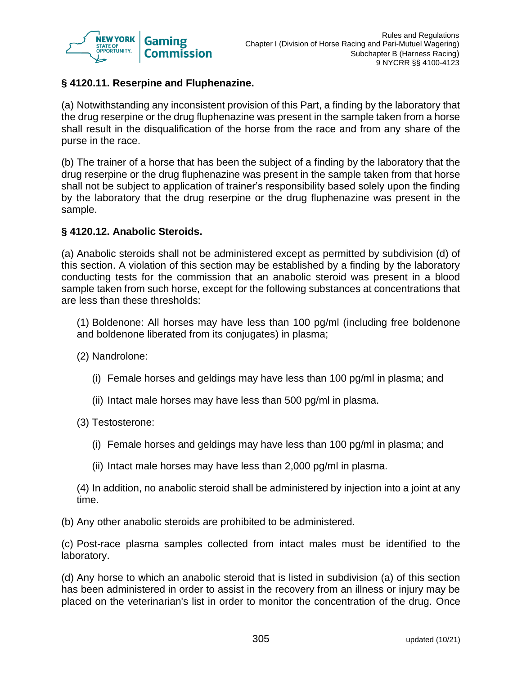

## **§ 4120.11. Reserpine and Fluphenazine.**

(a) Notwithstanding any inconsistent provision of this Part, a finding by the laboratory that the drug reserpine or the drug fluphenazine was present in the sample taken from a horse shall result in the disqualification of the horse from the race and from any share of the purse in the race.

(b) The trainer of a horse that has been the subject of a finding by the laboratory that the drug reserpine or the drug fluphenazine was present in the sample taken from that horse shall not be subject to application of trainer's responsibility based solely upon the finding by the laboratory that the drug reserpine or the drug fluphenazine was present in the sample.

### **§ 4120.12. Anabolic Steroids.**

(a) Anabolic steroids shall not be administered except as permitted by subdivision (d) of this section. A violation of this section may be established by a finding by the laboratory conducting tests for the commission that an anabolic steroid was present in a blood sample taken from such horse, except for the following substances at concentrations that are less than these thresholds:

(1) Boldenone: All horses may have less than 100 pg/ml (including free boldenone and boldenone liberated from its conjugates) in plasma;

(2) Nandrolone:

- (i) Female horses and geldings may have less than 100 pg/ml in plasma; and
- (ii) Intact male horses may have less than 500 pg/ml in plasma.

(3) Testosterone:

- (i) Female horses and geldings may have less than 100 pg/ml in plasma; and
- (ii) Intact male horses may have less than 2,000 pg/ml in plasma.

(4) In addition, no anabolic steroid shall be administered by injection into a joint at any time.

(b) Any other anabolic steroids are prohibited to be administered.

(c) Post-race plasma samples collected from intact males must be identified to the laboratory.

(d) Any horse to which an anabolic steroid that is listed in subdivision (a) of this section has been administered in order to assist in the recovery from an illness or injury may be placed on the veterinarian's list in order to monitor the concentration of the drug. Once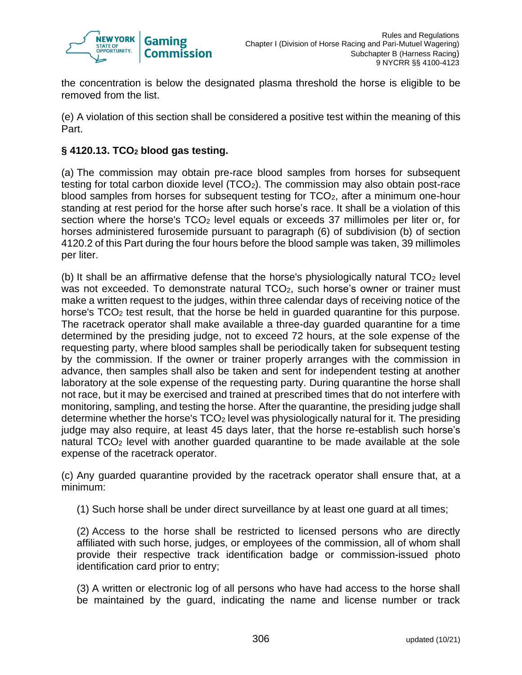

the concentration is below the designated plasma threshold the horse is eligible to be removed from the list.

(e) A violation of this section shall be considered a positive test within the meaning of this Part.

## **§ 4120.13. TCO<sup>2</sup> blood gas testing.**

(a) The commission may obtain pre-race blood samples from horses for subsequent testing for total carbon dioxide level  $(TCO<sub>2</sub>)$ . The commission may also obtain post-race blood samples from horses for subsequent testing for TCO2, after a minimum one-hour standing at rest period for the horse after such horse's race. It shall be a violation of this section where the horse's TCO<sub>2</sub> level equals or exceeds 37 millimoles per liter or, for horses administered furosemide pursuant to paragraph (6) of subdivision (b) of section 4120.2 of this Part during the four hours before the blood sample was taken, 39 millimoles per liter.

(b) It shall be an affirmative defense that the horse's physiologically natural  $TCO<sub>2</sub>$  level was not exceeded. To demonstrate natural TCO<sub>2</sub>, such horse's owner or trainer must make a written request to the judges, within three calendar days of receiving notice of the horse's TCO<sub>2</sub> test result, that the horse be held in guarded quarantine for this purpose. The racetrack operator shall make available a three-day guarded quarantine for a time determined by the presiding judge, not to exceed 72 hours, at the sole expense of the requesting party, where blood samples shall be periodically taken for subsequent testing by the commission. If the owner or trainer properly arranges with the commission in advance, then samples shall also be taken and sent for independent testing at another laboratory at the sole expense of the requesting party. During quarantine the horse shall not race, but it may be exercised and trained at prescribed times that do not interfere with monitoring, sampling, and testing the horse. After the quarantine, the presiding judge shall determine whether the horse's TCO<sup>2</sup> level was physiologically natural for it. The presiding judge may also require, at least 45 days later, that the horse re-establish such horse's natural TCO<sub>2</sub> level with another guarded quarantine to be made available at the sole expense of the racetrack operator.

(c) Any guarded quarantine provided by the racetrack operator shall ensure that, at a minimum:

(1) Such horse shall be under direct surveillance by at least one guard at all times;

(2) Access to the horse shall be restricted to licensed persons who are directly affiliated with such horse, judges, or employees of the commission, all of whom shall provide their respective track identification badge or commission-issued photo identification card prior to entry;

(3) A written or electronic log of all persons who have had access to the horse shall be maintained by the guard, indicating the name and license number or track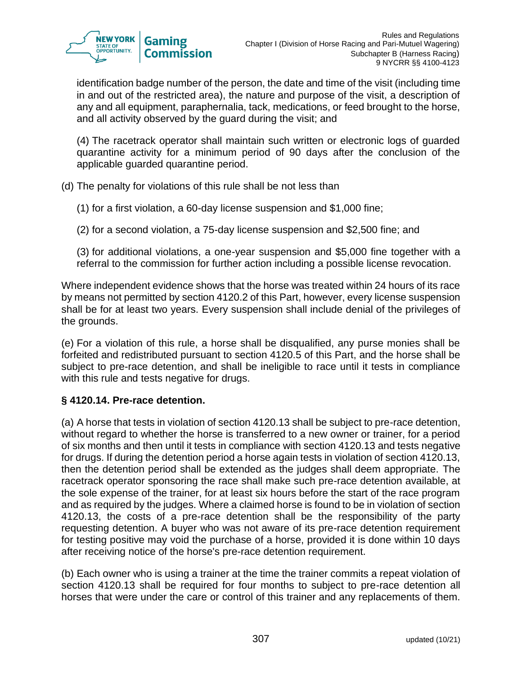

identification badge number of the person, the date and time of the visit (including time in and out of the restricted area), the nature and purpose of the visit, a description of any and all equipment, paraphernalia, tack, medications, or feed brought to the horse, and all activity observed by the guard during the visit; and

(4) The racetrack operator shall maintain such written or electronic logs of guarded quarantine activity for a minimum period of 90 days after the conclusion of the applicable guarded quarantine period.

(d) The penalty for violations of this rule shall be not less than

(1) for a first violation, a 60-day license suspension and \$1,000 fine;

(2) for a second violation, a 75-day license suspension and \$2,500 fine; and

(3) for additional violations, a one-year suspension and \$5,000 fine together with a referral to the commission for further action including a possible license revocation.

Where independent evidence shows that the horse was treated within 24 hours of its race by means not permitted by section 4120.2 of this Part, however, every license suspension shall be for at least two years. Every suspension shall include denial of the privileges of the grounds.

(e) For a violation of this rule, a horse shall be disqualified, any purse monies shall be forfeited and redistributed pursuant to section 4120.5 of this Part, and the horse shall be subject to pre-race detention, and shall be ineligible to race until it tests in compliance with this rule and tests negative for drugs.

### **§ 4120.14. Pre-race detention.**

(a) A horse that tests in violation of section 4120.13 shall be subject to pre-race detention, without regard to whether the horse is transferred to a new owner or trainer, for a period of six months and then until it tests in compliance with section 4120.13 and tests negative for drugs. If during the detention period a horse again tests in violation of section 4120.13, then the detention period shall be extended as the judges shall deem appropriate. The racetrack operator sponsoring the race shall make such pre-race detention available, at the sole expense of the trainer, for at least six hours before the start of the race program and as required by the judges. Where a claimed horse is found to be in violation of section 4120.13, the costs of a pre-race detention shall be the responsibility of the party requesting detention. A buyer who was not aware of its pre-race detention requirement for testing positive may void the purchase of a horse, provided it is done within 10 days after receiving notice of the horse's pre-race detention requirement.

(b) Each owner who is using a trainer at the time the trainer commits a repeat violation of section 4120.13 shall be required for four months to subject to pre-race detention all horses that were under the care or control of this trainer and any replacements of them.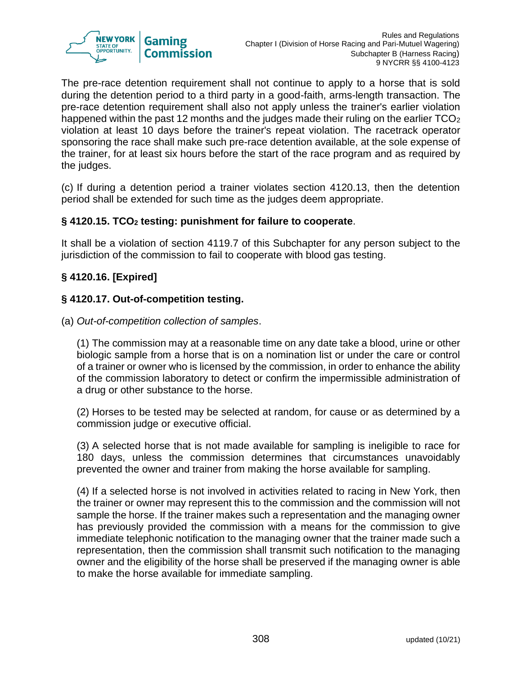

The pre-race detention requirement shall not continue to apply to a horse that is sold during the detention period to a third party in a good-faith, arms-length transaction. The pre-race detention requirement shall also not apply unless the trainer's earlier violation happened within the past 12 months and the judges made their ruling on the earlier  $TCO<sub>2</sub>$ violation at least 10 days before the trainer's repeat violation. The racetrack operator sponsoring the race shall make such pre-race detention available, at the sole expense of the trainer, for at least six hours before the start of the race program and as required by the judges.

(c) If during a detention period a trainer violates section 4120.13, then the detention period shall be extended for such time as the judges deem appropriate.

### **§ 4120.15. TCO<sup>2</sup> testing: punishment for failure to cooperate**.

It shall be a violation of section 4119.7 of this Subchapter for any person subject to the jurisdiction of the commission to fail to cooperate with blood gas testing.

## **§ 4120.16. [Expired]**

### **§ 4120.17. Out-of-competition testing.**

(a) *Out-of-competition collection of samples*.

(1) The commission may at a reasonable time on any date take a blood, urine or other biologic sample from a horse that is on a nomination list or under the care or control of a trainer or owner who is licensed by the commission, in order to enhance the ability of the commission laboratory to detect or confirm the impermissible administration of a drug or other substance to the horse.

(2) Horses to be tested may be selected at random, for cause or as determined by a commission judge or executive official.

(3) A selected horse that is not made available for sampling is ineligible to race for 180 days, unless the commission determines that circumstances unavoidably prevented the owner and trainer from making the horse available for sampling.

(4) If a selected horse is not involved in activities related to racing in New York, then the trainer or owner may represent this to the commission and the commission will not sample the horse. If the trainer makes such a representation and the managing owner has previously provided the commission with a means for the commission to give immediate telephonic notification to the managing owner that the trainer made such a representation, then the commission shall transmit such notification to the managing owner and the eligibility of the horse shall be preserved if the managing owner is able to make the horse available for immediate sampling.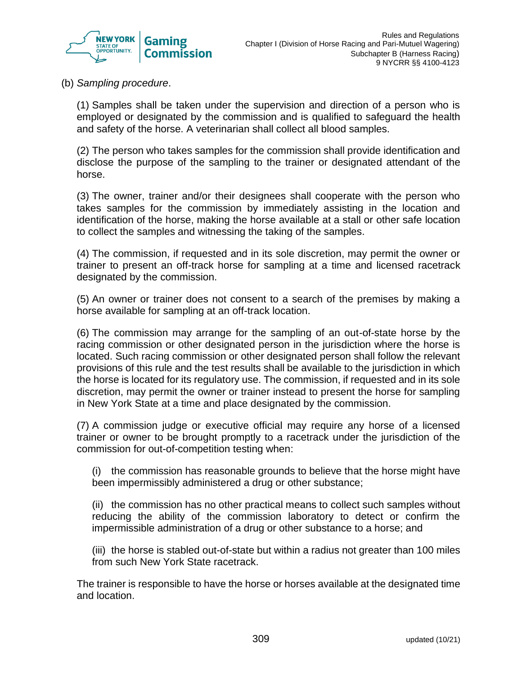

(b) *Sampling procedure*.

(1) Samples shall be taken under the supervision and direction of a person who is employed or designated by the commission and is qualified to safeguard the health and safety of the horse. A veterinarian shall collect all blood samples.

(2) The person who takes samples for the commission shall provide identification and disclose the purpose of the sampling to the trainer or designated attendant of the horse.

(3) The owner, trainer and/or their designees shall cooperate with the person who takes samples for the commission by immediately assisting in the location and identification of the horse, making the horse available at a stall or other safe location to collect the samples and witnessing the taking of the samples.

(4) The commission, if requested and in its sole discretion, may permit the owner or trainer to present an off-track horse for sampling at a time and licensed racetrack designated by the commission.

(5) An owner or trainer does not consent to a search of the premises by making a horse available for sampling at an off-track location.

(6) The commission may arrange for the sampling of an out-of-state horse by the racing commission or other designated person in the jurisdiction where the horse is located. Such racing commission or other designated person shall follow the relevant provisions of this rule and the test results shall be available to the jurisdiction in which the horse is located for its regulatory use. The commission, if requested and in its sole discretion, may permit the owner or trainer instead to present the horse for sampling in New York State at a time and place designated by the commission.

(7) A commission judge or executive official may require any horse of a licensed trainer or owner to be brought promptly to a racetrack under the jurisdiction of the commission for out-of-competition testing when:

(i) the commission has reasonable grounds to believe that the horse might have been impermissibly administered a drug or other substance;

(ii) the commission has no other practical means to collect such samples without reducing the ability of the commission laboratory to detect or confirm the impermissible administration of a drug or other substance to a horse; and

(iii) the horse is stabled out-of-state but within a radius not greater than 100 miles from such New York State racetrack.

The trainer is responsible to have the horse or horses available at the designated time and location.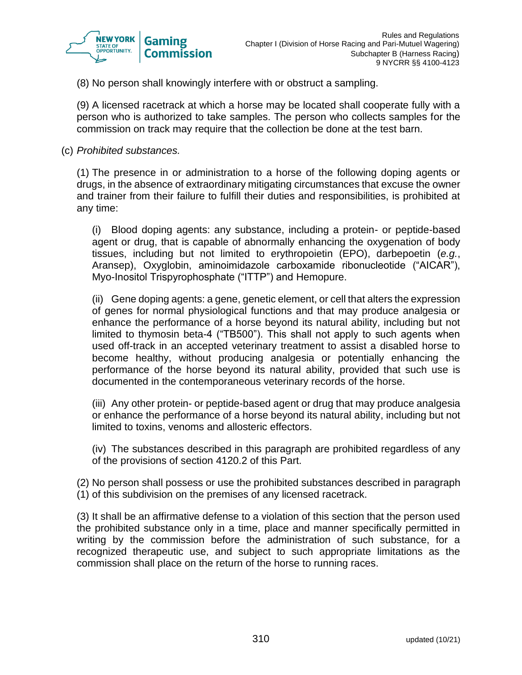

(8) No person shall knowingly interfere with or obstruct a sampling.

(9) A licensed racetrack at which a horse may be located shall cooperate fully with a person who is authorized to take samples. The person who collects samples for the commission on track may require that the collection be done at the test barn.

(c) *Prohibited substances.*

(1) The presence in or administration to a horse of the following doping agents or drugs, in the absence of extraordinary mitigating circumstances that excuse the owner and trainer from their failure to fulfill their duties and responsibilities, is prohibited at any time:

(i) Blood doping agents: any substance, including a protein- or peptide-based agent or drug, that is capable of abnormally enhancing the oxygenation of body tissues, including but not limited to erythropoietin (EPO), darbepoetin (*e.g.*, Aransep), Oxyglobin, aminoimidazole carboxamide ribonucleotide ("AICAR"), Myo-Inositol Trispyrophosphate ("ITTP") and Hemopure.

(ii) Gene doping agents: a gene, genetic element, or cell that alters the expression of genes for normal physiological functions and that may produce analgesia or enhance the performance of a horse beyond its natural ability, including but not limited to thymosin beta-4 ("TB500"). This shall not apply to such agents when used off-track in an accepted veterinary treatment to assist a disabled horse to become healthy, without producing analgesia or potentially enhancing the performance of the horse beyond its natural ability, provided that such use is documented in the contemporaneous veterinary records of the horse.

(iii) Any other protein- or peptide-based agent or drug that may produce analgesia or enhance the performance of a horse beyond its natural ability, including but not limited to toxins, venoms and allosteric effectors.

(iv) The substances described in this paragraph are prohibited regardless of any of the provisions of section 4120.2 of this Part.

(2) No person shall possess or use the prohibited substances described in paragraph (1) of this subdivision on the premises of any licensed racetrack.

(3) It shall be an affirmative defense to a violation of this section that the person used the prohibited substance only in a time, place and manner specifically permitted in writing by the commission before the administration of such substance, for a recognized therapeutic use, and subject to such appropriate limitations as the commission shall place on the return of the horse to running races.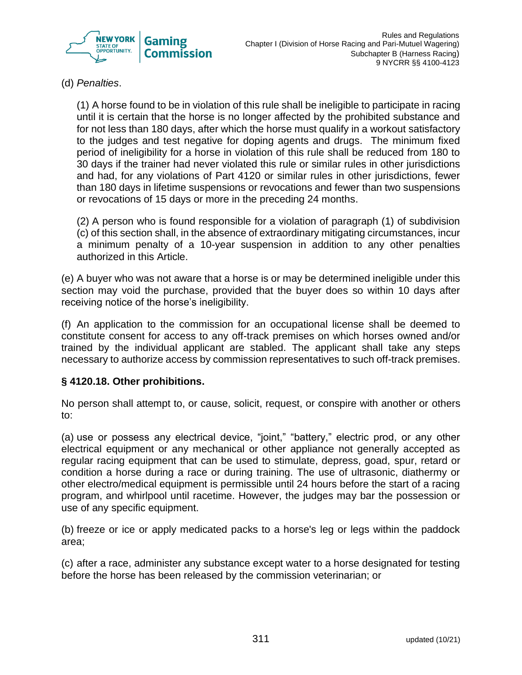

(d) *Penalties*.

(1) A horse found to be in violation of this rule shall be ineligible to participate in racing until it is certain that the horse is no longer affected by the prohibited substance and for not less than 180 days, after which the horse must qualify in a workout satisfactory to the judges and test negative for doping agents and drugs. The minimum fixed period of ineligibility for a horse in violation of this rule shall be reduced from 180 to 30 days if the trainer had never violated this rule or similar rules in other jurisdictions and had, for any violations of Part 4120 or similar rules in other jurisdictions, fewer than 180 days in lifetime suspensions or revocations and fewer than two suspensions or revocations of 15 days or more in the preceding 24 months.

(2) A person who is found responsible for a violation of paragraph (1) of subdivision (c) of this section shall, in the absence of extraordinary mitigating circumstances, incur a minimum penalty of a 10-year suspension in addition to any other penalties authorized in this Article.

(e) A buyer who was not aware that a horse is or may be determined ineligible under this section may void the purchase, provided that the buyer does so within 10 days after receiving notice of the horse's ineligibility.

(f) An application to the commission for an occupational license shall be deemed to constitute consent for access to any off-track premises on which horses owned and/or trained by the individual applicant are stabled. The applicant shall take any steps necessary to authorize access by commission representatives to such off-track premises.

#### **§ 4120.18. Other prohibitions.**

No person shall attempt to, or cause, solicit, request, or conspire with another or others to:

(a) use or possess any electrical device, "joint," "battery," electric prod, or any other electrical equipment or any mechanical or other appliance not generally accepted as regular racing equipment that can be used to stimulate, depress, goad, spur, retard or condition a horse during a race or during training. The use of ultrasonic, diathermy or other electro/medical equipment is permissible until 24 hours before the start of a racing program, and whirlpool until racetime. However, the judges may bar the possession or use of any specific equipment.

(b) freeze or ice or apply medicated packs to a horse's leg or legs within the paddock area;

(c) after a race, administer any substance except water to a horse designated for testing before the horse has been released by the commission veterinarian; or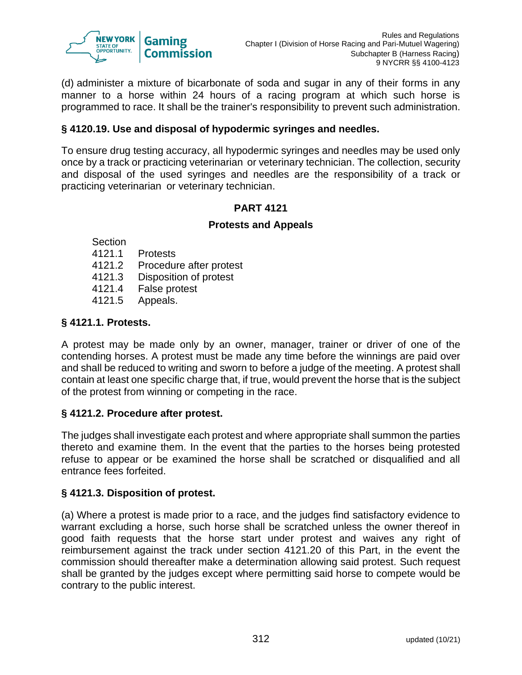

(d) administer a mixture of bicarbonate of soda and sugar in any of their forms in any manner to a horse within 24 hours of a racing program at which such horse is programmed to race. It shall be the trainer's responsibility to prevent such administration.

### **§ 4120.19. Use and disposal of hypodermic syringes and needles.**

To ensure drug testing accuracy, all hypodermic syringes and needles may be used only once by a track or practicing veterinarian or veterinary technician. The collection, security and disposal of the used syringes and needles are the responsibility of a track or practicing veterinarian or veterinary technician.

#### **PART 4121**

#### **Protests and Appeals**

Section

- 4121.1 Protests
- 4121.2 Procedure after protest
- 4121.3 Disposition of protest
- 4121.4 False protest
- 4121.5 Appeals.

### **§ 4121.1. Protests.**

A protest may be made only by an owner, manager, trainer or driver of one of the contending horses. A protest must be made any time before the winnings are paid over and shall be reduced to writing and sworn to before a judge of the meeting. A protest shall contain at least one specific charge that, if true, would prevent the horse that is the subject of the protest from winning or competing in the race.

#### **§ 4121.2. Procedure after protest.**

The judges shall investigate each protest and where appropriate shall summon the parties thereto and examine them. In the event that the parties to the horses being protested refuse to appear or be examined the horse shall be scratched or disqualified and all entrance fees forfeited.

#### **§ 4121.3. Disposition of protest.**

(a) Where a protest is made prior to a race, and the judges find satisfactory evidence to warrant excluding a horse, such horse shall be scratched unless the owner thereof in good faith requests that the horse start under protest and waives any right of reimbursement against the track under section 4121.20 of this Part, in the event the commission should thereafter make a determination allowing said protest. Such request shall be granted by the judges except where permitting said horse to compete would be contrary to the public interest.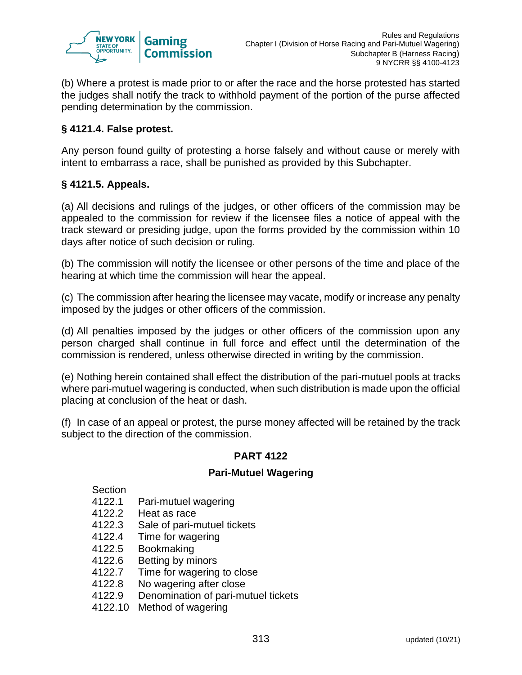

(b) Where a protest is made prior to or after the race and the horse protested has started the judges shall notify the track to withhold payment of the portion of the purse affected pending determination by the commission.

### **§ 4121.4. False protest.**

Any person found guilty of protesting a horse falsely and without cause or merely with intent to embarrass a race, shall be punished as provided by this Subchapter.

### **§ 4121.5. Appeals.**

(a) All decisions and rulings of the judges, or other officers of the commission may be appealed to the commission for review if the licensee files a notice of appeal with the track steward or presiding judge, upon the forms provided by the commission within 10 days after notice of such decision or ruling.

(b) The commission will notify the licensee or other persons of the time and place of the hearing at which time the commission will hear the appeal.

(c) The commission after hearing the licensee may vacate, modify or increase any penalty imposed by the judges or other officers of the commission.

(d) All penalties imposed by the judges or other officers of the commission upon any person charged shall continue in full force and effect until the determination of the commission is rendered, unless otherwise directed in writing by the commission.

(e) Nothing herein contained shall effect the distribution of the pari-mutuel pools at tracks where pari-mutuel wagering is conducted, when such distribution is made upon the official placing at conclusion of the heat or dash.

(f) In case of an appeal or protest, the purse money affected will be retained by the track subject to the direction of the commission.

#### **PART 4122**

#### **Pari-Mutuel Wagering**

Section

- 4122.1 Pari-mutuel wagering
- 4122.2 Heat as race
- 4122.3 Sale of pari-mutuel tickets
- 4122.4 Time for wagering
- 4122.5 Bookmaking
- 4122.6 Betting by minors
- 4122.7 Time for wagering to close
- 4122.8 No wagering after close
- 4122.9 Denomination of pari-mutuel tickets
- 4122.10 Method of wagering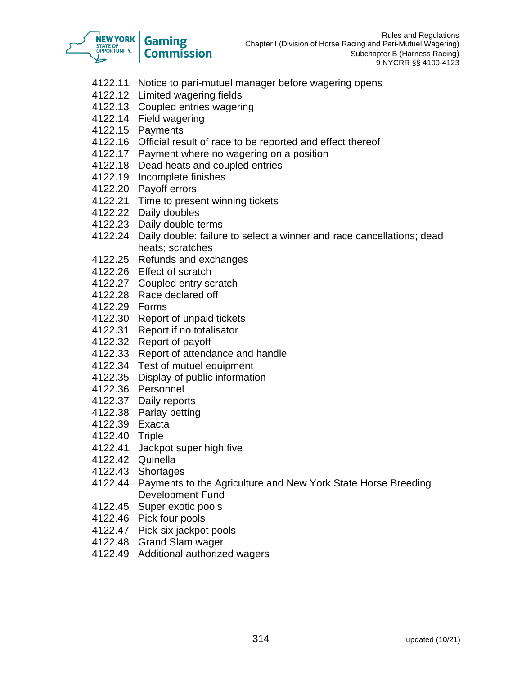

- 4122.11 Notice to pari-mutuel manager before wagering opens
- 4122.12 Limited wagering fields
- 4122.13 Coupled entries wagering
- 4122.14 Field wagering
- 4122.15 Payments
- 4122.16 Official result of race to be reported and effect thereof
- 4122.17 Payment where no wagering on a position
- 4122.18 Dead heats and coupled entries
- 4122.19 Incomplete finishes
- 4122.20 Payoff errors
- 4122.21 Time to present winning tickets
- 4122.22 Daily doubles
- 4122.23 Daily double terms
- 4122.24 Daily double: failure to select a winner and race cancellations; dead heats; scratches
- 4122.25 Refunds and exchanges
- 4122.26 Effect of scratch
- 4122.27 Coupled entry scratch
- 4122.28 Race declared off
- 4122.29 Forms
- 4122.30 Report of unpaid tickets
- 4122.31 Report if no totalisator
- 4122.32 Report of payoff
- 4122.33 Report of attendance and handle
- 4122.34 Test of mutuel equipment
- 4122.35 Display of public information
- 4122.36 Personnel
- 4122.37 Daily reports
- 4122.38 Parlay betting
- 4122.39 Exacta
- 4122.40 Triple
- 4122.41 Jackpot super high five
- 4122.42 Quinella
- 4122.43 Shortages
- 4122.44 Payments to the Agriculture and New York State Horse Breeding Development Fund
- 4122.45 Super exotic pools
- 4122.46 Pick four pools
- 4122.47 Pick-six jackpot pools
- 4122.48 Grand Slam wager
- 4122.49 Additional authorized wagers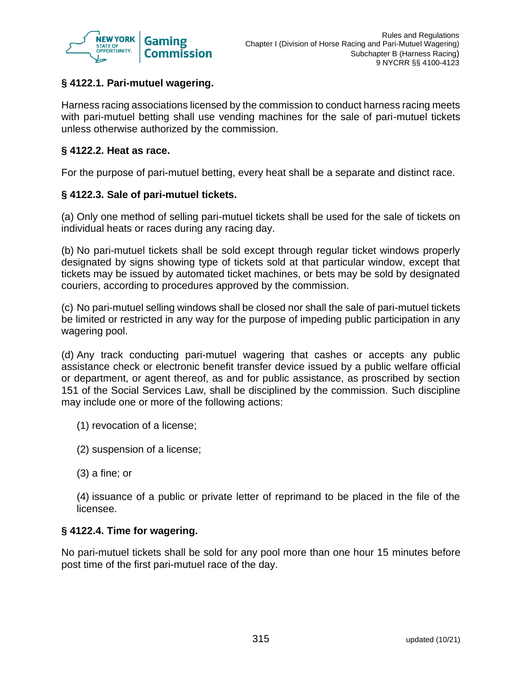

## **§ 4122.1. Pari-mutuel wagering.**

Harness racing associations licensed by the commission to conduct harness racing meets with pari-mutuel betting shall use vending machines for the sale of pari-mutuel tickets unless otherwise authorized by the commission.

#### **§ 4122.2. Heat as race.**

For the purpose of pari-mutuel betting, every heat shall be a separate and distinct race.

#### **§ 4122.3. Sale of pari-mutuel tickets.**

(a) Only one method of selling pari-mutuel tickets shall be used for the sale of tickets on individual heats or races during any racing day.

(b) No pari-mutuel tickets shall be sold except through regular ticket windows properly designated by signs showing type of tickets sold at that particular window, except that tickets may be issued by automated ticket machines, or bets may be sold by designated couriers, according to procedures approved by the commission.

(c) No pari-mutuel selling windows shall be closed nor shall the sale of pari-mutuel tickets be limited or restricted in any way for the purpose of impeding public participation in any wagering pool.

(d) Any track conducting pari-mutuel wagering that cashes or accepts any public assistance check or electronic benefit transfer device issued by a public welfare official or department, or agent thereof, as and for public assistance, as proscribed by section 151 of the Social Services Law, shall be disciplined by the commission. Such discipline may include one or more of the following actions:

- (1) revocation of a license;
- (2) suspension of a license;
- (3) a fine; or

(4) issuance of a public or private letter of reprimand to be placed in the file of the licensee.

#### **§ 4122.4. Time for wagering.**

No pari-mutuel tickets shall be sold for any pool more than one hour 15 minutes before post time of the first pari-mutuel race of the day.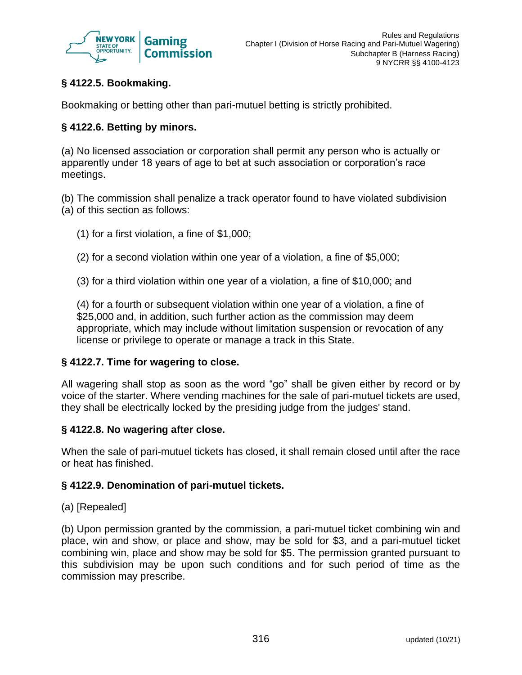

# **§ 4122.5. Bookmaking.**

Bookmaking or betting other than pari-mutuel betting is strictly prohibited.

### **§ 4122.6. Betting by minors.**

(a) No licensed association or corporation shall permit any person who is actually or apparently under 18 years of age to bet at such association or corporation's race meetings.

(b) The commission shall penalize a track operator found to have violated subdivision (a) of this section as follows:

- (1) for a first violation, a fine of \$1,000;
- (2) for a second violation within one year of a violation, a fine of \$5,000;
- (3) for a third violation within one year of a violation, a fine of \$10,000; and

(4) for a fourth or subsequent violation within one year of a violation, a fine of \$25,000 and, in addition, such further action as the commission may deem appropriate, which may include without limitation suspension or revocation of any license or privilege to operate or manage a track in this State.

#### **§ 4122.7. Time for wagering to close.**

All wagering shall stop as soon as the word "go" shall be given either by record or by voice of the starter. Where vending machines for the sale of pari-mutuel tickets are used, they shall be electrically locked by the presiding judge from the judges' stand.

#### **§ 4122.8. No wagering after close.**

When the sale of pari-mutuel tickets has closed, it shall remain closed until after the race or heat has finished.

#### **§ 4122.9. Denomination of pari-mutuel tickets.**

#### (a) [Repealed]

(b) Upon permission granted by the commission, a pari-mutuel ticket combining win and place, win and show, or place and show, may be sold for \$3, and a pari-mutuel ticket combining win, place and show may be sold for \$5. The permission granted pursuant to this subdivision may be upon such conditions and for such period of time as the commission may prescribe.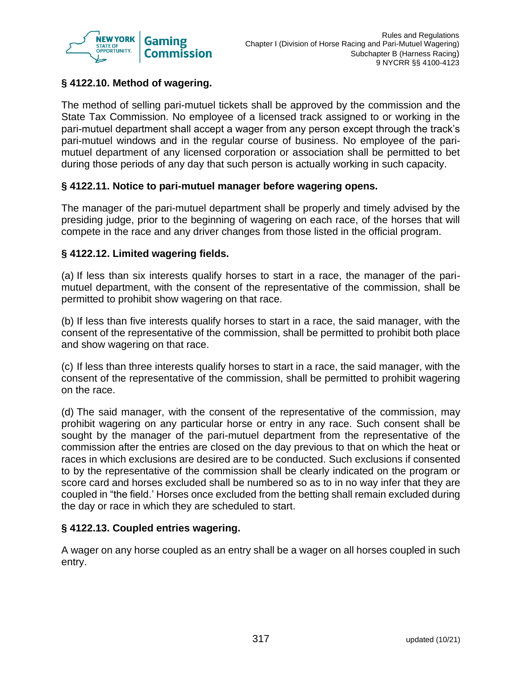

## **§ 4122.10. Method of wagering.**

The method of selling pari-mutuel tickets shall be approved by the commission and the State Tax Commission. No employee of a licensed track assigned to or working in the pari-mutuel department shall accept a wager from any person except through the track's pari-mutuel windows and in the regular course of business. No employee of the parimutuel department of any licensed corporation or association shall be permitted to bet during those periods of any day that such person is actually working in such capacity.

#### **§ 4122.11. Notice to pari-mutuel manager before wagering opens.**

The manager of the pari-mutuel department shall be properly and timely advised by the presiding judge, prior to the beginning of wagering on each race, of the horses that will compete in the race and any driver changes from those listed in the official program.

#### **§ 4122.12. Limited wagering fields.**

(a) If less than six interests qualify horses to start in a race, the manager of the parimutuel department, with the consent of the representative of the commission, shall be permitted to prohibit show wagering on that race.

(b) If less than five interests qualify horses to start in a race, the said manager, with the consent of the representative of the commission, shall be permitted to prohibit both place and show wagering on that race.

(c) If less than three interests qualify horses to start in a race, the said manager, with the consent of the representative of the commission, shall be permitted to prohibit wagering on the race.

(d) The said manager, with the consent of the representative of the commission, may prohibit wagering on any particular horse or entry in any race. Such consent shall be sought by the manager of the pari-mutuel department from the representative of the commission after the entries are closed on the day previous to that on which the heat or races in which exclusions are desired are to be conducted. Such exclusions if consented to by the representative of the commission shall be clearly indicated on the program or score card and horses excluded shall be numbered so as to in no way infer that they are coupled in "the field.' Horses once excluded from the betting shall remain excluded during the day or race in which they are scheduled to start.

#### **§ 4122.13. Coupled entries wagering.**

A wager on any horse coupled as an entry shall be a wager on all horses coupled in such entry.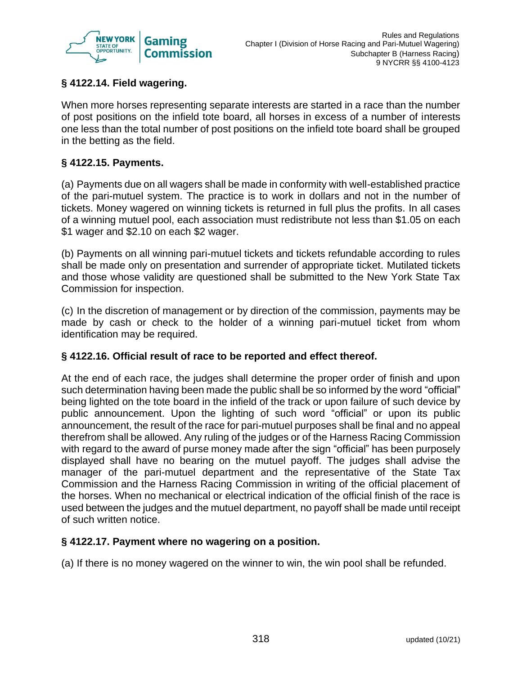

## **§ 4122.14. Field wagering.**

When more horses representing separate interests are started in a race than the number of post positions on the infield tote board, all horses in excess of a number of interests one less than the total number of post positions on the infield tote board shall be grouped in the betting as the field.

### **§ 4122.15. Payments.**

(a) Payments due on all wagers shall be made in conformity with well-established practice of the pari-mutuel system. The practice is to work in dollars and not in the number of tickets. Money wagered on winning tickets is returned in full plus the profits. In all cases of a winning mutuel pool, each association must redistribute not less than \$1.05 on each \$1 wager and \$2.10 on each \$2 wager.

(b) Payments on all winning pari-mutuel tickets and tickets refundable according to rules shall be made only on presentation and surrender of appropriate ticket. Mutilated tickets and those whose validity are questioned shall be submitted to the New York State Tax Commission for inspection.

(c) In the discretion of management or by direction of the commission, payments may be made by cash or check to the holder of a winning pari-mutuel ticket from whom identification may be required.

#### **§ 4122.16. Official result of race to be reported and effect thereof.**

At the end of each race, the judges shall determine the proper order of finish and upon such determination having been made the public shall be so informed by the word "official" being lighted on the tote board in the infield of the track or upon failure of such device by public announcement. Upon the lighting of such word "official" or upon its public announcement, the result of the race for pari-mutuel purposes shall be final and no appeal therefrom shall be allowed. Any ruling of the judges or of the Harness Racing Commission with regard to the award of purse money made after the sign "official" has been purposely displayed shall have no bearing on the mutuel payoff. The judges shall advise the manager of the pari-mutuel department and the representative of the State Tax Commission and the Harness Racing Commission in writing of the official placement of the horses. When no mechanical or electrical indication of the official finish of the race is used between the judges and the mutuel department, no payoff shall be made until receipt of such written notice.

#### **§ 4122.17. Payment where no wagering on a position.**

(a) If there is no money wagered on the winner to win, the win pool shall be refunded.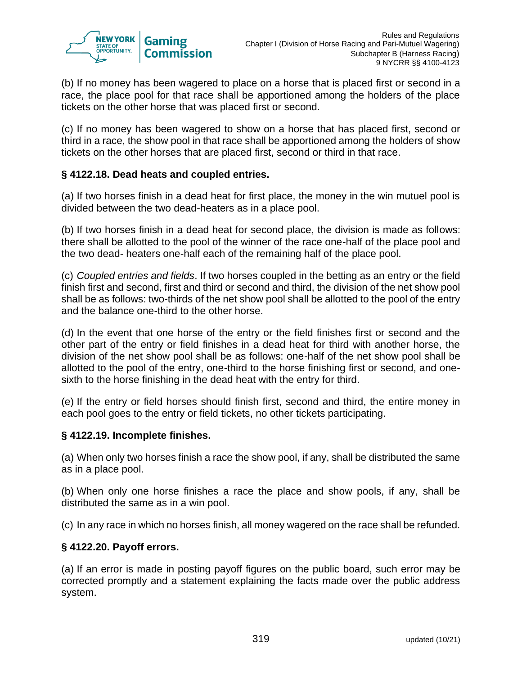

(b) If no money has been wagered to place on a horse that is placed first or second in a race, the place pool for that race shall be apportioned among the holders of the place tickets on the other horse that was placed first or second.

(c) If no money has been wagered to show on a horse that has placed first, second or third in a race, the show pool in that race shall be apportioned among the holders of show tickets on the other horses that are placed first, second or third in that race.

### **§ 4122.18. Dead heats and coupled entries.**

(a) If two horses finish in a dead heat for first place, the money in the win mutuel pool is divided between the two dead-heaters as in a place pool.

(b) If two horses finish in a dead heat for second place, the division is made as follows: there shall be allotted to the pool of the winner of the race one-half of the place pool and the two dead- heaters one-half each of the remaining half of the place pool.

(c) *Coupled entries and fields*. If two horses coupled in the betting as an entry or the field finish first and second, first and third or second and third, the division of the net show pool shall be as follows: two-thirds of the net show pool shall be allotted to the pool of the entry and the balance one-third to the other horse.

(d) In the event that one horse of the entry or the field finishes first or second and the other part of the entry or field finishes in a dead heat for third with another horse, the division of the net show pool shall be as follows: one-half of the net show pool shall be allotted to the pool of the entry, one-third to the horse finishing first or second, and onesixth to the horse finishing in the dead heat with the entry for third.

(e) If the entry or field horses should finish first, second and third, the entire money in each pool goes to the entry or field tickets, no other tickets participating.

#### **§ 4122.19. Incomplete finishes.**

(a) When only two horses finish a race the show pool, if any, shall be distributed the same as in a place pool.

(b) When only one horse finishes a race the place and show pools, if any, shall be distributed the same as in a win pool.

(c) In any race in which no horses finish, all money wagered on the race shall be refunded.

#### **§ 4122.20. Payoff errors.**

(a) If an error is made in posting payoff figures on the public board, such error may be corrected promptly and a statement explaining the facts made over the public address system.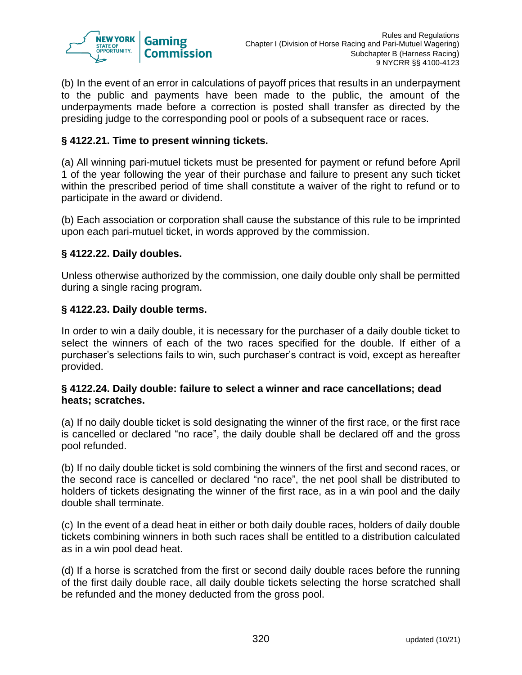

(b) In the event of an error in calculations of payoff prices that results in an underpayment to the public and payments have been made to the public, the amount of the underpayments made before a correction is posted shall transfer as directed by the presiding judge to the corresponding pool or pools of a subsequent race or races.

### **§ 4122.21. Time to present winning tickets.**

(a) All winning pari-mutuel tickets must be presented for payment or refund before April 1 of the year following the year of their purchase and failure to present any such ticket within the prescribed period of time shall constitute a waiver of the right to refund or to participate in the award or dividend.

(b) Each association or corporation shall cause the substance of this rule to be imprinted upon each pari-mutuel ticket, in words approved by the commission.

#### **§ 4122.22. Daily doubles.**

Unless otherwise authorized by the commission, one daily double only shall be permitted during a single racing program.

#### **§ 4122.23. Daily double terms.**

In order to win a daily double, it is necessary for the purchaser of a daily double ticket to select the winners of each of the two races specified for the double. If either of a purchaser's selections fails to win, such purchaser's contract is void, except as hereafter provided.

#### **§ 4122.24. Daily double: failure to select a winner and race cancellations; dead heats; scratches.**

(a) If no daily double ticket is sold designating the winner of the first race, or the first race is cancelled or declared "no race", the daily double shall be declared off and the gross pool refunded.

(b) If no daily double ticket is sold combining the winners of the first and second races, or the second race is cancelled or declared "no race", the net pool shall be distributed to holders of tickets designating the winner of the first race, as in a win pool and the daily double shall terminate.

(c) In the event of a dead heat in either or both daily double races, holders of daily double tickets combining winners in both such races shall be entitled to a distribution calculated as in a win pool dead heat.

(d) If a horse is scratched from the first or second daily double races before the running of the first daily double race, all daily double tickets selecting the horse scratched shall be refunded and the money deducted from the gross pool.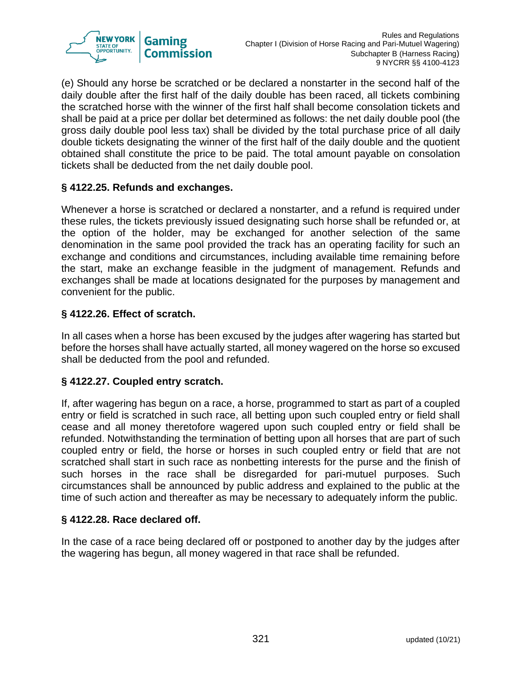

(e) Should any horse be scratched or be declared a nonstarter in the second half of the daily double after the first half of the daily double has been raced, all tickets combining the scratched horse with the winner of the first half shall become consolation tickets and shall be paid at a price per dollar bet determined as follows: the net daily double pool (the gross daily double pool less tax) shall be divided by the total purchase price of all daily double tickets designating the winner of the first half of the daily double and the quotient obtained shall constitute the price to be paid. The total amount payable on consolation tickets shall be deducted from the net daily double pool.

### **§ 4122.25. Refunds and exchanges.**

Whenever a horse is scratched or declared a nonstarter, and a refund is required under these rules, the tickets previously issued designating such horse shall be refunded or, at the option of the holder, may be exchanged for another selection of the same denomination in the same pool provided the track has an operating facility for such an exchange and conditions and circumstances, including available time remaining before the start, make an exchange feasible in the judgment of management. Refunds and exchanges shall be made at locations designated for the purposes by management and convenient for the public.

### **§ 4122.26. Effect of scratch.**

In all cases when a horse has been excused by the judges after wagering has started but before the horses shall have actually started, all money wagered on the horse so excused shall be deducted from the pool and refunded.

#### **§ 4122.27. Coupled entry scratch.**

If, after wagering has begun on a race, a horse, programmed to start as part of a coupled entry or field is scratched in such race, all betting upon such coupled entry or field shall cease and all money theretofore wagered upon such coupled entry or field shall be refunded. Notwithstanding the termination of betting upon all horses that are part of such coupled entry or field, the horse or horses in such coupled entry or field that are not scratched shall start in such race as nonbetting interests for the purse and the finish of such horses in the race shall be disregarded for pari-mutuel purposes. Such circumstances shall be announced by public address and explained to the public at the time of such action and thereafter as may be necessary to adequately inform the public.

#### **§ 4122.28. Race declared off.**

In the case of a race being declared off or postponed to another day by the judges after the wagering has begun, all money wagered in that race shall be refunded.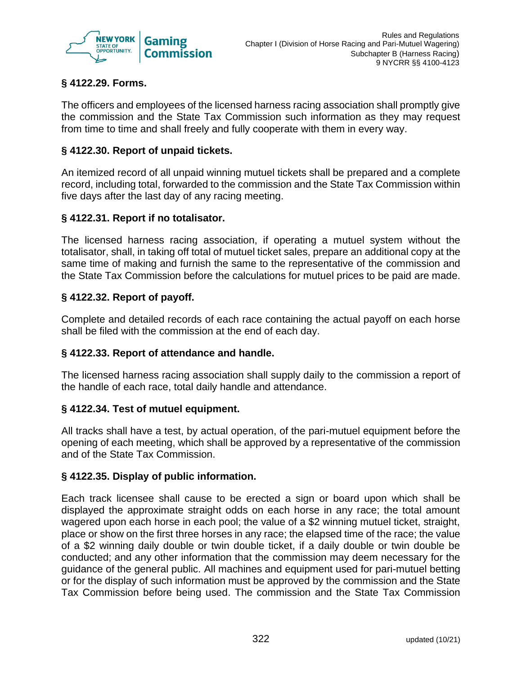

# **§ 4122.29. Forms.**

The officers and employees of the licensed harness racing association shall promptly give the commission and the State Tax Commission such information as they may request from time to time and shall freely and fully cooperate with them in every way.

### **§ 4122.30. Report of unpaid tickets.**

An itemized record of all unpaid winning mutuel tickets shall be prepared and a complete record, including total, forwarded to the commission and the State Tax Commission within five days after the last day of any racing meeting.

#### **§ 4122.31. Report if no totalisator.**

The licensed harness racing association, if operating a mutuel system without the totalisator, shall, in taking off total of mutuel ticket sales, prepare an additional copy at the same time of making and furnish the same to the representative of the commission and the State Tax Commission before the calculations for mutuel prices to be paid are made.

### **§ 4122.32. Report of payoff.**

Complete and detailed records of each race containing the actual payoff on each horse shall be filed with the commission at the end of each day.

#### **§ 4122.33. Report of attendance and handle.**

The licensed harness racing association shall supply daily to the commission a report of the handle of each race, total daily handle and attendance.

#### **§ 4122.34. Test of mutuel equipment.**

All tracks shall have a test, by actual operation, of the pari-mutuel equipment before the opening of each meeting, which shall be approved by a representative of the commission and of the State Tax Commission.

#### **§ 4122.35. Display of public information.**

Each track licensee shall cause to be erected a sign or board upon which shall be displayed the approximate straight odds on each horse in any race; the total amount wagered upon each horse in each pool; the value of a \$2 winning mutuel ticket, straight, place or show on the first three horses in any race; the elapsed time of the race; the value of a \$2 winning daily double or twin double ticket, if a daily double or twin double be conducted; and any other information that the commission may deem necessary for the guidance of the general public. All machines and equipment used for pari-mutuel betting or for the display of such information must be approved by the commission and the State Tax Commission before being used. The commission and the State Tax Commission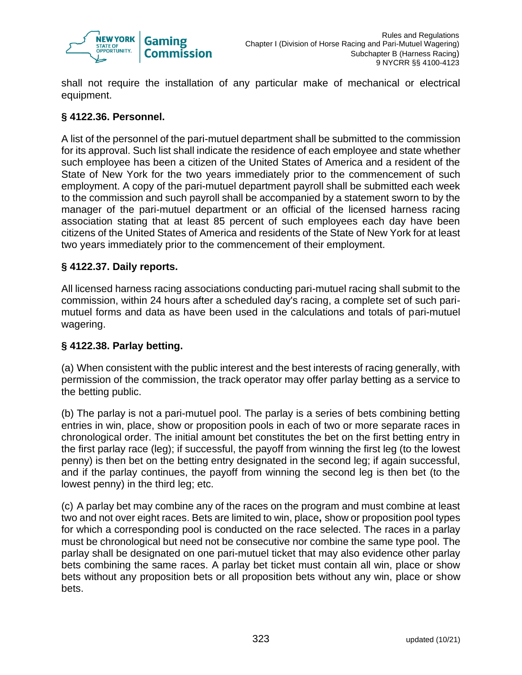

shall not require the installation of any particular make of mechanical or electrical equipment.

## **§ 4122.36. Personnel.**

A list of the personnel of the pari-mutuel department shall be submitted to the commission for its approval. Such list shall indicate the residence of each employee and state whether such employee has been a citizen of the United States of America and a resident of the State of New York for the two years immediately prior to the commencement of such employment. A copy of the pari-mutuel department payroll shall be submitted each week to the commission and such payroll shall be accompanied by a statement sworn to by the manager of the pari-mutuel department or an official of the licensed harness racing association stating that at least 85 percent of such employees each day have been citizens of the United States of America and residents of the State of New York for at least two years immediately prior to the commencement of their employment.

#### **§ 4122.37. Daily reports.**

All licensed harness racing associations conducting pari-mutuel racing shall submit to the commission, within 24 hours after a scheduled day's racing, a complete set of such parimutuel forms and data as have been used in the calculations and totals of pari-mutuel wagering.

#### **§ 4122.38. Parlay betting.**

(a) When consistent with the public interest and the best interests of racing generally, with permission of the commission, the track operator may offer parlay betting as a service to the betting public.

(b) The parlay is not a pari-mutuel pool. The parlay is a series of bets combining betting entries in win, place, show or proposition pools in each of two or more separate races in chronological order. The initial amount bet constitutes the bet on the first betting entry in the first parlay race (leg); if successful, the payoff from winning the first leg (to the lowest penny) is then bet on the betting entry designated in the second leg; if again successful, and if the parlay continues, the payoff from winning the second leg is then bet (to the lowest penny) in the third leg; etc.

(c) A parlay bet may combine any of the races on the program and must combine at least two and not over eight races. Bets are limited to win, place**,** show or proposition pool types for which a corresponding pool is conducted on the race selected. The races in a parlay must be chronological but need not be consecutive nor combine the same type pool. The parlay shall be designated on one pari-mutuel ticket that may also evidence other parlay bets combining the same races. A parlay bet ticket must contain all win, place or show bets without any proposition bets or all proposition bets without any win, place or show bets.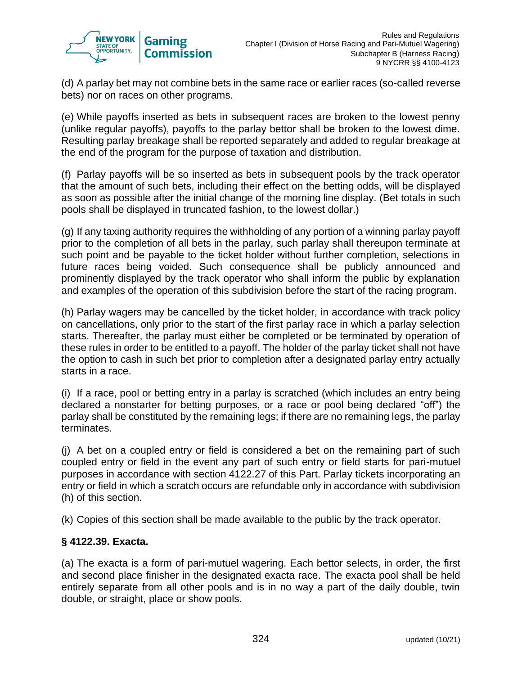

(d) A parlay bet may not combine bets in the same race or earlier races (so-called reverse bets) nor on races on other programs.

(e) While payoffs inserted as bets in subsequent races are broken to the lowest penny (unlike regular payoffs), payoffs to the parlay bettor shall be broken to the lowest dime. Resulting parlay breakage shall be reported separately and added to regular breakage at the end of the program for the purpose of taxation and distribution.

(f) Parlay payoffs will be so inserted as bets in subsequent pools by the track operator that the amount of such bets, including their effect on the betting odds, will be displayed as soon as possible after the initial change of the morning line display. (Bet totals in such pools shall be displayed in truncated fashion, to the lowest dollar.)

(g) If any taxing authority requires the withholding of any portion of a winning parlay payoff prior to the completion of all bets in the parlay, such parlay shall thereupon terminate at such point and be payable to the ticket holder without further completion, selections in future races being voided. Such consequence shall be publicly announced and prominently displayed by the track operator who shall inform the public by explanation and examples of the operation of this subdivision before the start of the racing program.

(h) Parlay wagers may be cancelled by the ticket holder, in accordance with track policy on cancellations, only prior to the start of the first parlay race in which a parlay selection starts. Thereafter, the parlay must either be completed or be terminated by operation of these rules in order to be entitled to a payoff. The holder of the parlay ticket shall not have the option to cash in such bet prior to completion after a designated parlay entry actually starts in a race.

(i) If a race, pool or betting entry in a parlay is scratched (which includes an entry being declared a nonstarter for betting purposes, or a race or pool being declared "off") the parlay shall be constituted by the remaining legs; if there are no remaining legs, the parlay terminates.

(j) A bet on a coupled entry or field is considered a bet on the remaining part of such coupled entry or field in the event any part of such entry or field starts for pari-mutuel purposes in accordance with section 4122.27 of this Part. Parlay tickets incorporating an entry or field in which a scratch occurs are refundable only in accordance with subdivision (h) of this section.

(k) Copies of this section shall be made available to the public by the track operator.

#### **§ 4122.39. Exacta.**

(a) The exacta is a form of pari-mutuel wagering. Each bettor selects, in order, the first and second place finisher in the designated exacta race. The exacta pool shall be held entirely separate from all other pools and is in no way a part of the daily double, twin double, or straight, place or show pools.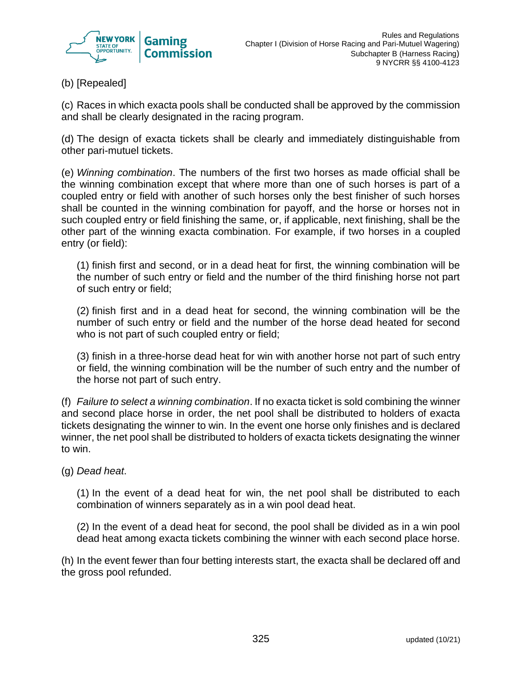

(b) [Repealed]

(c) Races in which exacta pools shall be conducted shall be approved by the commission and shall be clearly designated in the racing program.

(d) The design of exacta tickets shall be clearly and immediately distinguishable from other pari-mutuel tickets.

(e) *Winning combination*. The numbers of the first two horses as made official shall be the winning combination except that where more than one of such horses is part of a coupled entry or field with another of such horses only the best finisher of such horses shall be counted in the winning combination for payoff, and the horse or horses not in such coupled entry or field finishing the same, or, if applicable, next finishing, shall be the other part of the winning exacta combination. For example, if two horses in a coupled entry (or field):

(1) finish first and second, or in a dead heat for first, the winning combination will be the number of such entry or field and the number of the third finishing horse not part of such entry or field;

(2) finish first and in a dead heat for second, the winning combination will be the number of such entry or field and the number of the horse dead heated for second who is not part of such coupled entry or field;

(3) finish in a three-horse dead heat for win with another horse not part of such entry or field, the winning combination will be the number of such entry and the number of the horse not part of such entry.

(f) *Failure to select a winning combination*. If no exacta ticket is sold combining the winner and second place horse in order, the net pool shall be distributed to holders of exacta tickets designating the winner to win. In the event one horse only finishes and is declared winner, the net pool shall be distributed to holders of exacta tickets designating the winner to win.

(g) *Dead heat*.

(1) In the event of a dead heat for win, the net pool shall be distributed to each combination of winners separately as in a win pool dead heat.

(2) In the event of a dead heat for second, the pool shall be divided as in a win pool dead heat among exacta tickets combining the winner with each second place horse.

(h) In the event fewer than four betting interests start, the exacta shall be declared off and the gross pool refunded.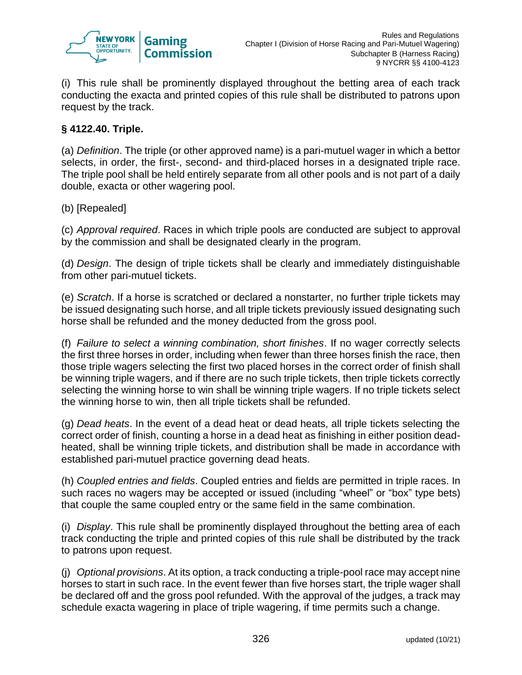

(i) This rule shall be prominently displayed throughout the betting area of each track conducting the exacta and printed copies of this rule shall be distributed to patrons upon request by the track.

### **§ 4122.40. Triple.**

(a) *Definition*. The triple (or other approved name) is a pari-mutuel wager in which a bettor selects, in order, the first-, second- and third-placed horses in a designated triple race. The triple pool shall be held entirely separate from all other pools and is not part of a daily double, exacta or other wagering pool.

#### (b) [Repealed]

(c) *Approval required*. Races in which triple pools are conducted are subject to approval by the commission and shall be designated clearly in the program.

(d) *Design*. The design of triple tickets shall be clearly and immediately distinguishable from other pari-mutuel tickets.

(e) *Scratch*. If a horse is scratched or declared a nonstarter, no further triple tickets may be issued designating such horse, and all triple tickets previously issued designating such horse shall be refunded and the money deducted from the gross pool.

(f) *Failure to select a winning combination, short finishes*. If no wager correctly selects the first three horses in order, including when fewer than three horses finish the race, then those triple wagers selecting the first two placed horses in the correct order of finish shall be winning triple wagers, and if there are no such triple tickets, then triple tickets correctly selecting the winning horse to win shall be winning triple wagers. If no triple tickets select the winning horse to win, then all triple tickets shall be refunded.

(g) *Dead heats*. In the event of a dead heat or dead heats, all triple tickets selecting the correct order of finish, counting a horse in a dead heat as finishing in either position deadheated, shall be winning triple tickets, and distribution shall be made in accordance with established pari-mutuel practice governing dead heats.

(h) *Coupled entries and fields*. Coupled entries and fields are permitted in triple races. In such races no wagers may be accepted or issued (including "wheel" or "box" type bets) that couple the same coupled entry or the same field in the same combination.

(i) *Display*. This rule shall be prominently displayed throughout the betting area of each track conducting the triple and printed copies of this rule shall be distributed by the track to patrons upon request.

(j) *Optional provisions*. At its option, a track conducting a triple-pool race may accept nine horses to start in such race. In the event fewer than five horses start, the triple wager shall be declared off and the gross pool refunded. With the approval of the judges, a track may schedule exacta wagering in place of triple wagering, if time permits such a change.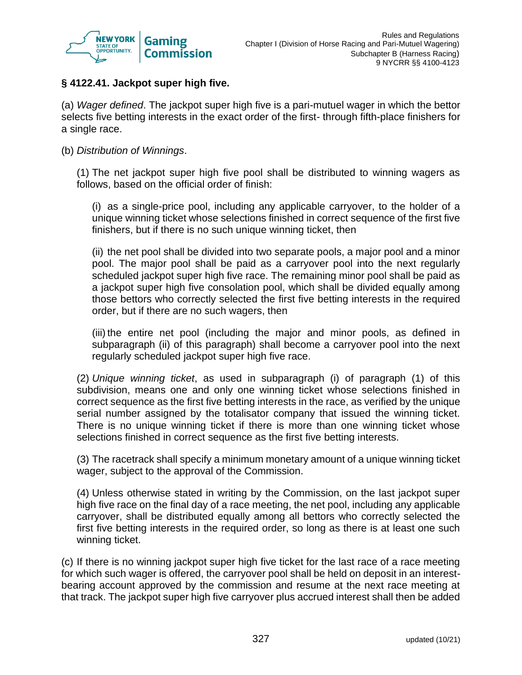

### **§ 4122.41. Jackpot super high five.**

(a) *Wager defined*. The jackpot super high five is a pari-mutuel wager in which the bettor selects five betting interests in the exact order of the first- through fifth-place finishers for a single race.

(b) *Distribution of Winnings*.

(1) The net jackpot super high five pool shall be distributed to winning wagers as follows, based on the official order of finish:

(i) as a single-price pool, including any applicable carryover, to the holder of a unique winning ticket whose selections finished in correct sequence of the first five finishers, but if there is no such unique winning ticket, then

(ii) the net pool shall be divided into two separate pools, a major pool and a minor pool. The major pool shall be paid as a carryover pool into the next regularly scheduled jackpot super high five race. The remaining minor pool shall be paid as a jackpot super high five consolation pool, which shall be divided equally among those bettors who correctly selected the first five betting interests in the required order, but if there are no such wagers, then

(iii) the entire net pool (including the major and minor pools, as defined in subparagraph (ii) of this paragraph) shall become a carryover pool into the next regularly scheduled jackpot super high five race.

(2) *Unique winning ticket*, as used in subparagraph (i) of paragraph (1) of this subdivision, means one and only one winning ticket whose selections finished in correct sequence as the first five betting interests in the race, as verified by the unique serial number assigned by the totalisator company that issued the winning ticket. There is no unique winning ticket if there is more than one winning ticket whose selections finished in correct sequence as the first five betting interests.

(3) The racetrack shall specify a minimum monetary amount of a unique winning ticket wager, subject to the approval of the Commission.

(4) Unless otherwise stated in writing by the Commission, on the last jackpot super high five race on the final day of a race meeting, the net pool, including any applicable carryover, shall be distributed equally among all bettors who correctly selected the first five betting interests in the required order, so long as there is at least one such winning ticket.

(c) If there is no winning jackpot super high five ticket for the last race of a race meeting for which such wager is offered, the carryover pool shall be held on deposit in an interestbearing account approved by the commission and resume at the next race meeting at that track. The jackpot super high five carryover plus accrued interest shall then be added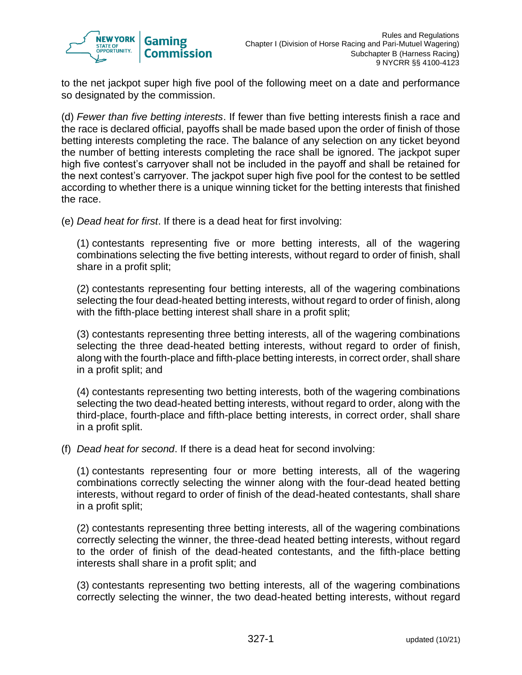

to the net jackpot super high five pool of the following meet on a date and performance so designated by the commission.

(d) *Fewer than five betting interests*. If fewer than five betting interests finish a race and the race is declared official, payoffs shall be made based upon the order of finish of those betting interests completing the race. The balance of any selection on any ticket beyond the number of betting interests completing the race shall be ignored. The jackpot super high five contest's carryover shall not be included in the payoff and shall be retained for the next contest's carryover. The jackpot super high five pool for the contest to be settled according to whether there is a unique winning ticket for the betting interests that finished the race.

(e) *Dead heat for first*. If there is a dead heat for first involving:

(1) contestants representing five or more betting interests, all of the wagering combinations selecting the five betting interests, without regard to order of finish, shall share in a profit split;

(2) contestants representing four betting interests, all of the wagering combinations selecting the four dead-heated betting interests, without regard to order of finish, along with the fifth-place betting interest shall share in a profit split;

(3) contestants representing three betting interests, all of the wagering combinations selecting the three dead-heated betting interests, without regard to order of finish, along with the fourth-place and fifth-place betting interests, in correct order, shall share in a profit split; and

(4) contestants representing two betting interests, both of the wagering combinations selecting the two dead-heated betting interests, without regard to order, along with the third-place, fourth-place and fifth-place betting interests, in correct order, shall share in a profit split.

(f) *Dead heat for second*. If there is a dead heat for second involving:

(1) contestants representing four or more betting interests, all of the wagering combinations correctly selecting the winner along with the four-dead heated betting interests, without regard to order of finish of the dead-heated contestants, shall share in a profit split;

(2) contestants representing three betting interests, all of the wagering combinations correctly selecting the winner, the three-dead heated betting interests, without regard to the order of finish of the dead-heated contestants, and the fifth-place betting interests shall share in a profit split; and

(3) contestants representing two betting interests, all of the wagering combinations correctly selecting the winner, the two dead-heated betting interests, without regard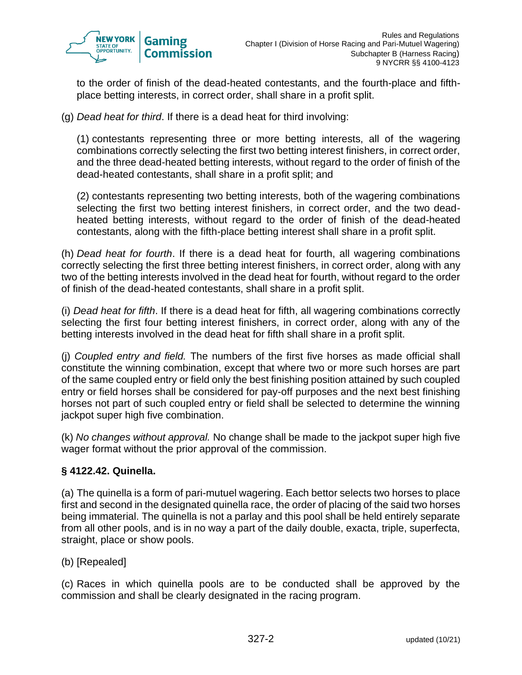

to the order of finish of the dead-heated contestants, and the fourth-place and fifthplace betting interests, in correct order, shall share in a profit split.

(g) *Dead heat for third*. If there is a dead heat for third involving:

(1) contestants representing three or more betting interests, all of the wagering combinations correctly selecting the first two betting interest finishers, in correct order, and the three dead-heated betting interests, without regard to the order of finish of the dead-heated contestants, shall share in a profit split; and

(2) contestants representing two betting interests, both of the wagering combinations selecting the first two betting interest finishers, in correct order, and the two deadheated betting interests, without regard to the order of finish of the dead-heated contestants, along with the fifth-place betting interest shall share in a profit split.

(h) *Dead heat for fourth*. If there is a dead heat for fourth, all wagering combinations correctly selecting the first three betting interest finishers, in correct order, along with any two of the betting interests involved in the dead heat for fourth, without regard to the order of finish of the dead-heated contestants, shall share in a profit split.

(i) *Dead heat for fifth*. If there is a dead heat for fifth, all wagering combinations correctly selecting the first four betting interest finishers, in correct order, along with any of the betting interests involved in the dead heat for fifth shall share in a profit split.

(j) *Coupled entry and field.* The numbers of the first five horses as made official shall constitute the winning combination, except that where two or more such horses are part of the same coupled entry or field only the best finishing position attained by such coupled entry or field horses shall be considered for pay-off purposes and the next best finishing horses not part of such coupled entry or field shall be selected to determine the winning jackpot super high five combination.

(k) *No changes without approval.* No change shall be made to the jackpot super high five wager format without the prior approval of the commission.

#### **§ 4122.42. Quinella.**

(a) The quinella is a form of pari-mutuel wagering. Each bettor selects two horses to place first and second in the designated quinella race, the order of placing of the said two horses being immaterial. The quinella is not a parlay and this pool shall be held entirely separate from all other pools, and is in no way a part of the daily double, exacta, triple, superfecta, straight, place or show pools.

#### (b) [Repealed]

(c) Races in which quinella pools are to be conducted shall be approved by the commission and shall be clearly designated in the racing program.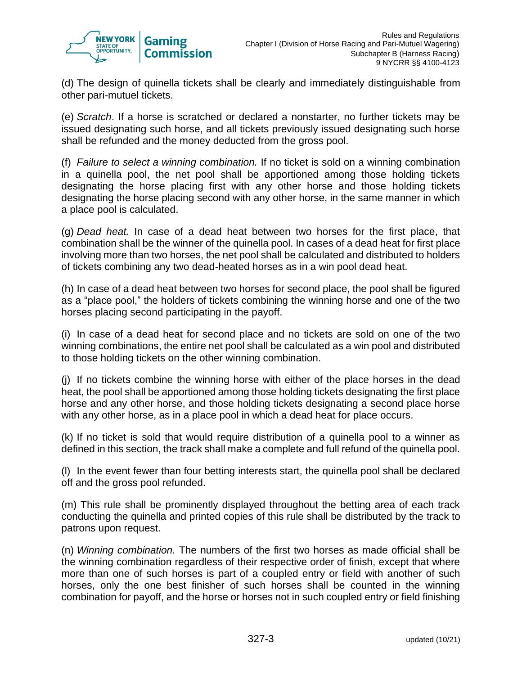

(d) The design of quinella tickets shall be clearly and immediately distinguishable from other pari-mutuel tickets.

(e) *Scratch*. If a horse is scratched or declared a nonstarter, no further tickets may be issued designating such horse, and all tickets previously issued designating such horse shall be refunded and the money deducted from the gross pool.

(f) *Failure to select a winning combination.* If no ticket is sold on a winning combination in a quinella pool, the net pool shall be apportioned among those holding tickets designating the horse placing first with any other horse and those holding tickets designating the horse placing second with any other horse, in the same manner in which a place pool is calculated.

(g) *Dead heat.* In case of a dead heat between two horses for the first place, that combination shall be the winner of the quinella pool. In cases of a dead heat for first place involving more than two horses, the net pool shall be calculated and distributed to holders of tickets combining any two dead-heated horses as in a win pool dead heat.

(h) In case of a dead heat between two horses for second place, the pool shall be figured as a "place pool," the holders of tickets combining the winning horse and one of the two horses placing second participating in the payoff.

(i) In case of a dead heat for second place and no tickets are sold on one of the two winning combinations, the entire net pool shall be calculated as a win pool and distributed to those holding tickets on the other winning combination.

(j) If no tickets combine the winning horse with either of the place horses in the dead heat, the pool shall be apportioned among those holding tickets designating the first place horse and any other horse, and those holding tickets designating a second place horse with any other horse, as in a place pool in which a dead heat for place occurs.

(k) If no ticket is sold that would require distribution of a quinella pool to a winner as defined in this section, the track shall make a complete and full refund of the quinella pool.

(l) In the event fewer than four betting interests start, the quinella pool shall be declared off and the gross pool refunded.

(m) This rule shall be prominently displayed throughout the betting area of each track conducting the quinella and printed copies of this rule shall be distributed by the track to patrons upon request.

(n) *Winning combination.* The numbers of the first two horses as made official shall be the winning combination regardless of their respective order of finish, except that where more than one of such horses is part of a coupled entry or field with another of such horses, only the one best finisher of such horses shall be counted in the winning combination for payoff, and the horse or horses not in such coupled entry or field finishing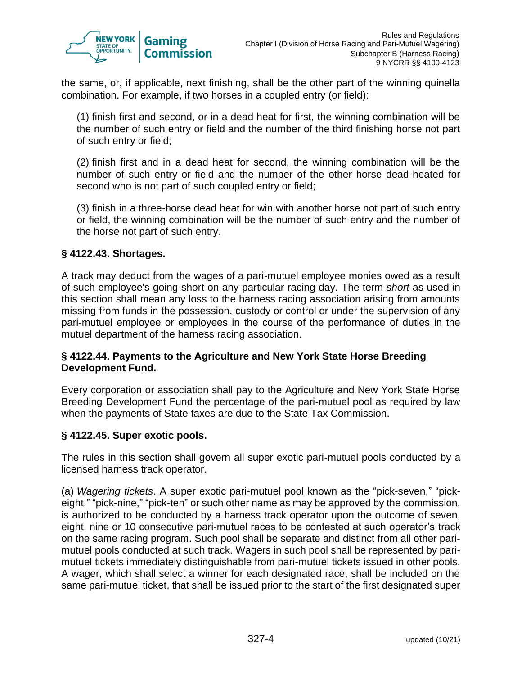

the same, or, if applicable, next finishing, shall be the other part of the winning quinella combination. For example, if two horses in a coupled entry (or field):

(1) finish first and second, or in a dead heat for first, the winning combination will be the number of such entry or field and the number of the third finishing horse not part of such entry or field;

(2) finish first and in a dead heat for second, the winning combination will be the number of such entry or field and the number of the other horse dead-heated for second who is not part of such coupled entry or field;

(3) finish in a three-horse dead heat for win with another horse not part of such entry or field, the winning combination will be the number of such entry and the number of the horse not part of such entry.

#### **§ 4122.43. Shortages.**

A track may deduct from the wages of a pari-mutuel employee monies owed as a result of such employee's going short on any particular racing day. The term *short* as used in this section shall mean any loss to the harness racing association arising from amounts missing from funds in the possession, custody or control or under the supervision of any pari-mutuel employee or employees in the course of the performance of duties in the mutuel department of the harness racing association.

#### **§ 4122.44. Payments to the Agriculture and New York State Horse Breeding Development Fund.**

Every corporation or association shall pay to the Agriculture and New York State Horse Breeding Development Fund the percentage of the pari-mutuel pool as required by law when the payments of State taxes are due to the State Tax Commission.

#### **§ 4122.45. Super exotic pools.**

The rules in this section shall govern all super exotic pari-mutuel pools conducted by a licensed harness track operator.

(a) *Wagering tickets*. A super exotic pari-mutuel pool known as the "pick-seven," "pickeight," "pick-nine," "pick-ten" or such other name as may be approved by the commission, is authorized to be conducted by a harness track operator upon the outcome of seven, eight, nine or 10 consecutive pari-mutuel races to be contested at such operator's track on the same racing program. Such pool shall be separate and distinct from all other parimutuel pools conducted at such track. Wagers in such pool shall be represented by parimutuel tickets immediately distinguishable from pari-mutuel tickets issued in other pools. A wager, which shall select a winner for each designated race, shall be included on the same pari-mutuel ticket, that shall be issued prior to the start of the first designated super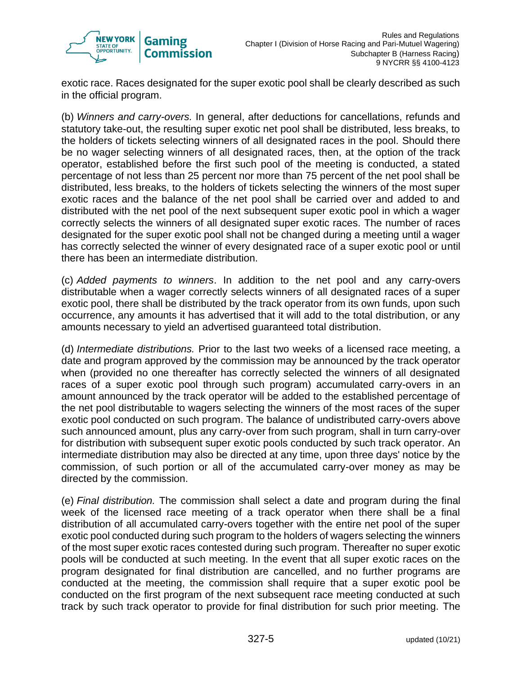

exotic race. Races designated for the super exotic pool shall be clearly described as such in the official program.

(b) *Winners and carry-overs.* In general, after deductions for cancellations, refunds and statutory take-out, the resulting super exotic net pool shall be distributed, less breaks, to the holders of tickets selecting winners of all designated races in the pool. Should there be no wager selecting winners of all designated races, then, at the option of the track operator, established before the first such pool of the meeting is conducted, a stated percentage of not less than 25 percent nor more than 75 percent of the net pool shall be distributed, less breaks, to the holders of tickets selecting the winners of the most super exotic races and the balance of the net pool shall be carried over and added to and distributed with the net pool of the next subsequent super exotic pool in which a wager correctly selects the winners of all designated super exotic races. The number of races designated for the super exotic pool shall not be changed during a meeting until a wager has correctly selected the winner of every designated race of a super exotic pool or until there has been an intermediate distribution.

(c) *Added payments to winners*. In addition to the net pool and any carry-overs distributable when a wager correctly selects winners of all designated races of a super exotic pool, there shall be distributed by the track operator from its own funds, upon such occurrence, any amounts it has advertised that it will add to the total distribution, or any amounts necessary to yield an advertised guaranteed total distribution.

(d) *Intermediate distributions.* Prior to the last two weeks of a licensed race meeting, a date and program approved by the commission may be announced by the track operator when (provided no one thereafter has correctly selected the winners of all designated races of a super exotic pool through such program) accumulated carry-overs in an amount announced by the track operator will be added to the established percentage of the net pool distributable to wagers selecting the winners of the most races of the super exotic pool conducted on such program. The balance of undistributed carry-overs above such announced amount, plus any carry-over from such program, shall in turn carry-over for distribution with subsequent super exotic pools conducted by such track operator. An intermediate distribution may also be directed at any time, upon three days' notice by the commission, of such portion or all of the accumulated carry-over money as may be directed by the commission.

(e) *Final distribution.* The commission shall select a date and program during the final week of the licensed race meeting of a track operator when there shall be a final distribution of all accumulated carry-overs together with the entire net pool of the super exotic pool conducted during such program to the holders of wagers selecting the winners of the most super exotic races contested during such program. Thereafter no super exotic pools will be conducted at such meeting. In the event that all super exotic races on the program designated for final distribution are cancelled, and no further programs are conducted at the meeting, the commission shall require that a super exotic pool be conducted on the first program of the next subsequent race meeting conducted at such track by such track operator to provide for final distribution for such prior meeting. The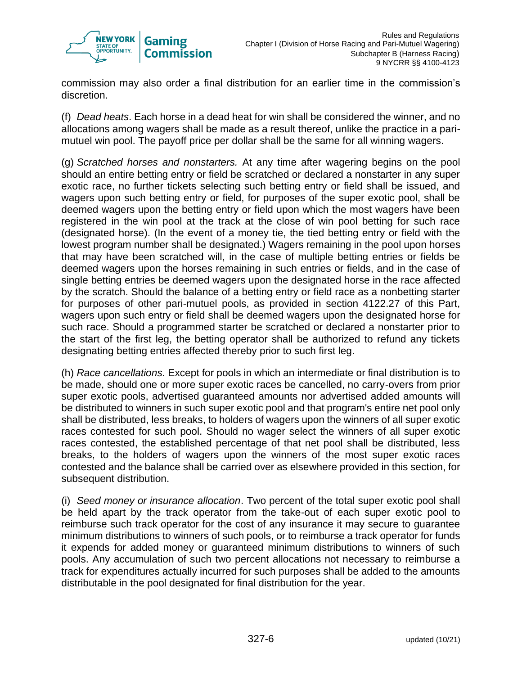

commission may also order a final distribution for an earlier time in the commission's discretion.

(f) *Dead heats*. Each horse in a dead heat for win shall be considered the winner, and no allocations among wagers shall be made as a result thereof, unlike the practice in a parimutuel win pool. The payoff price per dollar shall be the same for all winning wagers.

(g) *Scratched horses and nonstarters.* At any time after wagering begins on the pool should an entire betting entry or field be scratched or declared a nonstarter in any super exotic race, no further tickets selecting such betting entry or field shall be issued, and wagers upon such betting entry or field, for purposes of the super exotic pool, shall be deemed wagers upon the betting entry or field upon which the most wagers have been registered in the win pool at the track at the close of win pool betting for such race (designated horse). (In the event of a money tie, the tied betting entry or field with the lowest program number shall be designated.) Wagers remaining in the pool upon horses that may have been scratched will, in the case of multiple betting entries or fields be deemed wagers upon the horses remaining in such entries or fields, and in the case of single betting entries be deemed wagers upon the designated horse in the race affected by the scratch. Should the balance of a betting entry or field race as a nonbetting starter for purposes of other pari-mutuel pools, as provided in section 4122.27 of this Part, wagers upon such entry or field shall be deemed wagers upon the designated horse for such race. Should a programmed starter be scratched or declared a nonstarter prior to the start of the first leg, the betting operator shall be authorized to refund any tickets designating betting entries affected thereby prior to such first leg.

(h) *Race cancellations.* Except for pools in which an intermediate or final distribution is to be made, should one or more super exotic races be cancelled, no carry-overs from prior super exotic pools, advertised guaranteed amounts nor advertised added amounts will be distributed to winners in such super exotic pool and that program's entire net pool only shall be distributed, less breaks, to holders of wagers upon the winners of all super exotic races contested for such pool. Should no wager select the winners of all super exotic races contested, the established percentage of that net pool shall be distributed, less breaks, to the holders of wagers upon the winners of the most super exotic races contested and the balance shall be carried over as elsewhere provided in this section, for subsequent distribution.

(i) *Seed money or insurance allocation*. Two percent of the total super exotic pool shall be held apart by the track operator from the take-out of each super exotic pool to reimburse such track operator for the cost of any insurance it may secure to guarantee minimum distributions to winners of such pools, or to reimburse a track operator for funds it expends for added money or guaranteed minimum distributions to winners of such pools. Any accumulation of such two percent allocations not necessary to reimburse a track for expenditures actually incurred for such purposes shall be added to the amounts distributable in the pool designated for final distribution for the year.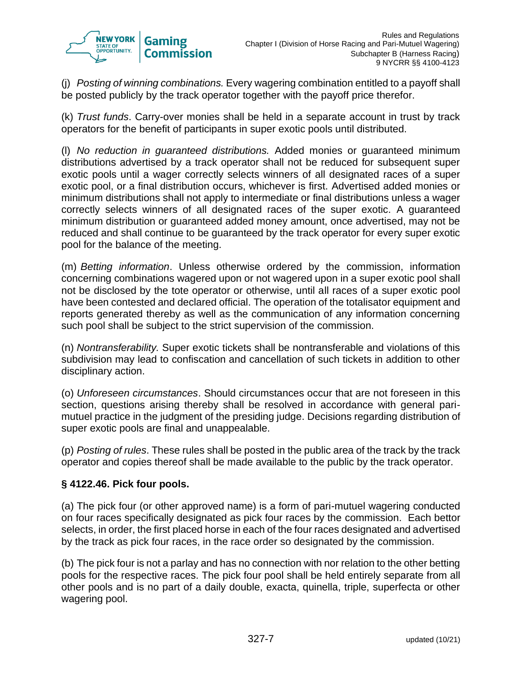

(j) *Posting of winning combinations.* Every wagering combination entitled to a payoff shall be posted publicly by the track operator together with the payoff price therefor.

(k) *Trust funds*. Carry-over monies shall be held in a separate account in trust by track operators for the benefit of participants in super exotic pools until distributed.

(l) *No reduction in guaranteed distributions.* Added monies or guaranteed minimum distributions advertised by a track operator shall not be reduced for subsequent super exotic pools until a wager correctly selects winners of all designated races of a super exotic pool, or a final distribution occurs, whichever is first. Advertised added monies or minimum distributions shall not apply to intermediate or final distributions unless a wager correctly selects winners of all designated races of the super exotic. A guaranteed minimum distribution or guaranteed added money amount, once advertised, may not be reduced and shall continue to be guaranteed by the track operator for every super exotic pool for the balance of the meeting.

(m) *Betting information*. Unless otherwise ordered by the commission, information concerning combinations wagered upon or not wagered upon in a super exotic pool shall not be disclosed by the tote operator or otherwise, until all races of a super exotic pool have been contested and declared official. The operation of the totalisator equipment and reports generated thereby as well as the communication of any information concerning such pool shall be subject to the strict supervision of the commission.

(n) *Nontransferability.* Super exotic tickets shall be nontransferable and violations of this subdivision may lead to confiscation and cancellation of such tickets in addition to other disciplinary action.

(o) *Unforeseen circumstances*. Should circumstances occur that are not foreseen in this section, questions arising thereby shall be resolved in accordance with general parimutuel practice in the judgment of the presiding judge. Decisions regarding distribution of super exotic pools are final and unappealable.

(p) *Posting of rules*. These rules shall be posted in the public area of the track by the track operator and copies thereof shall be made available to the public by the track operator.

#### **§ 4122.46. Pick four pools.**

(a) The pick four (or other approved name) is a form of pari-mutuel wagering conducted on four races specifically designated as pick four races by the commission. Each bettor selects, in order, the first placed horse in each of the four races designated and advertised by the track as pick four races, in the race order so designated by the commission.

(b) The pick four is not a parlay and has no connection with nor relation to the other betting pools for the respective races. The pick four pool shall be held entirely separate from all other pools and is no part of a daily double, exacta, quinella, triple, superfecta or other wagering pool.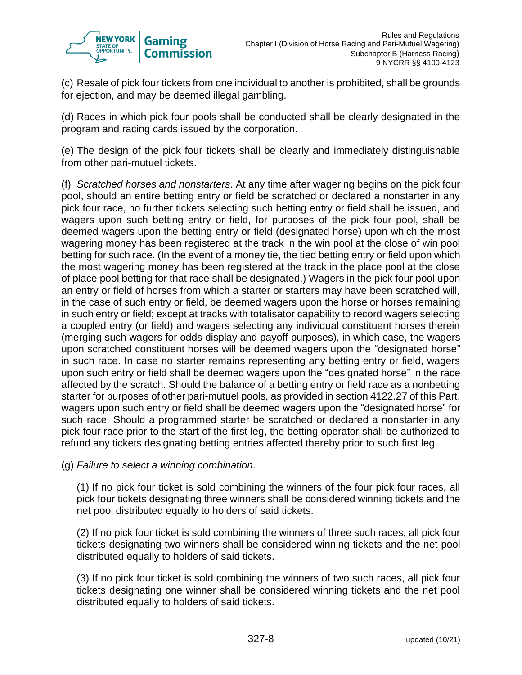

(c) Resale of pick four tickets from one individual to another is prohibited, shall be grounds for ejection, and may be deemed illegal gambling.

(d) Races in which pick four pools shall be conducted shall be clearly designated in the program and racing cards issued by the corporation.

(e) The design of the pick four tickets shall be clearly and immediately distinguishable from other pari-mutuel tickets.

(f) *Scratched horses and nonstarters*. At any time after wagering begins on the pick four pool, should an entire betting entry or field be scratched or declared a nonstarter in any pick four race, no further tickets selecting such betting entry or field shall be issued, and wagers upon such betting entry or field, for purposes of the pick four pool, shall be deemed wagers upon the betting entry or field (designated horse) upon which the most wagering money has been registered at the track in the win pool at the close of win pool betting for such race. (In the event of a money tie, the tied betting entry or field upon which the most wagering money has been registered at the track in the place pool at the close of place pool betting for that race shall be designated.) Wagers in the pick four pool upon an entry or field of horses from which a starter or starters may have been scratched will, in the case of such entry or field, be deemed wagers upon the horse or horses remaining in such entry or field; except at tracks with totalisator capability to record wagers selecting a coupled entry (or field) and wagers selecting any individual constituent horses therein (merging such wagers for odds display and payoff purposes), in which case, the wagers upon scratched constituent horses will be deemed wagers upon the "designated horse" in such race. In case no starter remains representing any betting entry or field, wagers upon such entry or field shall be deemed wagers upon the "designated horse" in the race affected by the scratch. Should the balance of a betting entry or field race as a nonbetting starter for purposes of other pari-mutuel pools, as provided in section 4122.27 of this Part, wagers upon such entry or field shall be deemed wagers upon the "designated horse" for such race. Should a programmed starter be scratched or declared a nonstarter in any pick-four race prior to the start of the first leg, the betting operator shall be authorized to refund any tickets designating betting entries affected thereby prior to such first leg.

(g) *Failure to select a winning combination*.

(1) If no pick four ticket is sold combining the winners of the four pick four races, all pick four tickets designating three winners shall be considered winning tickets and the net pool distributed equally to holders of said tickets.

(2) If no pick four ticket is sold combining the winners of three such races, all pick four tickets designating two winners shall be considered winning tickets and the net pool distributed equally to holders of said tickets.

(3) If no pick four ticket is sold combining the winners of two such races, all pick four tickets designating one winner shall be considered winning tickets and the net pool distributed equally to holders of said tickets.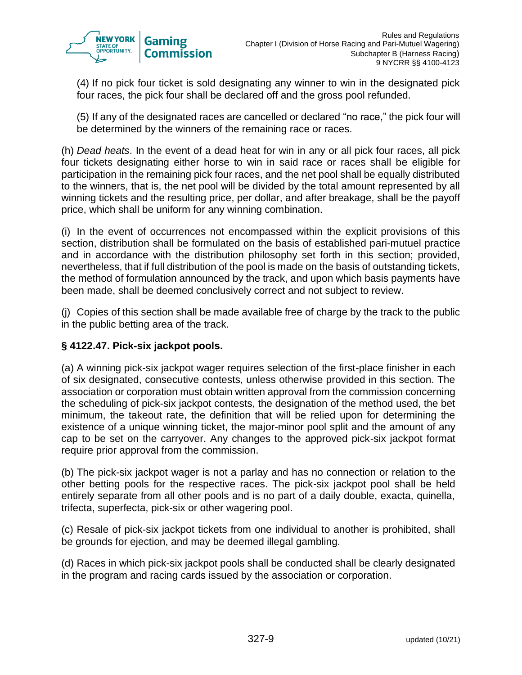

(4) If no pick four ticket is sold designating any winner to win in the designated pick four races, the pick four shall be declared off and the gross pool refunded.

(5) If any of the designated races are cancelled or declared "no race," the pick four will be determined by the winners of the remaining race or races.

(h) *Dead heats*. In the event of a dead heat for win in any or all pick four races, all pick four tickets designating either horse to win in said race or races shall be eligible for participation in the remaining pick four races, and the net pool shall be equally distributed to the winners, that is, the net pool will be divided by the total amount represented by all winning tickets and the resulting price, per dollar, and after breakage, shall be the payoff price, which shall be uniform for any winning combination.

(i) In the event of occurrences not encompassed within the explicit provisions of this section, distribution shall be formulated on the basis of established pari-mutuel practice and in accordance with the distribution philosophy set forth in this section; provided, nevertheless, that if full distribution of the pool is made on the basis of outstanding tickets, the method of formulation announced by the track, and upon which basis payments have been made, shall be deemed conclusively correct and not subject to review.

(j) Copies of this section shall be made available free of charge by the track to the public in the public betting area of the track.

## **§ 4122.47. Pick-six jackpot pools.**

(a) A winning pick-six jackpot wager requires selection of the first-place finisher in each of six designated, consecutive contests, unless otherwise provided in this section. The association or corporation must obtain written approval from the commission concerning the scheduling of pick-six jackpot contests, the designation of the method used, the bet minimum, the takeout rate, the definition that will be relied upon for determining the existence of a unique winning ticket, the major-minor pool split and the amount of any cap to be set on the carryover. Any changes to the approved pick-six jackpot format require prior approval from the commission.

(b) The pick-six jackpot wager is not a parlay and has no connection or relation to the other betting pools for the respective races. The pick-six jackpot pool shall be held entirely separate from all other pools and is no part of a daily double, exacta, quinella, trifecta, superfecta, pick-six or other wagering pool.

(c) Resale of pick-six jackpot tickets from one individual to another is prohibited, shall be grounds for ejection, and may be deemed illegal gambling.

(d) Races in which pick-six jackpot pools shall be conducted shall be clearly designated in the program and racing cards issued by the association or corporation.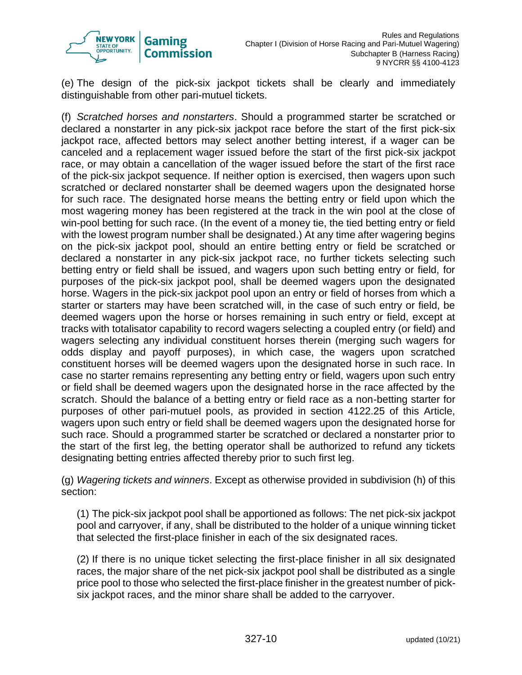

(e) The design of the pick-six jackpot tickets shall be clearly and immediately distinguishable from other pari-mutuel tickets.

(f) *Scratched horses and nonstarters*. Should a programmed starter be scratched or declared a nonstarter in any pick-six jackpot race before the start of the first pick-six jackpot race, affected bettors may select another betting interest, if a wager can be canceled and a replacement wager issued before the start of the first pick-six jackpot race, or may obtain a cancellation of the wager issued before the start of the first race of the pick-six jackpot sequence. If neither option is exercised, then wagers upon such scratched or declared nonstarter shall be deemed wagers upon the designated horse for such race. The designated horse means the betting entry or field upon which the most wagering money has been registered at the track in the win pool at the close of win-pool betting for such race. (In the event of a money tie, the tied betting entry or field with the lowest program number shall be designated.) At any time after wagering begins on the pick-six jackpot pool, should an entire betting entry or field be scratched or declared a nonstarter in any pick-six jackpot race, no further tickets selecting such betting entry or field shall be issued, and wagers upon such betting entry or field, for purposes of the pick-six jackpot pool, shall be deemed wagers upon the designated horse. Wagers in the pick-six jackpot pool upon an entry or field of horses from which a starter or starters may have been scratched will, in the case of such entry or field, be deemed wagers upon the horse or horses remaining in such entry or field, except at tracks with totalisator capability to record wagers selecting a coupled entry (or field) and wagers selecting any individual constituent horses therein (merging such wagers for odds display and payoff purposes), in which case, the wagers upon scratched constituent horses will be deemed wagers upon the designated horse in such race. In case no starter remains representing any betting entry or field, wagers upon such entry or field shall be deemed wagers upon the designated horse in the race affected by the scratch. Should the balance of a betting entry or field race as a non-betting starter for purposes of other pari-mutuel pools, as provided in section 4122.25 of this Article, wagers upon such entry or field shall be deemed wagers upon the designated horse for such race. Should a programmed starter be scratched or declared a nonstarter prior to the start of the first leg, the betting operator shall be authorized to refund any tickets designating betting entries affected thereby prior to such first leg.

(g) *Wagering tickets and winners*. Except as otherwise provided in subdivision (h) of this section:

(1) The pick-six jackpot pool shall be apportioned as follows: The net pick-six jackpot pool and carryover, if any, shall be distributed to the holder of a unique winning ticket that selected the first-place finisher in each of the six designated races.

(2) If there is no unique ticket selecting the first-place finisher in all six designated races, the major share of the net pick-six jackpot pool shall be distributed as a single price pool to those who selected the first-place finisher in the greatest number of picksix jackpot races, and the minor share shall be added to the carryover.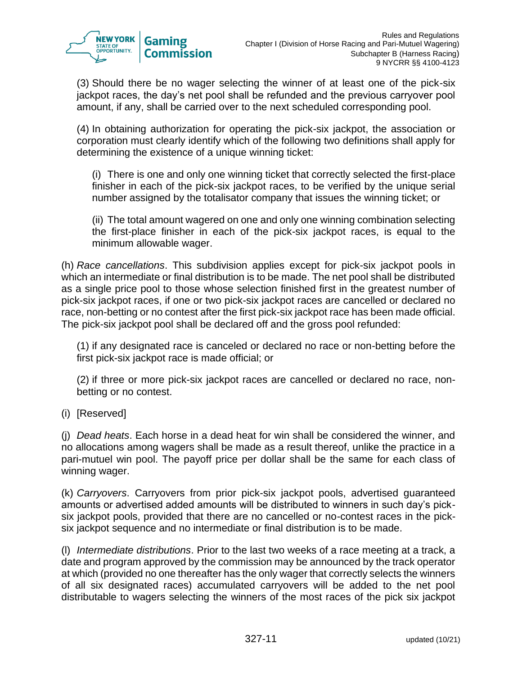

(3) Should there be no wager selecting the winner of at least one of the pick-six jackpot races, the day's net pool shall be refunded and the previous carryover pool amount, if any, shall be carried over to the next scheduled corresponding pool.

(4) In obtaining authorization for operating the pick-six jackpot, the association or corporation must clearly identify which of the following two definitions shall apply for determining the existence of a unique winning ticket:

(i) There is one and only one winning ticket that correctly selected the first-place finisher in each of the pick-six jackpot races, to be verified by the unique serial number assigned by the totalisator company that issues the winning ticket; or

(ii) The total amount wagered on one and only one winning combination selecting the first-place finisher in each of the pick-six jackpot races, is equal to the minimum allowable wager.

(h) *Race cancellations*. This subdivision applies except for pick-six jackpot pools in which an intermediate or final distribution is to be made. The net pool shall be distributed as a single price pool to those whose selection finished first in the greatest number of pick-six jackpot races, if one or two pick-six jackpot races are cancelled or declared no race, non-betting or no contest after the first pick-six jackpot race has been made official. The pick-six jackpot pool shall be declared off and the gross pool refunded:

(1) if any designated race is canceled or declared no race or non-betting before the first pick-six jackpot race is made official; or

(2) if three or more pick-six jackpot races are cancelled or declared no race, nonbetting or no contest.

(i) [Reserved]

(j) *Dead heats*. Each horse in a dead heat for win shall be considered the winner, and no allocations among wagers shall be made as a result thereof, unlike the practice in a pari-mutuel win pool. The payoff price per dollar shall be the same for each class of winning wager.

(k) *Carryovers*. Carryovers from prior pick-six jackpot pools, advertised guaranteed amounts or advertised added amounts will be distributed to winners in such day's picksix jackpot pools, provided that there are no cancelled or no-contest races in the picksix jackpot sequence and no intermediate or final distribution is to be made.

(l) *Intermediate distributions*. Prior to the last two weeks of a race meeting at a track, a date and program approved by the commission may be announced by the track operator at which (provided no one thereafter has the only wager that correctly selects the winners of all six designated races) accumulated carryovers will be added to the net pool distributable to wagers selecting the winners of the most races of the pick six jackpot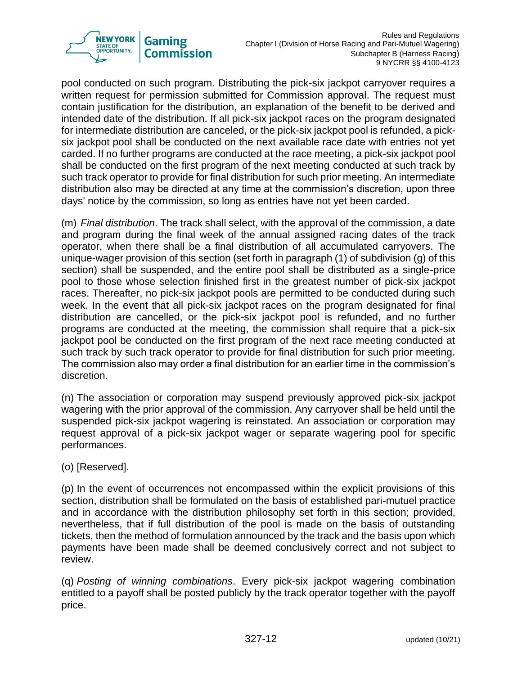

pool conducted on such program. Distributing the pick-six jackpot carryover requires a written request for permission submitted for Commission approval. The request must contain justification for the distribution, an explanation of the benefit to be derived and intended date of the distribution. If all pick-six jackpot races on the program designated for intermediate distribution are canceled, or the pick-six jackpot pool is refunded, a picksix jackpot pool shall be conducted on the next available race date with entries not yet carded. If no further programs are conducted at the race meeting, a pick-six jackpot pool shall be conducted on the first program of the next meeting conducted at such track by such track operator to provide for final distribution for such prior meeting. An intermediate distribution also may be directed at any time at the commission's discretion, upon three days' notice by the commission, so long as entries have not yet been carded.

(m) *Final distribution*. The track shall select, with the approval of the commission, a date and program during the final week of the annual assigned racing dates of the track operator, when there shall be a final distribution of all accumulated carryovers. The unique-wager provision of this section (set forth in paragraph (1) of subdivision (g) of this section) shall be suspended, and the entire pool shall be distributed as a single-price pool to those whose selection finished first in the greatest number of pick-six jackpot races. Thereafter, no pick-six jackpot pools are permitted to be conducted during such week. In the event that all pick-six jackpot races on the program designated for final distribution are cancelled, or the pick-six jackpot pool is refunded, and no further programs are conducted at the meeting, the commission shall require that a pick-six jackpot pool be conducted on the first program of the next race meeting conducted at such track by such track operator to provide for final distribution for such prior meeting. The commission also may order a final distribution for an earlier time in the commission's discretion.

(n) The association or corporation may suspend previously approved pick-six jackpot wagering with the prior approval of the commission. Any carryover shall be held until the suspended pick-six jackpot wagering is reinstated. An association or corporation may request approval of a pick-six jackpot wager or separate wagering pool for specific performances.

(o) [Reserved].

(p) In the event of occurrences not encompassed within the explicit provisions of this section, distribution shall be formulated on the basis of established pari-mutuel practice and in accordance with the distribution philosophy set forth in this section; provided, nevertheless, that if full distribution of the pool is made on the basis of outstanding tickets, then the method of formulation announced by the track and the basis upon which payments have been made shall be deemed conclusively correct and not subject to review.

(q) *Posting of winning combinations*. Every pick-six jackpot wagering combination entitled to a payoff shall be posted publicly by the track operator together with the payoff price.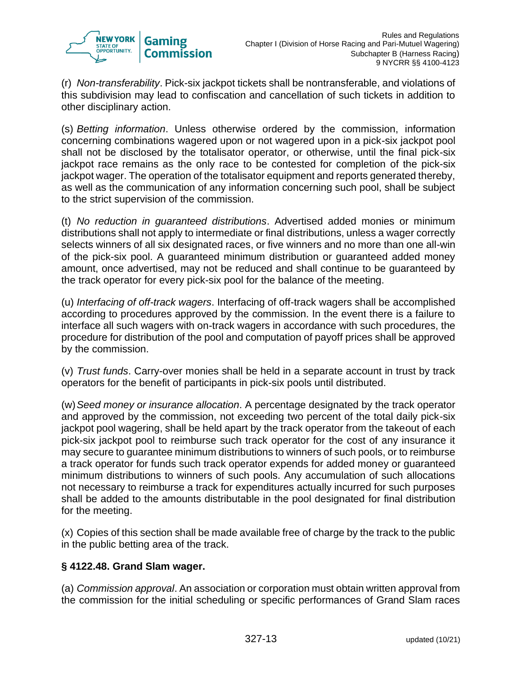

(r) *Non-transferability*. Pick-six jackpot tickets shall be nontransferable, and violations of this subdivision may lead to confiscation and cancellation of such tickets in addition to other disciplinary action.

(s) *Betting information*. Unless otherwise ordered by the commission, information concerning combinations wagered upon or not wagered upon in a pick-six jackpot pool shall not be disclosed by the totalisator operator, or otherwise, until the final pick-six jackpot race remains as the only race to be contested for completion of the pick-six jackpot wager. The operation of the totalisator equipment and reports generated thereby, as well as the communication of any information concerning such pool, shall be subject to the strict supervision of the commission.

(t) *No reduction in guaranteed distributions*. Advertised added monies or minimum distributions shall not apply to intermediate or final distributions, unless a wager correctly selects winners of all six designated races, or five winners and no more than one all-win of the pick-six pool. A guaranteed minimum distribution or guaranteed added money amount, once advertised, may not be reduced and shall continue to be guaranteed by the track operator for every pick-six pool for the balance of the meeting.

(u) *Interfacing of off-track wagers*. Interfacing of off-track wagers shall be accomplished according to procedures approved by the commission. In the event there is a failure to interface all such wagers with on-track wagers in accordance with such procedures, the procedure for distribution of the pool and computation of payoff prices shall be approved by the commission.

(v) *Trust funds*. Carry-over monies shall be held in a separate account in trust by track operators for the benefit of participants in pick-six pools until distributed.

(w)*Seed money or insurance allocation*. A percentage designated by the track operator and approved by the commission, not exceeding two percent of the total daily pick-six jackpot pool wagering, shall be held apart by the track operator from the takeout of each pick-six jackpot pool to reimburse such track operator for the cost of any insurance it may secure to guarantee minimum distributions to winners of such pools, or to reimburse a track operator for funds such track operator expends for added money or guaranteed minimum distributions to winners of such pools. Any accumulation of such allocations not necessary to reimburse a track for expenditures actually incurred for such purposes shall be added to the amounts distributable in the pool designated for final distribution for the meeting.

(x) Copies of this section shall be made available free of charge by the track to the public in the public betting area of the track.

#### **§ 4122.48. Grand Slam wager.**

(a) *Commission approval*. An association or corporation must obtain written approval from the commission for the initial scheduling or specific performances of Grand Slam races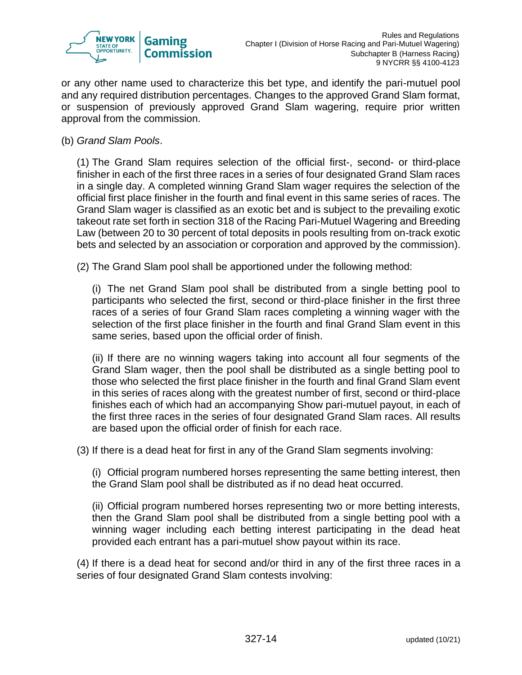

or any other name used to characterize this bet type, and identify the pari-mutuel pool and any required distribution percentages. Changes to the approved Grand Slam format, or suspension of previously approved Grand Slam wagering, require prior written approval from the commission.

(b) *Grand Slam Pools*.

(1) The Grand Slam requires selection of the official first-, second- or third-place finisher in each of the first three races in a series of four designated Grand Slam races in a single day. A completed winning Grand Slam wager requires the selection of the official first place finisher in the fourth and final event in this same series of races. The Grand Slam wager is classified as an exotic bet and is subject to the prevailing exotic takeout rate set forth in section 318 of the Racing Pari-Mutuel Wagering and Breeding Law (between 20 to 30 percent of total deposits in pools resulting from on-track exotic bets and selected by an association or corporation and approved by the commission).

(2) The Grand Slam pool shall be apportioned under the following method:

(i) The net Grand Slam pool shall be distributed from a single betting pool to participants who selected the first, second or third-place finisher in the first three races of a series of four Grand Slam races completing a winning wager with the selection of the first place finisher in the fourth and final Grand Slam event in this same series, based upon the official order of finish.

(ii) If there are no winning wagers taking into account all four segments of the Grand Slam wager, then the pool shall be distributed as a single betting pool to those who selected the first place finisher in the fourth and final Grand Slam event in this series of races along with the greatest number of first, second or third-place finishes each of which had an accompanying Show pari-mutuel payout, in each of the first three races in the series of four designated Grand Slam races. All results are based upon the official order of finish for each race.

(3) If there is a dead heat for first in any of the Grand Slam segments involving:

(i) Official program numbered horses representing the same betting interest, then the Grand Slam pool shall be distributed as if no dead heat occurred.

(ii) Official program numbered horses representing two or more betting interests, then the Grand Slam pool shall be distributed from a single betting pool with a winning wager including each betting interest participating in the dead heat provided each entrant has a pari-mutuel show payout within its race.

(4) If there is a dead heat for second and/or third in any of the first three races in a series of four designated Grand Slam contests involving: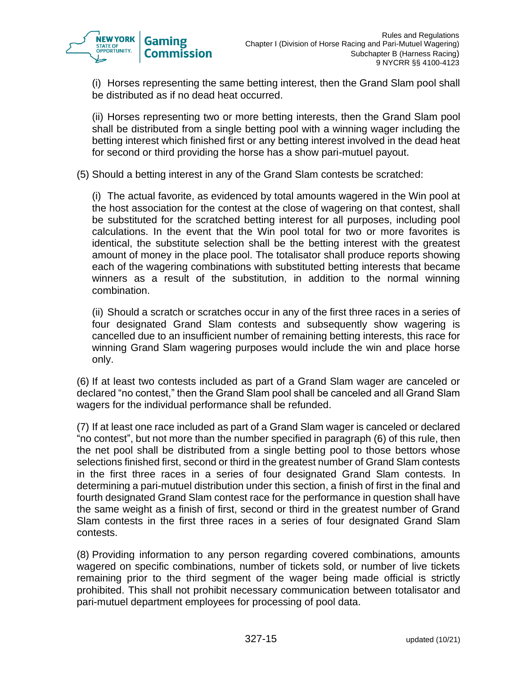

(i) Horses representing the same betting interest, then the Grand Slam pool shall be distributed as if no dead heat occurred.

(ii) Horses representing two or more betting interests, then the Grand Slam pool shall be distributed from a single betting pool with a winning wager including the betting interest which finished first or any betting interest involved in the dead heat for second or third providing the horse has a show pari-mutuel payout.

(5) Should a betting interest in any of the Grand Slam contests be scratched:

(i) The actual favorite, as evidenced by total amounts wagered in the Win pool at the host association for the contest at the close of wagering on that contest, shall be substituted for the scratched betting interest for all purposes, including pool calculations. In the event that the Win pool total for two or more favorites is identical, the substitute selection shall be the betting interest with the greatest amount of money in the place pool. The totalisator shall produce reports showing each of the wagering combinations with substituted betting interests that became winners as a result of the substitution, in addition to the normal winning combination.

(ii) Should a scratch or scratches occur in any of the first three races in a series of four designated Grand Slam contests and subsequently show wagering is cancelled due to an insufficient number of remaining betting interests, this race for winning Grand Slam wagering purposes would include the win and place horse only.

(6) If at least two contests included as part of a Grand Slam wager are canceled or declared "no contest," then the Grand Slam pool shall be canceled and all Grand Slam wagers for the individual performance shall be refunded.

(7) If at least one race included as part of a Grand Slam wager is canceled or declared "no contest", but not more than the number specified in paragraph (6) of this rule, then the net pool shall be distributed from a single betting pool to those bettors whose selections finished first, second or third in the greatest number of Grand Slam contests in the first three races in a series of four designated Grand Slam contests. In determining a pari-mutuel distribution under this section, a finish of first in the final and fourth designated Grand Slam contest race for the performance in question shall have the same weight as a finish of first, second or third in the greatest number of Grand Slam contests in the first three races in a series of four designated Grand Slam contests.

(8) Providing information to any person regarding covered combinations, amounts wagered on specific combinations, number of tickets sold, or number of live tickets remaining prior to the third segment of the wager being made official is strictly prohibited. This shall not prohibit necessary communication between totalisator and pari-mutuel department employees for processing of pool data.